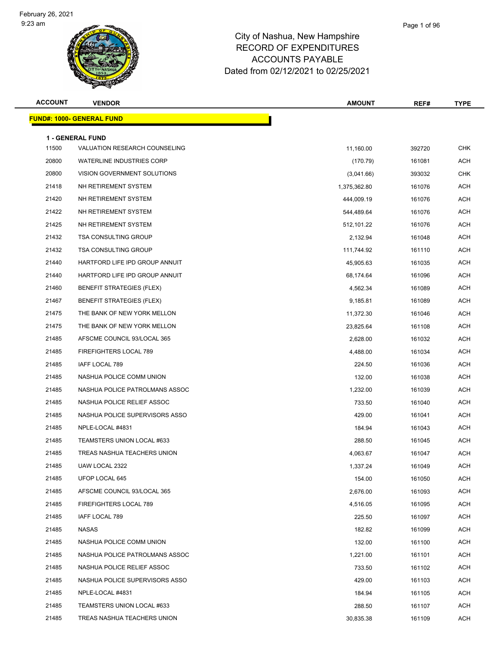

| <b>ACCOUNT</b> | <b>VENDOR</b>                                            | <b>AMOUNT</b> | REF#   | <b>TYPE</b> |
|----------------|----------------------------------------------------------|---------------|--------|-------------|
|                | <u> FUND#: 1000- GENERAL FUND</u>                        |               |        |             |
|                |                                                          |               |        |             |
| 11500          | <b>1 - GENERAL FUND</b><br>VALUATION RESEARCH COUNSELING | 11,160.00     | 392720 | <b>CHK</b>  |
| 20800          | <b>WATERLINE INDUSTRIES CORP</b>                         | (170.79)      | 161081 | <b>ACH</b>  |
| 20800          | VISION GOVERNMENT SOLUTIONS                              | (3,041.66)    | 393032 | <b>CHK</b>  |
| 21418          | NH RETIREMENT SYSTEM                                     | 1,375,362.80  | 161076 | <b>ACH</b>  |
| 21420          | NH RETIREMENT SYSTEM                                     | 444,009.19    | 161076 | <b>ACH</b>  |
| 21422          | NH RETIREMENT SYSTEM                                     | 544,489.64    | 161076 | <b>ACH</b>  |
| 21425          | NH RETIREMENT SYSTEM                                     | 512,101.22    | 161076 | <b>ACH</b>  |
| 21432          | <b>TSA CONSULTING GROUP</b>                              | 2,132.94      | 161048 | <b>ACH</b>  |
| 21432          | <b>TSA CONSULTING GROUP</b>                              | 111,744.92    | 161110 | <b>ACH</b>  |
| 21440          | HARTFORD LIFE IPD GROUP ANNUIT                           | 45,905.63     | 161035 | <b>ACH</b>  |
| 21440          | HARTFORD LIFE IPD GROUP ANNUIT                           | 68,174.64     | 161096 | <b>ACH</b>  |
| 21460          | <b>BENEFIT STRATEGIES (FLEX)</b>                         | 4,562.34      | 161089 | <b>ACH</b>  |
| 21467          | <b>BENEFIT STRATEGIES (FLEX)</b>                         | 9,185.81      | 161089 | <b>ACH</b>  |
| 21475          | THE BANK OF NEW YORK MELLON                              | 11,372.30     | 161046 | ACH         |
| 21475          | THE BANK OF NEW YORK MELLON                              | 23,825.64     | 161108 | <b>ACH</b>  |
| 21485          | AFSCME COUNCIL 93/LOCAL 365                              | 2,628.00      | 161032 | <b>ACH</b>  |
| 21485          | FIREFIGHTERS LOCAL 789                                   | 4,488.00      | 161034 | <b>ACH</b>  |
| 21485          | IAFF LOCAL 789                                           | 224.50        | 161036 | <b>ACH</b>  |
| 21485          | NASHUA POLICE COMM UNION                                 | 132.00        | 161038 | <b>ACH</b>  |
| 21485          | NASHUA POLICE PATROLMANS ASSOC                           | 1,232.00      | 161039 | <b>ACH</b>  |
| 21485          | NASHUA POLICE RELIEF ASSOC                               | 733.50        | 161040 | <b>ACH</b>  |
| 21485          | NASHUA POLICE SUPERVISORS ASSO                           | 429.00        | 161041 | <b>ACH</b>  |
| 21485          | NPLE-LOCAL #4831                                         | 184.94        | 161043 | <b>ACH</b>  |
| 21485          | TEAMSTERS UNION LOCAL #633                               | 288.50        | 161045 | ACH         |
| 21485          | TREAS NASHUA TEACHERS UNION                              | 4,063.67      | 161047 | ACH         |
| 21485          | UAW LOCAL 2322                                           | 1,337.24      | 161049 | ACH         |
| 21485          | UFOP LOCAL 645                                           | 154.00        | 161050 | ACH         |
| 21485          | AFSCME COUNCIL 93/LOCAL 365                              | 2,676.00      | 161093 | ACH         |
| 21485          | FIREFIGHTERS LOCAL 789                                   | 4,516.05      | 161095 | ACH         |
| 21485          | IAFF LOCAL 789                                           | 225.50        | 161097 | <b>ACH</b>  |
| 21485          | <b>NASAS</b>                                             | 182.82        | 161099 | ACH         |
| 21485          | NASHUA POLICE COMM UNION                                 | 132.00        | 161100 | ACH         |
| 21485          | NASHUA POLICE PATROLMANS ASSOC                           | 1,221.00      | 161101 | ACH         |
| 21485          | NASHUA POLICE RELIEF ASSOC                               | 733.50        | 161102 | ACH         |
| 21485          | NASHUA POLICE SUPERVISORS ASSO                           | 429.00        | 161103 | ACH         |
| 21485          | NPLE-LOCAL #4831                                         | 184.94        | 161105 | ACH         |
| 21485          | TEAMSTERS UNION LOCAL #633                               | 288.50        | 161107 | ACH         |
| 21485          | TREAS NASHUA TEACHERS UNION                              | 30,835.38     | 161109 | ACH         |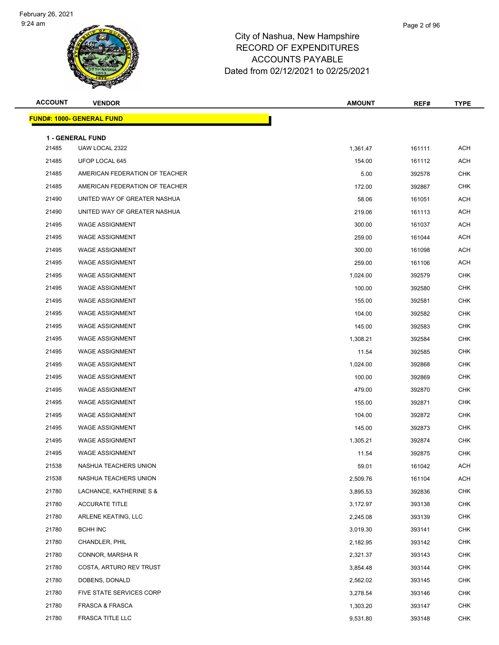

| <b>ACCOUNT</b> | <b>VENDOR</b>                             | <b>AMOUNT</b> | REF#   | <b>TYPE</b>    |
|----------------|-------------------------------------------|---------------|--------|----------------|
|                | <b>FUND#: 1000- GENERAL FUND</b>          |               |        |                |
|                |                                           |               |        |                |
| 21485          | <b>1 - GENERAL FUND</b><br>UAW LOCAL 2322 | 1,361.47      | 161111 | <b>ACH</b>     |
| 21485          | UFOP LOCAL 645                            | 154.00        | 161112 | <b>ACH</b>     |
| 21485          | AMERICAN FEDERATION OF TEACHER            | 5.00          | 392578 | <b>CHK</b>     |
| 21485          | AMERICAN FEDERATION OF TEACHER            | 172.00        | 392867 | <b>CHK</b>     |
| 21490          | UNITED WAY OF GREATER NASHUA              | 58.06         | 161051 | <b>ACH</b>     |
| 21490          | UNITED WAY OF GREATER NASHUA              | 219.06        | 161113 | <b>ACH</b>     |
| 21495          | <b>WAGE ASSIGNMENT</b>                    | 300.00        | 161037 | <b>ACH</b>     |
| 21495          | <b>WAGE ASSIGNMENT</b>                    | 259.00        | 161044 | <b>ACH</b>     |
| 21495          | <b>WAGE ASSIGNMENT</b>                    | 300.00        | 161098 | <b>ACH</b>     |
| 21495          | <b>WAGE ASSIGNMENT</b>                    | 259.00        | 161106 | <b>ACH</b>     |
| 21495          | <b>WAGE ASSIGNMENT</b>                    | 1,024.00      | 392579 | <b>CHK</b>     |
| 21495          | <b>WAGE ASSIGNMENT</b>                    | 100.00        | 392580 | <b>CHK</b>     |
| 21495          | <b>WAGE ASSIGNMENT</b>                    | 155.00        | 392581 | <b>CHK</b>     |
| 21495          | <b>WAGE ASSIGNMENT</b>                    | 104.00        | 392582 | <b>CHK</b>     |
| 21495          | <b>WAGE ASSIGNMENT</b>                    | 145.00        | 392583 | <b>CHK</b>     |
| 21495          | <b>WAGE ASSIGNMENT</b>                    | 1,308.21      | 392584 | <b>CHK</b>     |
| 21495          | <b>WAGE ASSIGNMENT</b>                    | 11.54         | 392585 | <b>CHK</b>     |
| 21495          | <b>WAGE ASSIGNMENT</b>                    | 1,024.00      | 392868 | <b>CHK</b>     |
| 21495          | <b>WAGE ASSIGNMENT</b>                    | 100.00        | 392869 | <b>CHK</b>     |
| 21495          | <b>WAGE ASSIGNMENT</b>                    | 479.00        | 392870 | <b>CHK</b>     |
| 21495          | <b>WAGE ASSIGNMENT</b>                    | 155.00        | 392871 | <b>CHK</b>     |
| 21495          | <b>WAGE ASSIGNMENT</b>                    | 104.00        | 392872 | <b>CHK</b>     |
| 21495          | <b>WAGE ASSIGNMENT</b>                    | 145.00        | 392873 | <b>CHK</b>     |
| 21495          | <b>WAGE ASSIGNMENT</b>                    | 1,305.21      | 392874 | <b>CHK</b>     |
| 21495          | <b>WAGE ASSIGNMENT</b>                    | 11.54         | 392875 | <b>CHK</b>     |
| 21538          | NASHUA TEACHERS UNION                     | 59.01         | 161042 | $\mathsf{ACH}$ |
| 21538          | NASHUA TEACHERS UNION                     | 2,509.76      | 161104 | <b>ACH</b>     |
| 21780          | LACHANCE, KATHERINE S &                   | 3,895.53      | 392836 | <b>CHK</b>     |
| 21780          | <b>ACCURATE TITLE</b>                     | 3,172.97      | 393138 | <b>CHK</b>     |
| 21780          | ARLENE KEATING, LLC                       | 2,245.08      | 393139 | <b>CHK</b>     |
| 21780          | <b>BCHH INC</b>                           | 3,019.30      | 393141 | <b>CHK</b>     |
| 21780          | CHANDLER, PHIL                            | 2,182.95      | 393142 | <b>CHK</b>     |
| 21780          | CONNOR, MARSHA R                          | 2,321.37      | 393143 | <b>CHK</b>     |
| 21780          | COSTA, ARTURO REV TRUST                   | 3,854.48      | 393144 | <b>CHK</b>     |
| 21780          | DOBENS, DONALD                            | 2,562.02      | 393145 | <b>CHK</b>     |
| 21780          | FIVE STATE SERVICES CORP                  | 3,278.54      | 393146 | <b>CHK</b>     |
| 21780          | <b>FRASCA &amp; FRASCA</b>                | 1,303.20      | 393147 | <b>CHK</b>     |
| 21780          | FRASCA TITLE LLC                          | 9,531.80      | 393148 | <b>CHK</b>     |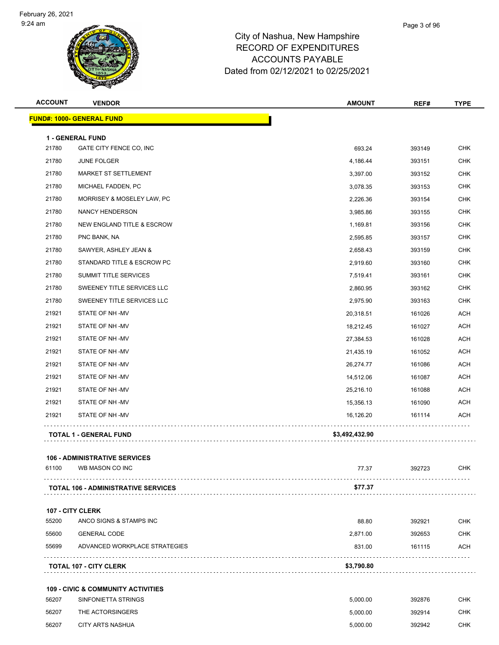#### Page 3 of 96

## City of Nashua, New Hampshire RECORD OF EXPENDITURES ACCOUNTS PAYABLE Dated from 02/12/2021 to 02/25/2021

| <b>ACCOUNT</b> | <b>VENDOR</b>                                 | <b>AMOUNT</b>  | REF#   | <b>TYPE</b> |
|----------------|-----------------------------------------------|----------------|--------|-------------|
|                | <b>FUND#: 1000- GENERAL FUND</b>              |                |        |             |
|                | <b>1 - GENERAL FUND</b>                       |                |        |             |
| 21780          | GATE CITY FENCE CO, INC                       | 693.24         | 393149 | <b>CHK</b>  |
| 21780          | <b>JUNE FOLGER</b>                            | 4,186.44       | 393151 | <b>CHK</b>  |
| 21780          | MARKET ST SETTLEMENT                          | 3,397.00       | 393152 | <b>CHK</b>  |
| 21780          | MICHAEL FADDEN, PC                            | 3,078.35       | 393153 | <b>CHK</b>  |
| 21780          | MORRISEY & MOSELEY LAW, PC                    | 2,226.36       | 393154 | <b>CHK</b>  |
| 21780          | NANCY HENDERSON                               | 3,985.86       | 393155 | <b>CHK</b>  |
| 21780          | NEW ENGLAND TITLE & ESCROW                    | 1,169.81       | 393156 | <b>CHK</b>  |
| 21780          | PNC BANK, NA                                  | 2,595.85       | 393157 | <b>CHK</b>  |
| 21780          | SAWYER, ASHLEY JEAN &                         | 2,658.43       | 393159 | <b>CHK</b>  |
| 21780          | STANDARD TITLE & ESCROW PC                    | 2,919.60       | 393160 | <b>CHK</b>  |
| 21780          | SUMMIT TITLE SERVICES                         | 7,519.41       | 393161 | <b>CHK</b>  |
| 21780          | SWEENEY TITLE SERVICES LLC                    | 2,860.95       | 393162 | <b>CHK</b>  |
| 21780          | SWEENEY TITLE SERVICES LLC                    | 2,975.90       | 393163 | <b>CHK</b>  |
| 21921          | STATE OF NH-MV                                | 20,318.51      | 161026 | <b>ACH</b>  |
| 21921          | STATE OF NH-MV                                | 18,212.45      | 161027 | ACH         |
| 21921          | STATE OF NH-MV                                | 27,384.53      | 161028 | <b>ACH</b>  |
| 21921          | STATE OF NH -MV                               | 21,435.19      | 161052 | <b>ACH</b>  |
| 21921          | STATE OF NH-MV                                | 26,274.77      | 161086 | <b>ACH</b>  |
| 21921          | STATE OF NH-MV                                | 14,512.06      | 161087 | <b>ACH</b>  |
| 21921          | STATE OF NH-MV                                | 25,216.10      | 161088 | ACH         |
| 21921          | STATE OF NH-MV                                | 15,356.13      | 161090 | <b>ACH</b>  |
| 21921          | STATE OF NH-MV                                | 16,126.20      | 161114 | ACH         |
|                | <b>TOTAL 1 - GENERAL FUND</b>                 | \$3,492,432.90 |        |             |
|                | <b>106 - ADMINISTRATIVE SERVICES</b>          |                |        |             |
| 61100          | WB MASON CO INC                               | 77.37          | 392723 | CHK         |
|                | <b>TOTAL 106 - ADMINISTRATIVE SERVICES</b>    | \$77.37        |        |             |
|                |                                               |                |        |             |
|                | 107 - CITY CLERK                              |                |        |             |
| 55200          | ANCO SIGNS & STAMPS INC                       | 88.80          | 392921 | <b>CHK</b>  |
| 55600          | <b>GENERAL CODE</b>                           | 2,871.00       | 392653 | CHK         |
| 55699          | ADVANCED WORKPLACE STRATEGIES                 | 831.00         | 161115 | ACH         |
|                | <b>TOTAL 107 - CITY CLERK</b>                 | \$3,790.80     |        |             |
|                | <b>109 - CIVIC &amp; COMMUNITY ACTIVITIES</b> |                |        |             |
| 56207          | SINFONIETTA STRINGS                           | 5,000.00       | 392876 | CHK         |
| 56207          | THE ACTORSINGERS                              | 5,000.00       | 392914 | CHK         |

CITY ARTS NASHUA 5,000.00 392942 CHK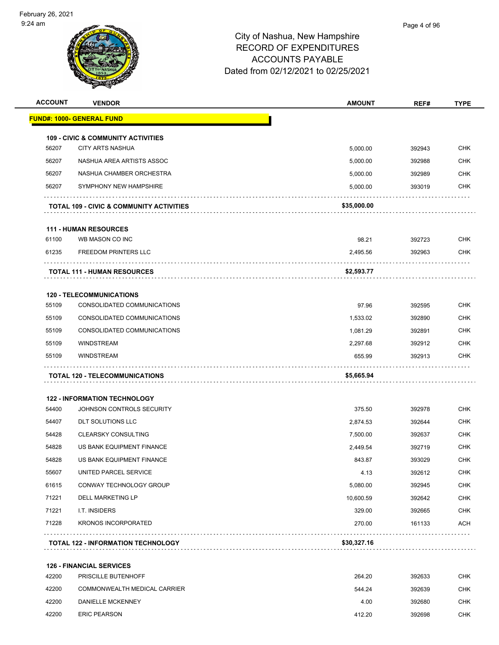

| <b>ACCOUNT</b> | <b>VENDOR</b>                                       | <b>AMOUNT</b> | REF#   | <b>TYPE</b> |
|----------------|-----------------------------------------------------|---------------|--------|-------------|
|                | <b>FUND#: 1000- GENERAL FUND</b>                    |               |        |             |
|                | <b>109 - CIVIC &amp; COMMUNITY ACTIVITIES</b>       |               |        |             |
| 56207          | <b>CITY ARTS NASHUA</b>                             | 5,000.00      | 392943 | <b>CHK</b>  |
| 56207          | NASHUA AREA ARTISTS ASSOC                           | 5,000.00      | 392988 | <b>CHK</b>  |
| 56207          | NASHUA CHAMBER ORCHESTRA                            | 5,000.00      | 392989 | <b>CHK</b>  |
| 56207          | SYMPHONY NEW HAMPSHIRE                              | 5,000.00      | 393019 | <b>CHK</b>  |
|                | <b>TOTAL 109 - CIVIC &amp; COMMUNITY ACTIVITIES</b> | \$35,000.00   |        |             |
|                | <b>111 - HUMAN RESOURCES</b>                        |               |        |             |
| 61100          | WB MASON CO INC                                     | 98.21         | 392723 | <b>CHK</b>  |
| 61235          | <b>FREEDOM PRINTERS LLC</b>                         | 2,495.56      | 392963 | <b>CHK</b>  |
|                | <b>TOTAL 111 - HUMAN RESOURCES</b>                  | \$2,593.77    |        |             |
|                | <b>120 - TELECOMMUNICATIONS</b>                     |               |        |             |
| 55109          | CONSOLIDATED COMMUNICATIONS                         | 97.96         | 392595 | <b>CHK</b>  |
| 55109          | CONSOLIDATED COMMUNICATIONS                         | 1,533.02      | 392890 | <b>CHK</b>  |
| 55109          | CONSOLIDATED COMMUNICATIONS                         | 1,081.29      | 392891 | <b>CHK</b>  |
| 55109          | <b>WINDSTREAM</b>                                   | 2,297.68      | 392912 | <b>CHK</b>  |
| 55109          | <b>WINDSTREAM</b>                                   | 655.99        | 392913 | CHK         |
|                | <b>TOTAL 120 - TELECOMMUNICATIONS</b>               | \$5,665.94    |        |             |
|                | <b>122 - INFORMATION TECHNOLOGY</b>                 |               |        |             |
| 54400          | JOHNSON CONTROLS SECURITY                           | 375.50        | 392978 | <b>CHK</b>  |
| 54407          | <b>DLT SOLUTIONS LLC</b>                            | 2,874.53      | 392644 | <b>CHK</b>  |
| 54428          | <b>CLEARSKY CONSULTING</b>                          | 7,500.00      | 392637 | <b>CHK</b>  |
| 54828          | US BANK EQUIPMENT FINANCE                           | 2,449.54      | 392719 | CHK         |
| 54828          | US BANK EQUIPMENT FINANCE                           | 843.87        | 393029 | <b>CHK</b>  |
| 55607          | UNITED PARCEL SERVICE                               | 4.13          | 392612 | <b>CHK</b>  |
| 61615          | CONWAY TECHNOLOGY GROUP                             | 5,080.00      | 392945 | <b>CHK</b>  |
| 71221          | DELL MARKETING LP                                   | 10,600.59     | 392642 | <b>CHK</b>  |
| 71221          | I.T. INSIDERS                                       | 329.00        | 392665 | <b>CHK</b>  |
| 71228          | <b>KRONOS INCORPORATED</b>                          | 270.00        | 161133 | ACH         |
|                | <b>TOTAL 122 - INFORMATION TECHNOLOGY</b><br>.      | \$30,327.16   |        |             |
|                | <b>126 - FINANCIAL SERVICES</b>                     |               |        |             |
| 42200          | PRISCILLE BUTENHOFF                                 | 264.20        | 392633 | CHK         |
| 42200          | COMMONWEALTH MEDICAL CARRIER                        | 544.24        | 392639 | <b>CHK</b>  |

 42200 DANIELLE MCKENNEY 4.00 392680 CHK A<br>412.20 6 ERIC PEARSON CHK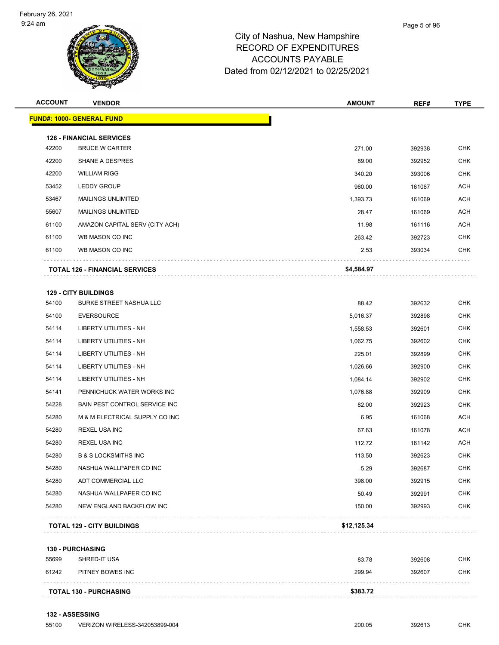

| <b>ACCOUNT</b> | <b>VENDOR</b>                                            | <b>AMOUNT</b> | REF#   | <b>TYPE</b> |
|----------------|----------------------------------------------------------|---------------|--------|-------------|
|                | <b>FUND#: 1000- GENERAL FUND</b>                         |               |        |             |
|                |                                                          |               |        |             |
| 42200          | <b>126 - FINANCIAL SERVICES</b><br><b>BRUCE W CARTER</b> | 271.00        | 392938 | <b>CHK</b>  |
| 42200          | <b>SHANE A DESPRES</b>                                   | 89.00         | 392952 | <b>CHK</b>  |
| 42200          | <b>WILLIAM RIGG</b>                                      | 340.20        | 393006 | <b>CHK</b>  |
| 53452          | <b>LEDDY GROUP</b>                                       | 960.00        | 161067 | <b>ACH</b>  |
| 53467          | <b>MAILINGS UNLIMITED</b>                                | 1,393.73      | 161069 | <b>ACH</b>  |
| 55607          | <b>MAILINGS UNLIMITED</b>                                | 28.47         | 161069 | <b>ACH</b>  |
| 61100          | AMAZON CAPITAL SERV (CITY ACH)                           | 11.98         | 161116 | <b>ACH</b>  |
| 61100          | WB MASON CO INC                                          | 263.42        | 392723 | <b>CHK</b>  |
| 61100          | WB MASON CO INC                                          | 2.53          | 393034 | <b>CHK</b>  |
|                |                                                          |               |        |             |
|                | <b>TOTAL 126 - FINANCIAL SERVICES</b>                    | \$4,584.97    |        |             |
|                | <b>129 - CITY BUILDINGS</b>                              |               |        |             |
| 54100          | <b>BURKE STREET NASHUA LLC</b>                           | 88.42         | 392632 | <b>CHK</b>  |
| 54100          | <b>EVERSOURCE</b>                                        | 5,016.37      | 392898 | <b>CHK</b>  |
| 54114          | LIBERTY UTILITIES - NH                                   | 1,558.53      | 392601 | <b>CHK</b>  |
| 54114          | LIBERTY UTILITIES - NH                                   | 1,062.75      | 392602 | <b>CHK</b>  |
| 54114          | LIBERTY UTILITIES - NH                                   | 225.01        | 392899 | <b>CHK</b>  |
| 54114          | <b>LIBERTY UTILITIES - NH</b>                            | 1,026.66      | 392900 | <b>CHK</b>  |
| 54114          | LIBERTY UTILITIES - NH                                   | 1,084.14      | 392902 | <b>CHK</b>  |
| 54141          | PENNICHUCK WATER WORKS INC                               | 1,076.88      | 392909 | <b>CHK</b>  |
| 54228          | BAIN PEST CONTROL SERVICE INC                            | 82.00         | 392923 | <b>CHK</b>  |
| 54280          | M & M ELECTRICAL SUPPLY CO INC                           | 6.95          | 161068 | <b>ACH</b>  |
| 54280          | <b>REXEL USA INC</b>                                     | 67.63         | 161078 | <b>ACH</b>  |
| 54280          | <b>REXEL USA INC</b>                                     | 112.72        | 161142 | <b>ACH</b>  |
| 54280          | <b>B &amp; S LOCKSMITHS INC</b>                          | 113.50        | 392623 | <b>CHK</b>  |
| 54280          | NASHUA WALLPAPER CO INC                                  | 5.29          | 392687 | CHK         |
| 54280          | ADT COMMERCIAL LLC                                       | 398.00        | 392915 | <b>CHK</b>  |
| 54280          | NASHUA WALLPAPER CO INC                                  | 50.49         | 392991 | <b>CHK</b>  |
| 54280          | NEW ENGLAND BACKFLOW INC                                 | 150.00        | 392993 | <b>CHK</b>  |
|                | <b>TOTAL 129 - CITY BUILDINGS</b>                        | \$12,125.34   |        |             |
|                |                                                          |               |        |             |

**130 - PURCHASING**

|       | <b>TOTAL 130 - PURCHASING</b> | \$383.72 |        |            |
|-------|-------------------------------|----------|--------|------------|
| 61242 | PITNEY BOWES INC              | 299.94   | 392607 | <b>CHK</b> |
| 55699 | SHRED-IT USA                  | 83.78    | 392608 | <b>CHK</b> |
|       |                               |          |        |            |

**132 - ASSESSING**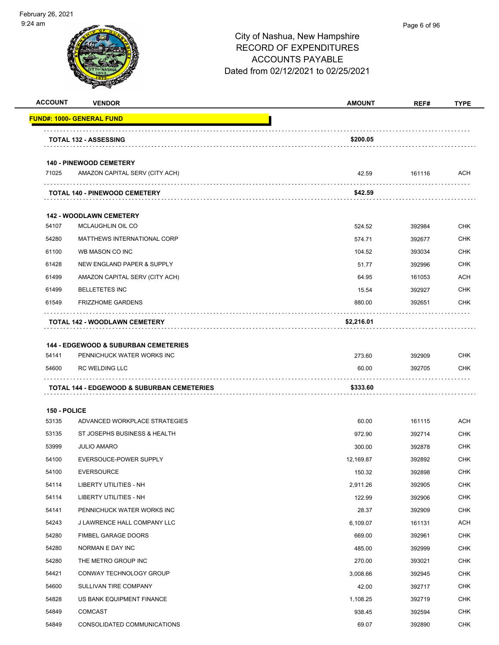

| <b>VENDOR</b>                                   | <b>AMOUNT</b>                                                                                                       | REF#                                    | <b>TYPE</b>      |
|-------------------------------------------------|---------------------------------------------------------------------------------------------------------------------|-----------------------------------------|------------------|
| <u> FUND#: 1000- GENERAL FUND</u>               |                                                                                                                     |                                         |                  |
| <b>TOTAL 132 - ASSESSING</b>                    | \$200.05                                                                                                            |                                         |                  |
| <b>140 - PINEWOOD CEMETERY</b>                  |                                                                                                                     |                                         |                  |
| AMAZON CAPITAL SERV (CITY ACH)                  | 42.59                                                                                                               | 161116                                  | ACH              |
| TOTAL 140 - PINEWOOD CEMETERY                   | \$42.59                                                                                                             |                                         |                  |
| <b>142 - WOODLAWN CEMETERY</b>                  |                                                                                                                     |                                         |                  |
| MCLAUGHLIN OIL CO                               | 524.52                                                                                                              | 392984                                  | <b>CHK</b>       |
| MATTHEWS INTERNATIONAL CORP                     | 574.71                                                                                                              | 392677                                  | CHK              |
| WB MASON CO INC                                 | 104.52                                                                                                              | 393034                                  | <b>CHK</b>       |
| NEW ENGLAND PAPER & SUPPLY                      | 51.77                                                                                                               | 392996                                  | <b>CHK</b>       |
| AMAZON CAPITAL SERV (CITY ACH)                  | 64.95                                                                                                               | 161053                                  | ACH              |
| <b>BELLETETES INC</b>                           | 15.54                                                                                                               | 392927                                  | <b>CHK</b>       |
| <b>FRIZZHOME GARDENS</b>                        | 880.00                                                                                                              | 392651                                  | <b>CHK</b>       |
|                                                 |                                                                                                                     |                                         |                  |
|                                                 |                                                                                                                     |                                         |                  |
| <b>144 - EDGEWOOD &amp; SUBURBAN CEMETERIES</b> |                                                                                                                     |                                         |                  |
| PENNICHUCK WATER WORKS INC                      | 273.60                                                                                                              | 392909                                  | <b>CHK</b>       |
| <b>RC WELDING LLC</b>                           | 60.00                                                                                                               | 392705                                  | CHK              |
| TOTAL 144 - EDGEWOOD & SUBURBAN CEMETERIES      | \$333.60                                                                                                            |                                         |                  |
|                                                 |                                                                                                                     |                                         |                  |
| 150 - POLICE                                    |                                                                                                                     |                                         |                  |
|                                                 |                                                                                                                     |                                         | ACH              |
|                                                 |                                                                                                                     |                                         | <b>CHK</b>       |
| <b>JULIO AMARO</b>                              | 300.00                                                                                                              | 392878                                  | <b>CHK</b>       |
| EVERSOUCE-POWER SUPPLY                          | 12.169.87                                                                                                           | 392892                                  | <b>CHK</b>       |
|                                                 |                                                                                                                     | 392898                                  | <b>CHK</b>       |
| LIBERTY UTILITIES - NH                          | 2,911.26                                                                                                            | 392905                                  | <b>CHK</b>       |
| LIBERTY UTILITIES - NH                          | 122.99                                                                                                              | 392906                                  | <b>CHK</b>       |
| PENNICHUCK WATER WORKS INC                      | 28.37                                                                                                               | 392909                                  | <b>CHK</b>       |
| J LAWRENCE HALL COMPANY LLC                     | 6,109.07                                                                                                            | 161131                                  | ACH              |
| FIMBEL GARAGE DOORS                             | 669.00                                                                                                              | 392961                                  | <b>CHK</b>       |
| NORMAN E DAY INC                                | 485.00                                                                                                              | 392999                                  | <b>CHK</b>       |
| THE METRO GROUP INC                             | 270.00                                                                                                              | 393021                                  | <b>CHK</b>       |
| CONWAY TECHNOLOGY GROUP                         | 3,008.66                                                                                                            | 392945                                  | <b>CHK</b>       |
| SULLIVAN TIRE COMPANY                           | 42.00                                                                                                               | 392717                                  | <b>CHK</b>       |
| US BANK EQUIPMENT FINANCE                       | 1,108.25                                                                                                            | 392719                                  | <b>CHK</b>       |
| COMCAST                                         | 938.45                                                                                                              | 392594                                  | <b>CHK</b>       |
| CONSOLIDATED COMMUNICATIONS                     | 69.07                                                                                                               | 392890                                  | <b>CHK</b>       |
|                                                 | TOTAL 142 - WOODLAWN CEMETERY<br>ADVANCED WORKPLACE STRATEGIES<br>ST JOSEPHS BUSINESS & HEALTH<br><b>EVERSOURCE</b> | \$2,216.01<br>60.00<br>972.90<br>150.32 | 161115<br>392714 |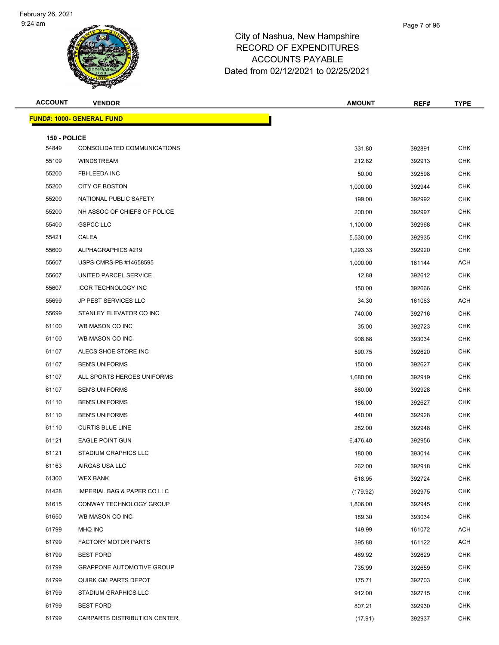

| <b>ACCOUNT</b>        | <b>VENDOR</b>                          | <b>AMOUNT</b> | REF#   | <b>TYPE</b> |
|-----------------------|----------------------------------------|---------------|--------|-------------|
|                       | <b>FUND#: 1000- GENERAL FUND</b>       |               |        |             |
|                       |                                        |               |        |             |
| 150 - POLICE<br>54849 | CONSOLIDATED COMMUNICATIONS            | 331.80        | 392891 | <b>CHK</b>  |
| 55109                 | <b>WINDSTREAM</b>                      | 212.82        | 392913 | <b>CHK</b>  |
| 55200                 | <b>FBI-LEEDA INC</b>                   | 50.00         | 392598 | <b>CHK</b>  |
| 55200                 | <b>CITY OF BOSTON</b>                  | 1,000.00      | 392944 | <b>CHK</b>  |
| 55200                 | NATIONAL PUBLIC SAFETY                 | 199.00        | 392992 | <b>CHK</b>  |
| 55200                 | NH ASSOC OF CHIEFS OF POLICE           | 200.00        | 392997 | <b>CHK</b>  |
| 55400                 | <b>GSPCC LLC</b>                       | 1,100.00      | 392968 | CHK         |
| 55421                 | CALEA                                  | 5,530.00      | 392935 | <b>CHK</b>  |
| 55600                 | ALPHAGRAPHICS #219                     | 1,293.33      | 392920 | <b>CHK</b>  |
| 55607                 | USPS-CMRS-PB #14658595                 | 1,000.00      | 161144 | ACH         |
| 55607                 | UNITED PARCEL SERVICE                  | 12.88         | 392612 | <b>CHK</b>  |
| 55607                 | <b>ICOR TECHNOLOGY INC</b>             | 150.00        | 392666 | CHK         |
| 55699                 | JP PEST SERVICES LLC                   | 34.30         | 161063 | <b>ACH</b>  |
| 55699                 | STANLEY ELEVATOR CO INC                | 740.00        | 392716 | CHK         |
| 61100                 | WB MASON CO INC                        | 35.00         | 392723 | <b>CHK</b>  |
| 61100                 | WB MASON CO INC                        | 908.88        | 393034 | <b>CHK</b>  |
| 61107                 | ALECS SHOE STORE INC                   | 590.75        | 392620 | CHK         |
| 61107                 | <b>BEN'S UNIFORMS</b>                  | 150.00        | 392627 | <b>CHK</b>  |
| 61107                 | ALL SPORTS HEROES UNIFORMS             | 1,680.00      | 392919 | <b>CHK</b>  |
| 61107                 | <b>BEN'S UNIFORMS</b>                  | 860.00        | 392928 | <b>CHK</b>  |
| 61110                 | <b>BEN'S UNIFORMS</b>                  | 186.00        | 392627 | <b>CHK</b>  |
| 61110                 | <b>BEN'S UNIFORMS</b>                  | 440.00        | 392928 | CHK         |
| 61110                 | <b>CURTIS BLUE LINE</b>                | 282.00        | 392948 | <b>CHK</b>  |
| 61121                 | <b>EAGLE POINT GUN</b>                 | 6,476.40      | 392956 | CHK         |
| 61121                 | <b>STADIUM GRAPHICS LLC</b>            | 180.00        | 393014 | <b>CHK</b>  |
| 61163                 | AIRGAS USA LLC                         | 262.00        | 392918 | <b>CHK</b>  |
| 61300                 | <b>WEX BANK</b>                        | 618.95        | 392724 | <b>CHK</b>  |
| 61428                 | <b>IMPERIAL BAG &amp; PAPER CO LLC</b> | (179.92)      | 392975 | <b>CHK</b>  |
| 61615                 | CONWAY TECHNOLOGY GROUP                | 1,806.00      | 392945 | <b>CHK</b>  |
| 61650                 | WB MASON CO INC                        | 189.30        | 393034 | <b>CHK</b>  |
| 61799                 | MHQ INC                                | 149.99        | 161072 | ACH         |
| 61799                 | <b>FACTORY MOTOR PARTS</b>             | 395.88        | 161122 | ACH         |
| 61799                 | <b>BEST FORD</b>                       | 469.92        | 392629 | <b>CHK</b>  |
| 61799                 | <b>GRAPPONE AUTOMOTIVE GROUP</b>       | 735.99        | 392659 | <b>CHK</b>  |
| 61799                 | QUIRK GM PARTS DEPOT                   | 175.71        | 392703 | <b>CHK</b>  |
| 61799                 | <b>STADIUM GRAPHICS LLC</b>            | 912.00        | 392715 | <b>CHK</b>  |
| 61799                 | <b>BEST FORD</b>                       | 807.21        | 392930 | CHK         |
| 61799                 | CARPARTS DISTRIBUTION CENTER,          | (17.91)       | 392937 | <b>CHK</b>  |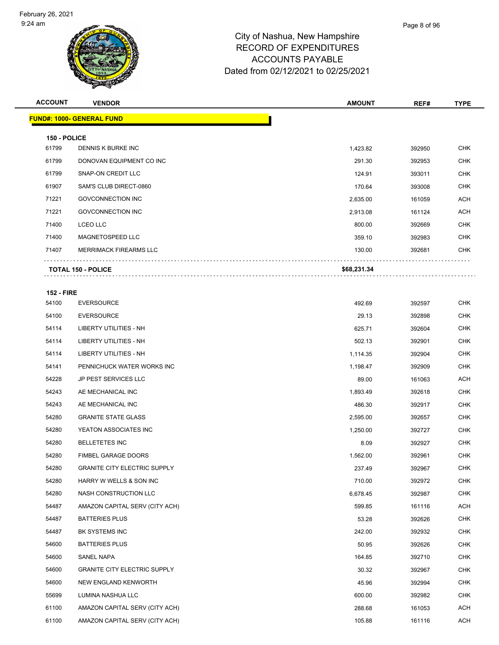| <b>ACCOUNT</b>    | <b>VENDOR</b>                       | <b>AMOUNT</b> | REF#   | <b>TYPE</b> |  |  |
|-------------------|-------------------------------------|---------------|--------|-------------|--|--|
|                   | <b>FUND#: 1000- GENERAL FUND</b>    |               |        |             |  |  |
|                   | 150 - POLICE                        |               |        |             |  |  |
| 61799             | DENNIS K BURKE INC                  | 1,423.82      | 392950 | <b>CHK</b>  |  |  |
| 61799             | DONOVAN EQUIPMENT CO INC            | 291.30        | 392953 | <b>CHK</b>  |  |  |
| 61799             | SNAP-ON CREDIT LLC                  | 124.91        | 393011 | <b>CHK</b>  |  |  |
| 61907             | SAM'S CLUB DIRECT-0860              | 170.64        | 393008 | <b>CHK</b>  |  |  |
| 71221             | <b>GOVCONNECTION INC</b>            | 2,635.00      | 161059 | <b>ACH</b>  |  |  |
| 71221             | <b>GOVCONNECTION INC</b>            | 2,913.08      | 161124 | ACH         |  |  |
| 71400             | <b>LCEO LLC</b>                     | 800.00        | 392669 | <b>CHK</b>  |  |  |
| 71400             | MAGNETOSPEED LLC                    | 359.10        | 392983 | <b>CHK</b>  |  |  |
| 71407             | <b>MERRIMACK FIREARMS LLC</b>       | 130.00        | 392681 | <b>CHK</b>  |  |  |
|                   | <b>TOTAL 150 - POLICE</b>           | \$68,231.34   |        |             |  |  |
|                   |                                     |               |        |             |  |  |
| <b>152 - FIRE</b> |                                     |               |        |             |  |  |
| 54100             | <b>EVERSOURCE</b>                   | 492.69        | 392597 | <b>CHK</b>  |  |  |
| 54100             | <b>EVERSOURCE</b>                   | 29.13         | 392898 | <b>CHK</b>  |  |  |
| 54114             | LIBERTY UTILITIES - NH              | 625.71        | 392604 | <b>CHK</b>  |  |  |
| 54114             | LIBERTY UTILITIES - NH              | 502.13        | 392901 | <b>CHK</b>  |  |  |
| 54114             | LIBERTY UTILITIES - NH              | 1,114.35      | 392904 | <b>CHK</b>  |  |  |
| 54141             | PENNICHUCK WATER WORKS INC          | 1,198.47      | 392909 | <b>CHK</b>  |  |  |
| 54228             | <b>JP PEST SERVICES LLC</b>         | 89.00         | 161063 | ACH         |  |  |
| 54243             | AE MECHANICAL INC                   | 1,893.49      | 392618 | <b>CHK</b>  |  |  |
| 54243             | AE MECHANICAL INC                   | 486.30        | 392917 | <b>CHK</b>  |  |  |
| 54280             | <b>GRANITE STATE GLASS</b>          | 2,595.00      | 392657 | <b>CHK</b>  |  |  |
| 54280             | YEATON ASSOCIATES INC               | 1,250.00      | 392727 | <b>CHK</b>  |  |  |
| 54280             | <b>BELLETETES INC</b>               | 8.09          | 392927 | <b>CHK</b>  |  |  |
| 54280             | <b>FIMBEL GARAGE DOORS</b>          | 1,562.00      | 392961 | <b>CHK</b>  |  |  |
| 54280             | <b>GRANITE CITY ELECTRIC SUPPLY</b> | 237.49        | 392967 | <b>CHK</b>  |  |  |
| 54280             | HARRY W WELLS & SON INC             | 710.00        | 392972 | <b>CHK</b>  |  |  |
| 54280             | NASH CONSTRUCTION LLC               | 6,678.45      | 392987 | <b>CHK</b>  |  |  |
| 54487             | AMAZON CAPITAL SERV (CITY ACH)      | 599.85        | 161116 | ACH         |  |  |
| 54487             | <b>BATTERIES PLUS</b>               | 53.28         | 392626 | CHK         |  |  |
| 54487             | BK SYSTEMS INC                      | 242.00        | 392932 | <b>CHK</b>  |  |  |
| 54600             | <b>BATTERIES PLUS</b>               | 50.95         | 392626 | <b>CHK</b>  |  |  |
| 54600             | SANEL NAPA                          | 164.85        | 392710 | <b>CHK</b>  |  |  |
| 54600             | <b>GRANITE CITY ELECTRIC SUPPLY</b> | 30.32         | 392967 | <b>CHK</b>  |  |  |
| 54600             | NEW ENGLAND KENWORTH                | 45.96         | 392994 | <b>CHK</b>  |  |  |
| 55699             | LUMINA NASHUA LLC                   | 600.00        | 392982 | <b>CHK</b>  |  |  |
| 61100             | AMAZON CAPITAL SERV (CITY ACH)      | 288.68        | 161053 | ACH         |  |  |
| 61100             | AMAZON CAPITAL SERV (CITY ACH)      | 105.88        | 161116 | <b>ACH</b>  |  |  |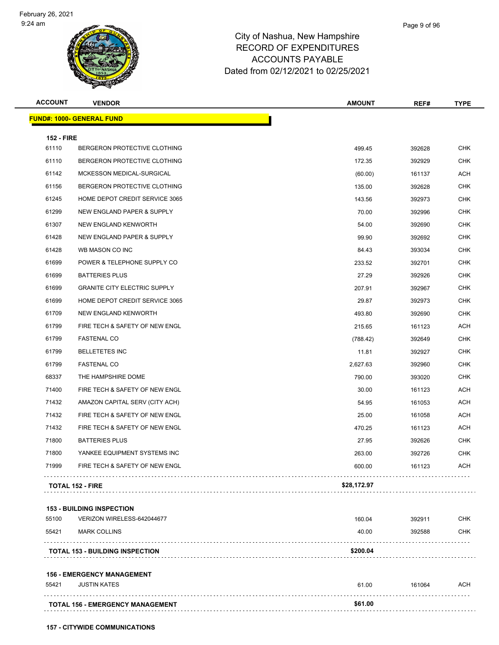| <b>ACCOUNT</b>    | <b>VENDOR</b>                          | <b>AMOUNT</b> | REF#   | <b>TYPE</b> |
|-------------------|----------------------------------------|---------------|--------|-------------|
|                   | <u> FUND#: 1000- GENERAL FUND</u>      |               |        |             |
| <b>152 - FIRE</b> |                                        |               |        |             |
| 61110             | BERGERON PROTECTIVE CLOTHING           | 499.45        | 392628 | <b>CHK</b>  |
| 61110             | BERGERON PROTECTIVE CLOTHING           | 172.35        | 392929 | <b>CHK</b>  |
| 61142             | MCKESSON MEDICAL-SURGICAL              | (60.00)       | 161137 | <b>ACH</b>  |
| 61156             | BERGERON PROTECTIVE CLOTHING           | 135.00        | 392628 | <b>CHK</b>  |
| 61245             | HOME DEPOT CREDIT SERVICE 3065         | 143.56        | 392973 | <b>CHK</b>  |
| 61299             | NEW ENGLAND PAPER & SUPPLY             | 70.00         | 392996 | <b>CHK</b>  |
| 61307             | NEW ENGLAND KENWORTH                   | 54.00         | 392690 | <b>CHK</b>  |
| 61428             | NEW ENGLAND PAPER & SUPPLY             | 99.90         | 392692 | <b>CHK</b>  |
| 61428             | WB MASON CO INC                        | 84.43         | 393034 | <b>CHK</b>  |
| 61699             | POWER & TELEPHONE SUPPLY CO            | 233.52        | 392701 | <b>CHK</b>  |
| 61699             | <b>BATTERIES PLUS</b>                  | 27.29         | 392926 | <b>CHK</b>  |
| 61699             | <b>GRANITE CITY ELECTRIC SUPPLY</b>    | 207.91        | 392967 | <b>CHK</b>  |
| 61699             | HOME DEPOT CREDIT SERVICE 3065         | 29.87         | 392973 | <b>CHK</b>  |
| 61709             | NEW ENGLAND KENWORTH                   | 493.80        | 392690 | <b>CHK</b>  |
| 61799             | FIRE TECH & SAFETY OF NEW ENGL         | 215.65        | 161123 | <b>ACH</b>  |
| 61799             | <b>FASTENAL CO</b>                     | (788.42)      | 392649 | <b>CHK</b>  |
| 61799             | <b>BELLETETES INC</b>                  | 11.81         | 392927 | <b>CHK</b>  |
| 61799             | <b>FASTENAL CO</b>                     | 2,627.63      | 392960 | <b>CHK</b>  |
| 68337             | THE HAMPSHIRE DOME                     | 790.00        | 393020 | <b>CHK</b>  |
| 71400             | FIRE TECH & SAFETY OF NEW ENGL         | 30.00         | 161123 | <b>ACH</b>  |
| 71432             | AMAZON CAPITAL SERV (CITY ACH)         | 54.95         | 161053 | <b>ACH</b>  |
| 71432             | FIRE TECH & SAFETY OF NEW ENGL         | 25.00         | 161058 | <b>ACH</b>  |
| 71432             | FIRE TECH & SAFETY OF NEW ENGL         | 470.25        | 161123 | <b>ACH</b>  |
| 71800             | <b>BATTERIES PLUS</b>                  | 27.95         | 392626 | <b>CHK</b>  |
| 71800             | YANKEE EQUIPMENT SYSTEMS INC           | 263.00        | 392726 | <b>CHK</b>  |
| 71999             | FIRE TECH & SAFETY OF NEW ENGL         | 600.00        | 161123 | <b>ACH</b>  |
|                   | <b>TOTAL 152 - FIRE</b>                | \$28,172.97   |        |             |
|                   | <b>153 - BUILDING INSPECTION</b>       |               |        |             |
| 55100             | VERIZON WIRELESS-642044677             | 160.04        | 392911 | <b>CHK</b>  |
| 55421             | <b>MARK COLLINS</b>                    | 40.00         | 392588 | <b>CHK</b>  |
|                   | <b>TOTAL 153 - BUILDING INSPECTION</b> | \$200.04      |        |             |
|                   | <b>156 - EMERGENCY MANAGEMENT</b>      |               |        |             |
| 55421             | <b>JUSTIN KATES</b>                    | 61.00         | 161064 | ACH         |
|                   | TOTAL 156 - EMERGENCY MANAGEMENT       | \$61.00       |        |             |
|                   |                                        |               |        |             |

**157 - CITYWIDE COMMUNICATIONS**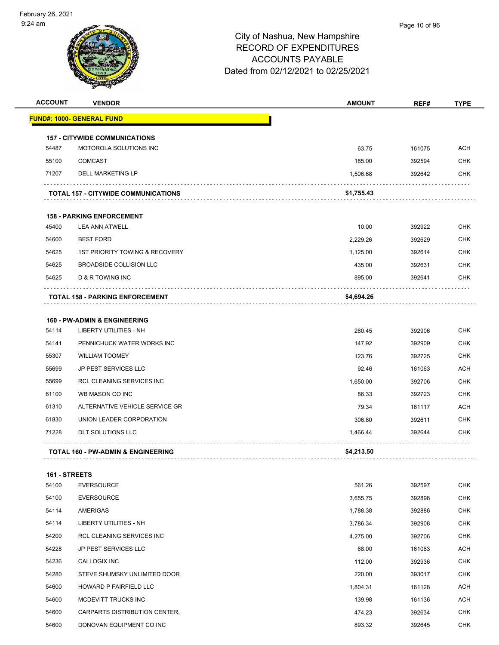

| <b>ACCOUNT</b> | <b>VENDOR</b>                                 | <b>AMOUNT</b> | REF#   | <b>TYPE</b> |
|----------------|-----------------------------------------------|---------------|--------|-------------|
|                | <b>FUND#: 1000- GENERAL FUND</b>              |               |        |             |
|                | <b>157 - CITYWIDE COMMUNICATIONS</b>          |               |        |             |
| 54487          | MOTOROLA SOLUTIONS INC                        | 63.75         | 161075 | <b>ACH</b>  |
| 55100          | <b>COMCAST</b>                                | 185.00        | 392594 | <b>CHK</b>  |
| 71207          | <b>DELL MARKETING LP</b>                      | 1,506.68      | 392642 | <b>CHK</b>  |
|                | <b>TOTAL 157 - CITYWIDE COMMUNICATIONS</b>    | \$1,755.43    |        |             |
|                | <b>158 - PARKING ENFORCEMENT</b>              |               |        |             |
| 45400          | <b>LEA ANN ATWELL</b>                         | 10.00         | 392922 | <b>CHK</b>  |
| 54600          | <b>BEST FORD</b>                              | 2,229.26      | 392629 | <b>CHK</b>  |
| 54625          | <b>1ST PRIORITY TOWING &amp; RECOVERY</b>     | 1,125.00      | 392614 | <b>CHK</b>  |
| 54625          | BROADSIDE COLLISION LLC                       | 435.00        | 392631 | <b>CHK</b>  |
| 54625          | <b>D &amp; R TOWING INC</b>                   | 895.00        | 392641 | <b>CHK</b>  |
|                | <b>TOTAL 158 - PARKING ENFORCEMENT</b>        | \$4,694.26    |        |             |
|                | <b>160 - PW-ADMIN &amp; ENGINEERING</b>       |               |        |             |
| 54114          | <b>LIBERTY UTILITIES - NH</b>                 | 260.45        | 392906 | <b>CHK</b>  |
| 54141          | PENNICHUCK WATER WORKS INC                    | 147.92        | 392909 | <b>CHK</b>  |
| 55307          | <b>WILLIAM TOOMEY</b>                         | 123.76        | 392725 | CHK         |
| 55699          | <b>JP PEST SERVICES LLC</b>                   | 92.46         | 161063 | ACH         |
| 55699          | RCL CLEANING SERVICES INC                     | 1,650.00      | 392706 | <b>CHK</b>  |
| 61100          | WB MASON CO INC                               | 86.33         | 392723 | <b>CHK</b>  |
| 61310          | ALTERNATIVE VEHICLE SERVICE GR                | 79.34         | 161117 | <b>ACH</b>  |
| 61830          | UNION LEADER CORPORATION                      | 306.80        | 392611 | <b>CHK</b>  |
| 71228          | <b>DLT SOLUTIONS LLC</b>                      | 1,466.44      | 392644 | <b>CHK</b>  |
|                | <b>TOTAL 160 - PW-ADMIN &amp; ENGINEERING</b> | \$4,213.50    |        |             |
|                |                                               |               |        |             |

#### **161 - STREETS**

| 54100 | <b>EVERSOURCE</b>                | 561.26   | 392597 | <b>CHK</b> |
|-------|----------------------------------|----------|--------|------------|
| 54100 | <b>EVERSOURCE</b>                | 3,655.75 | 392898 | <b>CHK</b> |
| 54114 | <b>AMERIGAS</b>                  | 1,788.38 | 392886 | <b>CHK</b> |
| 54114 | LIBERTY UTILITIES - NH           | 3,786.34 | 392908 | <b>CHK</b> |
| 54200 | <b>RCL CLEANING SERVICES INC</b> | 4,275.00 | 392706 | <b>CHK</b> |
| 54228 | <b>JP PEST SERVICES LLC</b>      | 68.00    | 161063 | ACH        |
| 54236 | CALLOGIX INC                     | 112.00   | 392936 | <b>CHK</b> |
| 54280 | STEVE SHUMSKY UNLIMITED DOOR     | 220.00   | 393017 | <b>CHK</b> |
| 54600 | <b>HOWARD P FAIRFIELD LLC</b>    | 1,804.31 | 161128 | <b>ACH</b> |
| 54600 | MCDEVITT TRUCKS INC              | 139.98   | 161136 | <b>ACH</b> |
| 54600 | CARPARTS DISTRIBUTION CENTER,    | 474.23   | 392634 | <b>CHK</b> |
| 54600 | DONOVAN EQUIPMENT CO INC         | 893.32   | 392645 | <b>CHK</b> |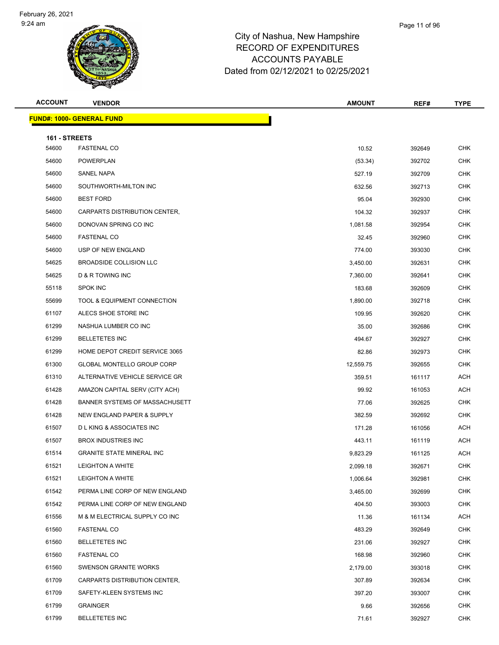| <b>ACCOUNT</b>         | <b>VENDOR</b>                      | <b>AMOUNT</b> | REF#   | <b>TYPE</b> |
|------------------------|------------------------------------|---------------|--------|-------------|
|                        | <b>FUND#: 1000- GENERAL FUND</b>   |               |        |             |
|                        |                                    |               |        |             |
| 161 - STREETS<br>54600 | <b>FASTENAL CO</b>                 | 10.52         | 392649 | <b>CHK</b>  |
| 54600                  | <b>POWERPLAN</b>                   | (53.34)       | 392702 | <b>CHK</b>  |
| 54600                  | SANEL NAPA                         | 527.19        | 392709 | CHK         |
| 54600                  | SOUTHWORTH-MILTON INC              | 632.56        | 392713 | <b>CHK</b>  |
| 54600                  | <b>BEST FORD</b>                   | 95.04         | 392930 | <b>CHK</b>  |
| 54600                  | CARPARTS DISTRIBUTION CENTER,      | 104.32        | 392937 | <b>CHK</b>  |
| 54600                  | DONOVAN SPRING CO INC              | 1,081.58      | 392954 | <b>CHK</b>  |
| 54600                  | <b>FASTENAL CO</b>                 | 32.45         | 392960 | <b>CHK</b>  |
| 54600                  | USP OF NEW ENGLAND                 | 774.00        | 393030 | <b>CHK</b>  |
| 54625                  | BROADSIDE COLLISION LLC            | 3,450.00      | 392631 | <b>CHK</b>  |
| 54625                  | <b>D &amp; R TOWING INC</b>        | 7,360.00      | 392641 | <b>CHK</b>  |
| 55118                  | <b>SPOK INC</b>                    | 183.68        | 392609 | <b>CHK</b>  |
| 55699                  | TOOL & EQUIPMENT CONNECTION        | 1,890.00      | 392718 | CHK         |
| 61107                  | ALECS SHOE STORE INC               | 109.95        | 392620 | <b>CHK</b>  |
| 61299                  | NASHUA LUMBER CO INC               | 35.00         | 392686 | <b>CHK</b>  |
| 61299                  | <b>BELLETETES INC</b>              | 494.67        | 392927 | <b>CHK</b>  |
| 61299                  | HOME DEPOT CREDIT SERVICE 3065     | 82.86         | 392973 | <b>CHK</b>  |
| 61300                  | GLOBAL MONTELLO GROUP CORP         | 12,559.75     | 392655 | <b>CHK</b>  |
| 61310                  | ALTERNATIVE VEHICLE SERVICE GR     | 359.51        | 161117 | ACH         |
| 61428                  | AMAZON CAPITAL SERV (CITY ACH)     | 99.92         | 161053 | ACH         |
| 61428                  | BANNER SYSTEMS OF MASSACHUSETT     | 77.06         | 392625 | <b>CHK</b>  |
| 61428                  | NEW ENGLAND PAPER & SUPPLY         | 382.59        | 392692 | <b>CHK</b>  |
| 61507                  | <b>DLKING &amp; ASSOCIATES INC</b> | 171.28        | 161056 | ACH         |
| 61507                  | <b>BROX INDUSTRIES INC</b>         | 443.11        | 161119 | <b>ACH</b>  |
| 61514                  | <b>GRANITE STATE MINERAL INC</b>   | 9,823.29      | 161125 | ACH         |
| 61521                  | <b>LEIGHTON A WHITE</b>            | 2,099.18      | 392671 | CHK         |
| 61521                  | <b>LEIGHTON A WHITE</b>            | 1,006.64      | 392981 | <b>CHK</b>  |
| 61542                  | PERMA LINE CORP OF NEW ENGLAND     | 3,465.00      | 392699 | CHK         |
| 61542                  | PERMA LINE CORP OF NEW ENGLAND     | 404.50        | 393003 | <b>CHK</b>  |
| 61556                  | M & M ELECTRICAL SUPPLY CO INC     | 11.36         | 161134 | ACH         |
| 61560                  | <b>FASTENAL CO</b>                 | 483.29        | 392649 | <b>CHK</b>  |
| 61560                  | <b>BELLETETES INC</b>              | 231.06        | 392927 | <b>CHK</b>  |
| 61560                  | <b>FASTENAL CO</b>                 | 168.98        | 392960 | CHK         |
| 61560                  | <b>SWENSON GRANITE WORKS</b>       | 2,179.00      | 393018 | <b>CHK</b>  |
| 61709                  | CARPARTS DISTRIBUTION CENTER,      | 307.89        | 392634 | CHK         |
| 61709                  | SAFETY-KLEEN SYSTEMS INC           | 397.20        | 393007 | <b>CHK</b>  |
| 61799                  | <b>GRAINGER</b>                    | 9.66          | 392656 | <b>CHK</b>  |
| 61799                  | <b>BELLETETES INC</b>              | 71.61         | 392927 | <b>CHK</b>  |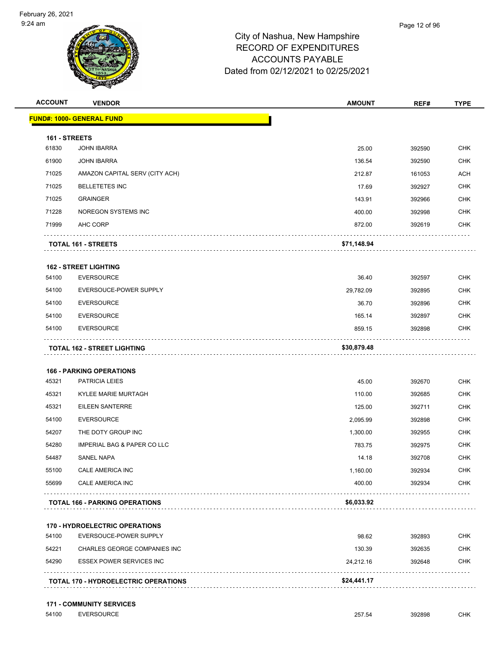

|               | <b>VENDOR</b>                          | <b>AMOUNT</b> | REF#   | <b>TYPE</b>                                                                                                                                                          |
|---------------|----------------------------------------|---------------|--------|----------------------------------------------------------------------------------------------------------------------------------------------------------------------|
|               | <b>FUND#: 1000- GENERAL FUND</b>       |               |        |                                                                                                                                                                      |
| 161 - STREETS |                                        |               |        |                                                                                                                                                                      |
| 61830         | <b>JOHN IBARRA</b>                     | 25.00         | 392590 | <b>CHK</b>                                                                                                                                                           |
| 61900         | <b>JOHN IBARRA</b>                     | 136.54        | 392590 | <b>CHK</b>                                                                                                                                                           |
| 71025         | AMAZON CAPITAL SERV (CITY ACH)         | 212.87        | 161053 | <b>ACH</b>                                                                                                                                                           |
| 71025         | <b>BELLETETES INC</b>                  | 17.69         | 392927 | <b>CHK</b>                                                                                                                                                           |
| 71025         | <b>GRAINGER</b>                        | 143.91        | 392966 | <b>CHK</b>                                                                                                                                                           |
| 71228         | NOREGON SYSTEMS INC                    | 400.00        | 392998 | <b>CHK</b>                                                                                                                                                           |
| 71999         | AHC CORP                               | 872.00        | 392619 | <b>CHK</b>                                                                                                                                                           |
|               |                                        |               |        |                                                                                                                                                                      |
|               | TOTAL 161 - STREETS                    | \$71,148.94   |        |                                                                                                                                                                      |
|               | <b>162 - STREET LIGHTING</b>           |               |        |                                                                                                                                                                      |
| 54100         | <b>EVERSOURCE</b>                      | 36.40         | 392597 | <b>CHK</b>                                                                                                                                                           |
| 54100         | EVERSOUCE-POWER SUPPLY                 | 29,782.09     | 392895 | <b>CHK</b>                                                                                                                                                           |
| 54100         | <b>EVERSOURCE</b>                      | 36.70         | 392896 | <b>CHK</b>                                                                                                                                                           |
| 54100         | <b>EVERSOURCE</b>                      | 165.14        | 392897 | <b>CHK</b>                                                                                                                                                           |
| 54100         | <b>EVERSOURCE</b>                      | 859.15        | 392898 | <b>CHK</b>                                                                                                                                                           |
|               |                                        |               |        |                                                                                                                                                                      |
|               | <b>TOTAL 162 - STREET LIGHTING</b>     | \$30,879.48   |        |                                                                                                                                                                      |
|               |                                        |               |        |                                                                                                                                                                      |
|               | <b>166 - PARKING OPERATIONS</b>        |               |        |                                                                                                                                                                      |
| 45321         | PATRICIA LEIES                         |               |        |                                                                                                                                                                      |
|               |                                        | 45.00         | 392670 |                                                                                                                                                                      |
| 45321         | KYLEE MARIE MURTAGH                    | 110.00        | 392685 |                                                                                                                                                                      |
| 45321         | EILEEN SANTERRE                        | 125.00        | 392711 |                                                                                                                                                                      |
| 54100         | <b>EVERSOURCE</b>                      | 2,095.99      | 392898 |                                                                                                                                                                      |
| 54207         | THE DOTY GROUP INC                     | 1,300.00      | 392955 |                                                                                                                                                                      |
| 54280         | <b>IMPERIAL BAG &amp; PAPER CO LLC</b> | 783.75        | 392975 |                                                                                                                                                                      |
| 54487         | <b>SANEL NAPA</b>                      | 14.18         | 392708 |                                                                                                                                                                      |
| 55100         | CALE AMERICA INC                       | 1,160.00      | 392934 |                                                                                                                                                                      |
| 55699         | CALE AMERICA INC                       | 400.00        | 392934 |                                                                                                                                                                      |
|               | <b>TOTAL 166 - PARKING OPERATIONS</b>  | \$6,033.92    |        |                                                                                                                                                                      |
|               |                                        |               |        |                                                                                                                                                                      |
|               | <b>170 - HYDROELECTRIC OPERATIONS</b>  |               |        |                                                                                                                                                                      |
| 54100         | EVERSOUCE-POWER SUPPLY                 | 98.62         | 392893 |                                                                                                                                                                      |
| 54221         | CHARLES GEORGE COMPANIES INC           | 130.39        | 392635 |                                                                                                                                                                      |
| 54290         | <b>ESSEX POWER SERVICES INC</b>        | 24,212.16     | 392648 | <b>CHK</b><br><b>CHK</b><br><b>CHK</b><br><b>CHK</b><br><b>CHK</b><br><b>CHK</b><br><b>CHK</b><br><b>CHK</b><br><b>CHK</b><br><b>CHK</b><br><b>CHK</b><br><b>CHK</b> |

**171 - COMMUNITY SERVICES**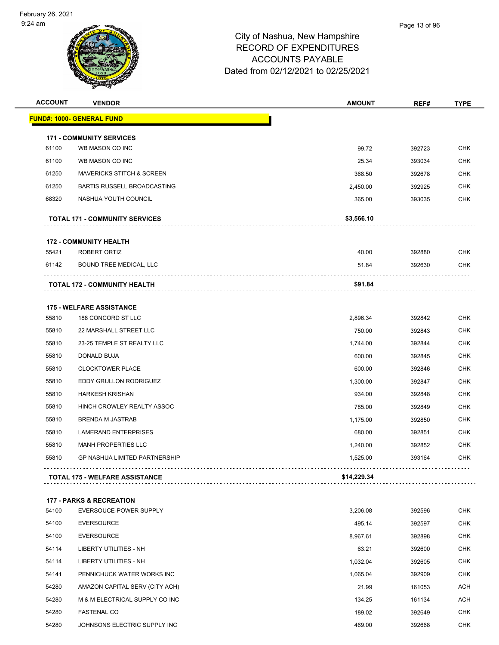

| <b>ACCOUNT</b> | <b>VENDOR</b>                                                 | <b>AMOUNT</b> | REF#   | <b>TYPE</b> |
|----------------|---------------------------------------------------------------|---------------|--------|-------------|
|                | <b>FUND#: 1000- GENERAL FUND</b>                              |               |        |             |
|                |                                                               |               |        |             |
| 61100          | <b>171 - COMMUNITY SERVICES</b><br>WB MASON CO INC            | 99.72         | 392723 | <b>CHK</b>  |
| 61100          | WB MASON CO INC                                               | 25.34         | 393034 | <b>CHK</b>  |
| 61250          | <b>MAVERICKS STITCH &amp; SCREEN</b>                          | 368.50        | 392678 | <b>CHK</b>  |
| 61250          | BARTIS RUSSELL BROADCASTING                                   | 2,450.00      | 392925 | <b>CHK</b>  |
| 68320          | NASHUA YOUTH COUNCIL                                          | 365.00        | 393035 | <b>CHK</b>  |
|                |                                                               |               |        |             |
|                | <b>TOTAL 171 - COMMUNITY SERVICES</b>                         | \$3,566.10    |        |             |
|                | <b>172 - COMMUNITY HEALTH</b>                                 |               |        |             |
| 55421          | ROBERT ORTIZ                                                  | 40.00         | 392880 | <b>CHK</b>  |
| 61142          | <b>BOUND TREE MEDICAL, LLC</b>                                | 51.84         | 392630 | <b>CHK</b>  |
|                | <b>TOTAL 172 - COMMUNITY HEALTH</b>                           | \$91.84       |        |             |
|                |                                                               |               |        |             |
|                | <b>175 - WELFARE ASSISTANCE</b>                               |               |        |             |
| 55810          | 188 CONCORD ST LLC                                            | 2,896.34      | 392842 | <b>CHK</b>  |
| 55810          | 22 MARSHALL STREET LLC                                        | 750.00        | 392843 | <b>CHK</b>  |
| 55810          | 23-25 TEMPLE ST REALTY LLC                                    | 1,744.00      | 392844 | <b>CHK</b>  |
| 55810          | DONALD BUJA                                                   | 600.00        | 392845 | <b>CHK</b>  |
| 55810          | <b>CLOCKTOWER PLACE</b>                                       | 600.00        | 392846 | <b>CHK</b>  |
| 55810          | EDDY GRULLON RODRIGUEZ                                        | 1,300.00      | 392847 | <b>CHK</b>  |
| 55810          | <b>HARKESH KRISHAN</b>                                        | 934.00        | 392848 | <b>CHK</b>  |
| 55810          | HINCH CROWLEY REALTY ASSOC                                    | 785.00        | 392849 | <b>CHK</b>  |
| 55810          | <b>BRENDA M JASTRAB</b>                                       | 1,175.00      | 392850 | <b>CHK</b>  |
| 55810          | <b>LAMERAND ENTERPRISES</b>                                   | 680.00        | 392851 | <b>CHK</b>  |
| 55810          | <b>MANH PROPERTIES LLC</b>                                    | 1,240.00      | 392852 | <b>CHK</b>  |
| 55810          | <b>GP NASHUA LIMITED PARTNERSHIP</b>                          | 1,525.00      | 393164 | <b>CHK</b>  |
|                | <b>TOTAL 175 - WELFARE ASSISTANCE</b>                         | \$14,229.34   |        |             |
|                |                                                               |               |        |             |
| 54100          | <b>177 - PARKS &amp; RECREATION</b><br>EVERSOUCE-POWER SUPPLY | 3,206.08      | 392596 | <b>CHK</b>  |
| 54100          | <b>EVERSOURCE</b>                                             | 495.14        | 392597 | <b>CHK</b>  |
| 54100          | <b>EVERSOURCE</b>                                             | 8,967.61      | 392898 | <b>CHK</b>  |
| 54114          | LIBERTY UTILITIES - NH                                        | 63.21         | 392600 | <b>CHK</b>  |
| 54114          | LIBERTY UTILITIES - NH                                        | 1,032.04      | 392605 | <b>CHK</b>  |
| 54141          | PENNICHUCK WATER WORKS INC                                    | 1,065.04      | 392909 | <b>CHK</b>  |
| 54280          | AMAZON CAPITAL SERV (CITY ACH)                                | 21.99         | 161053 | <b>ACH</b>  |
| 54280          | M & M ELECTRICAL SUPPLY CO INC                                | 134.25        | 161134 | <b>ACH</b>  |
| 54280          | <b>FASTENAL CO</b>                                            | 189.02        | 392649 | <b>CHK</b>  |
| 54280          | JOHNSONS ELECTRIC SUPPLY INC                                  | 469.00        | 392668 | <b>CHK</b>  |
|                |                                                               |               |        |             |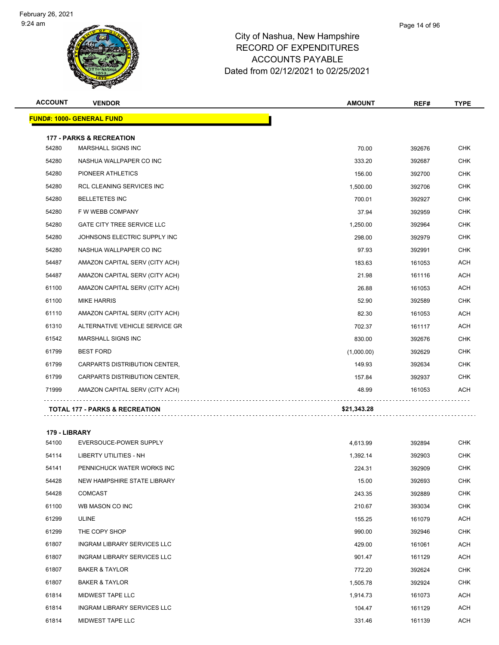| <b>ACCOUNT</b> | <b>VENDOR</b>                                                    | <b>AMOUNT</b> | REF#   | <b>TYPE</b> |
|----------------|------------------------------------------------------------------|---------------|--------|-------------|
|                | <b>FUND#: 1000- GENERAL FUND</b>                                 |               |        |             |
|                |                                                                  |               |        |             |
| 54280          | <b>177 - PARKS &amp; RECREATION</b><br><b>MARSHALL SIGNS INC</b> | 70.00         | 392676 | <b>CHK</b>  |
| 54280          | NASHUA WALLPAPER CO INC                                          | 333.20        |        | <b>CHK</b>  |
|                |                                                                  |               | 392687 |             |
| 54280          | PIONEER ATHLETICS                                                | 156.00        | 392700 | <b>CHK</b>  |
| 54280          | <b>RCL CLEANING SERVICES INC</b>                                 | 1,500.00      | 392706 | <b>CHK</b>  |
| 54280          | <b>BELLETETES INC</b>                                            | 700.01        | 392927 | <b>CHK</b>  |
| 54280          | F W WEBB COMPANY                                                 | 37.94         | 392959 | <b>CHK</b>  |
| 54280          | <b>GATE CITY TREE SERVICE LLC</b>                                | 1,250.00      | 392964 | <b>CHK</b>  |
| 54280          | JOHNSONS ELECTRIC SUPPLY INC                                     | 298.00        | 392979 | <b>CHK</b>  |
| 54280          | NASHUA WALLPAPER CO INC                                          | 97.93         | 392991 | <b>CHK</b>  |
| 54487          | AMAZON CAPITAL SERV (CITY ACH)                                   | 183.63        | 161053 | <b>ACH</b>  |
| 54487          | AMAZON CAPITAL SERV (CITY ACH)                                   | 21.98         | 161116 | <b>ACH</b>  |
| 61100          | AMAZON CAPITAL SERV (CITY ACH)                                   | 26.88         | 161053 | <b>ACH</b>  |
| 61100          | <b>MIKE HARRIS</b>                                               | 52.90         | 392589 | <b>CHK</b>  |
| 61110          | AMAZON CAPITAL SERV (CITY ACH)                                   | 82.30         | 161053 | <b>ACH</b>  |
| 61310          | ALTERNATIVE VEHICLE SERVICE GR                                   | 702.37        | 161117 | <b>ACH</b>  |
| 61542          | MARSHALL SIGNS INC                                               | 830.00        | 392676 | <b>CHK</b>  |
| 61799          | <b>BEST FORD</b>                                                 | (1,000.00)    | 392629 | <b>CHK</b>  |
| 61799          | CARPARTS DISTRIBUTION CENTER,                                    | 149.93        | 392634 | <b>CHK</b>  |
| 61799          | CARPARTS DISTRIBUTION CENTER,                                    | 157.84        | 392937 | <b>CHK</b>  |
| 71999          | AMAZON CAPITAL SERV (CITY ACH)                                   | 48.99         | 161053 | <b>ACH</b>  |
|                | <b>TOTAL 177 - PARKS &amp; RECREATION</b>                        | \$21,343.28   |        |             |
|                |                                                                  |               |        |             |

**179 - LIBRARY**

| 54100 | EVERSOUCE-POWER SUPPLY             | 4,613.99 | 392894 | <b>CHK</b> |
|-------|------------------------------------|----------|--------|------------|
| 54114 | LIBERTY UTILITIES - NH             | 1,392.14 | 392903 | <b>CHK</b> |
| 54141 | PENNICHUCK WATER WORKS INC         | 224.31   | 392909 | <b>CHK</b> |
| 54428 | NEW HAMPSHIRE STATE LIBRARY        | 15.00    | 392693 | <b>CHK</b> |
| 54428 | <b>COMCAST</b>                     | 243.35   | 392889 | <b>CHK</b> |
| 61100 | WB MASON CO INC                    | 210.67   | 393034 | <b>CHK</b> |
| 61299 | <b>ULINE</b>                       | 155.25   | 161079 | ACH        |
| 61299 | THE COPY SHOP                      | 990.00   | 392946 | <b>CHK</b> |
| 61807 | <b>INGRAM LIBRARY SERVICES LLC</b> | 429.00   | 161061 | ACH        |
| 61807 | <b>INGRAM LIBRARY SERVICES LLC</b> | 901.47   | 161129 | ACH        |
| 61807 | <b>BAKER &amp; TAYLOR</b>          | 772.20   | 392624 | <b>CHK</b> |
| 61807 | <b>BAKER &amp; TAYLOR</b>          | 1,505.78 | 392924 | <b>CHK</b> |
| 61814 | <b>MIDWEST TAPE LLC</b>            | 1,914.73 | 161073 | ACH        |
| 61814 | <b>INGRAM LIBRARY SERVICES LLC</b> | 104.47   | 161129 | ACH        |
| 61814 | <b>MIDWEST TAPE LLC</b>            | 331.46   | 161139 | <b>ACH</b> |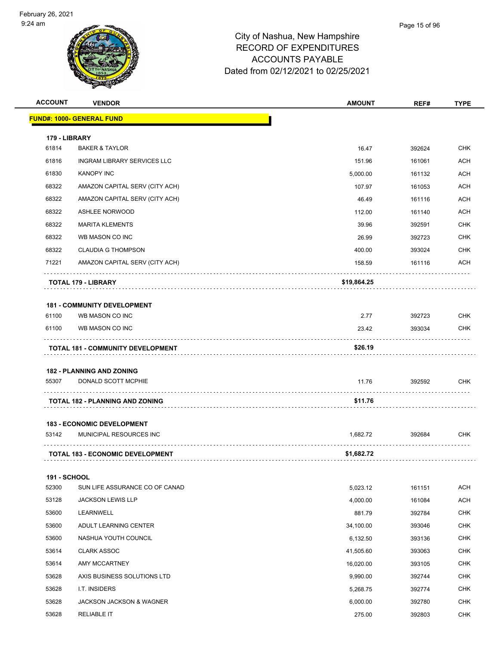| <b>ACCOUNT</b>         | <b>VENDOR</b>                                         | <b>AMOUNT</b> | REF#   | <b>TYPE</b> |
|------------------------|-------------------------------------------------------|---------------|--------|-------------|
|                        | <b>FUND#: 1000- GENERAL FUND</b>                      |               |        |             |
|                        |                                                       |               |        |             |
| 179 - LIBRARY<br>61814 | <b>BAKER &amp; TAYLOR</b>                             | 16.47         | 392624 | <b>CHK</b>  |
| 61816                  | <b>INGRAM LIBRARY SERVICES LLC</b>                    | 151.96        | 161061 | <b>ACH</b>  |
| 61830                  | <b>KANOPY INC</b>                                     | 5,000.00      | 161132 | <b>ACH</b>  |
| 68322                  | AMAZON CAPITAL SERV (CITY ACH)                        | 107.97        | 161053 | ACH         |
| 68322                  | AMAZON CAPITAL SERV (CITY ACH)                        | 46.49         | 161116 | ACH         |
| 68322                  | <b>ASHLEE NORWOOD</b>                                 | 112.00        | 161140 | ACH         |
| 68322                  | <b>MARITA KLEMENTS</b>                                | 39.96         | 392591 | <b>CHK</b>  |
| 68322                  | WB MASON CO INC                                       | 26.99         | 392723 | <b>CHK</b>  |
| 68322                  | <b>CLAUDIA G THOMPSON</b>                             | 400.00        | 393024 | <b>CHK</b>  |
| 71221                  | AMAZON CAPITAL SERV (CITY ACH)                        | 158.59        | 161116 | ACH         |
|                        |                                                       |               |        |             |
|                        | TOTAL 179 - LIBRARY                                   | \$19,864.25   |        |             |
|                        |                                                       |               |        |             |
| 61100                  | <b>181 - COMMUNITY DEVELOPMENT</b><br>WB MASON CO INC | 2.77          | 392723 | <b>CHK</b>  |
| 61100                  | WB MASON CO INC                                       | 23.42         | 393034 | <b>CHK</b>  |
|                        |                                                       |               |        |             |
|                        | <b>TOTAL 181 - COMMUNITY DEVELOPMENT</b>              | \$26.19       |        |             |
|                        | <b>182 - PLANNING AND ZONING</b>                      |               |        |             |
| 55307                  | DONALD SCOTT MCPHIE                                   | 11.76         | 392592 | <b>CHK</b>  |
|                        |                                                       |               |        |             |
|                        | <b>TOTAL 182 - PLANNING AND ZONING</b>                | \$11.76       |        |             |
|                        | <b>183 - ECONOMIC DEVELOPMENT</b>                     |               |        |             |
| 53142                  | MUNICIPAL RESOURCES INC                               | 1,682.72      | 392684 | CHK         |
|                        |                                                       |               |        |             |
|                        | <b>TOTAL 183 - ECONOMIC DEVELOPMENT</b><br>.          | \$1,682.72    |        |             |
| 191 - SCHOOL           |                                                       |               |        |             |
| 52300                  | SUN LIFE ASSURANCE CO OF CANAD                        | 5,023.12      | 161151 | <b>ACH</b>  |
| 53128                  | <b>JACKSON LEWIS LLP</b>                              | 4,000.00      | 161084 | <b>ACH</b>  |
| 53600                  | LEARNWELL                                             | 881.79        | 392784 | <b>CHK</b>  |
| 53600                  | ADULT LEARNING CENTER                                 | 34,100.00     | 393046 | <b>CHK</b>  |
| 53600                  | NASHUA YOUTH COUNCIL                                  | 6,132.50      | 393136 | <b>CHK</b>  |
| 53614                  | <b>CLARK ASSOC</b>                                    | 41,505.60     | 393063 | <b>CHK</b>  |
| 53614                  | AMY MCCARTNEY                                         | 16,020.00     | 393105 | CHK         |
| 53628                  | AXIS BUSINESS SOLUTIONS LTD                           | 9,990.00      | 392744 | <b>CHK</b>  |
| 53628                  | I.T. INSIDERS                                         | 5,268.75      | 392774 | <b>CHK</b>  |
| 53628                  | JACKSON JACKSON & WAGNER                              | 6,000.00      | 392780 | <b>CHK</b>  |
| 53628                  | <b>RELIABLE IT</b>                                    | 275.00        | 392803 | <b>CHK</b>  |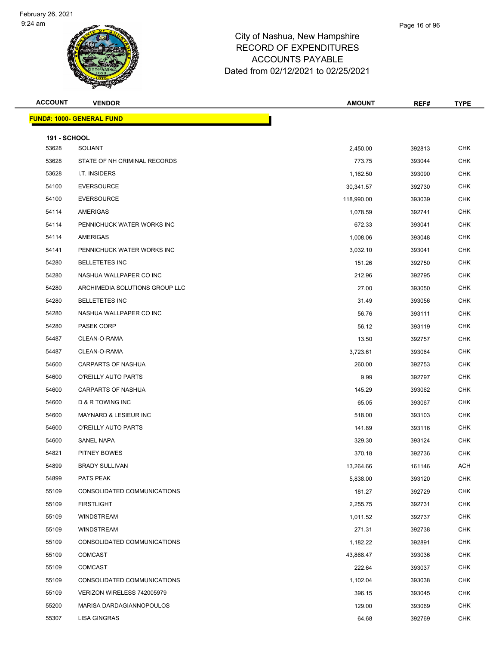

## City of Nashua, New Hampshi RECORD OF **ACCOUNT** Dated from 02/12/2021 to 02/25/2021

| ւ, New Hampshire    |  |
|---------------------|--|
| <b>EXPENDITURES</b> |  |
| TS PAYABLE          |  |

| <b>ACCOUNT</b>      | <b>VENDOR</b>                    | <b>AMOUNT</b> | REF#   | <b>TYPE</b> |
|---------------------|----------------------------------|---------------|--------|-------------|
|                     | <b>FUND#: 1000- GENERAL FUND</b> |               |        |             |
| <b>191 - SCHOOL</b> |                                  |               |        |             |
| 53628               | <b>SOLIANT</b>                   | 2,450.00      | 392813 | <b>CHK</b>  |
| 53628               | STATE OF NH CRIMINAL RECORDS     | 773.75        | 393044 | <b>CHK</b>  |
| 53628               | I.T. INSIDERS                    | 1,162.50      | 393090 | <b>CHK</b>  |
| 54100               | <b>EVERSOURCE</b>                | 30,341.57     | 392730 | <b>CHK</b>  |
| 54100               | <b>EVERSOURCE</b>                | 118,990.00    | 393039 | <b>CHK</b>  |
| 54114               | <b>AMERIGAS</b>                  | 1,078.59      | 392741 | <b>CHK</b>  |
| 54114               | PENNICHUCK WATER WORKS INC       | 672.33        | 393041 | <b>CHK</b>  |
| 54114               | AMERIGAS                         | 1,008.06      | 393048 | <b>CHK</b>  |
| 54141               | PENNICHUCK WATER WORKS INC       | 3,032.10      | 393041 | CHK         |
| 54280               | <b>BELLETETES INC</b>            | 151.26        | 392750 | CHK         |
| 54280               | NASHUA WALLPAPER CO INC          | 212.96        | 392795 | <b>CHK</b>  |
| 54280               | ARCHIMEDIA SOLUTIONS GROUP LLC   | 27.00         | 393050 | <b>CHK</b>  |
| 54280               | <b>BELLETETES INC</b>            | 31.49         | 393056 | <b>CHK</b>  |
| 54280               | NASHUA WALLPAPER CO INC          | 56.76         | 393111 | <b>CHK</b>  |
| 54280               | <b>PASEK CORP</b>                | 56.12         | 393119 | <b>CHK</b>  |
| 54487               | CLEAN-O-RAMA                     | 13.50         | 392757 | <b>CHK</b>  |
| 54487               | CLEAN-O-RAMA                     | 3,723.61      | 393064 | <b>CHK</b>  |
| 54600               | <b>CARPARTS OF NASHUA</b>        | 260.00        | 392753 | <b>CHK</b>  |
| 54600               | O'REILLY AUTO PARTS              | 9.99          | 392797 | <b>CHK</b>  |
| 54600               | <b>CARPARTS OF NASHUA</b>        | 145.29        | 393062 | <b>CHK</b>  |
| 54600               | D & R TOWING INC                 | 65.05         | 393067 | <b>CHK</b>  |
| 54600               | MAYNARD & LESIEUR INC            | 518.00        | 393103 | <b>CHK</b>  |
| 54600               | O'REILLY AUTO PARTS              | 141.89        | 393116 | <b>CHK</b>  |
| 54600               | <b>SANEL NAPA</b>                | 329.30        | 393124 | CHK         |
| 54821               | <b>PITNEY BOWES</b>              | 370.18        | 392736 | <b>CHK</b>  |
| 54899               | <b>BRADY SULLIVAN</b>            | 13,264.66     | 161146 | ACH         |
| 54899               | PATS PEAK                        | 5,838.00      | 393120 | <b>CHK</b>  |
| 55109               | CONSOLIDATED COMMUNICATIONS      | 181.27        | 392729 | <b>CHK</b>  |
| 55109               | <b>FIRSTLIGHT</b>                | 2,255.75      | 392731 | <b>CHK</b>  |
| 55109               | <b>WINDSTREAM</b>                | 1,011.52      | 392737 | CHK         |
| 55109               | <b>WINDSTREAM</b>                | 271.31        | 392738 | <b>CHK</b>  |
| 55109               | CONSOLIDATED COMMUNICATIONS      | 1,182.22      | 392891 | <b>CHK</b>  |
| 55109               | <b>COMCAST</b>                   | 43,868.47     | 393036 | <b>CHK</b>  |
| 55109               | <b>COMCAST</b>                   | 222.64        | 393037 | CHK         |
| 55109               | CONSOLIDATED COMMUNICATIONS      | 1,102.04      | 393038 | CHK         |
| 55109               | VERIZON WIRELESS 742005979       | 396.15        | 393045 | <b>CHK</b>  |
| 55200               | MARISA DARDAGIANNOPOULOS         | 129.00        | 393069 | CHK         |
| 55307               | LISA GINGRAS                     | 64.68         | 392769 | <b>CHK</b>  |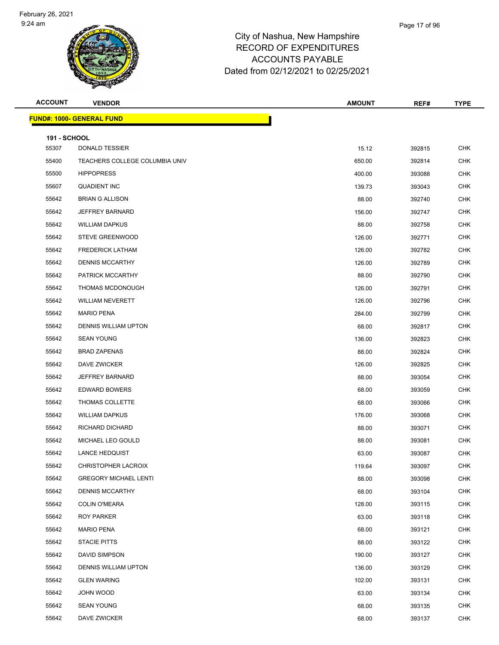

| <b>ACCOUNT</b>               | <b>VENDOR</b>                    | <b>AMOUNT</b> | REF#   | <b>TYPE</b> |
|------------------------------|----------------------------------|---------------|--------|-------------|
|                              | <b>FUND#: 1000- GENERAL FUND</b> |               |        |             |
|                              |                                  |               |        |             |
| <b>191 - SCHOOL</b><br>55307 | <b>DONALD TESSIER</b>            | 15.12         | 392815 | <b>CHK</b>  |
| 55400                        | TEACHERS COLLEGE COLUMBIA UNIV   | 650.00        | 392814 | CHK         |
| 55500                        | <b>HIPPOPRESS</b>                | 400.00        | 393088 | <b>CHK</b>  |
| 55607                        | <b>QUADIENT INC</b>              | 139.73        | 393043 | <b>CHK</b>  |
| 55642                        | <b>BRIAN G ALLISON</b>           | 88.00         | 392740 | CHK         |
| 55642                        | <b>JEFFREY BARNARD</b>           | 156.00        | 392747 | <b>CHK</b>  |
| 55642                        | <b>WILLIAM DAPKUS</b>            | 88.00         | 392758 | CHK         |
| 55642                        | <b>STEVE GREENWOOD</b>           | 126.00        | 392771 | <b>CHK</b>  |
| 55642                        | <b>FREDERICK LATHAM</b>          | 126.00        | 392782 | <b>CHK</b>  |
| 55642                        | <b>DENNIS MCCARTHY</b>           | 126.00        | 392789 | CHK         |
| 55642                        | PATRICK MCCARTHY                 | 88.00         | 392790 | <b>CHK</b>  |
| 55642                        | THOMAS MCDONOUGH                 | 126.00        | 392791 | CHK         |
| 55642                        | <b>WILLIAM NEVERETT</b>          | 126.00        | 392796 | <b>CHK</b>  |
| 55642                        | <b>MARIO PENA</b>                | 284.00        | 392799 | <b>CHK</b>  |
| 55642                        | DENNIS WILLIAM UPTON             | 68.00         | 392817 | CHK         |
| 55642                        | <b>SEAN YOUNG</b>                | 136.00        | 392823 | <b>CHK</b>  |
| 55642                        | <b>BRAD ZAPENAS</b>              | 88.00         | 392824 | CHK         |
| 55642                        | DAVE ZWICKER                     | 126.00        | 392825 | <b>CHK</b>  |
| 55642                        | <b>JEFFREY BARNARD</b>           | 88.00         | 393054 | <b>CHK</b>  |
| 55642                        | <b>EDWARD BOWERS</b>             | 68.00         | 393059 | CHK         |
| 55642                        | THOMAS COLLETTE                  | 68.00         | 393066 | <b>CHK</b>  |
| 55642                        | <b>WILLIAM DAPKUS</b>            | 176.00        | 393068 | CHK         |
| 55642                        | RICHARD DICHARD                  | 88.00         | 393071 | <b>CHK</b>  |
| 55642                        | MICHAEL LEO GOULD                | 88.00         | 393081 | <b>CHK</b>  |
| 55642                        | <b>LANCE HEDQUIST</b>            | 63.00         | 393087 | CHK         |
| 55642                        | CHRISTOPHER LACROIX              | 119.64        | 393097 | <b>CHK</b>  |
| 55642                        | <b>GREGORY MICHAEL LENTI</b>     | 88.00         | 393098 | <b>CHK</b>  |
| 55642                        | <b>DENNIS MCCARTHY</b>           | 68.00         | 393104 | <b>CHK</b>  |
| 55642                        | <b>COLIN O'MEARA</b>             | 128.00        | 393115 | <b>CHK</b>  |
| 55642                        | <b>ROY PARKER</b>                | 63.00         | 393118 | CHK         |
| 55642                        | <b>MARIO PENA</b>                | 68.00         | 393121 | <b>CHK</b>  |
| 55642                        | <b>STACIE PITTS</b>              | 88.00         | 393122 | CHK         |
| 55642                        | DAVID SIMPSON                    | 190.00        | 393127 | <b>CHK</b>  |
| 55642                        | <b>DENNIS WILLIAM UPTON</b>      | 136.00        | 393129 | <b>CHK</b>  |
| 55642                        | <b>GLEN WARING</b>               | 102.00        | 393131 | CHK         |
| 55642                        | JOHN WOOD                        | 63.00         | 393134 | <b>CHK</b>  |
| 55642                        | <b>SEAN YOUNG</b>                | 68.00         | 393135 | CHK         |
| 55642                        | DAVE ZWICKER                     | 68.00         | 393137 | <b>CHK</b>  |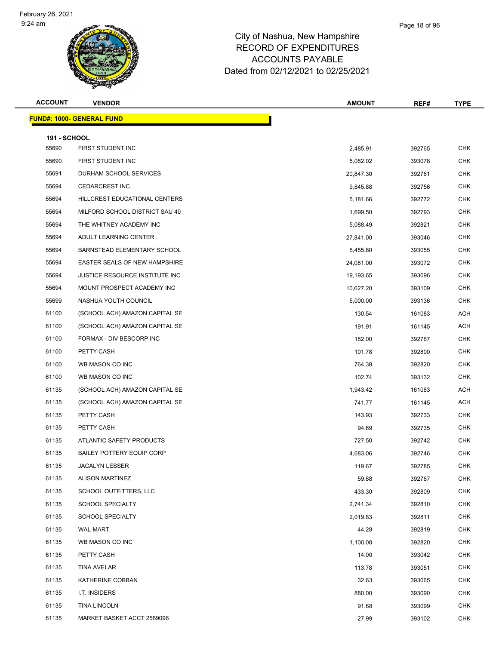#### Page 18 of 96

| <b>ACCOUNT</b>      | <b>VENDOR</b>                    | <b>AMOUNT</b> | REF#   | <b>TYPE</b> |
|---------------------|----------------------------------|---------------|--------|-------------|
|                     | <b>FUND#: 1000- GENERAL FUND</b> |               |        |             |
| <b>191 - SCHOOL</b> |                                  |               |        |             |
| 55690               | FIRST STUDENT INC                | 2,485.91      | 392765 | <b>CHK</b>  |
| 55690               | FIRST STUDENT INC                | 5,082.02      | 393078 | <b>CHK</b>  |
| 55691               | DURHAM SCHOOL SERVICES           | 20,847.30     | 392761 | <b>CHK</b>  |
| 55694               | <b>CEDARCREST INC</b>            | 9,845.88      | 392756 | <b>CHK</b>  |
| 55694               | HILLCREST EDUCATIONAL CENTERS    | 5,181.66      | 392772 | <b>CHK</b>  |
| 55694               | MILFORD SCHOOL DISTRICT SAU 40   | 1,699.50      | 392793 | <b>CHK</b>  |
| 55694               | THE WHITNEY ACADEMY INC          | 5,088.49      | 392821 | <b>CHK</b>  |
| 55694               | ADULT LEARNING CENTER            | 27,841.00     | 393046 | <b>CHK</b>  |
| 55694               | BARNSTEAD ELEMENTARY SCHOOL      | 5,455.80      | 393055 | <b>CHK</b>  |
| 55694               | EASTER SEALS OF NEW HAMPSHIRE    | 24,081.00     | 393072 | <b>CHK</b>  |
| 55694               | JUSTICE RESOURCE INSTITUTE INC   | 19,193.65     | 393096 | <b>CHK</b>  |
| 55694               | MOUNT PROSPECT ACADEMY INC       | 10,627.20     | 393109 | <b>CHK</b>  |
| 55699               | NASHUA YOUTH COUNCIL             | 5,000.00      | 393136 | <b>CHK</b>  |
| 61100               | (SCHOOL ACH) AMAZON CAPITAL SE   | 130.54        | 161083 | <b>ACH</b>  |
| 61100               | (SCHOOL ACH) AMAZON CAPITAL SE   | 191.91        | 161145 | <b>ACH</b>  |
| 61100               | FORMAX - DIV BESCORP INC         | 182.00        | 392767 | <b>CHK</b>  |
| 61100               | PETTY CASH                       | 101.78        | 392800 | CHK         |
| 61100               | WB MASON CO INC                  | 764.38        | 392820 | <b>CHK</b>  |
| 61100               | WB MASON CO INC                  | 102.74        | 393132 | <b>CHK</b>  |
| 61135               | (SCHOOL ACH) AMAZON CAPITAL SE   | 1,943.42      | 161083 | <b>ACH</b>  |
| 61135               | (SCHOOL ACH) AMAZON CAPITAL SE   | 741.77        | 161145 | <b>ACH</b>  |
| 61135               | PETTY CASH                       | 143.93        | 392733 | CHK         |
| 61135               | PETTY CASH                       | 94.69         | 392735 | <b>CHK</b>  |
| 61135               | ATLANTIC SAFETY PRODUCTS         | 727.50        | 392742 | <b>CHK</b>  |
| 61135               | <b>BAILEY POTTERY EQUIP CORP</b> | 4,683.06      | 392746 | <b>CHK</b>  |
| 61135               | JACALYN LESSER                   | 119.67        | 392785 | <b>CHK</b>  |
| 61135               | <b>ALISON MARTINEZ</b>           | 59.88         | 392787 | <b>CHK</b>  |
| 61135               | SCHOOL OUTFITTERS, LLC           | 433.30        | 392809 | <b>CHK</b>  |
| 61135               | <b>SCHOOL SPECIALTY</b>          | 2,741.34      | 392810 | <b>CHK</b>  |
| 61135               | <b>SCHOOL SPECIALTY</b>          | 2,019.83      | 392811 | <b>CHK</b>  |
| 61135               | <b>WAL-MART</b>                  | 44.28         | 392819 | <b>CHK</b>  |
| 61135               | WB MASON CO INC                  | 1,100.08      | 392820 | CHK         |
| 61135               | PETTY CASH                       | 14.00         | 393042 | <b>CHK</b>  |
| 61135               | TINA AVELAR                      | 113.78        | 393051 | <b>CHK</b>  |
| 61135               | KATHERINE COBBAN                 | 32.63         | 393065 | <b>CHK</b>  |
| 61135               | I.T. INSIDERS                    | 880.00        | 393090 | <b>CHK</b>  |
| 61135               | <b>TINA LINCOLN</b>              | 91.68         | 393099 | CHK         |
| 61135               | MARKET BASKET ACCT 2589096       | 27.99         | 393102 | <b>CHK</b>  |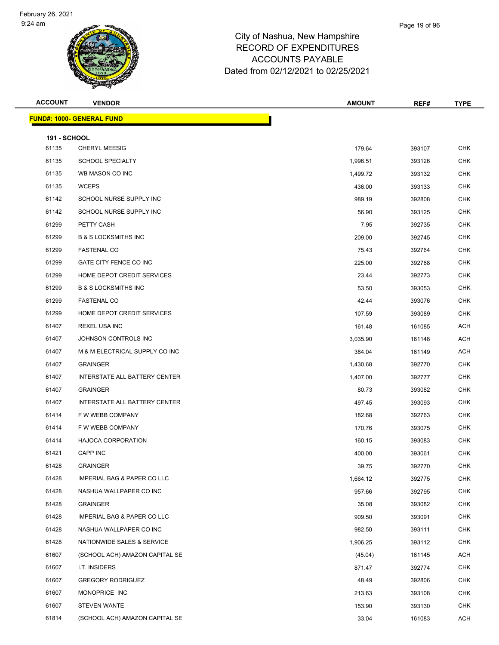| <b>ACCOUNT</b>               | <b>VENDOR</b>                          | <b>AMOUNT</b> | REF#   | <b>TYPE</b> |
|------------------------------|----------------------------------------|---------------|--------|-------------|
|                              | <b>FUND#: 1000- GENERAL FUND</b>       |               |        |             |
|                              |                                        |               |        |             |
| <b>191 - SCHOOL</b><br>61135 | <b>CHERYL MEESIG</b>                   | 179.64        | 393107 | <b>CHK</b>  |
| 61135                        | <b>SCHOOL SPECIALTY</b>                | 1,996.51      | 393126 | <b>CHK</b>  |
| 61135                        | WB MASON CO INC                        | 1,499.72      | 393132 | <b>CHK</b>  |
| 61135                        | <b>WCEPS</b>                           | 436.00        | 393133 | <b>CHK</b>  |
| 61142                        | SCHOOL NURSE SUPPLY INC                | 989.19        | 392808 | <b>CHK</b>  |
| 61142                        | SCHOOL NURSE SUPPLY INC                | 56.90         | 393125 | CHK         |
| 61299                        | PETTY CASH                             | 7.95          | 392735 | <b>CHK</b>  |
| 61299                        | <b>B &amp; S LOCKSMITHS INC</b>        | 209.00        | 392745 | <b>CHK</b>  |
| 61299                        | <b>FASTENAL CO</b>                     | 75.43         | 392764 | <b>CHK</b>  |
| 61299                        | GATE CITY FENCE CO INC                 | 225.00        | 392768 | <b>CHK</b>  |
| 61299                        | HOME DEPOT CREDIT SERVICES             | 23.44         | 392773 | <b>CHK</b>  |
| 61299                        | <b>B &amp; S LOCKSMITHS INC</b>        | 53.50         | 393053 | <b>CHK</b>  |
| 61299                        | <b>FASTENAL CO</b>                     | 42.44         | 393076 | <b>CHK</b>  |
| 61299                        | HOME DEPOT CREDIT SERVICES             | 107.59        | 393089 | <b>CHK</b>  |
| 61407                        | <b>REXEL USA INC</b>                   | 161.48        | 161085 | <b>ACH</b>  |
| 61407                        | JOHNSON CONTROLS INC                   | 3,035.90      | 161148 | <b>ACH</b>  |
| 61407                        | M & M ELECTRICAL SUPPLY CO INC         | 384.04        | 161149 | <b>ACH</b>  |
| 61407                        | <b>GRAINGER</b>                        | 1,430.68      | 392770 | <b>CHK</b>  |
| 61407                        | INTERSTATE ALL BATTERY CENTER          | 1,407.00      | 392777 | <b>CHK</b>  |
| 61407                        | <b>GRAINGER</b>                        | 80.73         | 393082 | <b>CHK</b>  |
| 61407                        | INTERSTATE ALL BATTERY CENTER          | 497.45        | 393093 | <b>CHK</b>  |
| 61414                        | F W WEBB COMPANY                       | 182.68        | 392763 | <b>CHK</b>  |
| 61414                        | F W WEBB COMPANY                       | 170.76        | 393075 | <b>CHK</b>  |
| 61414                        | <b>HAJOCA CORPORATION</b>              | 160.15        | 393083 | <b>CHK</b>  |
| 61421                        | <b>CAPP INC</b>                        | 400.00        | 393061 | <b>CHK</b>  |
| 61428                        | <b>GRAINGER</b>                        | 39.75         | 392770 | <b>CHK</b>  |
| 61428                        | <b>IMPERIAL BAG &amp; PAPER CO LLC</b> | 1,664.12      | 392775 | <b>CHK</b>  |
| 61428                        | NASHUA WALLPAPER CO INC                | 957.66        | 392795 | <b>CHK</b>  |
| 61428                        | <b>GRAINGER</b>                        | 35.08         | 393082 | <b>CHK</b>  |
| 61428                        | <b>IMPERIAL BAG &amp; PAPER CO LLC</b> | 909.50        | 393091 | <b>CHK</b>  |
| 61428                        | NASHUA WALLPAPER CO INC                | 982.50        | 393111 | <b>CHK</b>  |
| 61428                        | NATIONWIDE SALES & SERVICE             | 1,906.25      | 393112 | <b>CHK</b>  |
| 61607                        | (SCHOOL ACH) AMAZON CAPITAL SE         | (45.04)       | 161145 | <b>ACH</b>  |
| 61607                        | I.T. INSIDERS                          | 871.47        | 392774 | <b>CHK</b>  |
| 61607                        | <b>GREGORY RODRIGUEZ</b>               | 48.49         | 392806 | <b>CHK</b>  |
| 61607                        | MONOPRICE INC                          | 213.63        | 393108 | <b>CHK</b>  |
| 61607                        | <b>STEVEN WANTE</b>                    | 153.90        | 393130 | <b>CHK</b>  |
| 61814                        | (SCHOOL ACH) AMAZON CAPITAL SE         | 33.04         | 161083 | ACH         |
|                              |                                        |               |        |             |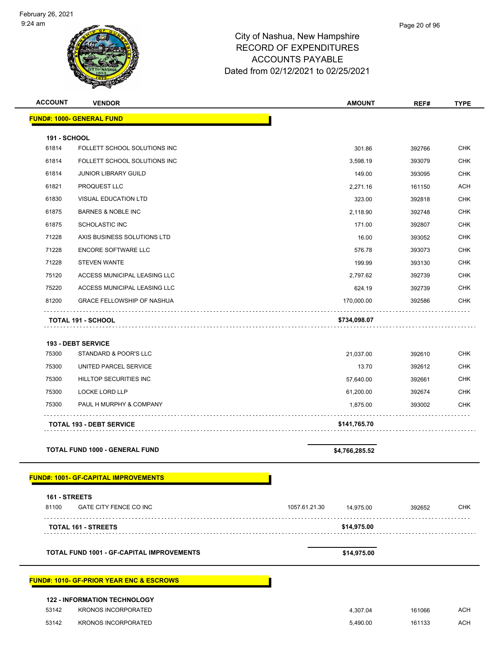| <b>ACCOUNT</b>               | <b>VENDOR</b>                                       | <b>AMOUNT</b>              | REF#   | <b>TYPE</b>              |
|------------------------------|-----------------------------------------------------|----------------------------|--------|--------------------------|
|                              | <b>FUND#: 1000- GENERAL FUND</b>                    |                            |        |                          |
|                              |                                                     |                            |        |                          |
| <b>191 - SCHOOL</b><br>61814 | FOLLETT SCHOOL SOLUTIONS INC                        | 301.86                     | 392766 | <b>CHK</b>               |
| 61814                        | FOLLETT SCHOOL SOLUTIONS INC                        | 3,598.19                   | 393079 | <b>CHK</b>               |
| 61814                        | <b>JUNIOR LIBRARY GUILD</b>                         | 149.00                     | 393095 | <b>CHK</b>               |
| 61821                        | PROQUEST LLC                                        | 2,271.16                   | 161150 | <b>ACH</b>               |
| 61830                        | <b>VISUAL EDUCATION LTD</b>                         | 323.00                     | 392818 | <b>CHK</b>               |
| 61875                        | <b>BARNES &amp; NOBLE INC</b>                       | 2,118.90                   | 392748 | <b>CHK</b>               |
| 61875                        | <b>SCHOLASTIC INC</b>                               | 171.00                     | 392807 | <b>CHK</b>               |
| 71228                        | AXIS BUSINESS SOLUTIONS LTD                         | 16.00                      | 393052 | <b>CHK</b>               |
| 71228                        | <b>ENCORE SOFTWARE LLC</b>                          | 576.78                     | 393073 | <b>CHK</b>               |
| 71228                        | <b>STEVEN WANTE</b>                                 | 199.99                     | 393130 | <b>CHK</b>               |
| 75120                        | ACCESS MUNICIPAL LEASING LLC                        | 2,797.62                   | 392739 | <b>CHK</b>               |
| 75220                        | ACCESS MUNICIPAL LEASING LLC                        | 624.19                     | 392739 | <b>CHK</b>               |
| 81200                        | <b>GRACE FELLOWSHIP OF NASHUA</b>                   | 170,000.00                 | 392586 | <b>CHK</b>               |
|                              | <b>TOTAL 191 - SCHOOL</b>                           | \$734,098.07               |        |                          |
|                              |                                                     |                            |        |                          |
|                              | <b>193 - DEBT SERVICE</b>                           |                            |        |                          |
| 75300                        | STANDARD & POOR'S LLC                               | 21,037.00                  | 392610 | <b>CHK</b>               |
| 75300                        | UNITED PARCEL SERVICE                               | 13.70                      | 392612 | <b>CHK</b>               |
| 75300                        | HILLTOP SECURITIES INC                              | 57,640.00                  | 392661 | <b>CHK</b>               |
| 75300<br>75300               | <b>LOCKE LORD LLP</b><br>PAUL H MURPHY & COMPANY    | 61,200.00                  | 392674 | <b>CHK</b><br><b>CHK</b> |
|                              |                                                     | 1,875.00                   | 393002 |                          |
|                              | <b>TOTAL 193 - DEBT SERVICE</b>                     | \$141,765.70               |        |                          |
|                              | <b>TOTAL FUND 1000 - GENERAL FUND</b>               | \$4,766,285.52             |        |                          |
|                              | <b>FUND#: 1001- GF-CAPITAL IMPROVEMENTS</b>         |                            |        |                          |
| 161 - STREETS                |                                                     |                            |        |                          |
| 81100                        | <b>GATE CITY FENCE CO INC</b>                       | 1057.61.21.30<br>14,975.00 | 392652 | <b>CHK</b>               |
|                              | <b>TOTAL 161 - STREETS</b>                          | \$14,975.00                |        |                          |
|                              | <b>TOTAL FUND 1001 - GF-CAPITAL IMPROVEMENTS</b>    | \$14,975.00                |        |                          |
|                              |                                                     |                            |        |                          |
|                              | <b>FUND#: 1010- GF-PRIOR YEAR ENC &amp; ESCROWS</b> |                            |        |                          |
|                              | <b>122 - INFORMATION TECHNOLOGY</b>                 |                            |        |                          |
| 53142                        | <b>KRONOS INCORPORATED</b>                          | 4,307.04                   | 161066 | <b>ACH</b>               |
| 53142                        | <b>KRONOS INCORPORATED</b>                          | 5,490.00                   | 161133 | ACH                      |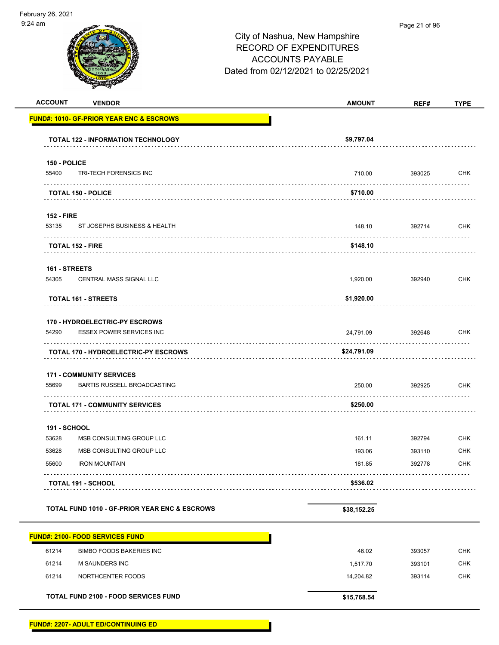| <b>ACCOUNT</b>         | <b>VENDOR</b>                                                     | <b>AMOUNT</b> | REF#        | <b>TYPE</b> |
|------------------------|-------------------------------------------------------------------|---------------|-------------|-------------|
|                        | <b>FUND#: 1010- GF-PRIOR YEAR ENC &amp; ESCROWS</b>               |               |             |             |
|                        | <b>TOTAL 122 - INFORMATION TECHNOLOGY</b>                         | \$9,797.04    |             |             |
| 150 - POLICE           |                                                                   |               |             |             |
| 55400                  | TRI-TECH FORENSICS INC                                            | 710.00        | 393025      | <b>CHK</b>  |
|                        | <b>TOTAL 150 - POLICE</b>                                         | \$710.00      |             |             |
| <b>152 - FIRE</b>      |                                                                   |               |             |             |
| 53135                  | ST JOSEPHS BUSINESS & HEALTH                                      | 148.10        | 392714      | <b>CHK</b>  |
|                        | <b>TOTAL 152 - FIRE</b>                                           | \$148.10      |             |             |
|                        |                                                                   |               |             |             |
| 161 - STREETS<br>54305 | <b>CENTRAL MASS SIGNAL LLC</b>                                    | 1,920.00      | 392940      | CHK         |
|                        | .<br><b>TOTAL 161 - STREETS</b>                                   | \$1,920.00    |             |             |
|                        |                                                                   |               |             |             |
| 54290                  | 170 - HYDROELECTRIC-PY ESCROWS<br><b>ESSEX POWER SERVICES INC</b> | 24,791.09     | 392648      | <b>CHK</b>  |
|                        |                                                                   |               |             |             |
|                        | <b>TOTAL 170 - HYDROELECTRIC-PY ESCROWS</b>                       | \$24,791.09   |             |             |
|                        | <b>171 - COMMUNITY SERVICES</b>                                   |               |             |             |
| 55699                  | <b>BARTIS RUSSELL BROADCASTING</b>                                | 250.00        | 392925<br>. | <b>CHK</b>  |
|                        | <b>TOTAL 171 - COMMUNITY SERVICES</b>                             | \$250.00      |             |             |
| <b>191 - SCHOOL</b>    |                                                                   |               |             |             |
| 53628                  | MSB CONSULTING GROUP LLC                                          | 161.11        | 392794      | <b>CHK</b>  |
| 53628                  | MSB CONSULTING GROUP LLC                                          | 193.06        | 393110      | <b>CHK</b>  |
| 55600                  | <b>IRON MOUNTAIN</b>                                              | 181.85        | 392778      | CHK         |
|                        | <b>TOTAL 191 - SCHOOL</b>                                         | \$536.02      |             |             |
|                        | <b>TOTAL FUND 1010 - GF-PRIOR YEAR ENC &amp; ESCROWS</b>          | \$38,152.25   |             |             |
|                        |                                                                   |               |             |             |
|                        | <b>FUND#: 2100- FOOD SERVICES FUND</b>                            |               |             |             |
| 61214                  | <b>BIMBO FOODS BAKERIES INC</b>                                   | 46.02         | 393057      | <b>CHK</b>  |
| 61214                  | M SAUNDERS INC                                                    | 1,517.70      | 393101      | <b>CHK</b>  |
| 61214                  | NORTHCENTER FOODS                                                 | 14,204.82     | 393114      | <b>CHK</b>  |
|                        | TOTAL FUND 2100 - FOOD SERVICES FUND                              | \$15,768.54   |             |             |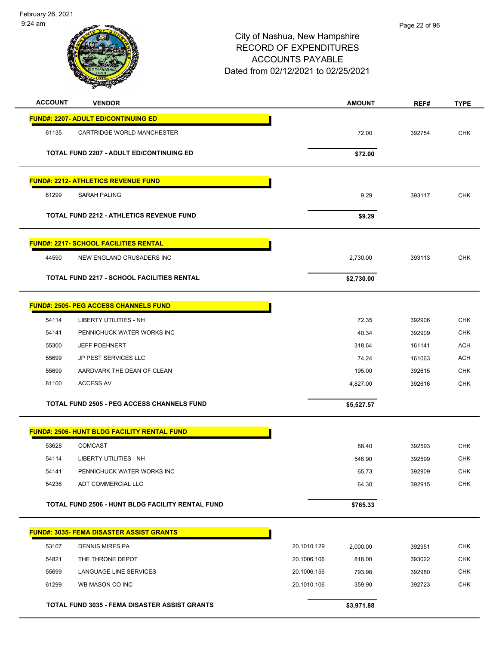February 26, 2021 9:24 am

| <b>ACCOUNT</b> | <b>VENDOR</b>                                      |             | <b>AMOUNT</b> | REF#   | <b>TYPE</b> |
|----------------|----------------------------------------------------|-------------|---------------|--------|-------------|
|                | <b>FUND#: 2207- ADULT ED/CONTINUING ED</b>         |             |               |        |             |
| 61135          | CARTRIDGE WORLD MANCHESTER                         |             | 72.00         | 392754 | <b>CHK</b>  |
|                | <b>TOTAL FUND 2207 - ADULT ED/CONTINUING ED</b>    |             | \$72.00       |        |             |
|                | <b>FUND#: 2212- ATHLETICS REVENUE FUND</b>         |             |               |        |             |
| 61299          | <b>SARAH PALING</b>                                |             | 9.29          | 393117 | <b>CHK</b>  |
|                | <b>TOTAL FUND 2212 - ATHLETICS REVENUE FUND</b>    |             | \$9.29        |        |             |
|                | <b>FUND#: 2217- SCHOOL FACILITIES RENTAL</b>       |             |               |        |             |
| 44590          | NEW ENGLAND CRUSADERS INC                          |             | 2,730.00      | 393113 | <b>CHK</b>  |
|                | <b>TOTAL FUND 2217 - SCHOOL FACILITIES RENTAL</b>  |             | \$2,730.00    |        |             |
|                |                                                    |             |               |        |             |
|                | <b>FUND#: 2505- PEG ACCESS CHANNELS FUND</b>       |             |               |        |             |
| 54114          | <b>LIBERTY UTILITIES - NH</b>                      |             | 72.35         | 392906 | <b>CHK</b>  |
| 54141          | PENNICHUCK WATER WORKS INC                         |             | 40.34         | 392909 | <b>CHK</b>  |
| 55300          | <b>JEFF POEHNERT</b>                               |             | 318.64        | 161141 | <b>ACH</b>  |
| 55699          | <b>JP PEST SERVICES LLC</b>                        |             | 74.24         | 161063 | <b>ACH</b>  |
| 55699          | AARDVARK THE DEAN OF CLEAN                         |             | 195.00        | 392615 | <b>CHK</b>  |
| 81100          | <b>ACCESS AV</b>                                   |             | 4,827.00      | 392616 | <b>CHK</b>  |
|                | <b>TOTAL FUND 2505 - PEG ACCESS CHANNELS FUND</b>  |             | \$5,527.57    |        |             |
|                | <b>FUND#: 2506- HUNT BLDG FACILITY RENTAL FUND</b> |             |               |        |             |
| 53628          | <b>COMCAST</b>                                     |             | 88.40         | 392593 | <b>CHK</b>  |
| 54114          | LIBERTY UTILITIES - NH                             |             | 546.90        | 392599 | <b>CHK</b>  |
| 54141          | PENNICHUCK WATER WORKS INC                         |             | 65.73         | 392909 | <b>CHK</b>  |
| 54236          | ADT COMMERCIAL LLC                                 |             | 64.30         | 392915 | <b>CHK</b>  |
|                | TOTAL FUND 2506 - HUNT BLDG FACILITY RENTAL FUND   |             | \$765.33      |        |             |
|                | <b>FUND#: 3035- FEMA DISASTER ASSIST GRANTS</b>    |             |               |        |             |
| 53107          | <b>DENNIS MIRES PA</b>                             | 20.1010.129 | 2,000.00      | 392951 | <b>CHK</b>  |
| 54821          | THE THRONE DEPOT                                   | 20.1006.106 | 818.00        | 393022 | <b>CHK</b>  |
| 55699          | LANGUAGE LINE SERVICES                             | 20.1006.156 | 793.98        | 392980 | <b>CHK</b>  |
| 61299          | WB MASON CO INC                                    | 20.1010.106 | 359.90        | 392723 | <b>CHK</b>  |
|                | TOTAL FUND 3035 - FEMA DISASTER ASSIST GRANTS      |             | \$3,971.88    |        |             |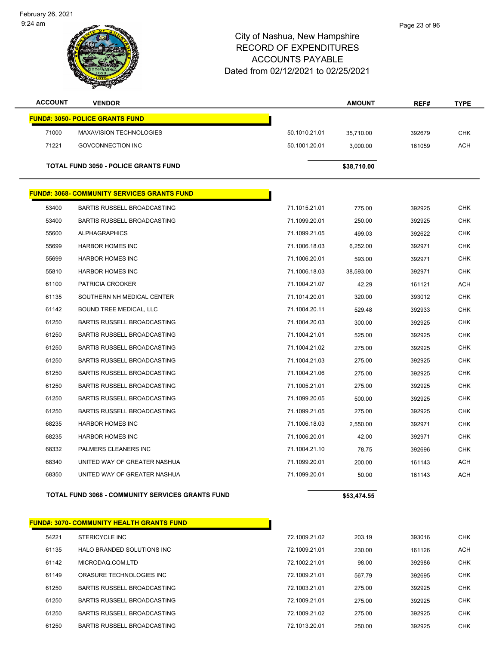February 26, 2021 9:24 am



| <b>ACCOUNT</b> | <b>VENDOR</b>                                           |               | <b>AMOUNT</b> | REF#   | <b>TYPE</b> |
|----------------|---------------------------------------------------------|---------------|---------------|--------|-------------|
|                | <b>FUND#: 3050- POLICE GRANTS FUND</b>                  |               |               |        |             |
| 71000          | MAXAVISION TECHNOLOGIES                                 | 50.1010.21.01 | 35,710.00     | 392679 | <b>CHK</b>  |
| 71221          | <b>GOVCONNECTION INC</b>                                | 50.1001.20.01 | 3,000.00      | 161059 | <b>ACH</b>  |
|                | <b>TOTAL FUND 3050 - POLICE GRANTS FUND</b>             |               | \$38,710.00   |        |             |
|                |                                                         |               |               |        |             |
|                | <b>FUND#: 3068- COMMUNITY SERVICES GRANTS FUND</b>      |               |               |        |             |
| 53400          | BARTIS RUSSELL BROADCASTING                             | 71.1015.21.01 | 775.00        | 392925 | <b>CHK</b>  |
| 53400          | <b>BARTIS RUSSELL BROADCASTING</b>                      | 71.1099.20.01 | 250.00        | 392925 | <b>CHK</b>  |
| 55600          | <b>ALPHAGRAPHICS</b>                                    | 71.1099.21.05 | 499.03        | 392622 | <b>CHK</b>  |
| 55699          | <b>HARBOR HOMES INC</b>                                 | 71.1006.18.03 | 6,252.00      | 392971 | <b>CHK</b>  |
| 55699          | <b>HARBOR HOMES INC</b>                                 | 71.1006.20.01 | 593.00        | 392971 | <b>CHK</b>  |
| 55810          | <b>HARBOR HOMES INC</b>                                 | 71.1006.18.03 | 38,593.00     | 392971 | <b>CHK</b>  |
| 61100          | PATRICIA CROOKER                                        | 71.1004.21.07 | 42.29         | 161121 | <b>ACH</b>  |
| 61135          | SOUTHERN NH MEDICAL CENTER                              | 71.1014.20.01 | 320.00        | 393012 | <b>CHK</b>  |
| 61142          | <b>BOUND TREE MEDICAL, LLC</b>                          | 71.1004.20.11 | 529.48        | 392933 | <b>CHK</b>  |
| 61250          | BARTIS RUSSELL BROADCASTING                             | 71.1004.20.03 | 300.00        | 392925 | <b>CHK</b>  |
| 61250          | <b>BARTIS RUSSELL BROADCASTING</b>                      | 71.1004.21.01 | 525.00        | 392925 | <b>CHK</b>  |
| 61250          | BARTIS RUSSELL BROADCASTING                             | 71.1004.21.02 | 275.00        | 392925 | <b>CHK</b>  |
| 61250          | BARTIS RUSSELL BROADCASTING                             | 71.1004.21.03 | 275.00        | 392925 | <b>CHK</b>  |
| 61250          | <b>BARTIS RUSSELL BROADCASTING</b>                      | 71.1004.21.06 | 275.00        | 392925 | <b>CHK</b>  |
| 61250          | <b>BARTIS RUSSELL BROADCASTING</b>                      | 71.1005.21.01 | 275.00        | 392925 | <b>CHK</b>  |
| 61250          | <b>BARTIS RUSSELL BROADCASTING</b>                      | 71.1099.20.05 | 500.00        | 392925 | CHK         |
| 61250          | <b>BARTIS RUSSELL BROADCASTING</b>                      | 71.1099.21.05 | 275.00        | 392925 | <b>CHK</b>  |
| 68235          | <b>HARBOR HOMES INC</b>                                 | 71.1006.18.03 | 2,550.00      | 392971 | <b>CHK</b>  |
| 68235          | <b>HARBOR HOMES INC</b>                                 | 71.1006.20.01 | 42.00         | 392971 | <b>CHK</b>  |
| 68332          | PALMERS CLEANERS INC                                    | 71.1004.21.10 | 78.75         | 392696 | <b>CHK</b>  |
| 68340          | UNITED WAY OF GREATER NASHUA                            | 71.1099.20.01 | 200.00        | 161143 | <b>ACH</b>  |
| 68350          | UNITED WAY OF GREATER NASHUA                            | 71.1099.20.01 | 50.00         | 161143 | <b>ACH</b>  |
|                | <b>TOTAL FUND 3068 - COMMUNITY SERVICES GRANTS FUND</b> |               | \$53,474.55   |        |             |

|       | <b>FUND#: 3070- COMMUNITY HEALTH GRANTS FUND</b> |               |        |        |            |
|-------|--------------------------------------------------|---------------|--------|--------|------------|
| 54221 | STERICYCLE INC                                   | 72.1009.21.02 | 203.19 | 393016 | CHK        |
| 61135 | HALO BRANDED SOLUTIONS INC                       | 72.1009.21.01 | 230.00 | 161126 | <b>ACH</b> |
| 61142 | MICRODAQ.COM.LTD                                 | 72.1002.21.01 | 98.00  | 392986 | CHK        |
| 61149 | ORASURE TECHNOLOGIES INC                         | 72.1009.21.01 | 567.79 | 392695 | CHK        |
| 61250 | BARTIS RUSSELL BROADCASTING                      | 72.1003.21.01 | 275.00 | 392925 | CHK        |
| 61250 | BARTIS RUSSELL BROADCASTING                      | 72.1009.21.01 | 275.00 | 392925 | CHK        |
| 61250 | BARTIS RUSSELL BROADCASTING                      | 72.1009.21.02 | 275.00 | 392925 | CHK        |
| 61250 | BARTIS RUSSELL BROADCASTING                      | 72.1013.20.01 | 250.00 | 392925 | CHK        |
|       |                                                  |               |        |        |            |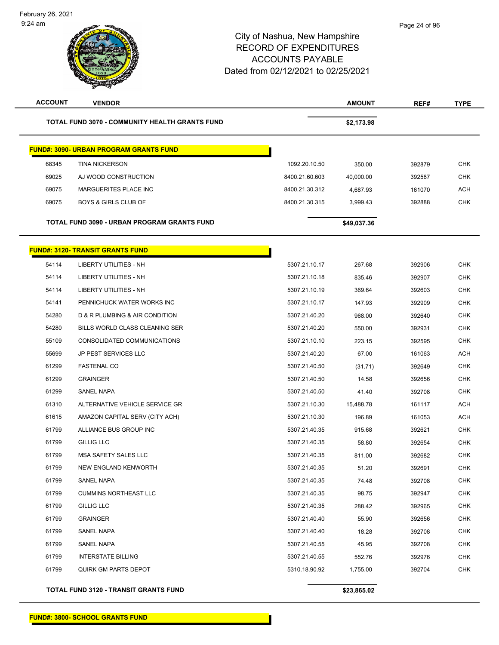| <b>ACCOUNT</b> | <b>VENDOR</b>                                         |                | <b>AMOUNT</b> | REF#   | <b>TYPE</b> |
|----------------|-------------------------------------------------------|----------------|---------------|--------|-------------|
|                | <b>TOTAL FUND 3070 - COMMUNITY HEALTH GRANTS FUND</b> |                | \$2,173.98    |        |             |
|                | <b>FUND#: 3090- URBAN PROGRAM GRANTS FUND</b>         |                |               |        |             |
| 68345          | <b>TINA NICKERSON</b>                                 | 1092.20.10.50  | 350.00        | 392879 | <b>CHK</b>  |
| 69025          | AJ WOOD CONSTRUCTION                                  | 8400.21.60.603 | 40,000.00     | 392587 | <b>CHK</b>  |
| 69075          | MARGUERITES PLACE INC                                 | 8400.21.30.312 | 4,687.93      | 161070 | <b>ACH</b>  |
| 69075          | <b>BOYS &amp; GIRLS CLUB OF</b>                       | 8400.21.30.315 | 3,999.43      | 392888 | <b>CHK</b>  |
|                | TOTAL FUND 3090 - URBAN PROGRAM GRANTS FUND           |                | \$49,037.36   |        |             |
|                | <b>FUND#: 3120- TRANSIT GRANTS FUND</b>               |                |               |        |             |
| 54114          | LIBERTY UTILITIES - NH                                | 5307.21.10.17  | 267.68        | 392906 | <b>CHK</b>  |
| 54114          | LIBERTY UTILITIES - NH                                | 5307.21.10.18  | 835.46        | 392907 | <b>CHK</b>  |
| 54114          | <b>LIBERTY UTILITIES - NH</b>                         | 5307.21.10.19  | 369.64        | 392603 | <b>CHK</b>  |
| 54141          | PENNICHUCK WATER WORKS INC                            | 5307.21.10.17  | 147.93        | 392909 | <b>CHK</b>  |
| 54280          | D & R PLUMBING & AIR CONDITION                        | 5307.21.40.20  | 968.00        | 392640 | <b>CHK</b>  |
| 54280          | BILLS WORLD CLASS CLEANING SER                        | 5307.21.40.20  | 550.00        | 392931 | <b>CHK</b>  |
| 55109          | CONSOLIDATED COMMUNICATIONS                           | 5307.21.10.10  | 223.15        | 392595 | <b>CHK</b>  |
| 55699          | JP PEST SERVICES LLC                                  | 5307.21.40.20  | 67.00         | 161063 | <b>ACH</b>  |
| 61299          | <b>FASTENAL CO</b>                                    | 5307.21.40.50  | (31.71)       | 392649 | <b>CHK</b>  |
| 61299          | <b>GRAINGER</b>                                       | 5307.21.40.50  | 14.58         | 392656 | <b>CHK</b>  |
| 61299          | SANEL NAPA                                            | 5307.21.40.50  | 41.40         | 392708 | <b>CHK</b>  |
| 61310          | ALTERNATIVE VEHICLE SERVICE GR                        | 5307.21.10.30  | 15,488.78     | 161117 | <b>ACH</b>  |
| 61615          | AMAZON CAPITAL SERV (CITY ACH)                        | 5307.21.10.30  | 196.89        | 161053 | <b>ACH</b>  |
| 61799          | ALLIANCE BUS GROUP INC                                | 5307.21.40.35  | 915.68        | 392621 | <b>CHK</b>  |
| 61799          | <b>GILLIG LLC</b>                                     | 5307.21.40.35  | 58.80         | 392654 | <b>CHK</b>  |
| 61799          | <b>MSA SAFETY SALES LLC</b>                           | 5307.21.40.35  | 811.00        | 392682 | <b>CHK</b>  |
| 61799          | <b>NEW ENGLAND KENWORTH</b>                           | 5307.21.40.35  | 51.20         | 392691 | CHK         |
| 61799          | SANEL NAPA                                            | 5307.21.40.35  | 74.48         | 392708 | <b>CHK</b>  |
| 61799          | <b>CUMMINS NORTHEAST LLC</b>                          | 5307.21.40.35  | 98.75         | 392947 | <b>CHK</b>  |
| 61799          | GILLIG LLC                                            | 5307.21.40.35  | 288.42        | 392965 | <b>CHK</b>  |
| 61799          | <b>GRAINGER</b>                                       | 5307.21.40.40  | 55.90         | 392656 | <b>CHK</b>  |
| 61799          | SANEL NAPA                                            | 5307.21.40.40  | 18.28         | 392708 | <b>CHK</b>  |
| 61799          | SANEL NAPA                                            | 5307.21.40.55  | 45.95         | 392708 | <b>CHK</b>  |
| 61799          | <b>INTERSTATE BILLING</b>                             | 5307.21.40.55  | 552.76        | 392976 | <b>CHK</b>  |
| 61799          | <b>QUIRK GM PARTS DEPOT</b>                           | 5310.18.90.92  | 1,755.00      | 392704 | <b>CHK</b>  |

**TOTAL FUND 3120 - TRANSIT GRANTS FUND \$23,865.02**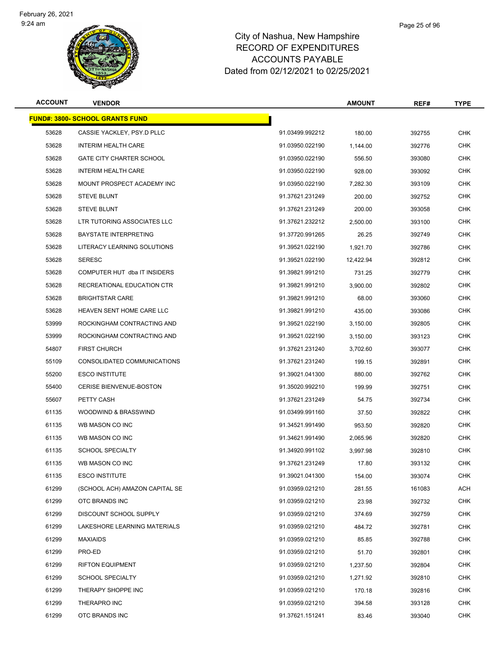

#### Page 25 of 96

| <b>ACCOUNT</b> | <b>VENDOR</b>                          |                 | <b>AMOUNT</b> | REF#   | <b>TYPE</b> |
|----------------|----------------------------------------|-----------------|---------------|--------|-------------|
|                | <b>FUND#: 3800- SCHOOL GRANTS FUND</b> |                 |               |        |             |
| 53628          | CASSIE YACKLEY, PSY.D PLLC             | 91.03499.992212 | 180.00        | 392755 | <b>CHK</b>  |
| 53628          | INTERIM HEALTH CARE                    | 91.03950.022190 | 1,144.00      | 392776 | <b>CHK</b>  |
| 53628          | <b>GATE CITY CHARTER SCHOOL</b>        | 91.03950.022190 | 556.50        | 393080 | <b>CHK</b>  |
| 53628          | INTERIM HEALTH CARE                    | 91.03950.022190 | 928.00        | 393092 | <b>CHK</b>  |
| 53628          | MOUNT PROSPECT ACADEMY INC             | 91.03950.022190 | 7,282.30      | 393109 | <b>CHK</b>  |
| 53628          | <b>STEVE BLUNT</b>                     | 91.37621.231249 | 200.00        | 392752 | <b>CHK</b>  |
| 53628          | <b>STEVE BLUNT</b>                     | 91.37621.231249 | 200.00        | 393058 | <b>CHK</b>  |
| 53628          | LTR TUTORING ASSOCIATES LLC            | 91.37621.232212 | 2,500.00      | 393100 | <b>CHK</b>  |
| 53628          | <b>BAYSTATE INTERPRETING</b>           | 91.37720.991265 | 26.25         | 392749 | <b>CHK</b>  |
| 53628          | LITERACY LEARNING SOLUTIONS            | 91.39521.022190 | 1,921.70      | 392786 | <b>CHK</b>  |
| 53628          | <b>SERESC</b>                          | 91.39521.022190 | 12,422.94     | 392812 | <b>CHK</b>  |
| 53628          | COMPUTER HUT dba IT INSIDERS           | 91.39821.991210 | 731.25        | 392779 | <b>CHK</b>  |
| 53628          | RECREATIONAL EDUCATION CTR             | 91.39821.991210 | 3,900.00      | 392802 | <b>CHK</b>  |
| 53628          | <b>BRIGHTSTAR CARE</b>                 | 91.39821.991210 | 68.00         | 393060 | <b>CHK</b>  |
| 53628          | HEAVEN SENT HOME CARE LLC              | 91.39821.991210 | 435.00        | 393086 | <b>CHK</b>  |
| 53999          | ROCKINGHAM CONTRACTING AND             | 91.39521.022190 | 3,150.00      | 392805 | <b>CHK</b>  |
| 53999          | ROCKINGHAM CONTRACTING AND             | 91.39521.022190 | 3,150.00      | 393123 | <b>CHK</b>  |
| 54807          | <b>FIRST CHURCH</b>                    | 91.37621.231240 | 3,702.60      | 393077 | <b>CHK</b>  |
| 55109          | CONSOLIDATED COMMUNICATIONS            | 91.37621.231240 | 199.15        | 392891 | <b>CHK</b>  |
| 55200          | <b>ESCO INSTITUTE</b>                  | 91.39021.041300 | 880.00        | 392762 | <b>CHK</b>  |
| 55400          | <b>CERISE BIENVENUE-BOSTON</b>         | 91.35020.992210 | 199.99        | 392751 | <b>CHK</b>  |
| 55607          | PETTY CASH                             | 91.37621.231249 | 54.75         | 392734 | CHK         |
| 61135          | WOODWIND & BRASSWIND                   | 91.03499.991160 | 37.50         | 392822 | <b>CHK</b>  |
| 61135          | WB MASON CO INC                        | 91.34521.991490 | 953.50        | 392820 | <b>CHK</b>  |
| 61135          | WB MASON CO INC                        | 91.34621.991490 | 2,065.96      | 392820 | <b>CHK</b>  |
| 61135          | <b>SCHOOL SPECIALTY</b>                | 91.34920.991102 | 3,997.98      | 392810 | <b>CHK</b>  |
| 61135          | WB MASON CO INC                        | 91.37621.231249 | 17.80         | 393132 | CHK         |
| 61135          | <b>ESCO INSTITUTE</b>                  | 91.39021.041300 | 154.00        | 393074 | <b>CHK</b>  |
| 61299          | (SCHOOL ACH) AMAZON CAPITAL SE         | 91.03959.021210 | 281.55        | 161083 | <b>ACH</b>  |
| 61299          | OTC BRANDS INC                         | 91.03959.021210 | 23.98         | 392732 | <b>CHK</b>  |
| 61299          | DISCOUNT SCHOOL SUPPLY                 | 91.03959.021210 | 374.69        | 392759 | <b>CHK</b>  |
| 61299          | LAKESHORE LEARNING MATERIALS           | 91.03959.021210 | 484.72        | 392781 | <b>CHK</b>  |
| 61299          | <b>MAXIAIDS</b>                        | 91.03959.021210 | 85.85         | 392788 | <b>CHK</b>  |
| 61299          | PRO-ED                                 | 91.03959.021210 | 51.70         | 392801 | CHK         |
| 61299          | <b>RIFTON EQUIPMENT</b>                | 91.03959.021210 | 1,237.50      | 392804 | <b>CHK</b>  |
| 61299          | <b>SCHOOL SPECIALTY</b>                | 91.03959.021210 | 1,271.92      | 392810 | <b>CHK</b>  |
| 61299          | THERAPY SHOPPE INC                     | 91.03959.021210 | 170.18        | 392816 | CHK         |
| 61299          | THERAPRO INC                           | 91.03959.021210 | 394.58        | 393128 | <b>CHK</b>  |
| 61299          | OTC BRANDS INC                         | 91.37621.151241 | 83.46         | 393040 | <b>CHK</b>  |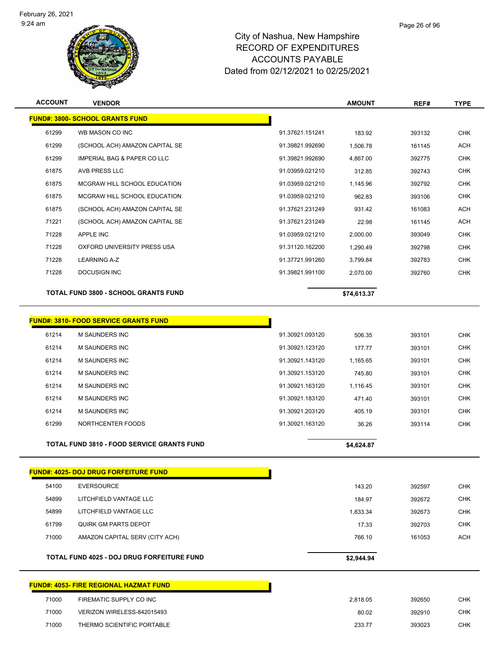

| <b>ACCOUNT</b> | <b>VENDOR</b>                                     |                 | <b>AMOUNT</b> | REF#   | <b>TYPE</b> |
|----------------|---------------------------------------------------|-----------------|---------------|--------|-------------|
|                | <b>FUND#: 3800- SCHOOL GRANTS FUND</b>            |                 |               |        |             |
| 61299          | WB MASON CO INC                                   | 91.37621.151241 | 183.92        | 393132 | <b>CHK</b>  |
| 61299          | (SCHOOL ACH) AMAZON CAPITAL SE                    | 91.39821.992690 | 1,506.78      | 161145 | <b>ACH</b>  |
| 61299          | IMPERIAL BAG & PAPER CO LLC                       | 91.39821.992690 | 4,867.00      | 392775 | <b>CHK</b>  |
| 61875          | AVB PRESS LLC                                     | 91.03959.021210 | 312.85        | 392743 | <b>CHK</b>  |
| 61875          | MCGRAW HILL SCHOOL EDUCATION                      | 91.03959.021210 | 1,145.96      | 392792 | <b>CHK</b>  |
| 61875          | MCGRAW HILL SCHOOL EDUCATION                      | 91.03959.021210 | 962.83        | 393106 | <b>CHK</b>  |
| 61875          | (SCHOOL ACH) AMAZON CAPITAL SE                    | 91.37621.231249 | 931.42        | 161083 | <b>ACH</b>  |
| 71221          | (SCHOOL ACH) AMAZON CAPITAL SE                    | 91.37621.231249 | 22.98         | 161145 | <b>ACH</b>  |
| 71228          | APPLE INC                                         | 91.03959.021210 | 2,000.00      | 393049 | <b>CHK</b>  |
| 71228          | OXFORD UNIVERSITY PRESS USA                       | 91.31120.162200 | 1,290.49      | 392798 | <b>CHK</b>  |
| 71228          | LEARNING A-Z                                      | 91.37721.991260 | 3,799.84      | 392783 | <b>CHK</b>  |
| 71228          | <b>DOCUSIGN INC</b>                               | 91.39821.991100 | 2,070.00      | 392760 | <b>CHK</b>  |
|                | <b>TOTAL FUND 3800 - SCHOOL GRANTS FUND</b>       |                 | \$74,613.37   |        |             |
|                | <b>FUND#: 3810- FOOD SERVICE GRANTS FUND</b>      |                 |               |        |             |
| 61214          | <b>M SAUNDERS INC</b>                             | 91.30921.093120 | 506.35        | 393101 | <b>CHK</b>  |
| 61214          | <b>M SAUNDERS INC</b>                             | 91.30921.123120 | 177.77        | 393101 | <b>CHK</b>  |
| 61214          | <b>M SAUNDERS INC</b>                             | 91.30921.143120 | 1,165.65      | 393101 | <b>CHK</b>  |
| 61214          | <b>M SAUNDERS INC</b>                             | 91.30921.153120 | 745.80        | 393101 | <b>CHK</b>  |
| 61214          | M SAUNDERS INC                                    | 91.30921.163120 | 1,116.45      | 393101 | <b>CHK</b>  |
| 61214          | <b>M SAUNDERS INC</b>                             | 91.30921.183120 | 471.40        | 393101 | <b>CHK</b>  |
| 61214          | M SAUNDERS INC                                    | 91.30921.203120 | 405.19        | 393101 | <b>CHK</b>  |
| 61299          | NORTHCENTER FOODS                                 | 91.30921.163120 | 36.26         | 393114 | <b>CHK</b>  |
|                | <b>TOTAL FUND 3810 - FOOD SERVICE GRANTS FUND</b> |                 | \$4,624.87    |        |             |
|                | <b>FUND#: 4025- DOJ DRUG FORFEITURE FUND</b>      |                 |               |        |             |
| 54100          | <b>EVERSOURCE</b>                                 |                 | 143.20        | 392597 | <b>CHK</b>  |
| 54899          | LITCHFIELD VANTAGE LLC                            |                 | 184.97        | 392672 | <b>CHK</b>  |
| 54899          | LITCHFIELD VANTAGE LLC                            |                 | 1,833.34      | 392673 | <b>CHK</b>  |
| 61799          | <b>QUIRK GM PARTS DEPOT</b>                       |                 | 17.33         | 392703 | <b>CHK</b>  |
| 71000          | AMAZON CAPITAL SERV (CITY ACH)                    |                 | 766.10        | 161053 | <b>ACH</b>  |
|                | TOTAL FUND 4025 - DOJ DRUG FORFEITURE FUND        |                 | \$2,944.94    |        |             |
|                | <b>FUND#: 4053- FIRE REGIONAL HAZMAT FUND</b>     |                 |               |        |             |
| 71000          | FIREMATIC SUPPLY CO INC                           |                 | 2,818.05      | 392650 | <b>CHK</b>  |
| 71000          | VERIZON WIRELESS-842015493                        |                 | 80.02         | 392910 | <b>CHK</b>  |
| 71000          | THERMO SCIENTIFIC PORTABLE                        |                 | 233.77        | 393023 | <b>CHK</b>  |
|                |                                                   |                 |               |        |             |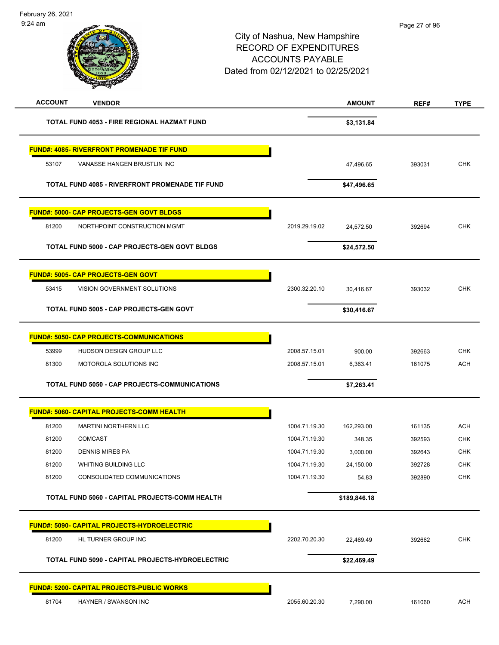| <b>ACCOUNT</b><br><b>VENDOR</b>                      |               | <b>AMOUNT</b> | REF#   | <b>TYPE</b> |
|------------------------------------------------------|---------------|---------------|--------|-------------|
| <b>TOTAL FUND 4053 - FIRE REGIONAL HAZMAT FUND</b>   |               | \$3,131.84    |        |             |
| <b>FUND#: 4085- RIVERFRONT PROMENADE TIF FUND</b>    |               |               |        |             |
| 53107<br>VANASSE HANGEN BRUSTLIN INC                 |               | 47,496.65     | 393031 | <b>CHK</b>  |
| TOTAL FUND 4085 - RIVERFRONT PROMENADE TIF FUND      |               | \$47,496.65   |        |             |
| <b>FUND#: 5000- CAP PROJECTS-GEN GOVT BLDGS</b>      |               |               |        |             |
| 81200<br>NORTHPOINT CONSTRUCTION MGMT                | 2019.29.19.02 | 24,572.50     | 392694 | <b>CHK</b>  |
| TOTAL FUND 5000 - CAP PROJECTS-GEN GOVT BLDGS        |               | \$24,572.50   |        |             |
| <b>FUND#: 5005- CAP PROJECTS-GEN GOVT</b>            |               |               |        |             |
| 53415<br>VISION GOVERNMENT SOLUTIONS                 | 2300.32.20.10 | 30,416.67     | 393032 | <b>CHK</b>  |
| TOTAL FUND 5005 - CAP PROJECTS-GEN GOVT              |               | \$30,416.67   |        |             |
| <b>FUND#: 5050- CAP PROJECTS-COMMUNICATIONS</b>      |               |               |        |             |
| 53999<br>HUDSON DESIGN GROUP LLC                     | 2008.57.15.01 | 900.00        | 392663 | <b>CHK</b>  |
| 81300<br>MOTOROLA SOLUTIONS INC                      | 2008.57.15.01 | 6,363.41      | 161075 | <b>ACH</b>  |
| <b>TOTAL FUND 5050 - CAP PROJECTS-COMMUNICATIONS</b> |               | \$7,263.41    |        |             |
| FUND#: 5060- CAPITAL PROJECTS-COMM HEALTH            |               |               |        |             |
| 81200<br><b>MARTINI NORTHERN LLC</b>                 | 1004.71.19.30 | 162,293.00    | 161135 | <b>ACH</b>  |
| 81200<br><b>COMCAST</b>                              | 1004.71.19.30 | 348.35        | 392593 | <b>CHK</b>  |
| <b>DENNIS MIRES PA</b><br>81200                      | 1004.71.19.30 | 3,000.00      | 392643 | <b>CHK</b>  |
| 81200<br>WHITING BUILDING LLC                        | 1004.71.19.30 | 24,150.00     | 392728 | <b>CHK</b>  |
| 81200<br>CONSOLIDATED COMMUNICATIONS                 | 1004.71.19.30 | 54.83         | 392890 | <b>CHK</b>  |
| TOTAL FUND 5060 - CAPITAL PROJECTS-COMM HEALTH       |               | \$189,846.18  |        |             |
| <b>FUND#: 5090- CAPITAL PROJECTS-HYDROELECTRIC</b>   |               |               |        |             |
| 81200<br>HL TURNER GROUP INC                         | 2202.70.20.30 | 22,469.49     | 392662 | <b>CHK</b>  |
| TOTAL FUND 5090 - CAPITAL PROJECTS-HYDROELECTRIC     |               | \$22,469.49   |        |             |
| <b>FUND#: 5200- CAPITAL PROJECTS-PUBLIC WORKS</b>    |               |               |        |             |
| 81704<br>HAYNER / SWANSON INC                        | 2055.60.20.30 | 7,290.00      | 161060 | <b>ACH</b>  |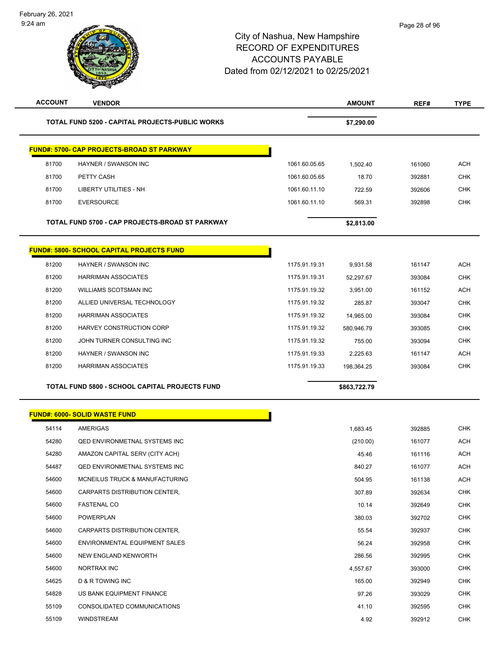| <b>ACCOUNT</b> | <b>VENDOR</b>                                     |               | <b>AMOUNT</b> | REF#   | <b>TYPE</b> |
|----------------|---------------------------------------------------|---------------|---------------|--------|-------------|
|                | TOTAL FUND 5200 - CAPITAL PROJECTS-PUBLIC WORKS   |               | \$7,290.00    |        |             |
|                | <b>FUND#: 5700- CAP PROJECTS-BROAD ST PARKWAY</b> |               |               |        |             |
| 81700          | HAYNER / SWANSON INC                              | 1061.60.05.65 | 1,502.40      | 161060 | <b>ACH</b>  |
| 81700          | PETTY CASH                                        | 1061.60.05.65 | 18.70         | 392881 | <b>CHK</b>  |
| 81700          | <b>LIBERTY UTILITIES - NH</b>                     | 1061.60.11.10 | 722.59        | 392606 | <b>CHK</b>  |
| 81700          | <b>EVERSOURCE</b>                                 | 1061.60.11.10 | 569.31        | 392898 | <b>CHK</b>  |
|                | TOTAL FUND 5700 - CAP PROJECTS-BROAD ST PARKWAY   |               | \$2,813.00    |        |             |
|                | <b>FUND#: 5800- SCHOOL CAPITAL PROJECTS FUND</b>  |               |               |        |             |
| 81200          | HAYNER / SWANSON INC                              | 1175.91.19.31 | 9,931.58      | 161147 | <b>ACH</b>  |
| 81200          | <b>HARRIMAN ASSOCIATES</b>                        | 1175.91.19.31 | 52,297.67     | 393084 | <b>CHK</b>  |
| 81200          | <b>WILLIAMS SCOTSMAN INC</b>                      | 1175.91.19.32 | 3,951.00      | 161152 | <b>ACH</b>  |
| 81200          | ALLIED UNIVERSAL TECHNOLOGY                       | 1175.91.19.32 | 285.87        | 393047 | CHK         |
| 81200          | <b>HARRIMAN ASSOCIATES</b>                        | 1175.91.19.32 | 14,965.00     | 393084 | <b>CHK</b>  |
| 81200          | <b>HARVEY CONSTRUCTION CORP</b>                   | 1175.91.19.32 | 580,946.79    | 393085 | <b>CHK</b>  |
| 81200          | JOHN TURNER CONSULTING INC                        | 1175.91.19.32 | 755.00        | 393094 | <b>CHK</b>  |
| 81200          | HAYNER / SWANSON INC                              | 1175.91.19.33 | 2,225.63      | 161147 | <b>ACH</b>  |
| 81200          | <b>HARRIMAN ASSOCIATES</b>                        | 1175.91.19.33 | 198,364.25    | 393084 | <b>CHK</b>  |
|                | TOTAL FUND 5800 - SCHOOL CAPITAL PROJECTS FUND    |               | \$863,722.79  |        |             |
|                | <b>FUND#: 6000- SOLID WASTE FUND</b>              |               |               |        |             |
| 54114          | AMERIGAS                                          |               | 1,683.45      | 392885 | <b>CHK</b>  |
| 54280          | <b>QED ENVIRONMETNAL SYSTEMS INC</b>              |               | (210.00)      | 161077 | <b>ACH</b>  |
| 54280          | AMAZON CAPITAL SERV (CITY ACH)                    |               | 45.46         | 161116 | <b>ACH</b>  |
| 54487          | QED ENVIRONMETNAL SYSTEMS INC                     |               | 840.27        | 161077 | <b>ACH</b>  |
| 54600          | MCNEILUS TRUCK & MANUFACTURING                    |               | 504.95        | 161138 | ACH         |
| 54600          | CARPARTS DISTRIBUTION CENTER,                     |               | 307.89        | 392634 | <b>CHK</b>  |
| 54600          | <b>FASTENAL CO</b>                                |               | 10.14         | 392649 | <b>CHK</b>  |
| 54600          | POWERPLAN                                         |               | 380.03        | 392702 | CHK         |
| 54600          | CARPARTS DISTRIBUTION CENTER,                     |               | 55.54         | 392937 | <b>CHK</b>  |
| 54600          | ENVIRONMENTAL EQUIPMENT SALES                     |               | 56.24         | 392958 | CHK         |
| 54600          | NEW ENGLAND KENWORTH                              |               | 286.56        | 392995 | <b>CHK</b>  |
| 54600          | NORTRAX INC                                       |               | 4,557.67      | 393000 | <b>CHK</b>  |
| 54625          | D & R TOWING INC                                  |               | 165.00        | 392949 | CHK         |
| 54828          | US BANK EQUIPMENT FINANCE                         |               | 97.26         | 393029 | CHK         |
| 55109          | CONSOLIDATED COMMUNICATIONS                       |               | 41.10         | 392595 | CHK         |
| 55109          | WINDSTREAM                                        |               | 4.92          | 392912 | <b>CHK</b>  |
|                |                                                   |               |               |        |             |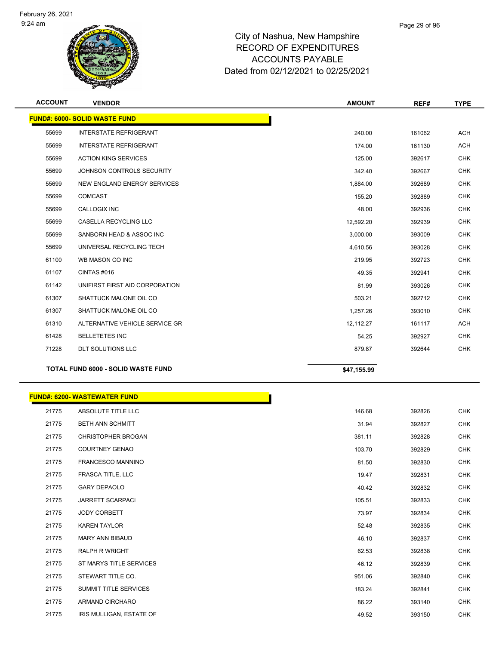

| <b>ACCOUNT</b> | <b>VENDOR</b>                             | <b>AMOUNT</b> | REF#   | <b>TYPE</b> |
|----------------|-------------------------------------------|---------------|--------|-------------|
|                | <b>FUND#: 6000- SOLID WASTE FUND</b>      |               |        |             |
| 55699          | <b>INTERSTATE REFRIGERANT</b>             | 240.00        | 161062 | <b>ACH</b>  |
| 55699          | <b>INTERSTATE REFRIGERANT</b>             | 174.00        | 161130 | <b>ACH</b>  |
| 55699          | <b>ACTION KING SERVICES</b>               | 125.00        | 392617 | <b>CHK</b>  |
| 55699          | JOHNSON CONTROLS SECURITY                 | 342.40        | 392667 | <b>CHK</b>  |
| 55699          | <b>NEW ENGLAND ENERGY SERVICES</b>        | 1,884.00      | 392689 | <b>CHK</b>  |
| 55699          | <b>COMCAST</b>                            | 155.20        | 392889 | <b>CHK</b>  |
| 55699          | <b>CALLOGIX INC</b>                       | 48.00         | 392936 | <b>CHK</b>  |
| 55699          | <b>CASELLA RECYCLING LLC</b>              | 12,592.20     | 392939 | <b>CHK</b>  |
| 55699          | SANBORN HEAD & ASSOC INC                  | 3,000.00      | 393009 | <b>CHK</b>  |
| 55699          | UNIVERSAL RECYCLING TECH                  | 4,610.56      | 393028 | <b>CHK</b>  |
| 61100          | WB MASON CO INC                           | 219.95        | 392723 | <b>CHK</b>  |
| 61107          | CINTAS#016                                | 49.35         | 392941 | <b>CHK</b>  |
| 61142          | UNIFIRST FIRST AID CORPORATION            | 81.99         | 393026 | <b>CHK</b>  |
| 61307          | SHATTUCK MALONE OIL CO                    | 503.21        | 392712 | <b>CHK</b>  |
| 61307          | SHATTUCK MALONE OIL CO                    | 1,257.26      | 393010 | <b>CHK</b>  |
| 61310          | ALTERNATIVE VEHICLE SERVICE GR            | 12,112.27     | 161117 | <b>ACH</b>  |
| 61428          | <b>BELLETETES INC</b>                     | 54.25         | 392927 | <b>CHK</b>  |
| 71228          | <b>DLT SOLUTIONS LLC</b>                  | 879.87        | 392644 | <b>CHK</b>  |
|                | <b>TOTAL FUND 6000 - SOLID WASTE FUND</b> | \$47,155.99   |        |             |

|       | <b>FUND#: 6200- WASTEWATER FUND</b> |        |        |
|-------|-------------------------------------|--------|--------|
| 21775 | ABSOLUTE TITLE LLC                  | 146.68 | 392826 |
| 21775 | <b>BETH ANN SCHMITT</b>             | 31.94  | 392827 |
| 21775 | <b>CHRISTOPHER BROGAN</b>           | 381.11 | 392828 |
| 21775 | <b>COURTNEY GENAO</b>               | 103.70 | 392829 |
| 21775 | FRANCESCO MANNINO                   | 81.50  | 392830 |
| 21775 | FRASCA TITLE, LLC                   | 19.47  | 392831 |
| 21775 | <b>GARY DEPAOLO</b>                 | 40.42  | 392832 |
| 21775 | <b>JARRETT SCARPACI</b>             | 105.51 | 392833 |
| 21775 | <b>JODY CORBETT</b>                 | 73.97  | 392834 |
| 21775 | <b>KAREN TAYLOR</b>                 | 52.48  | 392835 |
| 21775 | MARY ANN BIBAUD                     | 46.10  | 392837 |
| 21775 | <b>RALPH R WRIGHT</b>               | 62.53  | 392838 |
| 21775 | ST MARYS TITLE SERVICES             | 46.12  | 392839 |
| 21775 | STEWART TITLE CO.                   | 951.06 | 392840 |
| 21775 | SUMMIT TITLE SERVICES               | 183.24 | 392841 |
| 21775 | ARMAND CIRCHARO                     | 86.22  | 393140 |
| 21775 | IRIS MULLIGAN, ESTATE OF            | 49.52  | 393150 |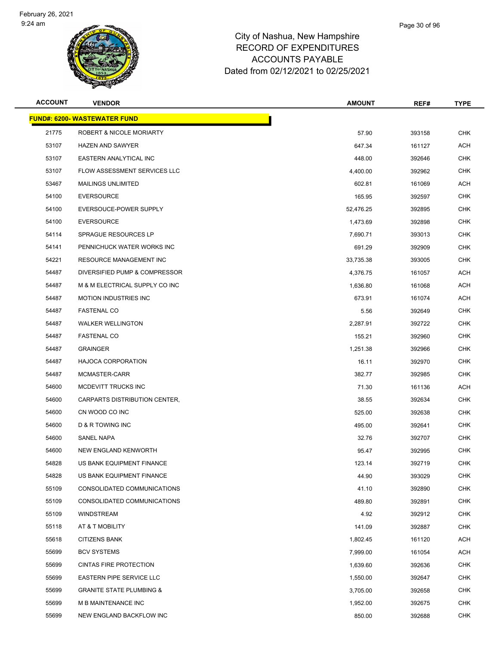

| <b>ACCOUNT</b> | <b>VENDOR</b>                       | <b>AMOUNT</b> | REF#   | <b>TYPE</b> |
|----------------|-------------------------------------|---------------|--------|-------------|
|                | <b>FUND#: 6200- WASTEWATER FUND</b> |               |        |             |
| 21775          | ROBERT & NICOLE MORIARTY            | 57.90         | 393158 | <b>CHK</b>  |
| 53107          | <b>HAZEN AND SAWYER</b>             | 647.34        | 161127 | <b>ACH</b>  |
| 53107          | EASTERN ANALYTICAL INC              | 448.00        | 392646 | <b>CHK</b>  |
| 53107          | FLOW ASSESSMENT SERVICES LLC        | 4,400.00      | 392962 | <b>CHK</b>  |
| 53467          | <b>MAILINGS UNLIMITED</b>           | 602.81        | 161069 | <b>ACH</b>  |
| 54100          | <b>EVERSOURCE</b>                   | 165.95        | 392597 | <b>CHK</b>  |
| 54100          | EVERSOUCE-POWER SUPPLY              | 52,476.25     | 392895 | <b>CHK</b>  |
| 54100          | <b>EVERSOURCE</b>                   | 1,473.69      | 392898 | <b>CHK</b>  |
| 54114          | SPRAGUE RESOURCES LP                | 7,690.71      | 393013 | <b>CHK</b>  |
| 54141          | PENNICHUCK WATER WORKS INC          | 691.29        | 392909 | <b>CHK</b>  |
| 54221          | <b>RESOURCE MANAGEMENT INC</b>      | 33,735.38     | 393005 | <b>CHK</b>  |
| 54487          | DIVERSIFIED PUMP & COMPRESSOR       | 4,376.75      | 161057 | <b>ACH</b>  |
| 54487          | M & M ELECTRICAL SUPPLY CO INC      | 1,636.80      | 161068 | <b>ACH</b>  |
| 54487          | <b>MOTION INDUSTRIES INC</b>        | 673.91        | 161074 | <b>ACH</b>  |
| 54487          | <b>FASTENAL CO</b>                  | 5.56          | 392649 | <b>CHK</b>  |
| 54487          | <b>WALKER WELLINGTON</b>            | 2,287.91      | 392722 | <b>CHK</b>  |
| 54487          | <b>FASTENAL CO</b>                  | 155.21        | 392960 | <b>CHK</b>  |
| 54487          | <b>GRAINGER</b>                     | 1,251.38      | 392966 | <b>CHK</b>  |
| 54487          | <b>HAJOCA CORPORATION</b>           | 16.11         | 392970 | <b>CHK</b>  |
| 54487          | MCMASTER-CARR                       | 382.77        | 392985 | <b>CHK</b>  |
| 54600          | MCDEVITT TRUCKS INC                 | 71.30         | 161136 | <b>ACH</b>  |
| 54600          | CARPARTS DISTRIBUTION CENTER,       | 38.55         | 392634 | <b>CHK</b>  |
| 54600          | CN WOOD CO INC                      | 525.00        | 392638 | <b>CHK</b>  |
| 54600          | D & R TOWING INC                    | 495.00        | 392641 | <b>CHK</b>  |
| 54600          | <b>SANEL NAPA</b>                   | 32.76         | 392707 | <b>CHK</b>  |
| 54600          | NEW ENGLAND KENWORTH                | 95.47         | 392995 | <b>CHK</b>  |
| 54828          | US BANK EQUIPMENT FINANCE           | 123.14        | 392719 | <b>CHK</b>  |
| 54828          | US BANK EQUIPMENT FINANCE           | 44.90         | 393029 | <b>CHK</b>  |
| 55109          | CONSOLIDATED COMMUNICATIONS         | 41.10         | 392890 | <b>CHK</b>  |
| 55109          | CONSOLIDATED COMMUNICATIONS         | 489.80        | 392891 | <b>CHK</b>  |
| 55109          | <b>WINDSTREAM</b>                   | 4.92          | 392912 | <b>CHK</b>  |
| 55118          | AT & T MOBILITY                     | 141.09        | 392887 | <b>CHK</b>  |
| 55618          | <b>CITIZENS BANK</b>                | 1,802.45      | 161120 | <b>ACH</b>  |
| 55699          | <b>BCV SYSTEMS</b>                  | 7,999.00      | 161054 | <b>ACH</b>  |
| 55699          | <b>CINTAS FIRE PROTECTION</b>       | 1,639.60      | 392636 | <b>CHK</b>  |
| 55699          | <b>EASTERN PIPE SERVICE LLC</b>     | 1,550.00      | 392647 | <b>CHK</b>  |
| 55699          | <b>GRANITE STATE PLUMBING &amp;</b> | 3,705.00      | 392658 | <b>CHK</b>  |
| 55699          | M B MAINTENANCE INC                 | 1,952.00      | 392675 | <b>CHK</b>  |
| 55699          | NEW ENGLAND BACKFLOW INC            | 850.00        | 392688 | CHK         |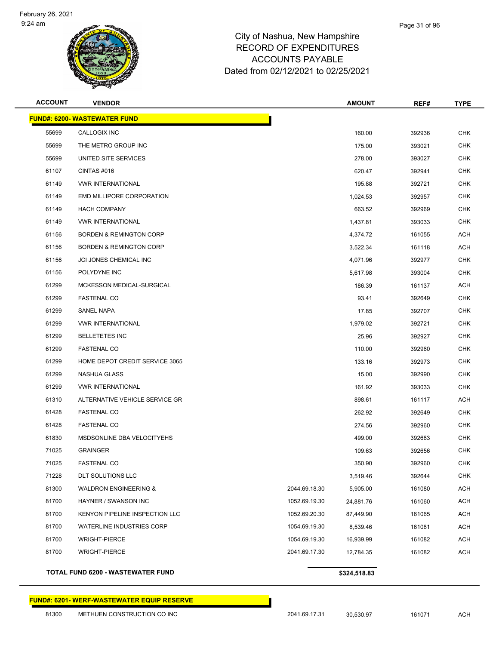#### Page 31 of 96

## City of Nashua, New Hampshire RECORD OF EXPENDITURES ACCOUNTS PAYABLE Dated from 02/12/2021 to 02/25/2021

| <b>ACCOUNT</b>                      | <b>VENDOR</b>                      |               | <b>AMOUNT</b> | REF#   | <b>TYPE</b> |
|-------------------------------------|------------------------------------|---------------|---------------|--------|-------------|
| <b>FUND#: 6200- WASTEWATER FUND</b> |                                    |               |               |        |             |
| 55699                               | CALLOGIX INC                       |               | 160.00        | 392936 | <b>CHK</b>  |
| 55699                               | THE METRO GROUP INC                |               | 175.00        | 393021 | <b>CHK</b>  |
| 55699                               | UNITED SITE SERVICES               |               | 278.00        | 393027 | <b>CHK</b>  |
| 61107                               | CINTAS#016                         |               | 620.47        | 392941 | <b>CHK</b>  |
| 61149                               | <b>VWR INTERNATIONAL</b>           |               | 195.88        | 392721 | <b>CHK</b>  |
| 61149                               | EMD MILLIPORE CORPORATION          |               | 1,024.53      | 392957 | <b>CHK</b>  |
| 61149                               | <b>HACH COMPANY</b>                |               | 663.52        | 392969 | <b>CHK</b>  |
| 61149                               | <b>VWR INTERNATIONAL</b>           |               | 1,437.81      | 393033 | <b>CHK</b>  |
| 61156                               | <b>BORDEN &amp; REMINGTON CORP</b> |               | 4,374.72      | 161055 | <b>ACH</b>  |
| 61156                               | <b>BORDEN &amp; REMINGTON CORP</b> |               | 3,522.34      | 161118 | <b>ACH</b>  |
| 61156                               | JCI JONES CHEMICAL INC             |               | 4,071.96      | 392977 | <b>CHK</b>  |
| 61156                               | POLYDYNE INC                       |               | 5,617.98      | 393004 | <b>CHK</b>  |
| 61299                               | MCKESSON MEDICAL-SURGICAL          |               | 186.39        | 161137 | <b>ACH</b>  |
| 61299                               | <b>FASTENAL CO</b>                 |               | 93.41         | 392649 | <b>CHK</b>  |
| 61299                               | <b>SANEL NAPA</b>                  |               | 17.85         | 392707 | <b>CHK</b>  |
| 61299                               | <b>VWR INTERNATIONAL</b>           |               | 1,979.02      | 392721 | <b>CHK</b>  |
| 61299                               | <b>BELLETETES INC</b>              |               | 25.96         | 392927 | <b>CHK</b>  |
| 61299                               | <b>FASTENAL CO</b>                 |               | 110.00        | 392960 | <b>CHK</b>  |
| 61299                               | HOME DEPOT CREDIT SERVICE 3065     |               | 133.16        | 392973 | <b>CHK</b>  |
| 61299                               | NASHUA GLASS                       |               | 15.00         | 392990 | <b>CHK</b>  |
| 61299                               | <b>VWR INTERNATIONAL</b>           |               | 161.92        | 393033 | <b>CHK</b>  |
| 61310                               | ALTERNATIVE VEHICLE SERVICE GR     |               | 898.61        | 161117 | <b>ACH</b>  |
| 61428                               | <b>FASTENAL CO</b>                 |               | 262.92        | 392649 | <b>CHK</b>  |
| 61428                               | <b>FASTENAL CO</b>                 |               | 274.56        | 392960 | <b>CHK</b>  |
| 61830                               | MSDSONLINE DBA VELOCITYEHS         |               | 499.00        | 392683 | <b>CHK</b>  |
| 71025                               | <b>GRAINGER</b>                    |               | 109.63        | 392656 | <b>CHK</b>  |
| 71025                               | <b>FASTENAL CO</b>                 |               | 350.90        | 392960 | CHK         |
| 71228                               | DLT SOLUTIONS LLC                  |               | 3,519.46      | 392644 | <b>CHK</b>  |
| 81300                               | <b>WALDRON ENGINEERING &amp;</b>   | 2044.69.18.30 | 5,905.00      | 161080 | <b>ACH</b>  |
| 81700                               | HAYNER / SWANSON INC               | 1052.69.19.30 | 24,881.76     | 161060 | <b>ACH</b>  |
| 81700                               | KENYON PIPELINE INSPECTION LLC     | 1052.69.20.30 | 87,449.90     | 161065 | <b>ACH</b>  |
| 81700                               | WATERLINE INDUSTRIES CORP          | 1054.69.19.30 | 8,539.46      | 161081 | <b>ACH</b>  |
| 81700                               | <b>WRIGHT-PIERCE</b>               | 1054.69.19.30 | 16,939.99     | 161082 | <b>ACH</b>  |
| 81700                               | <b>WRIGHT-PIERCE</b>               | 2041.69.17.30 | 12,784.35     | 161082 | <b>ACH</b>  |
|                                     |                                    |               |               |        |             |

#### **TOTAL FUND 6200 - WASTEWATER FUND \$324,518.83**

#### **FUND#: 6201- WERF-WASTEWATER EQUIP RESERVE**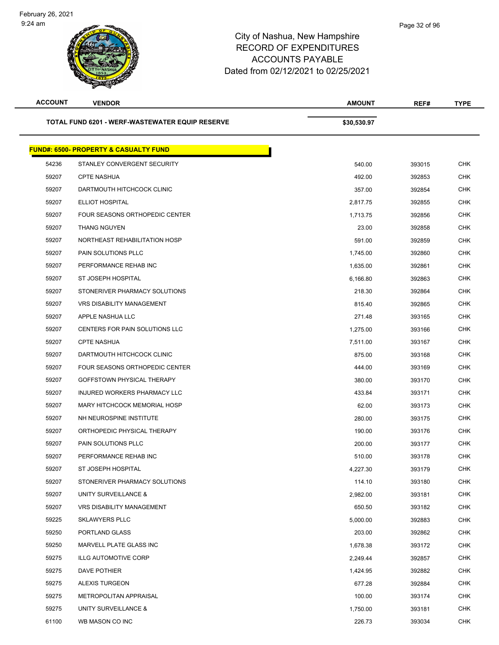| <b>ACCOUNT</b>                                  | <b>VENDOR</b>                                    | <b>AMOUNT</b> | REF#   | <b>TYPE</b> |
|-------------------------------------------------|--------------------------------------------------|---------------|--------|-------------|
| TOTAL FUND 6201 - WERF-WASTEWATER EQUIP RESERVE |                                                  | \$30,530.97   |        |             |
|                                                 | <b>FUND#: 6500- PROPERTY &amp; CASUALTY FUND</b> |               |        |             |
| 54236                                           | STANLEY CONVERGENT SECURITY                      | 540.00        | 393015 | <b>CHK</b>  |
| 59207                                           | <b>CPTE NASHUA</b>                               | 492.00        | 392853 | <b>CHK</b>  |
| 59207                                           | DARTMOUTH HITCHCOCK CLINIC                       | 357.00        | 392854 | <b>CHK</b>  |
| 59207                                           | ELLIOT HOSPITAL                                  | 2,817.75      | 392855 | <b>CHK</b>  |
| 59207                                           | FOUR SEASONS ORTHOPEDIC CENTER                   | 1,713.75      | 392856 | <b>CHK</b>  |
| 59207                                           | <b>THANG NGUYEN</b>                              | 23.00         | 392858 | <b>CHK</b>  |
| 59207                                           | NORTHEAST REHABILITATION HOSP                    | 591.00        | 392859 | <b>CHK</b>  |
| 59207                                           | PAIN SOLUTIONS PLLC                              | 1,745.00      | 392860 | <b>CHK</b>  |
| 59207                                           | PERFORMANCE REHAB INC                            | 1,635.00      | 392861 | <b>CHK</b>  |
| 59207                                           | ST JOSEPH HOSPITAL                               | 6,166.80      | 392863 | <b>CHK</b>  |
| 59207                                           | STONERIVER PHARMACY SOLUTIONS                    | 218.30        | 392864 | <b>CHK</b>  |
| 59207                                           | <b>VRS DISABILITY MANAGEMENT</b>                 | 815.40        | 392865 | <b>CHK</b>  |
| 59207                                           | APPLE NASHUA LLC                                 | 271.48        | 393165 | <b>CHK</b>  |
| 59207                                           | CENTERS FOR PAIN SOLUTIONS LLC                   | 1,275.00      | 393166 | <b>CHK</b>  |
| 59207                                           | <b>CPTE NASHUA</b>                               | 7,511.00      | 393167 | <b>CHK</b>  |
| 59207                                           | DARTMOUTH HITCHCOCK CLINIC                       | 875.00        | 393168 | <b>CHK</b>  |
| 59207                                           | FOUR SEASONS ORTHOPEDIC CENTER                   | 444.00        | 393169 | <b>CHK</b>  |
| 59207                                           | GOFFSTOWN PHYSICAL THERAPY                       | 380.00        | 393170 | <b>CHK</b>  |
| 59207                                           | INJURED WORKERS PHARMACY LLC                     | 433.84        | 393171 | <b>CHK</b>  |
| 59207                                           | MARY HITCHCOCK MEMORIAL HOSP                     | 62.00         | 393173 | <b>CHK</b>  |
| 59207                                           | NH NEUROSPINE INSTITUTE                          | 280.00        | 393175 | CHK         |
| 59207                                           | ORTHOPEDIC PHYSICAL THERAPY                      | 190.00        | 393176 | <b>CHK</b>  |
| 59207                                           | PAIN SOLUTIONS PLLC                              | 200.00        | 393177 | <b>CHK</b>  |
| 59207                                           | PERFORMANCE REHAB INC                            | 510.00        | 393178 | <b>CHK</b>  |
| 59207                                           | ST JOSEPH HOSPITAL                               | 4,227.30      | 393179 | <b>CHK</b>  |
| 59207                                           | STONERIVER PHARMACY SOLUTIONS                    | 114.10        | 393180 | <b>CHK</b>  |
| 59207                                           | UNITY SURVEILLANCE &                             | 2,982.00      | 393181 | <b>CHK</b>  |
| 59207                                           | VRS DISABILITY MANAGEMENT                        | 650.50        | 393182 | <b>CHK</b>  |
| 59225                                           | <b>SKLAWYERS PLLC</b>                            | 5,000.00      | 392883 | <b>CHK</b>  |
| 59250                                           | PORTLAND GLASS                                   | 203.00        | 392862 | <b>CHK</b>  |
| 59250                                           | MARVELL PLATE GLASS INC                          | 1,678.38      | 393172 | <b>CHK</b>  |
| 59275                                           | <b>ILLG AUTOMOTIVE CORP</b>                      | 2,249.44      | 392857 | <b>CHK</b>  |
| 59275                                           | DAVE POTHIER                                     | 1,424.95      | 392882 | <b>CHK</b>  |
| 59275                                           | ALEXIS TURGEON                                   | 677.28        | 392884 | CHK         |
| 59275                                           | METROPOLITAN APPRAISAL                           | 100.00        | 393174 | <b>CHK</b>  |
| 59275                                           | UNITY SURVEILLANCE &                             | 1,750.00      | 393181 | CHK         |
| 61100                                           | WB MASON CO INC                                  | 226.73        | 393034 | <b>CHK</b>  |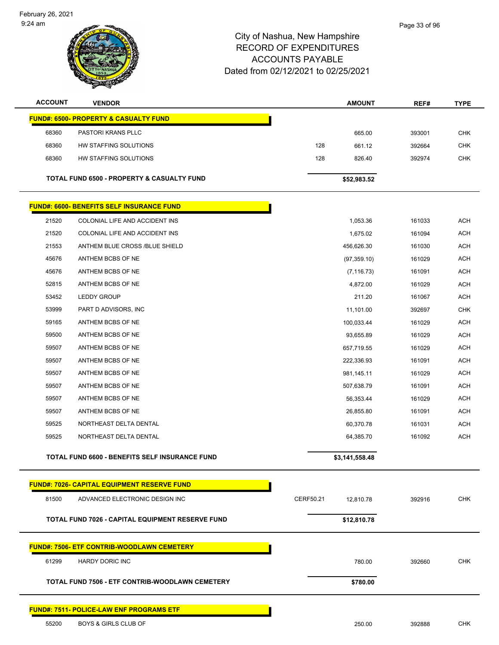February 26, 2021 9:24 am

| <b>ACCOUNT</b>                                   | <b>VENDOR</b>                                         | <b>AMOUNT</b>          | REF#   | <b>TYPE</b> |  |  |
|--------------------------------------------------|-------------------------------------------------------|------------------------|--------|-------------|--|--|
| <b>FUND#: 6500- PROPERTY &amp; CASUALTY FUND</b> |                                                       |                        |        |             |  |  |
| 68360                                            | PASTORI KRANS PLLC                                    | 665.00                 | 393001 | <b>CHK</b>  |  |  |
| 68360                                            | HW STAFFING SOLUTIONS                                 | 128<br>661.12          | 392664 | <b>CHK</b>  |  |  |
| 68360                                            | HW STAFFING SOLUTIONS                                 | 128<br>826.40          | 392974 | <b>CHK</b>  |  |  |
|                                                  | <b>TOTAL FUND 6500 - PROPERTY &amp; CASUALTY FUND</b> |                        |        |             |  |  |
|                                                  |                                                       | \$52,983.52            |        |             |  |  |
|                                                  | <b>FUND#: 6600- BENEFITS SELF INSURANCE FUND</b>      |                        |        |             |  |  |
| 21520                                            | COLONIAL LIFE AND ACCIDENT INS                        | 1,053.36               | 161033 | <b>ACH</b>  |  |  |
| 21520                                            | COLONIAL LIFE AND ACCIDENT INS                        | 1,675.02               | 161094 | <b>ACH</b>  |  |  |
| 21553                                            | ANTHEM BLUE CROSS /BLUE SHIELD                        | 456,626.30             | 161030 | <b>ACH</b>  |  |  |
| 45676                                            | ANTHEM BCBS OF NE                                     | (97, 359.10)           | 161029 | <b>ACH</b>  |  |  |
| 45676                                            | ANTHEM BCBS OF NE                                     | (7, 116.73)            | 161091 | <b>ACH</b>  |  |  |
| 52815                                            | ANTHEM BCBS OF NE                                     | 4,872.00               | 161029 | <b>ACH</b>  |  |  |
| 53452                                            | <b>LEDDY GROUP</b>                                    | 211.20                 | 161067 | <b>ACH</b>  |  |  |
| 53999                                            | PART D ADVISORS, INC                                  | 11,101.00              | 392697 | <b>CHK</b>  |  |  |
| 59165                                            | ANTHEM BCBS OF NE                                     | 100,033.44             | 161029 | <b>ACH</b>  |  |  |
| 59500                                            | ANTHEM BCBS OF NE                                     | 93,655.89              | 161029 | ACH         |  |  |
| 59507                                            | ANTHEM BCBS OF NE                                     | 657,719.55             | 161029 | <b>ACH</b>  |  |  |
| 59507                                            | ANTHEM BCBS OF NE                                     | 222,336.93             | 161091 | <b>ACH</b>  |  |  |
| 59507                                            | ANTHEM BCBS OF NE                                     | 981,145.11             | 161029 | <b>ACH</b>  |  |  |
| 59507                                            | ANTHEM BCBS OF NE                                     | 507,638.79             | 161091 | <b>ACH</b>  |  |  |
| 59507                                            | ANTHEM BCBS OF NE                                     | 56,353.44              | 161029 | <b>ACH</b>  |  |  |
| 59507                                            | ANTHEM BCBS OF NE                                     | 26,855.80              | 161091 | <b>ACH</b>  |  |  |
| 59525                                            | NORTHEAST DELTA DENTAL                                | 60,370.78              | 161031 | <b>ACH</b>  |  |  |
| 59525                                            | NORTHEAST DELTA DENTAL                                | 64,385.70              | 161092 | <b>ACH</b>  |  |  |
|                                                  | TOTAL FUND 6600 - BENEFITS SELF INSURANCE FUND        | \$3,141,558.48         |        |             |  |  |
|                                                  |                                                       |                        |        |             |  |  |
|                                                  | <b>FUND#: 7026- CAPITAL EQUIPMENT RESERVE FUND</b>    |                        |        |             |  |  |
| 81500                                            | ADVANCED ELECTRONIC DESIGN INC                        | CERF50.21<br>12,810.78 | 392916 | <b>CHK</b>  |  |  |
|                                                  | TOTAL FUND 7026 - CAPITAL EQUIPMENT RESERVE FUND      | \$12,810.78            |        |             |  |  |
|                                                  | <b>FUND#: 7506- ETF CONTRIB-WOODLAWN CEMETERY</b>     |                        |        |             |  |  |
| 61299                                            | <b>HARDY DORIC INC</b>                                | 780.00                 | 392660 | <b>CHK</b>  |  |  |
|                                                  | TOTAL FUND 7506 - ETF CONTRIB-WOODLAWN CEMETERY       | \$780.00               |        |             |  |  |
|                                                  |                                                       |                        |        |             |  |  |
|                                                  | <b>FUND#: 7511- POLICE-LAW ENF PROGRAMS ETF</b>       |                        |        |             |  |  |
| 55200                                            | <b>BOYS &amp; GIRLS CLUB OF</b>                       | 250.00                 | 392888 | <b>CHK</b>  |  |  |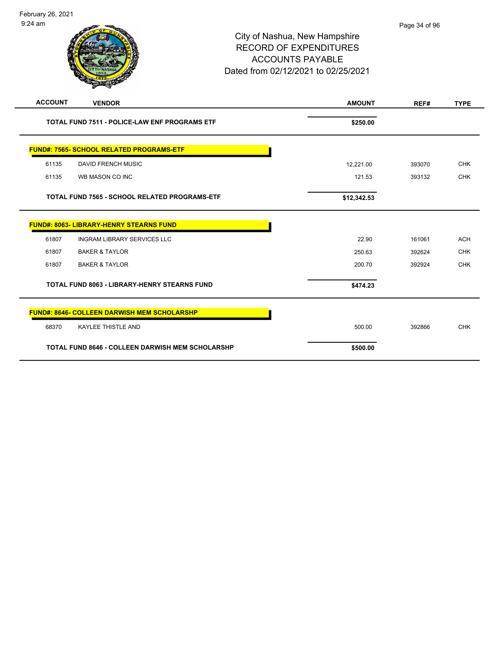| <b>ACCOUNT</b>                                          | <b>VENDOR</b>                                      | <b>AMOUNT</b> | REF#   | <b>TYPE</b> |
|---------------------------------------------------------|----------------------------------------------------|---------------|--------|-------------|
| TOTAL FUND 7511 - POLICE-LAW ENF PROGRAMS ETF           |                                                    | \$250.00      |        |             |
|                                                         | <b>FUND#: 7565- SCHOOL RELATED PROGRAMS-ETF</b>    |               |        |             |
| 61135                                                   | <b>DAVID FRENCH MUSIC</b>                          | 12,221.00     | 393070 | <b>CHK</b>  |
| 61135                                                   | WB MASON CO INC                                    | 121.53        | 393132 | <b>CHK</b>  |
| <b>TOTAL FUND 7565 - SCHOOL RELATED PROGRAMS-ETF</b>    |                                                    | \$12,342.53   |        |             |
|                                                         | <b>FUND#: 8063- LIBRARY-HENRY STEARNS FUND</b>     |               |        |             |
| 61807                                                   | <b>INGRAM LIBRARY SERVICES LLC</b>                 | 22.90         | 161061 | <b>ACH</b>  |
| 61807                                                   | <b>BAKER &amp; TAYLOR</b>                          | 250.63        | 392624 | <b>CHK</b>  |
| 61807                                                   | <b>BAKER &amp; TAYLOR</b>                          | 200.70        | 392924 | <b>CHK</b>  |
| <b>TOTAL FUND 8063 - LIBRARY-HENRY STEARNS FUND</b>     |                                                    | \$474.23      |        |             |
|                                                         | <b>FUND#: 8646- COLLEEN DARWISH MEM SCHOLARSHP</b> |               |        |             |
| 68370                                                   | <b>KAYLEE THISTLE AND</b>                          | 500.00        | 392866 | <b>CHK</b>  |
| <b>TOTAL FUND 8646 - COLLEEN DARWISH MEM SCHOLARSHP</b> |                                                    | \$500.00      |        |             |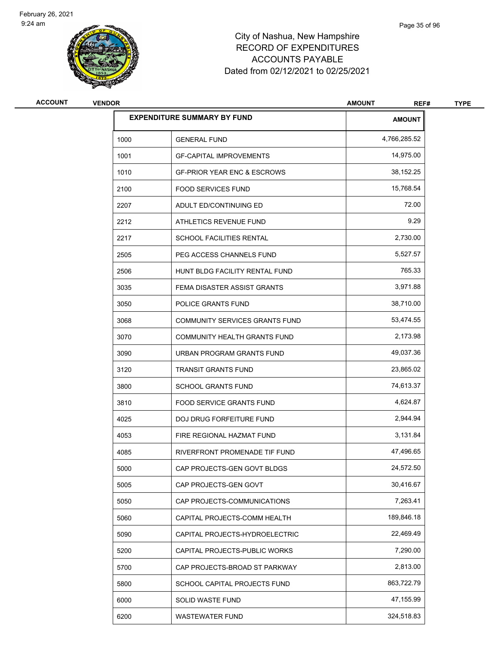

| <b>ACCOUNT</b> | <b>VENDOR</b> |                                        | <b>AMOUNT</b><br>REF# | <b>TYPE</b> |
|----------------|---------------|----------------------------------------|-----------------------|-------------|
|                |               | <b>EXPENDITURE SUMMARY BY FUND</b>     | <b>AMOUNT</b>         |             |
|                | 1000          | <b>GENERAL FUND</b>                    | 4,766,285.52          |             |
|                | 1001          | <b>GF-CAPITAL IMPROVEMENTS</b>         | 14,975.00             |             |
|                | 1010          | <b>GF-PRIOR YEAR ENC &amp; ESCROWS</b> | 38,152.25             |             |
|                | 2100          | <b>FOOD SERVICES FUND</b>              | 15.768.54             |             |
|                | 2207          | ADULT ED/CONTINUING ED                 | 72.00                 |             |
|                | 2212          | ATHLETICS REVENUE FUND                 | 9.29                  |             |
|                | 2217          | <b>SCHOOL FACILITIES RENTAL</b>        | 2,730.00              |             |
|                | 2505          | PEG ACCESS CHANNELS FUND               | 5,527.57              |             |
|                | 2506          | HUNT BLDG FACILITY RENTAL FUND         | 765.33                |             |
|                | 3035          | FEMA DISASTER ASSIST GRANTS            | 3,971.88              |             |
|                | 3050          | POLICE GRANTS FUND                     | 38,710.00             |             |
|                | 3068          | <b>COMMUNITY SERVICES GRANTS FUND</b>  | 53,474.55             |             |
|                | 3070          | COMMUNITY HEALTH GRANTS FUND           | 2,173.98              |             |
|                | 3090          | URBAN PROGRAM GRANTS FUND              | 49,037.36             |             |
|                | 3120          | <b>TRANSIT GRANTS FUND</b>             | 23,865.02             |             |
|                | 3800          | <b>SCHOOL GRANTS FUND</b>              | 74,613.37             |             |
|                | 3810          | <b>FOOD SERVICE GRANTS FUND</b>        | 4,624.87              |             |
|                | 4025          | <b>DOJ DRUG FORFEITURE FUND</b>        | 2,944.94              |             |
|                | 4053          | FIRE REGIONAL HAZMAT FUND              | 3,131.84              |             |
|                | 4085          | RIVERFRONT PROMENADE TIF FUND          | 47,496.65             |             |
|                | 5000          | CAP PROJECTS-GEN GOVT BLDGS            | 24,572.50             |             |
|                | 5005          | CAP PROJECTS-GEN GOVT                  | 30,416.67             |             |
|                | 5050          | CAP PROJECTS-COMMUNICATIONS            | 7,263.41              |             |
|                | 5060          | CAPITAL PROJECTS-COMM HEALTH           | 189,846.18            |             |
|                | 5090          | CAPITAL PROJECTS-HYDROELECTRIC         | 22,469.49             |             |
|                | 5200          | CAPITAL PROJECTS-PUBLIC WORKS          | 7,290.00              |             |
|                | 5700          | CAP PROJECTS-BROAD ST PARKWAY          | 2,813.00              |             |
|                | 5800          | SCHOOL CAPITAL PROJECTS FUND           | 863,722.79            |             |
|                | 6000          | SOLID WASTE FUND                       | 47,155.99             |             |
|                | 6200          | WASTEWATER FUND                        | 324,518.83            |             |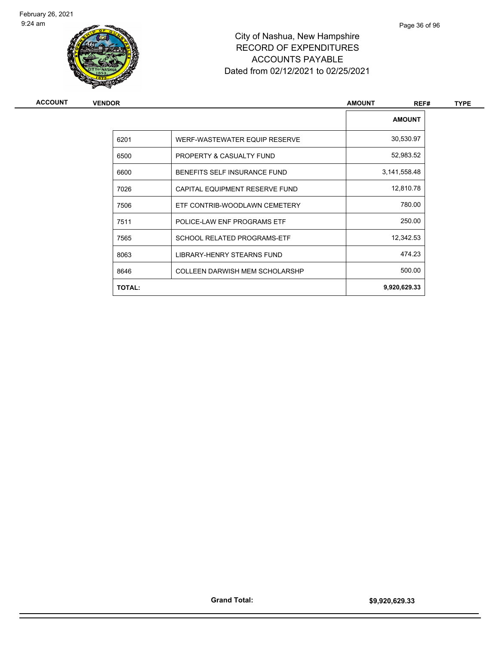

| ACCOUNT | <b>VENDOR</b> |                                       | <b>AMOUNT</b><br>REF# | <b>TYPE</b> |
|---------|---------------|---------------------------------------|-----------------------|-------------|
|         |               |                                       | <b>AMOUNT</b>         |             |
|         | 6201          | WERF-WASTEWATER EQUIP RESERVE         | 30,530.97             |             |
|         | 6500          | PROPERTY & CASUALTY FUND              | 52,983.52             |             |
|         | 6600          | BENEFITS SELF INSURANCE FUND          | 3,141,558.48          |             |
|         | 7026          | CAPITAL EQUIPMENT RESERVE FUND        | 12,810.78             |             |
|         | 7506          | ETF CONTRIB-WOODLAWN CEMETERY         | 780.00                |             |
|         | 7511          | POLICE-LAW ENF PROGRAMS ETF           | 250.00                |             |
|         | 7565          | <b>SCHOOL RELATED PROGRAMS-ETF</b>    | 12,342.53             |             |
|         | 8063          | LIBRARY-HENRY STEARNS FUND            | 474.23                |             |
|         | 8646          | <b>COLLEEN DARWISH MEM SCHOLARSHP</b> | 500.00                |             |
|         | <b>TOTAL:</b> |                                       | 9,920,629.33          |             |
|         |               |                                       |                       |             |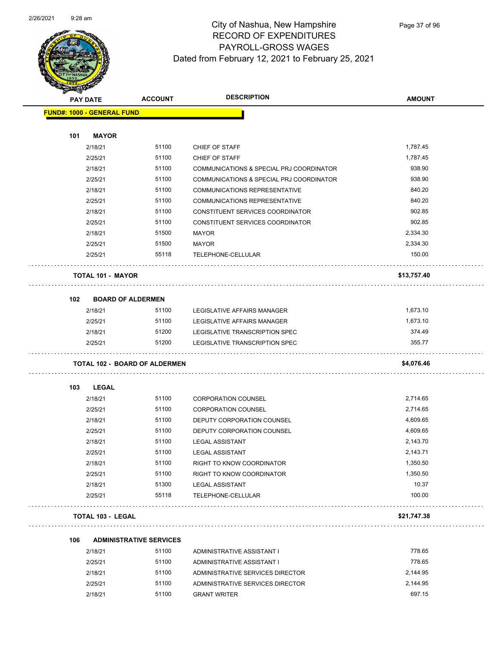

Page 37 of 96

| <b>STARTING</b> |                                   |                                      |                                          |               |
|-----------------|-----------------------------------|--------------------------------------|------------------------------------------|---------------|
|                 | <b>PAY DATE</b>                   | <b>ACCOUNT</b>                       | <b>DESCRIPTION</b>                       | <b>AMOUNT</b> |
|                 | <b>FUND#: 1000 - GENERAL FUND</b> |                                      |                                          |               |
|                 |                                   |                                      |                                          |               |
| 101             | <b>MAYOR</b>                      |                                      |                                          |               |
|                 | 2/18/21                           | 51100                                | CHIEF OF STAFF                           | 1,787.45      |
|                 | 2/25/21                           | 51100                                | CHIEF OF STAFF                           | 1,787.45      |
|                 | 2/18/21                           | 51100                                | COMMUNICATIONS & SPECIAL PRJ COORDINATOR | 938.90        |
|                 | 2/25/21                           | 51100                                | COMMUNICATIONS & SPECIAL PRJ COORDINATOR | 938.90        |
|                 | 2/18/21                           | 51100                                | <b>COMMUNICATIONS REPRESENTATIVE</b>     | 840.20        |
|                 | 2/25/21                           | 51100                                | <b>COMMUNICATIONS REPRESENTATIVE</b>     | 840.20        |
|                 | 2/18/21                           | 51100                                | CONSTITUENT SERVICES COORDINATOR         | 902.85        |
|                 | 2/25/21                           | 51100                                | CONSTITUENT SERVICES COORDINATOR         | 902.85        |
|                 | 2/18/21                           | 51500                                | <b>MAYOR</b>                             | 2,334.30      |
|                 | 2/25/21                           | 51500                                | MAYOR                                    | 2,334.30      |
|                 | 2/25/21                           | 55118                                | TELEPHONE-CELLULAR                       | 150.00        |
|                 | <b>TOTAL 101 - MAYOR</b>          |                                      |                                          | \$13,757.40   |
| 102             |                                   | <b>BOARD OF ALDERMEN</b>             |                                          |               |
|                 | 2/18/21                           | 51100                                | LEGISLATIVE AFFAIRS MANAGER              | 1,673.10      |
|                 | 2/25/21                           | 51100                                | LEGISLATIVE AFFAIRS MANAGER              | 1,673.10      |
|                 | 2/18/21                           | 51200                                | LEGISLATIVE TRANSCRIPTION SPEC           | 374.49        |
|                 | 2/25/21                           | 51200                                | LEGISLATIVE TRANSCRIPTION SPEC           | 355.77        |
|                 |                                   | <b>TOTAL 102 - BOARD OF ALDERMEN</b> |                                          | \$4,076.46    |
| 103             | LEGAL                             |                                      |                                          |               |
|                 | 2/18/21                           | 51100                                | <b>CORPORATION COUNSEL</b>               | 2,714.65      |
|                 | 2/25/21                           | 51100                                | <b>CORPORATION COUNSEL</b>               | 2.714.65      |
|                 | 2/18/21                           | 51100                                | DEPUTY CORPORATION COUNSEL               | 4,609.65      |
|                 | 2/25/21                           | 51100                                | DEPUTY CORPORATION COUNSEL               | 4,609.65      |
|                 | 2/18/21                           | 51100                                | <b>LEGAL ASSISTANT</b>                   | 2,143.70      |
|                 | 2/25/21                           | 51100                                | <b>LEGAL ASSISTANT</b>                   | 2,143.71      |
|                 | 2/18/21                           | 51100                                | RIGHT TO KNOW COORDINATOR                | 1,350.50      |
|                 | 2/25/21                           | 51100                                | RIGHT TO KNOW COORDINATOR                | 1,350.50      |
|                 | 2/18/21                           | 51300                                | <b>LEGAL ASSISTANT</b>                   | 10.37         |
|                 | 2/25/21                           | 55118                                | TELEPHONE-CELLULAR                       | 100.00        |
|                 | <b>TOTAL 103 - LEGAL</b>          |                                      |                                          | \$21,747.38   |
| 106             |                                   | <b>ADMINISTRATIVE SERVICES</b>       |                                          |               |
|                 | 2/18/21                           | 51100                                | ADMINISTRATIVE ASSISTANT I               | 778.65        |
|                 | 2/25/21                           | 51100                                | ADMINISTRATIVE ASSISTANT I               | 778.65        |
|                 | 2/18/21                           | 51100                                | ADMINISTRATIVE SERVICES DIRECTOR         | 2,144.95      |
|                 | 2/25/21                           | 51100                                | ADMINISTRATIVE SERVICES DIRECTOR         | 2,144.95      |

2/18/21 51100 GRANT WRITER 697.15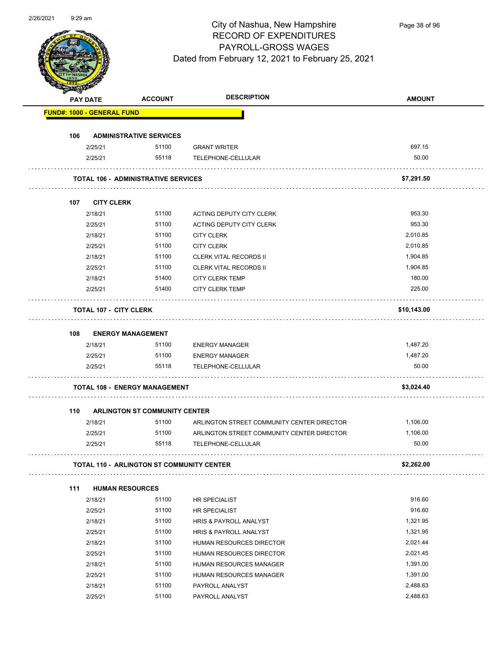RECORD OF EXPENDITURES PAYROLL-GROSS WAGES

# Dated from February 12, 2021 to February 25, 2021

City of Nashua, New Hampshire

|     | <b>PAY DATE</b>                   | <b>ACCOUNT</b>                                   | <b>DESCRIPTION</b>                                               | <b>AMOUNT</b>     |
|-----|-----------------------------------|--------------------------------------------------|------------------------------------------------------------------|-------------------|
|     | <b>FUND#: 1000 - GENERAL FUND</b> |                                                  |                                                                  |                   |
| 106 |                                   | <b>ADMINISTRATIVE SERVICES</b>                   |                                                                  |                   |
|     | 2/25/21                           | 51100                                            | <b>GRANT WRITER</b>                                              | 697.15            |
|     | 2/25/21                           | 55118                                            | TELEPHONE-CELLULAR                                               | 50.00             |
|     |                                   | <b>TOTAL 106 - ADMINISTRATIVE SERVICES</b>       |                                                                  | \$7,291.50        |
| 107 | <b>CITY CLERK</b>                 |                                                  |                                                                  |                   |
|     | 2/18/21                           | 51100                                            | ACTING DEPUTY CITY CLERK                                         | 953.30            |
|     | 2/25/21                           | 51100                                            | ACTING DEPUTY CITY CLERK                                         | 953.30            |
|     | 2/18/21                           | 51100                                            | <b>CITY CLERK</b>                                                | 2,010.85          |
|     | 2/25/21                           | 51100                                            | <b>CITY CLERK</b>                                                | 2,010.85          |
|     | 2/18/21                           | 51100                                            | <b>CLERK VITAL RECORDS II</b>                                    | 1,904.85          |
|     | 2/25/21                           | 51100                                            | <b>CLERK VITAL RECORDS II</b>                                    | 1,904.85          |
|     | 2/18/21                           | 51400                                            | <b>CITY CLERK TEMP</b>                                           | 180.00            |
|     | 2/25/21                           | 51400                                            | <b>CITY CLERK TEMP</b>                                           | 225.00            |
|     | <b>TOTAL 107 - CITY CLERK</b>     |                                                  |                                                                  | \$10,143.00       |
| 108 |                                   | <b>ENERGY MANAGEMENT</b>                         |                                                                  |                   |
|     | 2/18/21                           | 51100                                            | <b>ENERGY MANAGER</b>                                            | 1,487.20          |
|     | 2/25/21                           | 51100                                            | <b>ENERGY MANAGER</b>                                            | 1,487.20          |
|     | 2/25/21                           | 55118                                            | TELEPHONE-CELLULAR                                               | 50.00             |
|     |                                   | <b>TOTAL 108 - ENERGY MANAGEMENT</b>             |                                                                  | \$3,024.40        |
|     |                                   |                                                  |                                                                  |                   |
| 110 |                                   | <b>ARLINGTON ST COMMUNITY CENTER</b>             |                                                                  |                   |
|     | 2/18/21                           | 51100                                            | ARLINGTON STREET COMMUNITY CENTER DIRECTOR                       | 1,106.00          |
|     | 2/25/21<br>2/25/21                | 51100<br>55118                                   | ARLINGTON STREET COMMUNITY CENTER DIRECTOR<br>TELEPHONE-CELLULAR | 1,106.00<br>50.00 |
|     |                                   | <b>TOTAL 110 - ARLINGTON ST COMMUNITY CENTER</b> |                                                                  | \$2,262.00        |
| 111 | <b>HUMAN RESOURCES</b>            | .                                                |                                                                  |                   |
|     | 2/18/21                           | 51100                                            | HR SPECIALIST                                                    | 916.60            |
|     | 2/25/21                           | 51100                                            | HR SPECIALIST                                                    | 916.60            |
|     | 2/18/21                           | 51100                                            | HRIS & PAYROLL ANALYST                                           | 1,321.95          |
|     | 2/25/21                           | 51100                                            | <b>HRIS &amp; PAYROLL ANALYST</b>                                | 1,321.95          |
|     | 2/18/21                           | 51100                                            | HUMAN RESOURCES DIRECTOR                                         | 2,021.44          |
|     | 2/25/21                           | 51100                                            | HUMAN RESOURCES DIRECTOR                                         | 2,021.45          |
|     | 2/18/21                           | 51100                                            | HUMAN RESOURCES MANAGER                                          | 1,391.00          |
|     | 2/25/21                           | 51100                                            | HUMAN RESOURCES MANAGER                                          | 1,391.00          |
|     |                                   |                                                  |                                                                  |                   |
|     | 2/18/21                           | 51100                                            | PAYROLL ANALYST                                                  | 2,488.63          |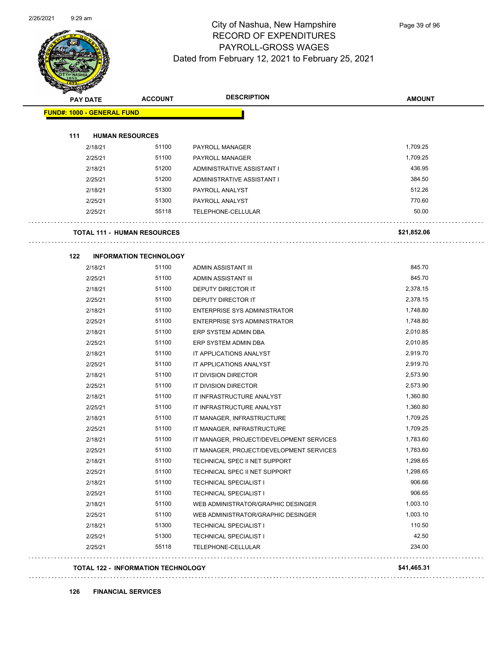

Page 39 of 96

| <b>PAY DATE</b>                   | <b>ACCOUNT</b>                            | <b>DESCRIPTION</b>                       | <b>AMOUNT</b> |
|-----------------------------------|-------------------------------------------|------------------------------------------|---------------|
| <b>FUND#: 1000 - GENERAL FUND</b> |                                           |                                          |               |
|                                   |                                           |                                          |               |
| 111                               | <b>HUMAN RESOURCES</b>                    |                                          |               |
| 2/18/21                           | 51100                                     | PAYROLL MANAGER                          | 1,709.25      |
| 2/25/21                           | 51100                                     | PAYROLL MANAGER                          | 1,709.25      |
| 2/18/21                           | 51200                                     | ADMINISTRATIVE ASSISTANT I               | 436.95        |
| 2/25/21                           | 51200                                     | ADMINISTRATIVE ASSISTANT I               | 384.50        |
| 2/18/21                           | 51300                                     | PAYROLL ANALYST                          | 512.26        |
| 2/25/21                           | 51300                                     | PAYROLL ANALYST                          | 770.60        |
| 2/25/21                           | 55118                                     | TELEPHONE-CELLULAR                       | 50.00         |
|                                   | <b>TOTAL 111 - HUMAN RESOURCES</b>        |                                          | \$21,852.06   |
| 122                               | <b>INFORMATION TECHNOLOGY</b>             |                                          |               |
| 2/18/21                           | 51100                                     | ADMIN ASSISTANT III                      | 845.70        |
| 2/25/21                           | 51100                                     | ADMIN ASSISTANT III                      | 845.70        |
| 2/18/21                           | 51100                                     | DEPUTY DIRECTOR IT                       | 2,378.15      |
| 2/25/21                           | 51100                                     | DEPUTY DIRECTOR IT                       | 2,378.15      |
| 2/18/21                           | 51100                                     | ENTERPRISE SYS ADMINISTRATOR             | 1,748.80      |
| 2/25/21                           | 51100                                     | ENTERPRISE SYS ADMINISTRATOR             | 1,748.80      |
| 2/18/21                           | 51100                                     | ERP SYSTEM ADMIN DBA                     | 2,010.85      |
| 2/25/21                           | 51100                                     | ERP SYSTEM ADMIN DBA                     | 2,010.85      |
| 2/18/21                           | 51100                                     | IT APPLICATIONS ANALYST                  | 2,919.70      |
| 2/25/21                           | 51100                                     | IT APPLICATIONS ANALYST                  | 2,919.70      |
| 2/18/21                           | 51100                                     | IT DIVISION DIRECTOR                     | 2,573.90      |
| 2/25/21                           | 51100                                     | IT DIVISION DIRECTOR                     | 2,573.90      |
| 2/18/21                           | 51100                                     | IT INFRASTRUCTURE ANALYST                | 1,360.80      |
| 2/25/21                           | 51100                                     | IT INFRASTRUCTURE ANALYST                | 1,360.80      |
| 2/18/21                           | 51100                                     | IT MANAGER, INFRASTRUCTURE               | 1,709.25      |
| 2/25/21                           | 51100                                     | IT MANAGER, INFRASTRUCTURE               | 1,709.25      |
| 2/18/21                           | 51100                                     | IT MANAGER, PROJECT/DEVELOPMENT SERVICES | 1,783.60      |
| 2/25/21                           | 51100                                     | IT MANAGER, PROJECT/DEVELOPMENT SERVICES | 1,783.60      |
| 2/18/21                           | 51100                                     | TECHNICAL SPEC II NET SUPPORT            | 1,298.65      |
| 2/25/21                           | 51100                                     | TECHNICAL SPEC II NET SUPPORT            | 1,298.65      |
| 2/18/21                           | 51100                                     | <b>TECHNICAL SPECIALIST I</b>            | 906.66        |
| 2/25/21                           | 51100                                     | TECHNICAL SPECIALIST I                   | 906.65        |
| 2/18/21                           | 51100                                     | WEB ADMINISTRATOR/GRAPHIC DESINGER       | 1,003.10      |
| 2/25/21                           | 51100                                     | WEB ADMINISTRATOR/GRAPHIC DESINGER       | 1,003.10      |
| 2/18/21                           | 51300                                     | <b>TECHNICAL SPECIALIST I</b>            | 110.50        |
| 2/25/21                           | 51300                                     | <b>TECHNICAL SPECIALIST I</b>            | 42.50         |
| 2/25/21                           | 55118                                     | TELEPHONE-CELLULAR                       | 234.00        |
|                                   | <b>TOTAL 122 - INFORMATION TECHNOLOGY</b> |                                          | \$41,465.31   |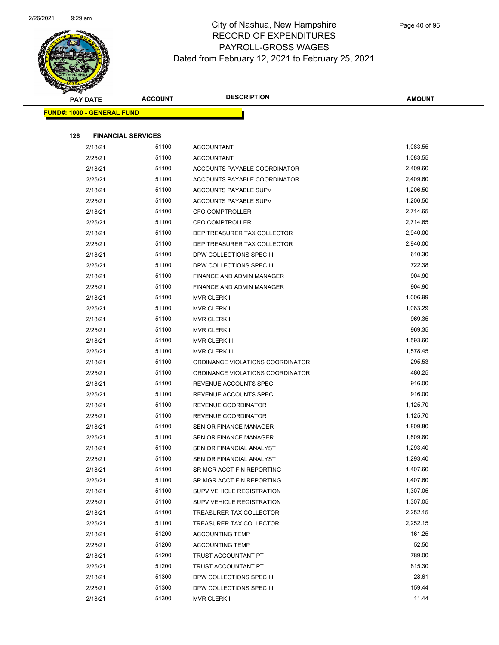

| <b>PAY DATE</b>                   | <b>ACCOUNT</b> | <b>DESCRIPTION</b>                 | <b>AMOUNT</b>      |
|-----------------------------------|----------------|------------------------------------|--------------------|
| <b>FUND#: 1000 - GENERAL FUND</b> |                |                                    |                    |
|                                   |                |                                    |                    |
| 126<br><b>FINANCIAL SERVICES</b>  |                |                                    |                    |
| 2/18/21                           | 51100          | <b>ACCOUNTANT</b>                  | 1,083.55           |
| 2/25/21                           | 51100          | <b>ACCOUNTANT</b>                  | 1,083.55           |
| 2/18/21                           | 51100          | ACCOUNTS PAYABLE COORDINATOR       | 2,409.60           |
| 2/25/21                           | 51100          | ACCOUNTS PAYABLE COORDINATOR       | 2,409.60           |
| 2/18/21                           | 51100          | ACCOUNTS PAYABLE SUPV              | 1,206.50           |
| 2/25/21                           | 51100          | ACCOUNTS PAYABLE SUPV              | 1,206.50           |
| 2/18/21                           | 51100          | CFO COMPTROLLER                    | 2,714.65           |
| 2/25/21                           | 51100          | CFO COMPTROLLER                    | 2,714.65           |
| 2/18/21                           | 51100          | DEP TREASURER TAX COLLECTOR        | 2,940.00           |
| 2/25/21                           | 51100          | DEP TREASURER TAX COLLECTOR        | 2,940.00           |
| 2/18/21                           | 51100          | DPW COLLECTIONS SPEC III           | 610.30             |
| 2/25/21                           | 51100          | DPW COLLECTIONS SPEC III           | 722.38             |
| 2/18/21                           | 51100          | FINANCE AND ADMIN MANAGER          | 904.90             |
| 2/25/21                           | 51100<br>51100 | FINANCE AND ADMIN MANAGER          | 904.90<br>1,006.99 |
| 2/18/21<br>2/25/21                | 51100          | MVR CLERK I                        | 1,083.29           |
| 2/18/21                           | 51100          | <b>MVR CLERK I</b><br>MVR CLERK II | 969.35             |
| 2/25/21                           | 51100          | <b>MVR CLERK II</b>                | 969.35             |
| 2/18/21                           | 51100          | MVR CLERK III                      | 1,593.60           |
| 2/25/21                           | 51100          | MVR CLERK III                      | 1,578.45           |
| 2/18/21                           | 51100          | ORDINANCE VIOLATIONS COORDINATOR   | 295.53             |
| 2/25/21                           | 51100          | ORDINANCE VIOLATIONS COORDINATOR   | 480.25             |
| 2/18/21                           | 51100          | REVENUE ACCOUNTS SPEC              | 916.00             |
| 2/25/21                           | 51100          | REVENUE ACCOUNTS SPEC              | 916.00             |
| 2/18/21                           | 51100          | REVENUE COORDINATOR                | 1,125.70           |
| 2/25/21                           | 51100          | REVENUE COORDINATOR                | 1,125.70           |
| 2/18/21                           | 51100          | SENIOR FINANCE MANAGER             | 1,809.80           |
| 2/25/21                           | 51100          | <b>SENIOR FINANCE MANAGER</b>      | 1,809.80           |
| 2/18/21                           | 51100          | SENIOR FINANCIAL ANALYST           | 1,293.40           |
| 2/25/21                           | 51100          | SENIOR FINANCIAL ANALYST           | 1,293.40           |
| 2/18/21                           | 51100          | SR MGR ACCT FIN REPORTING          | 1,407.60           |
| 2/25/21                           | 51100          | SR MGR ACCT FIN REPORTING          | 1,407.60           |
| 2/18/21                           | 51100          | SUPV VEHICLE REGISTRATION          | 1,307.05           |
| 2/25/21                           | 51100          | SUPV VEHICLE REGISTRATION          | 1,307.05           |
| 2/18/21                           | 51100          | TREASURER TAX COLLECTOR            | 2,252.15           |
| 2/25/21                           | 51100          | TREASURER TAX COLLECTOR            | 2,252.15           |
| 2/18/21                           | 51200          | <b>ACCOUNTING TEMP</b>             | 161.25             |
| 2/25/21                           | 51200          | <b>ACCOUNTING TEMP</b>             | 52.50              |
| 2/18/21                           | 51200          | TRUST ACCOUNTANT PT                | 789.00             |
| 2/25/21                           | 51200          | TRUST ACCOUNTANT PT                | 815.30             |
| 2/18/21                           | 51300          | DPW COLLECTIONS SPEC III           | 28.61              |
| 2/25/21                           | 51300          | DPW COLLECTIONS SPEC III           | 159.44             |
| 2/18/21                           | 51300          | <b>MVR CLERK I</b>                 | 11.44              |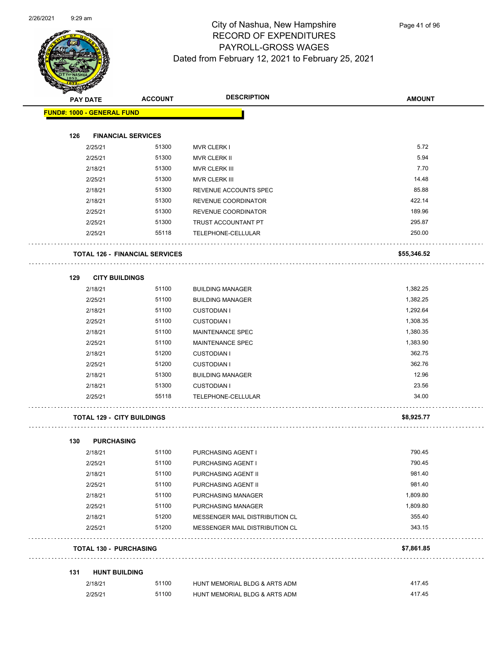

| <b>The Case</b>                       |                |                                |                  |
|---------------------------------------|----------------|--------------------------------|------------------|
| <b>PAY DATE</b>                       | <b>ACCOUNT</b> | <b>DESCRIPTION</b>             | <b>AMOUNT</b>    |
| <b>FUND#: 1000 - GENERAL FUND</b>     |                |                                |                  |
|                                       |                |                                |                  |
| 126<br><b>FINANCIAL SERVICES</b>      |                |                                | 5.72             |
| 2/25/21                               | 51300          | MVR CLERK I                    | 5.94             |
| 2/25/21                               | 51300<br>51300 | MVR CLERK II                   | 7.70             |
| 2/18/21                               |                | MVR CLERK III                  |                  |
| 2/25/21                               | 51300          | MVR CLERK III                  | 14.48            |
| 2/18/21                               | 51300          | REVENUE ACCOUNTS SPEC          | 85.88            |
| 2/18/21                               | 51300          | REVENUE COORDINATOR            | 422.14<br>189.96 |
| 2/25/21                               | 51300          | REVENUE COORDINATOR            |                  |
| 2/25/21                               | 51300          | TRUST ACCOUNTANT PT            | 295.87           |
| 2/25/21                               | 55118          | TELEPHONE-CELLULAR             | 250.00           |
| <b>TOTAL 126 - FINANCIAL SERVICES</b> |                |                                | \$55,346.52      |
|                                       |                |                                |                  |
| 129<br><b>CITY BUILDINGS</b>          |                |                                |                  |
| 2/18/21                               | 51100          | <b>BUILDING MANAGER</b>        | 1,382.25         |
| 2/25/21                               | 51100          | <b>BUILDING MANAGER</b>        | 1,382.25         |
| 2/18/21                               | 51100          | <b>CUSTODIAN I</b>             | 1,292.64         |
| 2/25/21                               | 51100          | <b>CUSTODIAN I</b>             | 1,308.35         |
| 2/18/21                               | 51100          | <b>MAINTENANCE SPEC</b>        | 1,380.35         |
| 2/25/21                               | 51100          | MAINTENANCE SPEC               | 1,383.90         |
| 2/18/21                               | 51200          | <b>CUSTODIAN I</b>             | 362.75           |
| 2/25/21                               | 51200          | <b>CUSTODIAN I</b>             | 362.76           |
| 2/18/21                               | 51300          | <b>BUILDING MANAGER</b>        | 12.96            |
| 2/18/21                               | 51300          | <b>CUSTODIAN I</b>             | 23.56            |
| 2/25/21                               | 55118          | TELEPHONE-CELLULAR             | 34.00            |
| <b>TOTAL 129 - CITY BUILDINGS</b>     |                |                                | \$8,925.77       |
|                                       |                |                                |                  |
| 130<br><b>PURCHASING</b>              |                |                                |                  |
| 2/18/21                               | 51100          | PURCHASING AGENT I             | 790.45           |
| 2/25/21                               | 51100          | PURCHASING AGENT I             | 790.45           |
| 2/18/21                               | 51100          | PURCHASING AGENT II            | 981.40           |
| 2/25/21                               | 51100          | PURCHASING AGENT II            | 981.40           |
| 2/18/21                               | 51100          | PURCHASING MANAGER             | 1,809.80         |
| 2/25/21                               | 51100          | PURCHASING MANAGER             | 1,809.80         |
| 2/18/21                               | 51200          | MESSENGER MAIL DISTRIBUTION CL | 355.40           |
| 2/25/21                               | 51200          | MESSENGER MAIL DISTRIBUTION CL | 343.15           |
| <b>TOTAL 130 - PURCHASING</b>         |                |                                | \$7,861.85       |
| 131<br><b>HUNT BUILDING</b>           |                |                                |                  |
| 2/18/21                               | 51100          | HUNT MEMORIAL BLDG & ARTS ADM  | 417.45           |

2/25/21 51100 HUNT MEMORIAL BLDG & ARTS ADM 417.45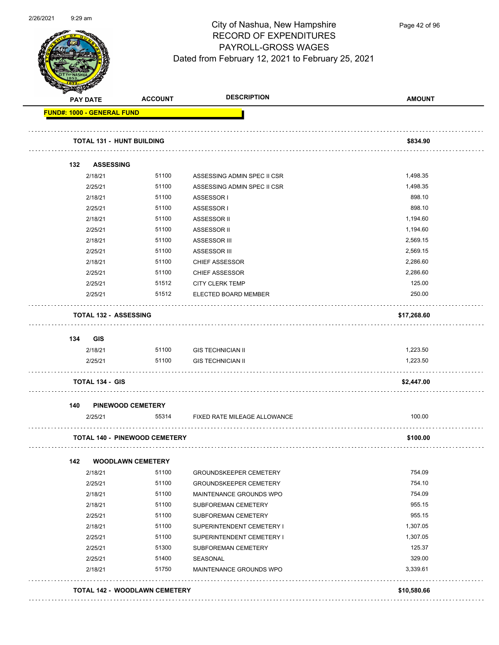

Page 42 of 96

| <b>PAY DATE</b> |                              | <b>ACCOUNT</b>                       | <b>DESCRIPTION</b>            | <b>AMOUNT</b> |
|-----------------|------------------------------|--------------------------------------|-------------------------------|---------------|
|                 | FUND#: 1000 - GENERAL FUND   |                                      |                               |               |
|                 | TOTAL 131 - HUNT BUILDING    |                                      |                               | \$834.90      |
| 132             | <b>ASSESSING</b>             |                                      |                               |               |
|                 | 2/18/21                      | 51100                                | ASSESSING ADMIN SPEC II CSR   | 1,498.35      |
|                 | 2/25/21                      | 51100                                | ASSESSING ADMIN SPEC II CSR   | 1,498.35      |
|                 | 2/18/21                      | 51100                                | ASSESSOR I                    | 898.10        |
|                 | 2/25/21                      | 51100                                | ASSESSOR I                    | 898.10        |
|                 | 2/18/21                      | 51100                                | ASSESSOR II                   | 1,194.60      |
|                 | 2/25/21                      | 51100                                | ASSESSOR II                   | 1,194.60      |
|                 | 2/18/21                      | 51100                                | ASSESSOR III                  | 2,569.15      |
|                 | 2/25/21                      | 51100                                | <b>ASSESSOR III</b>           | 2,569.15      |
|                 | 2/18/21                      | 51100                                | <b>CHIEF ASSESSOR</b>         | 2,286.60      |
|                 | 2/25/21                      | 51100                                | <b>CHIEF ASSESSOR</b>         | 2,286.60      |
|                 | 2/25/21                      | 51512                                | <b>CITY CLERK TEMP</b>        | 125.00        |
|                 | 2/25/21                      | 51512                                | ELECTED BOARD MEMBER          | 250.00        |
|                 | <b>TOTAL 132 - ASSESSING</b> |                                      |                               | \$17,268.60   |
| 134             | GIS                          |                                      |                               |               |
|                 | 2/18/21                      | 51100                                | <b>GIS TECHNICIAN II</b>      | 1,223.50      |
|                 | 2/25/21                      | 51100                                | <b>GIS TECHNICIAN II</b>      | 1,223.50      |
|                 | <b>TOTAL 134 - GIS</b>       |                                      |                               | \$2,447.00    |
| 140             | <b>PINEWOOD CEMETERY</b>     |                                      |                               |               |
|                 | 2/25/21                      | 55314                                | FIXED RATE MILEAGE ALLOWANCE  | 100.00        |
|                 |                              | <b>TOTAL 140 - PINEWOOD CEMETERY</b> |                               | \$100.00      |
| 142             | <b>WOODLAWN CEMETERY</b>     |                                      |                               |               |
|                 | 2/18/21                      | 51100                                | <b>GROUNDSKEEPER CEMETERY</b> | 754.09        |
|                 | 2/25/21                      | 51100                                | <b>GROUNDSKEEPER CEMETERY</b> | 754.10        |
|                 | 2/18/21                      | 51100                                | MAINTENANCE GROUNDS WPO       | 754.09        |
|                 | 2/18/21                      | 51100                                | SUBFOREMAN CEMETERY           | 955.15        |
|                 | 2/25/21                      | 51100                                | SUBFOREMAN CEMETERY           | 955.15        |
|                 | 2/18/21                      | 51100                                | SUPERINTENDENT CEMETERY I     | 1,307.05      |
|                 | 2/25/21                      | 51100                                | SUPERINTENDENT CEMETERY I     | 1,307.05      |
|                 | 2/25/21                      | 51300                                | SUBFOREMAN CEMETERY           | 125.37        |
|                 | 2/25/21                      | 51400                                | SEASONAL                      | 329.00        |
|                 | 2/18/21                      | 51750                                | MAINTENANCE GROUNDS WPO       | 3,339.61      |
|                 |                              | <b>TOTAL 142 - WOODLAWN CEMETERY</b> |                               | \$10,580.66   |
|                 |                              |                                      |                               |               |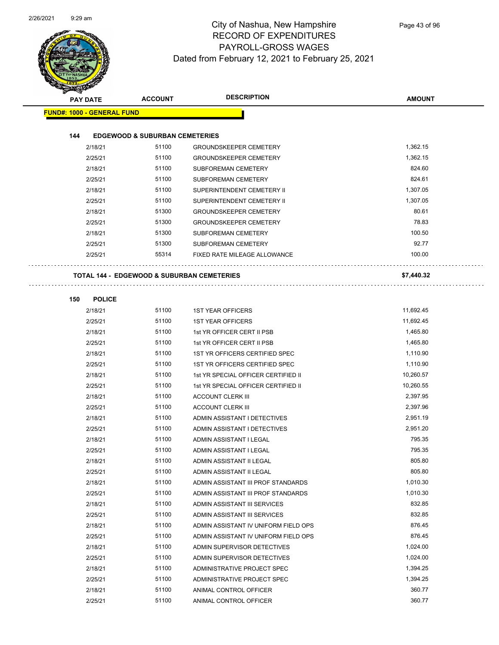

| <b>PAY DATE</b>                   | <b>ACCOUNT</b>                                        | <b>DESCRIPTION</b>                                                       | <b>AMOUNT</b>      |
|-----------------------------------|-------------------------------------------------------|--------------------------------------------------------------------------|--------------------|
| <b>FUND#: 1000 - GENERAL FUND</b> |                                                       |                                                                          |                    |
|                                   |                                                       |                                                                          |                    |
| 144                               | <b>EDGEWOOD &amp; SUBURBAN CEMETERIES</b>             |                                                                          |                    |
| 2/18/21                           | 51100                                                 | <b>GROUNDSKEEPER CEMETERY</b>                                            | 1,362.15           |
| 2/25/21                           | 51100                                                 | <b>GROUNDSKEEPER CEMETERY</b>                                            | 1,362.15           |
| 2/18/21                           | 51100                                                 | SUBFOREMAN CEMETERY                                                      | 824.60             |
| 2/25/21                           | 51100                                                 | SUBFOREMAN CEMETERY                                                      | 824.61             |
| 2/18/21                           | 51100                                                 | SUPERINTENDENT CEMETERY II                                               | 1,307.05           |
| 2/25/21                           | 51100                                                 | SUPERINTENDENT CEMETERY II                                               | 1,307.05           |
| 2/18/21                           | 51300                                                 | <b>GROUNDSKEEPER CEMETERY</b>                                            | 80.61              |
| 2/25/21                           | 51300                                                 | <b>GROUNDSKEEPER CEMETERY</b>                                            | 78.83              |
| 2/18/21                           | 51300                                                 | SUBFOREMAN CEMETERY                                                      | 100.50             |
| 2/25/21                           | 51300                                                 | SUBFOREMAN CEMETERY                                                      | 92.77              |
| 2/25/21                           | 55314                                                 | FIXED RATE MILEAGE ALLOWANCE                                             | 100.00             |
|                                   |                                                       |                                                                          |                    |
|                                   | <b>TOTAL 144 - EDGEWOOD &amp; SUBURBAN CEMETERIES</b> |                                                                          | \$7,440.32         |
|                                   |                                                       |                                                                          |                    |
| 150<br><b>POLICE</b>              |                                                       |                                                                          |                    |
| 2/18/21                           | 51100                                                 | <b>1ST YEAR OFFICERS</b>                                                 | 11,692.45          |
| 2/25/21                           | 51100                                                 | <b>1ST YEAR OFFICERS</b>                                                 | 11,692.45          |
| 2/18/21                           | 51100                                                 | 1st YR OFFICER CERT II PSB                                               | 1,465.80           |
| 2/25/21                           | 51100                                                 | 1st YR OFFICER CERT II PSB                                               | 1,465.80           |
| 2/18/21                           | 51100                                                 | 1ST YR OFFICERS CERTIFIED SPEC                                           | 1,110.90           |
| 2/25/21                           | 51100                                                 | 1ST YR OFFICERS CERTIFIED SPEC                                           | 1,110.90           |
| 2/18/21                           | 51100                                                 | 1st YR SPECIAL OFFICER CERTIFIED II                                      | 10,260.57          |
| 2/25/21                           | 51100                                                 | 1st YR SPECIAL OFFICER CERTIFIED II                                      | 10,260.55          |
| 2/18/21                           | 51100                                                 | <b>ACCOUNT CLERK III</b>                                                 | 2,397.95           |
| 2/25/21                           | 51100                                                 | <b>ACCOUNT CLERK III</b>                                                 | 2,397.96           |
| 2/18/21                           | 51100                                                 | ADMIN ASSISTANT I DETECTIVES                                             | 2,951.19           |
| 2/25/21                           | 51100                                                 | ADMIN ASSISTANT I DETECTIVES                                             | 2,951.20           |
| 2/18/21                           | 51100                                                 | ADMIN ASSISTANT I LEGAL                                                  | 795.35             |
| 2/25/21                           | 51100                                                 | ADMIN ASSISTANT I LEGAL                                                  | 795.35             |
| 2/18/21                           | 51100<br>51100                                        | ADMIN ASSISTANT II LEGAL                                                 | 805.80<br>805.80   |
| 2/25/21                           | 51100                                                 | ADMIN ASSISTANT II LEGAL                                                 | 1,010.30           |
| 2/18/21                           |                                                       | ADMIN ASSISTANT III PROF STANDARDS<br>ADMIN ASSISTANT III PROF STANDARDS |                    |
| 2/25/21<br>2/18/21                | 51100<br>51100                                        | ADMIN ASSISTANT III SERVICES                                             | 1,010.30<br>832.85 |
|                                   | 51100                                                 | ADMIN ASSISTANT III SERVICES                                             | 832.85             |
| 2/25/21<br>2/18/21                | 51100                                                 | ADMIN ASSISTANT IV UNIFORM FIELD OPS                                     | 876.45             |
| 2/25/21                           | 51100                                                 | ADMIN ASSISTANT IV UNIFORM FIELD OPS                                     | 876.45             |
|                                   | 51100                                                 |                                                                          | 1,024.00           |
| 2/18/21<br>2/25/21                | 51100                                                 | ADMIN SUPERVISOR DETECTIVES<br>ADMIN SUPERVISOR DETECTIVES               | 1,024.00           |
|                                   | 51100                                                 | ADMINISTRATIVE PROJECT SPEC                                              | 1,394.25           |
| 2/18/21<br>2/25/21                | 51100                                                 | ADMINISTRATIVE PROJECT SPEC                                              | 1,394.25           |
| 2/18/21                           | 51100                                                 | ANIMAL CONTROL OFFICER                                                   | 360.77             |
| 2/25/21                           | 51100                                                 | ANIMAL CONTROL OFFICER                                                   | 360.77             |
|                                   |                                                       |                                                                          |                    |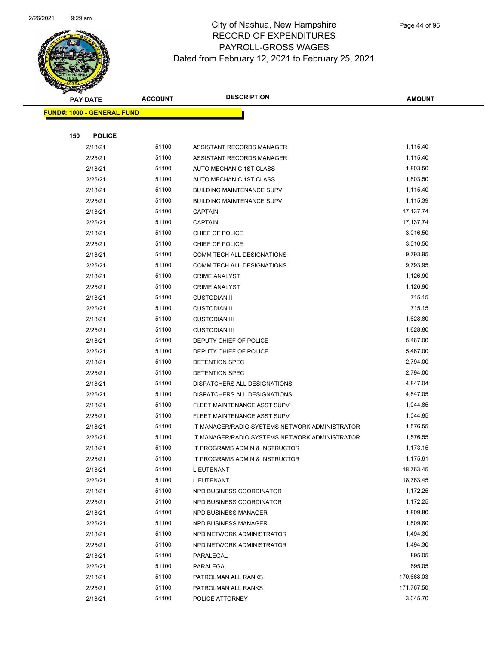

|     | <b>PAY DATE</b>                   | <b>ACCOUNT</b> | <b>DESCRIPTION</b>                             | <b>AMOUNT</b> |  |
|-----|-----------------------------------|----------------|------------------------------------------------|---------------|--|
|     | <b>FUND#: 1000 - GENERAL FUND</b> |                |                                                |               |  |
|     |                                   |                |                                                |               |  |
| 150 | <b>POLICE</b>                     |                |                                                |               |  |
|     | 2/18/21                           | 51100          | ASSISTANT RECORDS MANAGER                      | 1,115.40      |  |
|     | 2/25/21                           | 51100          | ASSISTANT RECORDS MANAGER                      | 1,115.40      |  |
|     | 2/18/21                           | 51100          | AUTO MECHANIC 1ST CLASS                        | 1,803.50      |  |
|     | 2/25/21                           | 51100          | AUTO MECHANIC 1ST CLASS                        | 1,803.50      |  |
|     | 2/18/21                           | 51100          | <b>BUILDING MAINTENANCE SUPV</b>               | 1,115.40      |  |
|     | 2/25/21                           | 51100          | <b>BUILDING MAINTENANCE SUPV</b>               | 1,115.39      |  |
|     | 2/18/21                           | 51100          | <b>CAPTAIN</b>                                 | 17, 137. 74   |  |
|     | 2/25/21                           | 51100          | <b>CAPTAIN</b>                                 | 17, 137. 74   |  |
|     | 2/18/21                           | 51100          | CHIEF OF POLICE                                | 3,016.50      |  |
|     | 2/25/21                           | 51100          | CHIEF OF POLICE                                | 3,016.50      |  |
|     | 2/18/21                           | 51100          | COMM TECH ALL DESIGNATIONS                     | 9,793.95      |  |
|     | 2/25/21                           | 51100          | COMM TECH ALL DESIGNATIONS                     | 9,793.95      |  |
|     | 2/18/21                           | 51100          | <b>CRIME ANALYST</b>                           | 1,126.90      |  |
|     | 2/25/21                           | 51100          | <b>CRIME ANALYST</b>                           | 1,126.90      |  |
|     | 2/18/21                           | 51100          | <b>CUSTODIAN II</b>                            | 715.15        |  |
|     | 2/25/21                           | 51100          | <b>CUSTODIAN II</b>                            | 715.15        |  |
|     | 2/18/21                           | 51100          | <b>CUSTODIAN III</b>                           | 1,628.80      |  |
|     | 2/25/21                           | 51100          | <b>CUSTODIAN III</b>                           | 1,628.80      |  |
|     | 2/18/21                           | 51100          | DEPUTY CHIEF OF POLICE                         | 5,467.00      |  |
|     | 2/25/21                           | 51100          | DEPUTY CHIEF OF POLICE                         | 5,467.00      |  |
|     | 2/18/21                           | 51100          | DETENTION SPEC                                 | 2,794.00      |  |
|     | 2/25/21                           | 51100          | DETENTION SPEC                                 | 2,794.00      |  |
|     | 2/18/21                           | 51100          | DISPATCHERS ALL DESIGNATIONS                   | 4,847.04      |  |
|     | 2/25/21                           | 51100          | DISPATCHERS ALL DESIGNATIONS                   | 4,847.05      |  |
|     | 2/18/21                           | 51100          | FLEET MAINTENANCE ASST SUPV                    | 1,044.85      |  |
|     | 2/25/21                           | 51100          | FLEET MAINTENANCE ASST SUPV                    | 1,044.85      |  |
|     | 2/18/21                           | 51100          | IT MANAGER/RADIO SYSTEMS NETWORK ADMINISTRATOR | 1,576.55      |  |
|     | 2/25/21                           | 51100          | IT MANAGER/RADIO SYSTEMS NETWORK ADMINISTRATOR | 1,576.55      |  |
|     | 2/18/21                           | 51100          | IT PROGRAMS ADMIN & INSTRUCTOR                 | 1,173.15      |  |
|     | 2/25/21                           | 51100          | IT PROGRAMS ADMIN & INSTRUCTOR                 | 1,175.61      |  |
|     | 2/18/21                           | 51100          | LIEUTENANT                                     | 18,763.45     |  |
|     | 2/25/21                           | 51100          | LIEUTENANT                                     | 18,763.45     |  |
|     | 2/18/21                           | 51100          | NPD BUSINESS COORDINATOR                       | 1,172.25      |  |
|     | 2/25/21                           | 51100          | NPD BUSINESS COORDINATOR                       | 1,172.25      |  |
|     | 2/18/21                           | 51100          | NPD BUSINESS MANAGER                           | 1,809.80      |  |
|     | 2/25/21                           | 51100          | NPD BUSINESS MANAGER                           | 1,809.80      |  |
|     | 2/18/21                           | 51100          | NPD NETWORK ADMINISTRATOR                      | 1,494.30      |  |
|     | 2/25/21                           | 51100          | NPD NETWORK ADMINISTRATOR                      | 1,494.30      |  |
|     | 2/18/21                           | 51100          | PARALEGAL                                      | 895.05        |  |
|     | 2/25/21                           | 51100          | PARALEGAL                                      | 895.05        |  |
|     | 2/18/21                           | 51100          | PATROLMAN ALL RANKS                            | 170,668.03    |  |
|     | 2/25/21                           | 51100          | PATROLMAN ALL RANKS                            | 171,767.50    |  |
|     | 2/18/21                           | 51100          | POLICE ATTORNEY                                | 3,045.70      |  |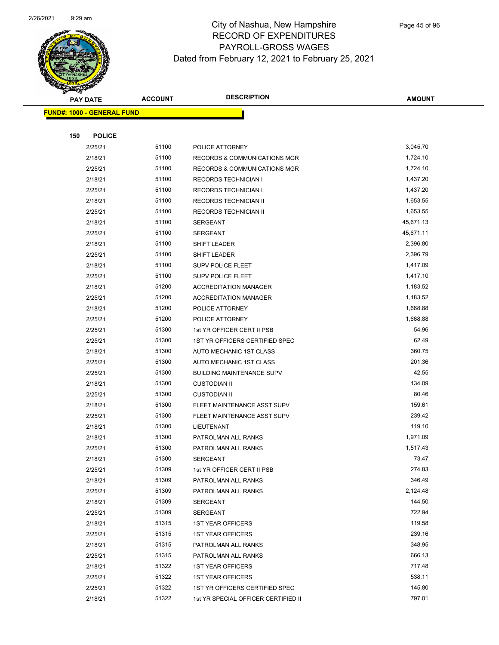

|     | <b>PAY DATE</b>            | <b>ACCOUNT</b> | <b>DESCRIPTION</b>                      | <b>AMOUNT</b>    |
|-----|----------------------------|----------------|-----------------------------------------|------------------|
|     | FUND#: 1000 - GENERAL FUND |                |                                         |                  |
|     |                            |                |                                         |                  |
| 150 | <b>POLICE</b>              |                |                                         |                  |
|     | 2/25/21                    | 51100          | POLICE ATTORNEY                         | 3,045.70         |
|     | 2/18/21                    | 51100          | <b>RECORDS &amp; COMMUNICATIONS MGR</b> | 1,724.10         |
|     | 2/25/21                    | 51100          | <b>RECORDS &amp; COMMUNICATIONS MGR</b> | 1,724.10         |
|     | 2/18/21                    | 51100          | <b>RECORDS TECHNICIAN I</b>             | 1,437.20         |
|     | 2/25/21                    | 51100          | <b>RECORDS TECHNICIAN I</b>             | 1,437.20         |
|     | 2/18/21                    | 51100          | RECORDS TECHNICIAN II                   | 1,653.55         |
|     | 2/25/21                    | 51100          | RECORDS TECHNICIAN II                   | 1,653.55         |
|     | 2/18/21                    | 51100          | <b>SERGEANT</b>                         | 45,671.13        |
|     | 2/25/21                    | 51100          | <b>SERGEANT</b>                         | 45,671.11        |
|     | 2/18/21                    | 51100          | SHIFT LEADER                            | 2,396.80         |
|     | 2/25/21                    | 51100          | <b>SHIFT LEADER</b>                     | 2,396.79         |
|     | 2/18/21                    | 51100          | <b>SUPV POLICE FLEET</b>                | 1,417.09         |
|     | 2/25/21                    | 51100          | <b>SUPV POLICE FLEET</b>                | 1,417.10         |
|     | 2/18/21                    | 51200          | <b>ACCREDITATION MANAGER</b>            | 1,183.52         |
|     | 2/25/21                    | 51200          | <b>ACCREDITATION MANAGER</b>            | 1,183.52         |
|     | 2/18/21                    | 51200          | POLICE ATTORNEY                         | 1,668.88         |
|     | 2/25/21                    | 51200          | POLICE ATTORNEY                         | 1,668.88         |
|     | 2/25/21                    | 51300          | 1st YR OFFICER CERT II PSB              | 54.96            |
|     | 2/25/21                    | 51300          | 1ST YR OFFICERS CERTIFIED SPEC          | 62.49            |
|     | 2/18/21                    | 51300          | AUTO MECHANIC 1ST CLASS                 | 360.75           |
|     | 2/25/21                    | 51300          | AUTO MECHANIC 1ST CLASS                 | 201.36           |
|     | 2/25/21                    | 51300          | <b>BUILDING MAINTENANCE SUPV</b>        | 42.55            |
|     | 2/18/21                    | 51300          | <b>CUSTODIAN II</b>                     | 134.09           |
|     | 2/25/21                    | 51300          | <b>CUSTODIAN II</b>                     | 80.46            |
|     | 2/18/21                    | 51300          | FLEET MAINTENANCE ASST SUPV             | 159.61<br>239.42 |
|     | 2/25/21                    | 51300<br>51300 | FLEET MAINTENANCE ASST SUPV             | 119.10           |
|     | 2/18/21<br>2/18/21         | 51300          | LIEUTENANT<br>PATROLMAN ALL RANKS       | 1,971.09         |
|     | 2/25/21                    | 51300          | PATROLMAN ALL RANKS                     | 1,517.43         |
|     | 2/18/21                    | 51300          | SERGEANT                                | 73.47            |
|     | 2/25/21                    | 51309          | 1st YR OFFICER CERT II PSB              | 274.83           |
|     | 2/18/21                    | 51309          | PATROLMAN ALL RANKS                     | 346.49           |
|     | 2/25/21                    | 51309          | PATROLMAN ALL RANKS                     | 2,124.48         |
|     | 2/18/21                    | 51309          | SERGEANT                                | 144.50           |
|     | 2/25/21                    | 51309          | <b>SERGEANT</b>                         | 722.94           |
|     | 2/18/21                    | 51315          | <b>1ST YEAR OFFICERS</b>                | 119.58           |
|     | 2/25/21                    | 51315          | <b>1ST YEAR OFFICERS</b>                | 239.16           |
|     | 2/18/21                    | 51315          | PATROLMAN ALL RANKS                     | 348.95           |
|     | 2/25/21                    | 51315          | PATROLMAN ALL RANKS                     | 666.13           |
|     | 2/18/21                    | 51322          | <b>1ST YEAR OFFICERS</b>                | 717.48           |
|     | 2/25/21                    | 51322          | <b>1ST YEAR OFFICERS</b>                | 538.11           |
|     | 2/25/21                    | 51322          | 1ST YR OFFICERS CERTIFIED SPEC          | 145.80           |
|     | 2/18/21                    | 51322          | 1st YR SPECIAL OFFICER CERTIFIED II     | 797.01           |
|     |                            |                |                                         |                  |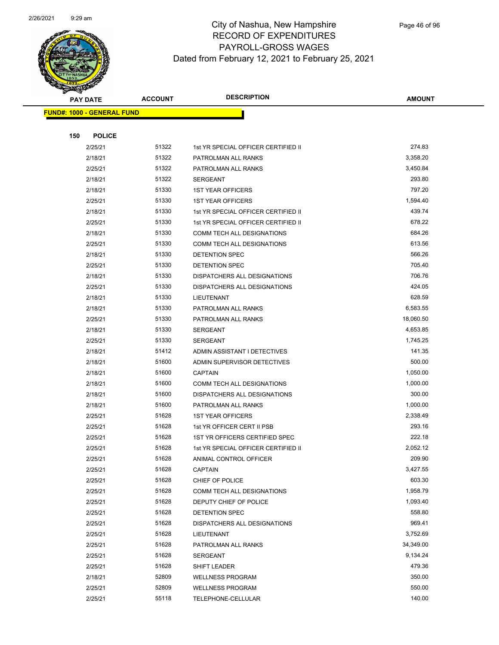

|     | <b>PAY DATE</b>                   | <b>ACCOUNT</b> | <b>DESCRIPTION</b>                                                    | <b>AMOUNT</b>      |
|-----|-----------------------------------|----------------|-----------------------------------------------------------------------|--------------------|
|     | <b>FUND#: 1000 - GENERAL FUND</b> |                |                                                                       |                    |
|     |                                   |                |                                                                       |                    |
| 150 | <b>POLICE</b>                     |                |                                                                       |                    |
|     | 2/25/21                           | 51322          | 1st YR SPECIAL OFFICER CERTIFIED II                                   | 274.83             |
|     | 2/18/21                           | 51322          | PATROLMAN ALL RANKS                                                   | 3,358.20           |
|     | 2/25/21                           | 51322          | PATROLMAN ALL RANKS                                                   | 3,450.84           |
|     | 2/18/21                           | 51322          | SERGEANT                                                              | 293.80             |
|     | 2/18/21                           | 51330          | <b>1ST YEAR OFFICERS</b>                                              | 797.20             |
|     | 2/25/21                           | 51330          | <b>1ST YEAR OFFICERS</b>                                              | 1,594.40           |
|     | 2/18/21                           | 51330          | 1st YR SPECIAL OFFICER CERTIFIED II                                   | 439.74             |
|     | 2/25/21                           | 51330          | 1st YR SPECIAL OFFICER CERTIFIED II                                   | 678.22             |
|     | 2/18/21                           | 51330          | COMM TECH ALL DESIGNATIONS                                            | 684.26             |
|     | 2/25/21                           | 51330          | COMM TECH ALL DESIGNATIONS                                            | 613.56             |
|     | 2/18/21                           | 51330          | <b>DETENTION SPEC</b>                                                 | 566.26             |
|     | 2/25/21                           | 51330          | DETENTION SPEC                                                        | 705.40             |
|     | 2/18/21                           | 51330          | DISPATCHERS ALL DESIGNATIONS                                          | 706.76             |
|     | 2/25/21                           | 51330          | DISPATCHERS ALL DESIGNATIONS                                          | 424.05             |
|     | 2/18/21                           | 51330          | LIEUTENANT                                                            | 628.59             |
|     | 2/18/21                           | 51330          | PATROLMAN ALL RANKS                                                   | 6,583.55           |
|     | 2/25/21                           | 51330          | PATROLMAN ALL RANKS                                                   | 18,060.50          |
|     | 2/18/21                           | 51330          | <b>SERGEANT</b>                                                       | 4,653.85           |
|     | 2/25/21                           | 51330          | <b>SERGEANT</b>                                                       | 1,745.25           |
|     | 2/18/21                           | 51412          | ADMIN ASSISTANT I DETECTIVES                                          | 141.35             |
|     | 2/18/21                           | 51600          | ADMIN SUPERVISOR DETECTIVES                                           | 500.00             |
|     | 2/18/21                           | 51600          | <b>CAPTAIN</b>                                                        | 1,050.00           |
|     | 2/18/21                           | 51600          | COMM TECH ALL DESIGNATIONS                                            | 1,000.00           |
|     | 2/18/21                           | 51600          | DISPATCHERS ALL DESIGNATIONS                                          | 300.00             |
|     | 2/18/21                           | 51600          | PATROLMAN ALL RANKS                                                   | 1,000.00           |
|     | 2/25/21                           | 51628          | <b>1ST YEAR OFFICERS</b>                                              | 2,338.49<br>293.16 |
|     | 2/25/21                           | 51628          | 1st YR OFFICER CERT II PSB                                            |                    |
|     | 2/25/21                           | 51628<br>51628 | 1ST YR OFFICERS CERTIFIED SPEC<br>1st YR SPECIAL OFFICER CERTIFIED II | 222.18<br>2,052.12 |
|     | 2/25/21<br>2/25/21                | 51628          | ANIMAL CONTROL OFFICER                                                | 209.90             |
|     | 2/25/21                           | 51628          | <b>CAPTAIN</b>                                                        | 3,427.55           |
|     | 2/25/21                           | 51628          | CHIEF OF POLICE                                                       | 603.30             |
|     | 2/25/21                           | 51628          | COMM TECH ALL DESIGNATIONS                                            | 1,958.79           |
|     | 2/25/21                           | 51628          | DEPUTY CHIEF OF POLICE                                                | 1,093.40           |
|     | 2/25/21                           | 51628          | DETENTION SPEC                                                        | 558.80             |
|     | 2/25/21                           | 51628          | DISPATCHERS ALL DESIGNATIONS                                          | 969.41             |
|     | 2/25/21                           | 51628          | LIEUTENANT                                                            | 3,752.69           |
|     | 2/25/21                           | 51628          | PATROLMAN ALL RANKS                                                   | 34,349.00          |
|     | 2/25/21                           | 51628          | SERGEANT                                                              | 9,134.24           |
|     | 2/25/21                           | 51628          | SHIFT LEADER                                                          | 479.36             |
|     | 2/18/21                           | 52809          | <b>WELLNESS PROGRAM</b>                                               | 350.00             |
|     | 2/25/21                           | 52809          | <b>WELLNESS PROGRAM</b>                                               | 550.00             |
|     | 2/25/21                           | 55118          | TELEPHONE-CELLULAR                                                    | 140.00             |
|     |                                   |                |                                                                       |                    |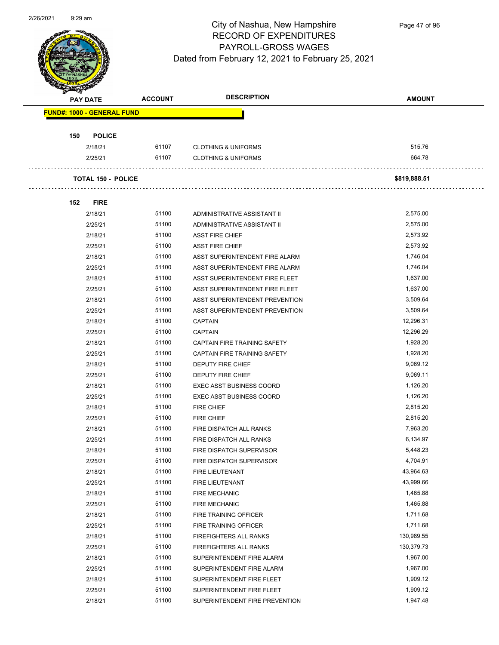

Page 47 of 96

| <b>PAY DATE</b>                   | <b>ACCOUNT</b> | <b>DESCRIPTION</b>              | <b>AMOUNT</b> |
|-----------------------------------|----------------|---------------------------------|---------------|
| <b>FUND#: 1000 - GENERAL FUND</b> |                |                                 |               |
|                                   |                |                                 |               |
| 150<br><b>POLICE</b>              |                |                                 |               |
| 2/18/21                           | 61107          | <b>CLOTHING &amp; UNIFORMS</b>  | 515.76        |
| 2/25/21                           | 61107          | <b>CLOTHING &amp; UNIFORMS</b>  | 664.78        |
|                                   |                |                                 |               |
| <b>TOTAL 150 - POLICE</b>         |                |                                 | \$819,888.51  |
|                                   |                |                                 |               |
| 152<br><b>FIRE</b>                |                |                                 |               |
| 2/18/21                           | 51100          | ADMINISTRATIVE ASSISTANT II     | 2,575.00      |
| 2/25/21                           | 51100          | ADMINISTRATIVE ASSISTANT II     | 2,575.00      |
| 2/18/21                           | 51100          | <b>ASST FIRE CHIEF</b>          | 2,573.92      |
| 2/25/21                           | 51100          | <b>ASST FIRE CHIEF</b>          | 2,573.92      |
| 2/18/21                           | 51100          | ASST SUPERINTENDENT FIRE ALARM  | 1,746.04      |
| 2/25/21                           | 51100          | ASST SUPERINTENDENT FIRE ALARM  | 1,746.04      |
| 2/18/21                           | 51100          | ASST SUPERINTENDENT FIRE FLEET  | 1,637.00      |
| 2/25/21                           | 51100          | ASST SUPERINTENDENT FIRE FLEET  | 1,637.00      |
| 2/18/21                           | 51100          | ASST SUPERINTENDENT PREVENTION  | 3,509.64      |
| 2/25/21                           | 51100          | ASST SUPERINTENDENT PREVENTION  | 3,509.64      |
| 2/18/21                           | 51100          | <b>CAPTAIN</b>                  | 12,296.31     |
| 2/25/21                           | 51100          | <b>CAPTAIN</b>                  | 12,296.29     |
| 2/18/21                           | 51100          | CAPTAIN FIRE TRAINING SAFETY    | 1,928.20      |
| 2/25/21                           | 51100          | CAPTAIN FIRE TRAINING SAFETY    | 1,928.20      |
| 2/18/21                           | 51100          | <b>DEPUTY FIRE CHIEF</b>        | 9,069.12      |
| 2/25/21                           | 51100          | <b>DEPUTY FIRE CHIEF</b>        | 9,069.11      |
| 2/18/21                           | 51100          | <b>EXEC ASST BUSINESS COORD</b> | 1,126.20      |
| 2/25/21                           | 51100          | <b>EXEC ASST BUSINESS COORD</b> | 1,126.20      |
| 2/18/21                           | 51100          | <b>FIRE CHIEF</b>               | 2,815.20      |
| 2/25/21                           | 51100          | <b>FIRE CHIEF</b>               | 2,815.20      |
| 2/18/21                           | 51100          | FIRE DISPATCH ALL RANKS         | 7,963.20      |
| 2/25/21                           | 51100          | FIRE DISPATCH ALL RANKS         | 6,134.97      |
| 2/18/21                           | 51100          | FIRE DISPATCH SUPERVISOR        | 5,448.23      |
| 2/25/21                           | 51100          | FIRE DISPATCH SUPERVISOR        | 4,704.91      |
| 2/18/21                           | 51100          | FIRE LIEUTENANT                 | 43,964.63     |
| 2/25/21                           | 51100          | FIRE LIEUTENANT                 | 43,999.66     |
| 2/18/21                           | 51100          | <b>FIRE MECHANIC</b>            | 1,465.88      |
| 2/25/21                           | 51100          | <b>FIRE MECHANIC</b>            | 1,465.88      |
| 2/18/21                           | 51100          | FIRE TRAINING OFFICER           | 1,711.68      |
| 2/25/21                           | 51100          | FIRE TRAINING OFFICER           | 1,711.68      |
| 2/18/21                           | 51100          | FIREFIGHTERS ALL RANKS          | 130,989.55    |
| 2/25/21                           | 51100          | FIREFIGHTERS ALL RANKS          | 130,379.73    |
| 2/18/21                           | 51100          | SUPERINTENDENT FIRE ALARM       | 1,967.00      |
| 2/25/21                           | 51100          | SUPERINTENDENT FIRE ALARM       | 1,967.00      |
| 2/18/21                           | 51100          | SUPERINTENDENT FIRE FLEET       | 1,909.12      |
| 2/25/21                           | 51100          | SUPERINTENDENT FIRE FLEET       | 1,909.12      |
| 2/18/21                           | 51100          | SUPERINTENDENT FIRE PREVENTION  | 1,947.48      |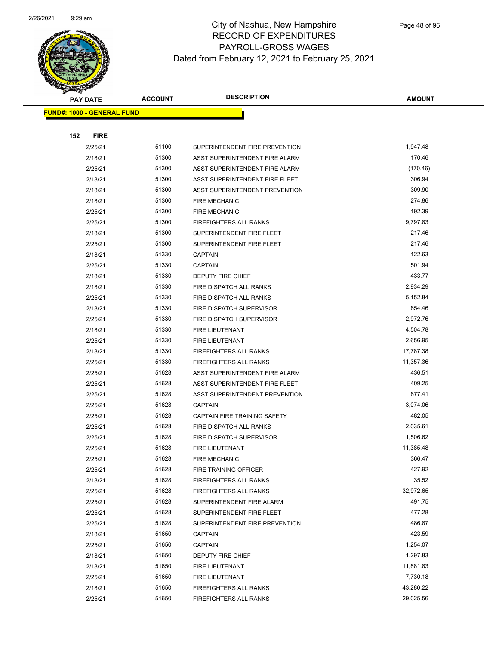

|     | <b>PAY DATE</b>                    | <b>ACCOUNT</b> | <b>DESCRIPTION</b>             | <b>AMOUNT</b> |
|-----|------------------------------------|----------------|--------------------------------|---------------|
|     | <u> FUND#: 1000 - GENERAL FUND</u> |                |                                |               |
|     |                                    |                |                                |               |
| 152 | <b>FIRE</b>                        |                |                                |               |
|     | 2/25/21                            | 51100          | SUPERINTENDENT FIRE PREVENTION | 1,947.48      |
|     | 2/18/21                            | 51300          | ASST SUPERINTENDENT FIRE ALARM | 170.46        |
|     | 2/25/21                            | 51300          | ASST SUPERINTENDENT FIRE ALARM | (170.46)      |
|     | 2/18/21                            | 51300          | ASST SUPERINTENDENT FIRE FLEET | 306.94        |
|     | 2/18/21                            | 51300          | ASST SUPERINTENDENT PREVENTION | 309.90        |
|     | 2/18/21                            | 51300          | <b>FIRE MECHANIC</b>           | 274.86        |
|     | 2/25/21                            | 51300          | <b>FIRE MECHANIC</b>           | 192.39        |
|     | 2/25/21                            | 51300          | FIREFIGHTERS ALL RANKS         | 9,797.83      |
|     | 2/18/21                            | 51300          | SUPERINTENDENT FIRE FLEET      | 217.46        |
|     | 2/25/21                            | 51300          | SUPERINTENDENT FIRE FLEET      | 217.46        |
|     | 2/18/21                            | 51330          | <b>CAPTAIN</b>                 | 122.63        |
|     | 2/25/21                            | 51330          | <b>CAPTAIN</b>                 | 501.94        |
|     | 2/18/21                            | 51330          | DEPUTY FIRE CHIEF              | 433.77        |
|     | 2/18/21                            | 51330          | FIRE DISPATCH ALL RANKS        | 2,934.29      |
|     | 2/25/21                            | 51330          | FIRE DISPATCH ALL RANKS        | 5,152.84      |
|     | 2/18/21                            | 51330          | FIRE DISPATCH SUPERVISOR       | 854.46        |
|     | 2/25/21                            | 51330          | FIRE DISPATCH SUPERVISOR       | 2,972.76      |
|     | 2/18/21                            | 51330          | <b>FIRE LIEUTENANT</b>         | 4,504.78      |
|     | 2/25/21                            | 51330          | FIRE LIEUTENANT                | 2,656.95      |
|     | 2/18/21                            | 51330          | FIREFIGHTERS ALL RANKS         | 17,787.38     |
|     | 2/25/21                            | 51330          | FIREFIGHTERS ALL RANKS         | 11,357.36     |
|     | 2/25/21                            | 51628          | ASST SUPERINTENDENT FIRE ALARM | 436.51        |
|     | 2/25/21                            | 51628          | ASST SUPERINTENDENT FIRE FLEET | 409.25        |
|     | 2/25/21                            | 51628          | ASST SUPERINTENDENT PREVENTION | 877.41        |
|     | 2/25/21                            | 51628          | <b>CAPTAIN</b>                 | 3,074.06      |
|     | 2/25/21                            | 51628          | CAPTAIN FIRE TRAINING SAFETY   | 482.05        |
|     | 2/25/21                            | 51628          | FIRE DISPATCH ALL RANKS        | 2,035.61      |
|     | 2/25/21                            | 51628          | FIRE DISPATCH SUPERVISOR       | 1,506.62      |
|     | 2/25/21                            | 51628          | FIRE LIEUTENANT                | 11,385.48     |
|     | 2/25/21                            | 51628          | <b>FIRE MECHANIC</b>           | 366.47        |
|     | 2/25/21                            | 51628          | FIRE TRAINING OFFICER          | 427.92        |
|     | 2/18/21                            | 51628          | FIREFIGHTERS ALL RANKS         | 35.52         |
|     | 2/25/21                            | 51628          | FIREFIGHTERS ALL RANKS         | 32,972.65     |
|     | 2/25/21                            | 51628          | SUPERINTENDENT FIRE ALARM      | 491.75        |
|     | 2/25/21                            | 51628          | SUPERINTENDENT FIRE FLEET      | 477.28        |
|     | 2/25/21                            | 51628          | SUPERINTENDENT FIRE PREVENTION | 486.87        |
|     | 2/18/21                            | 51650          | <b>CAPTAIN</b>                 | 423.59        |
|     | 2/25/21                            | 51650          | <b>CAPTAIN</b>                 | 1,254.07      |
|     | 2/18/21                            | 51650          | DEPUTY FIRE CHIEF              | 1,297.83      |
|     | 2/18/21                            | 51650          | FIRE LIEUTENANT                | 11,881.83     |
|     | 2/25/21                            | 51650          | FIRE LIEUTENANT                | 7,730.18      |
|     | 2/18/21                            | 51650          | FIREFIGHTERS ALL RANKS         | 43,280.22     |
|     | 2/25/21                            | 51650          | FIREFIGHTERS ALL RANKS         | 29,025.56     |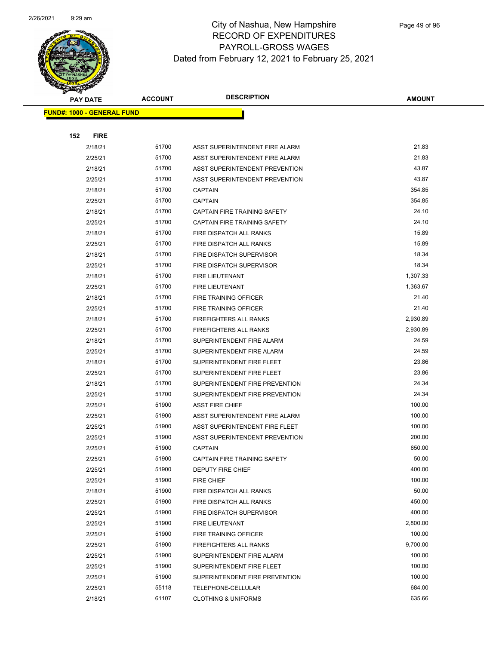

|     | <b>PAY DATE</b>                   | <b>ACCOUNT</b> | <b>DESCRIPTION</b>              | <b>AMOUNT</b> |
|-----|-----------------------------------|----------------|---------------------------------|---------------|
|     | <b>FUND#: 1000 - GENERAL FUND</b> |                |                                 |               |
|     |                                   |                |                                 |               |
| 152 | <b>FIRE</b>                       |                |                                 |               |
|     | 2/18/21                           | 51700          | ASST SUPERINTENDENT FIRE ALARM  | 21.83         |
|     | 2/25/21                           | 51700          | ASST SUPERINTENDENT FIRE ALARM  | 21.83         |
|     | 2/18/21                           | 51700          | ASST SUPERINTENDENT PREVENTION  | 43.87         |
|     | 2/25/21                           | 51700          | ASST SUPERINTENDENT PREVENTION  | 43.87         |
|     | 2/18/21                           | 51700          | <b>CAPTAIN</b>                  | 354.85        |
|     | 2/25/21                           | 51700          | <b>CAPTAIN</b>                  | 354.85        |
|     | 2/18/21                           | 51700          | CAPTAIN FIRE TRAINING SAFETY    | 24.10         |
|     | 2/25/21                           | 51700          | CAPTAIN FIRE TRAINING SAFETY    | 24.10         |
|     | 2/18/21                           | 51700          | FIRE DISPATCH ALL RANKS         | 15.89         |
|     | 2/25/21                           | 51700          | FIRE DISPATCH ALL RANKS         | 15.89         |
|     | 2/18/21                           | 51700          | FIRE DISPATCH SUPERVISOR        | 18.34         |
|     | 2/25/21                           | 51700          | <b>FIRE DISPATCH SUPERVISOR</b> | 18.34         |
|     | 2/18/21                           | 51700          | FIRE LIEUTENANT                 | 1,307.33      |
|     | 2/25/21                           | 51700          | FIRE LIEUTENANT                 | 1,363.67      |
|     | 2/18/21                           | 51700          | FIRE TRAINING OFFICER           | 21.40         |
|     | 2/25/21                           | 51700          | FIRE TRAINING OFFICER           | 21.40         |
|     | 2/18/21                           | 51700          | <b>FIREFIGHTERS ALL RANKS</b>   | 2,930.89      |
|     | 2/25/21                           | 51700          | <b>FIREFIGHTERS ALL RANKS</b>   | 2,930.89      |
|     | 2/18/21                           | 51700          | SUPERINTENDENT FIRE ALARM       | 24.59         |
|     | 2/25/21                           | 51700          | SUPERINTENDENT FIRE ALARM       | 24.59         |
|     | 2/18/21                           | 51700          | SUPERINTENDENT FIRE FLEET       | 23.86         |
|     | 2/25/21                           | 51700          | SUPERINTENDENT FIRE FLEET       | 23.86         |
|     | 2/18/21                           | 51700          | SUPERINTENDENT FIRE PREVENTION  | 24.34         |
|     | 2/25/21                           | 51700          | SUPERINTENDENT FIRE PREVENTION  | 24.34         |
|     | 2/25/21                           | 51900          | <b>ASST FIRE CHIEF</b>          | 100.00        |
|     | 2/25/21                           | 51900          | ASST SUPERINTENDENT FIRE ALARM  | 100.00        |
|     | 2/25/21                           | 51900          | ASST SUPERINTENDENT FIRE FLEET  | 100.00        |
|     | 2/25/21                           | 51900          | ASST SUPERINTENDENT PREVENTION  | 200.00        |
|     | 2/25/21                           | 51900          | <b>CAPTAIN</b>                  | 650.00        |
|     | 2/25/21                           | 51900          | CAPTAIN FIRE TRAINING SAFETY    | 50.00         |
|     | 2/25/21                           | 51900          | DEPUTY FIRE CHIEF               | 400.00        |
|     | 2/25/21                           | 51900          | <b>FIRE CHIEF</b>               | 100.00        |
|     | 2/18/21                           | 51900          | FIRE DISPATCH ALL RANKS         | 50.00         |
|     | 2/25/21                           | 51900          | FIRE DISPATCH ALL RANKS         | 450.00        |
|     | 2/25/21                           | 51900          | FIRE DISPATCH SUPERVISOR        | 400.00        |
|     | 2/25/21                           | 51900          | FIRE LIEUTENANT                 | 2,800.00      |
|     | 2/25/21                           | 51900          | <b>FIRE TRAINING OFFICER</b>    | 100.00        |
|     | 2/25/21                           | 51900          | <b>FIREFIGHTERS ALL RANKS</b>   | 9,700.00      |
|     | 2/25/21                           | 51900          | SUPERINTENDENT FIRE ALARM       | 100.00        |
|     | 2/25/21                           | 51900          | SUPERINTENDENT FIRE FLEET       | 100.00        |
|     | 2/25/21                           | 51900          | SUPERINTENDENT FIRE PREVENTION  | 100.00        |
|     | 2/25/21                           | 55118          | TELEPHONE-CELLULAR              | 684.00        |
|     | 2/18/21                           | 61107          | <b>CLOTHING &amp; UNIFORMS</b>  | 635.66        |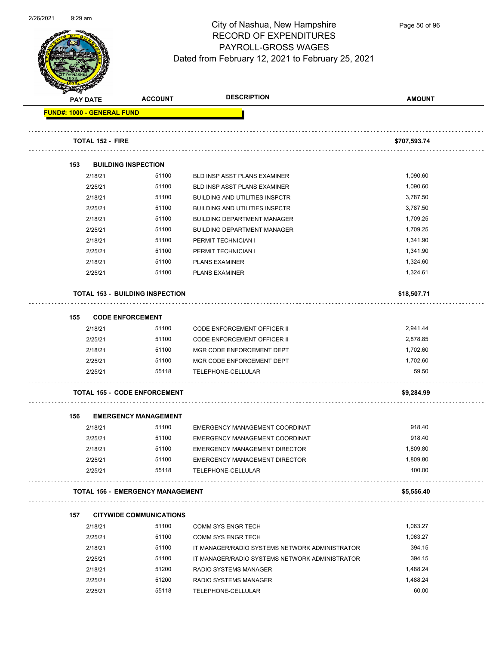

Page 50 of 96

| <b>PAY DATE</b>                   | <b>ACCOUNT</b>                          | <b>DESCRIPTION</b>                             | <b>AMOUNT</b>   |
|-----------------------------------|-----------------------------------------|------------------------------------------------|-----------------|
| <b>FUND#: 1000 - GENERAL FUND</b> |                                         |                                                |                 |
| <b>TOTAL 152 - FIRE</b>           |                                         |                                                | \$707,593.74    |
| 153                               | <b>BUILDING INSPECTION</b>              |                                                |                 |
| 2/18/21                           | 51100                                   | <b>BLD INSP ASST PLANS EXAMINER</b>            | 1,090.60        |
| 2/25/21                           | 51100                                   | <b>BLD INSP ASST PLANS EXAMINER</b>            | 1,090.60        |
| 2/18/21                           | 51100                                   | <b>BUILDING AND UTILITIES INSPCTR</b>          | 3,787.50        |
| 2/25/21                           | 51100                                   | <b>BUILDING AND UTILITIES INSPCTR</b>          | 3,787.50        |
| 2/18/21                           | 51100                                   | <b>BUILDING DEPARTMENT MANAGER</b>             | 1,709.25        |
| 2/25/21                           | 51100                                   | <b>BUILDING DEPARTMENT MANAGER</b>             | 1,709.25        |
| 2/18/21                           | 51100                                   | PERMIT TECHNICIAN I                            | 1,341.90        |
| 2/25/21                           | 51100                                   | PERMIT TECHNICIAN I                            | 1,341.90        |
| 2/18/21                           | 51100                                   | <b>PLANS EXAMINER</b>                          | 1,324.60        |
| 2/25/21                           | 51100                                   | <b>PLANS EXAMINER</b>                          | 1,324.61        |
|                                   | <b>TOTAL 153 - BUILDING INSPECTION</b>  |                                                | \$18,507.71     |
| 155                               | <b>CODE ENFORCEMENT</b>                 |                                                |                 |
| 2/18/21                           | 51100                                   | <b>CODE ENFORCEMENT OFFICER II</b>             | 2,941.44        |
| 2/25/21                           | 51100                                   | <b>CODE ENFORCEMENT OFFICER II</b>             | 2,878.85        |
| 2/18/21                           | 51100                                   | MGR CODE ENFORCEMENT DEPT                      | 1,702.60        |
| 2/25/21                           | 51100                                   | MGR CODE ENFORCEMENT DEPT                      | 1,702.60        |
| 2/25/21                           | 55118                                   | TELEPHONE-CELLULAR                             | 59.50           |
|                                   | <b>TOTAL 155 - CODE ENFORCEMENT</b>     |                                                | \$9,284.99      |
| 156                               | <b>EMERGENCY MANAGEMENT</b>             |                                                |                 |
| 2/18/21                           | 51100                                   | EMERGENCY MANAGEMENT COORDINAT                 | 918.40          |
| 2/25/21                           | 51100                                   | EMERGENCY MANAGEMENT COORDINAT                 | 918.40          |
| 2/18/21                           | 51100                                   | EMERGENCY MANAGEMENT DIRECTOR                  | 1,809.80        |
| 2/25/21                           | 51100                                   | <b>EMERGENCY MANAGEMENT DIRECTOR</b>           | 1,809.80        |
| 2/25/21                           | 55118                                   | TELEPHONE-CELLULAR                             | 100.00          |
|                                   | <b>TOTAL 156 - EMERGENCY MANAGEMENT</b> |                                                | \$5,556.40<br>. |
| 157                               | <b>CITYWIDE COMMUNICATIONS</b>          |                                                |                 |
| 2/18/21                           | 51100                                   | <b>COMM SYS ENGR TECH</b>                      | 1,063.27        |
| 2/25/21                           | 51100                                   | <b>COMM SYS ENGR TECH</b>                      | 1,063.27        |
| 2/18/21                           | 51100                                   | IT MANAGER/RADIO SYSTEMS NETWORK ADMINISTRATOR | 394.15          |
| 2/25/21                           | 51100                                   | IT MANAGER/RADIO SYSTEMS NETWORK ADMINISTRATOR | 394.15          |
| 2/18/21                           | 51200                                   | RADIO SYSTEMS MANAGER                          | 1,488.24        |
| 2/25/21                           | 51200                                   | RADIO SYSTEMS MANAGER                          | 1,488.24        |
|                                   |                                         |                                                |                 |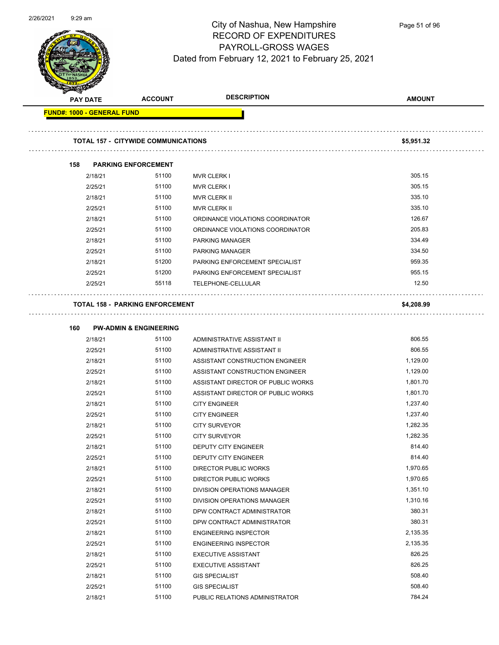

Page 51 of 96

| <b>Andrew School</b><br><b>PAY DATE</b> | <b>ACCOUNT</b>                             | <b>DESCRIPTION</b>                                  | <b>AMOUNT</b>        |
|-----------------------------------------|--------------------------------------------|-----------------------------------------------------|----------------------|
| <b>FUND#: 1000 - GENERAL FUND</b>       |                                            |                                                     |                      |
|                                         |                                            |                                                     |                      |
|                                         | <b>TOTAL 157 - CITYWIDE COMMUNICATIONS</b> |                                                     | \$5,951.32           |
| 158                                     | <b>PARKING ENFORCEMENT</b>                 |                                                     |                      |
| 2/18/21                                 | 51100                                      | <b>MVR CLERK I</b>                                  | 305.15               |
| 2/25/21                                 | 51100                                      | <b>MVR CLERK I</b>                                  | 305.15               |
| 2/18/21                                 | 51100                                      | <b>MVR CLERK II</b>                                 | 335.10               |
| 2/25/21                                 | 51100                                      | <b>MVR CLERK II</b>                                 | 335.10               |
| 2/18/21                                 | 51100                                      | ORDINANCE VIOLATIONS COORDINATOR                    | 126.67               |
| 2/25/21                                 | 51100                                      | ORDINANCE VIOLATIONS COORDINATOR                    | 205.83               |
| 2/18/21                                 | 51100                                      | PARKING MANAGER                                     | 334.49               |
| 2/25/21                                 | 51100                                      | <b>PARKING MANAGER</b>                              | 334.50               |
| 2/18/21                                 | 51200                                      | PARKING ENFORCEMENT SPECIALIST                      | 959.35               |
| 2/25/21                                 | 51200                                      | PARKING ENFORCEMENT SPECIALIST                      | 955.15               |
| 2/25/21                                 | 55118                                      | TELEPHONE-CELLULAR                                  | 12.50                |
|                                         | <b>TOTAL 158 - PARKING ENFORCEMENT</b>     |                                                     | \$4,208.99           |
|                                         |                                            |                                                     |                      |
| 160                                     | <b>PW-ADMIN &amp; ENGINEERING</b>          |                                                     |                      |
| 2/18/21                                 | 51100                                      | ADMINISTRATIVE ASSISTANT II                         | 806.55               |
| 2/25/21                                 | 51100                                      | ADMINISTRATIVE ASSISTANT II                         | 806.55               |
| 2/18/21                                 | 51100                                      | ASSISTANT CONSTRUCTION ENGINEER                     | 1,129.00             |
| 2/25/21                                 | 51100                                      | ASSISTANT CONSTRUCTION ENGINEER                     | 1,129.00             |
| 2/18/21                                 | 51100                                      | ASSISTANT DIRECTOR OF PUBLIC WORKS                  | 1,801.70             |
| 2/25/21                                 | 51100                                      | ASSISTANT DIRECTOR OF PUBLIC WORKS                  | 1,801.70             |
| 2/18/21                                 | 51100                                      | <b>CITY ENGINEER</b>                                | 1,237.40             |
| 2/25/21                                 | 51100                                      | <b>CITY ENGINEER</b>                                | 1,237.40             |
| 2/18/21                                 | 51100<br>51100                             | <b>CITY SURVEYOR</b>                                | 1,282.35<br>1,282.35 |
| 2/25/21<br>2/18/21                      | 51100                                      | <b>CITY SURVEYOR</b><br><b>DEPUTY CITY ENGINEER</b> | 814.40               |
| 2/25/21                                 | 51100                                      | DEPUTY CITY ENGINEER                                | 814.40               |
| 2/18/21                                 | 51100                                      | <b>DIRECTOR PUBLIC WORKS</b>                        | 1,970.65             |
| 2/25/21                                 | 51100                                      | <b>DIRECTOR PUBLIC WORKS</b>                        | 1,970.65             |
| 2/18/21                                 | 51100                                      | DIVISION OPERATIONS MANAGER                         | 1,351.10             |
| 2/25/21                                 | 51100                                      | DIVISION OPERATIONS MANAGER                         | 1,310.16             |
| 2/18/21                                 | 51100                                      | DPW CONTRACT ADMINISTRATOR                          | 380.31               |
| 2/25/21                                 | 51100                                      | DPW CONTRACT ADMINISTRATOR                          | 380.31               |
| 2/18/21                                 | 51100                                      | <b>ENGINEERING INSPECTOR</b>                        | 2,135.35             |
| 2/25/21                                 | 51100                                      | <b>ENGINEERING INSPECTOR</b>                        | 2,135.35             |
| 2/18/21                                 | 51100                                      | <b>EXECUTIVE ASSISTANT</b>                          | 826.25               |
| 2/25/21                                 | 51100                                      | EXECUTIVE ASSISTANT                                 | 826.25               |
| 2/18/21                                 | 51100                                      | <b>GIS SPECIALIST</b>                               | 508.40               |
| 2/25/21                                 | 51100                                      | <b>GIS SPECIALIST</b>                               | 508.40               |
| 2/18/21                                 | 51100                                      | PUBLIC RELATIONS ADMINISTRATOR                      | 784.24               |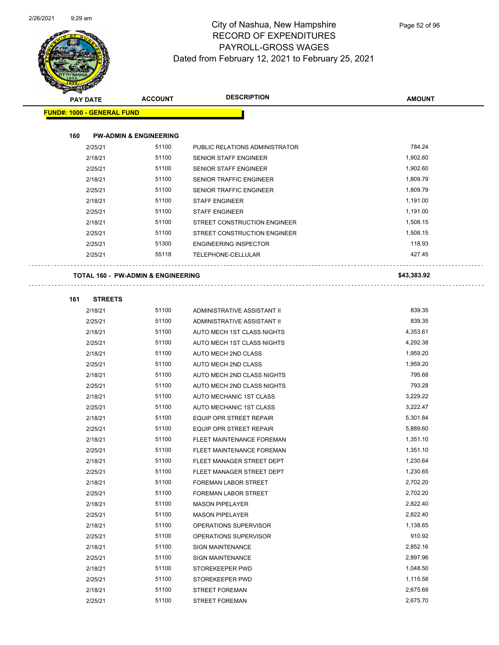

| <b>PAY DATE</b>                    | <b>ACCOUNT</b>                    | <b>DESCRIPTION</b>             | <b>AMOUNT</b> |
|------------------------------------|-----------------------------------|--------------------------------|---------------|
| <b>FUND#: 1000 - GENERAL FUND</b>  |                                   |                                |               |
|                                    |                                   |                                |               |
| 160                                | <b>PW-ADMIN &amp; ENGINEERING</b> |                                |               |
| 2/25/21                            | 51100                             | PUBLIC RELATIONS ADMINISTRATOR | 784.24        |
| 2/18/21                            | 51100                             | SENIOR STAFF ENGINEER          | 1,902.60      |
| 2/25/21                            | 51100                             | <b>SENIOR STAFF ENGINEER</b>   | 1,902.60      |
| 2/18/21                            | 51100                             | <b>SENIOR TRAFFIC ENGINEER</b> | 1,809.79      |
| 2/25/21                            | 51100                             | <b>SENIOR TRAFFIC ENGINEER</b> | 1,809.79      |
| 2/18/21                            | 51100                             | <b>STAFF ENGINEER</b>          | 1,191.00      |
| 2/25/21                            | 51100                             | <b>STAFF ENGINEER</b>          | 1,191.00      |
| 2/18/21                            | 51100                             | STREET CONSTRUCTION ENGINEER   | 1,508.15      |
| 2/25/21                            | 51100                             | STREET CONSTRUCTION ENGINEER   | 1,508.15      |
| 2/25/21                            | 51300                             | <b>ENGINEERING INSPECTOR</b>   | 118.93        |
| 2/25/21                            | 55118                             | TELEPHONE-CELLULAR             | 427.45        |
|                                    |                                   |                                |               |
| TOTAL 160 - PW-ADMIN & ENGINEERING |                                   |                                | \$43,383.92   |
|                                    |                                   |                                |               |
| 161<br><b>STREETS</b>              |                                   |                                |               |
| 2/18/21                            | 51100                             | ADMINISTRATIVE ASSISTANT II    | 839.35        |
| 2/25/21                            | 51100                             | ADMINISTRATIVE ASSISTANT II    | 839.35        |
| 2/18/21                            | 51100                             | AUTO MECH 1ST CLASS NIGHTS     | 4,353.61      |
| 2/25/21                            | 51100                             | AUTO MECH 1ST CLASS NIGHTS     | 4,292.38      |
| 2/18/21                            | 51100                             | AUTO MECH 2ND CLASS            | 1,959.20      |
| 2/25/21                            | 51100                             | AUTO MECH 2ND CLASS            | 1,959.20      |
| 2/18/21                            | 51100                             | AUTO MECH 2ND CLASS NIGHTS     | 795.68        |
| 2/25/21                            | 51100                             | AUTO MECH 2ND CLASS NIGHTS     | 793.28        |
| 2/18/21                            | 51100                             | AUTO MECHANIC 1ST CLASS        | 3,229.22      |
| 2/25/21                            | 51100                             | AUTO MECHANIC 1ST CLASS        | 3,222.47      |
| 2/18/21                            | 51100                             | EQUIP OPR STREET REPAIR        | 5,301.84      |
| 2/25/21                            | 51100                             | EQUIP OPR STREET REPAIR        | 5,889.60      |
| 2/18/21                            | 51100                             | FLEET MAINTENANCE FOREMAN      | 1,351.10      |
| 2/25/21                            | 51100                             | FLEET MAINTENANCE FOREMAN      | 1,351.10      |
| 2/18/21                            | 51100                             | FLEET MANAGER STREET DEPT      | 1,230.64      |
| 2/25/21                            | 51100                             | FLEET MANAGER STREET DEPT      | 1,230.65      |
| 2/18/21                            | 51100                             | FOREMAN LABOR STREET           | 2,702.20      |
| 2/25/21                            | 51100                             | FOREMAN LABOR STREET           | 2,702.20      |
| 2/18/21                            | 51100                             | <b>MASON PIPELAYER</b>         | 2,822.40      |
| 2/25/21                            | 51100                             | <b>MASON PIPELAYER</b>         | 2,822.40      |
| 2/18/21                            | 51100                             | OPERATIONS SUPERVISOR          | 1,138.65      |
| 2/25/21                            | 51100                             | OPERATIONS SUPERVISOR          | 910.92        |
| 2/18/21                            | 51100                             | <b>SIGN MAINTENANCE</b>        | 2,852.16      |
| 2/25/21                            | 51100                             | SIGN MAINTENANCE               | 2,897.96      |
| 2/18/21                            | 51100                             | STOREKEEPER PWD                | 1,048.50      |
| 2/25/21                            | 51100                             | STOREKEEPER PWD                | 1,115.58      |
| 2/18/21                            | 51100                             | <b>STREET FOREMAN</b>          | 2,675.68      |
| 2/25/21                            | 51100                             | <b>STREET FOREMAN</b>          | 2,675.70      |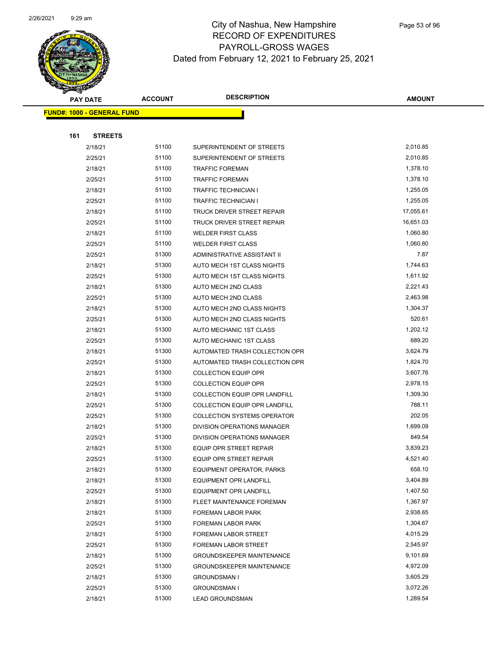

|     | <b>PAY DATE</b>                    | <b>ACCOUNT</b> | <b>DESCRIPTION</b>                 | AMOUNT    |
|-----|------------------------------------|----------------|------------------------------------|-----------|
|     | <u> FUND#: 1000 - GENERAL FUND</u> |                |                                    |           |
|     |                                    |                |                                    |           |
| 161 | <b>STREETS</b>                     |                |                                    |           |
|     | 2/18/21                            | 51100          | SUPERINTENDENT OF STREETS          | 2,010.85  |
|     | 2/25/21                            | 51100          | SUPERINTENDENT OF STREETS          | 2,010.85  |
|     | 2/18/21                            | 51100          | <b>TRAFFIC FOREMAN</b>             | 1,378.10  |
|     | 2/25/21                            | 51100          | <b>TRAFFIC FOREMAN</b>             | 1,378.10  |
|     | 2/18/21                            | 51100          | <b>TRAFFIC TECHNICIAN I</b>        | 1,255.05  |
|     | 2/25/21                            | 51100          | <b>TRAFFIC TECHNICIAN I</b>        | 1,255.05  |
|     | 2/18/21                            | 51100          | TRUCK DRIVER STREET REPAIR         | 17,055.61 |
|     | 2/25/21                            | 51100          | TRUCK DRIVER STREET REPAIR         | 16,651.03 |
|     | 2/18/21                            | 51100          | <b>WELDER FIRST CLASS</b>          | 1,060.80  |
|     | 2/25/21                            | 51100          | <b>WELDER FIRST CLASS</b>          | 1,060.80  |
|     | 2/25/21                            | 51300          | <b>ADMINISTRATIVE ASSISTANT II</b> | 7.87      |
|     | 2/18/21                            | 51300          | AUTO MECH 1ST CLASS NIGHTS         | 1,744.63  |
|     | 2/25/21                            | 51300          | AUTO MECH 1ST CLASS NIGHTS         | 1,611.92  |
|     | 2/18/21                            | 51300          | AUTO MECH 2ND CLASS                | 2,221.43  |
|     | 2/25/21                            | 51300          | AUTO MECH 2ND CLASS                | 2,463.98  |
|     | 2/18/21                            | 51300          | AUTO MECH 2ND CLASS NIGHTS         | 1,304.37  |
|     | 2/25/21                            | 51300          | AUTO MECH 2ND CLASS NIGHTS         | 520.61    |
|     | 2/18/21                            | 51300          | AUTO MECHANIC 1ST CLASS            | 1,202.12  |
|     | 2/25/21                            | 51300          | AUTO MECHANIC 1ST CLASS            | 689.20    |
|     | 2/18/21                            | 51300          | AUTOMATED TRASH COLLECTION OPR     | 3,624.79  |
|     | 2/25/21                            | 51300          | AUTOMATED TRASH COLLECTION OPR     | 1,824.70  |
|     | 2/18/21                            | 51300          | <b>COLLECTION EQUIP OPR</b>        | 3,607.76  |
|     | 2/25/21                            | 51300          | <b>COLLECTION EQUIP OPR</b>        | 2,978.15  |
|     | 2/18/21                            | 51300          | COLLECTION EQUIP OPR LANDFILL      | 1,309.30  |
|     | 2/25/21                            | 51300          | COLLECTION EQUIP OPR LANDFILL      | 788.11    |
|     | 2/25/21                            | 51300          | <b>COLLECTION SYSTEMS OPERATOR</b> | 202.05    |
|     | 2/18/21                            | 51300          | DIVISION OPERATIONS MANAGER        | 1,699.09  |
|     | 2/25/21                            | 51300          | DIVISION OPERATIONS MANAGER        | 849.54    |
|     | 2/18/21                            | 51300          | EQUIP OPR STREET REPAIR            | 3,839.23  |
|     | 2/25/21                            | 51300          | EQUIP OPR STREET REPAIR            | 4,521.40  |
|     | 2/18/21                            | 51300          | EQUIPMENT OPERATOR, PARKS          | 658.10    |
|     | 2/18/21                            | 51300          | EQUIPMENT OPR LANDFILL             | 3,404.89  |
|     | 2/25/21                            | 51300          | <b>EQUIPMENT OPR LANDFILL</b>      | 1,407.50  |
|     | 2/18/21                            | 51300          | FLEET MAINTENANCE FOREMAN          | 1,367.97  |
|     | 2/18/21                            | 51300          | FOREMAN LABOR PARK                 | 2,938.65  |
|     | 2/25/21                            | 51300          | FOREMAN LABOR PARK                 | 1,304.67  |
|     | 2/18/21                            | 51300          | FOREMAN LABOR STREET               | 4,015.29  |
|     | 2/25/21                            | 51300          | FOREMAN LABOR STREET               | 2,545.97  |
|     | 2/18/21                            | 51300          | <b>GROUNDSKEEPER MAINTENANCE</b>   | 9,101.69  |
|     | 2/25/21                            | 51300          | <b>GROUNDSKEEPER MAINTENANCE</b>   | 4,972.09  |
|     | 2/18/21                            | 51300          | <b>GROUNDSMAN I</b>                | 3,605.29  |
|     | 2/25/21                            | 51300          | <b>GROUNDSMAN I</b>                | 3,072.26  |
|     | 2/18/21                            | 51300          | <b>LEAD GROUNDSMAN</b>             | 1,289.54  |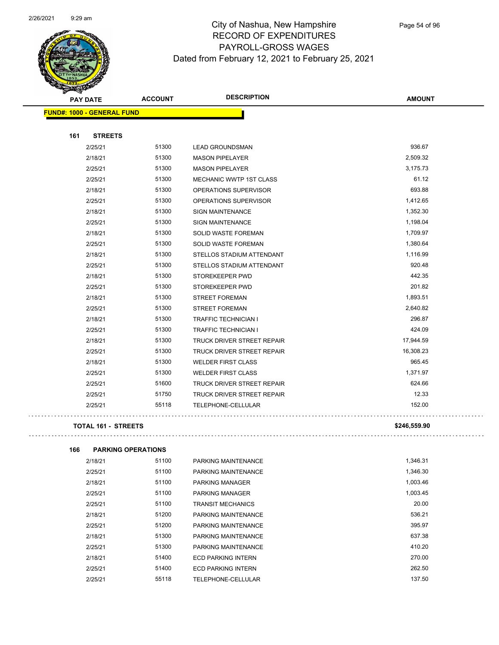

Page 54 of 96

| <b>PAY DATE</b>                   | <b>ACCOUNT</b> | <b>DESCRIPTION</b>             | <b>AMOUNT</b> |
|-----------------------------------|----------------|--------------------------------|---------------|
| <b>FUND#: 1000 - GENERAL FUND</b> |                |                                |               |
|                                   |                |                                |               |
| 161<br><b>STREETS</b>             |                |                                |               |
| 2/25/21                           | 51300          | <b>LEAD GROUNDSMAN</b>         | 936.67        |
| 2/18/21                           | 51300          | <b>MASON PIPELAYER</b>         | 2,509.32      |
| 2/25/21                           | 51300          | <b>MASON PIPELAYER</b>         | 3,175.73      |
| 2/25/21                           | 51300          | <b>MECHANIC WWTP 1ST CLASS</b> | 61.12         |
| 2/18/21                           | 51300          | OPERATIONS SUPERVISOR          | 693.88        |
| 2/25/21                           | 51300          | OPERATIONS SUPERVISOR          | 1,412.65      |
| 2/18/21                           | 51300          | <b>SIGN MAINTENANCE</b>        | 1,352.30      |
| 2/25/21                           | 51300          | <b>SIGN MAINTENANCE</b>        | 1,198.04      |
| 2/18/21                           | 51300          | SOLID WASTE FOREMAN            | 1,709.97      |
| 2/25/21                           | 51300          | <b>SOLID WASTE FOREMAN</b>     | 1,380.64      |
| 2/18/21                           | 51300          | STELLOS STADIUM ATTENDANT      | 1,116.99      |
| 2/25/21                           | 51300          | STELLOS STADIUM ATTENDANT      | 920.48        |
| 2/18/21                           | 51300          | STOREKEEPER PWD                | 442.35        |
| 2/25/21                           | 51300          | STOREKEEPER PWD                | 201.82        |
| 2/18/21                           | 51300          | <b>STREET FOREMAN</b>          | 1,893.51      |
| 2/25/21                           | 51300          | <b>STREET FOREMAN</b>          | 2,640.82      |
| 2/18/21                           | 51300          | <b>TRAFFIC TECHNICIAN I</b>    | 296.87        |
| 2/25/21                           | 51300          | <b>TRAFFIC TECHNICIAN I</b>    | 424.09        |
| 2/18/21                           | 51300          | TRUCK DRIVER STREET REPAIR     | 17,944.59     |
| 2/25/21                           | 51300          | TRUCK DRIVER STREET REPAIR     | 16,308.23     |
| 2/18/21                           | 51300          | <b>WELDER FIRST CLASS</b>      | 965.45        |
| 2/25/21                           | 51300          | <b>WELDER FIRST CLASS</b>      | 1,371.97      |
| 2/25/21                           | 51600          | TRUCK DRIVER STREET REPAIR     | 624.66        |
| 2/25/21                           | 51750          | TRUCK DRIVER STREET REPAIR     | 12.33         |
| 2/25/21                           | 55118          | TELEPHONE-CELLULAR             | 152.00        |
|                                   |                |                                |               |

#### **TOTAL 161 - STREETS \$246,559.90**

| 166 | <b>PARKING OPERATIONS</b> |       |                           |          |
|-----|---------------------------|-------|---------------------------|----------|
|     | 2/18/21                   | 51100 | PARKING MAINTENANCE       | 1,346.31 |
|     | 2/25/21                   | 51100 | PARKING MAINTENANCE       | 1.346.30 |
|     | 2/18/21                   | 51100 | PARKING MANAGER           | 1,003.46 |
|     | 2/25/21                   | 51100 | PARKING MANAGER           | 1,003.45 |
|     | 2/25/21                   | 51100 | TRANSIT MECHANICS         | 20.00    |
|     | 2/18/21                   | 51200 | PARKING MAINTENANCE       | 536.21   |
|     | 2/25/21                   | 51200 | PARKING MAINTENANCE       | 395.97   |
|     | 2/18/21                   | 51300 | PARKING MAINTENANCE       | 637.38   |
|     | 2/25/21                   | 51300 | PARKING MAINTENANCE       | 410.20   |
|     | 2/18/21                   | 51400 | <b>ECD PARKING INTERN</b> | 270.00   |
|     | 2/25/21                   | 51400 | <b>ECD PARKING INTERN</b> | 262.50   |
|     | 2/25/21                   | 55118 | TELEPHONE-CELLULAR        | 137.50   |
|     |                           |       |                           |          |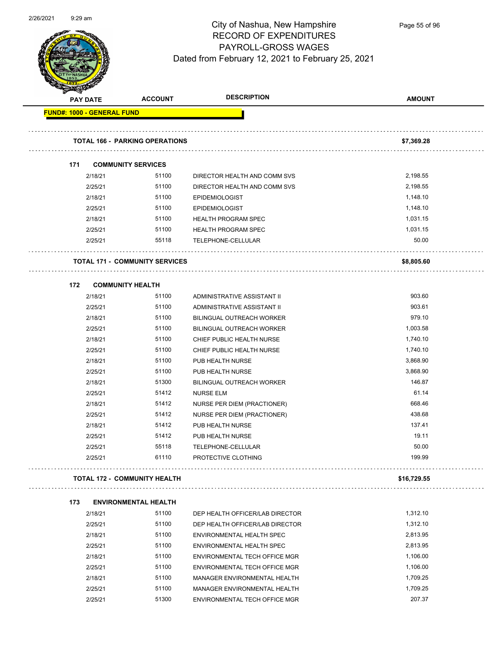

Page 55 of 96

| <b>Service</b><br><b>PAY DATE</b> |         | <b>ACCOUNT</b>                        | <b>DESCRIPTION</b>               | <b>AMOUNT</b> |
|-----------------------------------|---------|---------------------------------------|----------------------------------|---------------|
| <b>FUND#: 1000 - GENERAL FUND</b> |         |                                       |                                  |               |
|                                   |         | <b>TOTAL 166 - PARKING OPERATIONS</b> |                                  | \$7,369.28    |
|                                   |         |                                       |                                  |               |
| 171                               |         | <b>COMMUNITY SERVICES</b>             |                                  |               |
|                                   | 2/18/21 | 51100                                 | DIRECTOR HEALTH AND COMM SVS     | 2,198.55      |
|                                   | 2/25/21 | 51100                                 | DIRECTOR HEALTH AND COMM SVS     | 2,198.55      |
|                                   | 2/18/21 | 51100                                 | <b>EPIDEMIOLOGIST</b>            | 1,148.10      |
|                                   | 2/25/21 | 51100                                 | <b>EPIDEMIOLOGIST</b>            | 1,148.10      |
|                                   | 2/18/21 | 51100                                 | <b>HEALTH PROGRAM SPEC</b>       | 1,031.15      |
|                                   | 2/25/21 | 51100                                 | <b>HEALTH PROGRAM SPEC</b>       | 1,031.15      |
|                                   | 2/25/21 | 55118                                 | TELEPHONE-CELLULAR               | 50.00         |
|                                   |         | <b>TOTAL 171 - COMMUNITY SERVICES</b> |                                  | \$8,805.60    |
| 172                               |         | <b>COMMUNITY HEALTH</b>               |                                  |               |
|                                   | 2/18/21 | 51100                                 | ADMINISTRATIVE ASSISTANT II      | 903.60        |
|                                   | 2/25/21 | 51100                                 | ADMINISTRATIVE ASSISTANT II      | 903.61        |
|                                   | 2/18/21 | 51100                                 | <b>BILINGUAL OUTREACH WORKER</b> | 979.10        |
|                                   | 2/25/21 | 51100                                 | <b>BILINGUAL OUTREACH WORKER</b> | 1,003.58      |
|                                   | 2/18/21 | 51100                                 | CHIEF PUBLIC HEALTH NURSE        | 1,740.10      |
|                                   | 2/25/21 | 51100                                 | CHIEF PUBLIC HEALTH NURSE        | 1,740.10      |
|                                   | 2/18/21 | 51100                                 | PUB HEALTH NURSE                 | 3,868.90      |
|                                   | 2/25/21 | 51100                                 | PUB HEALTH NURSE                 | 3,868.90      |
|                                   | 2/18/21 | 51300                                 | BILINGUAL OUTREACH WORKER        | 146.87        |
|                                   | 2/25/21 | 51412                                 | <b>NURSE ELM</b>                 | 61.14         |
|                                   | 2/18/21 | 51412                                 | NURSE PER DIEM (PRACTIONER)      | 668.46        |
|                                   | 2/25/21 | 51412                                 | NURSE PER DIEM (PRACTIONER)      | 438.68        |
|                                   | 2/18/21 | 51412                                 | PUB HEALTH NURSE                 | 137.41        |
|                                   | 2/25/21 | 51412                                 | PUB HEALTH NURSE                 | 19.11         |
|                                   | 2/25/21 | 55118                                 | TELEPHONE-CELLULAR               | 50.00         |
|                                   | 2/25/21 | 61110                                 | PROTECTIVE CLOTHING              | 199.99        |
|                                   |         | <b>TOTAL 172 - COMMUNITY HEALTH</b>   |                                  | \$16,729.55   |
| 173                               |         | <b>ENVIRONMENTAL HEALTH</b>           |                                  |               |
|                                   | 2/18/21 | 51100                                 | DEP HEALTH OFFICER/LAB DIRECTOR  | 1,312.10      |
|                                   | 2/25/21 | 51100                                 | DEP HEALTH OFFICER/LAB DIRECTOR  | 1,312.10      |
|                                   | 2/18/21 | 51100                                 | ENVIRONMENTAL HEALTH SPEC        | 2,813.95      |
|                                   | 2/25/21 | 51100                                 | ENVIRONMENTAL HEALTH SPEC        | 2,813.95      |
|                                   | 2/18/21 | 51100                                 | ENVIRONMENTAL TECH OFFICE MGR    | 1,106.00      |
|                                   | 2/25/21 | 51100                                 | ENVIRONMENTAL TECH OFFICE MGR    | 1,106.00      |
|                                   | 2/18/21 | 51100                                 | MANAGER ENVIRONMENTAL HEALTH     | 1,709.25      |
|                                   | 2/25/21 | 51100                                 | MANAGER ENVIRONMENTAL HEALTH     | 1,709.25      |

2/25/21 51300 ENVIRONMENTAL TECH OFFICE MGR 207.37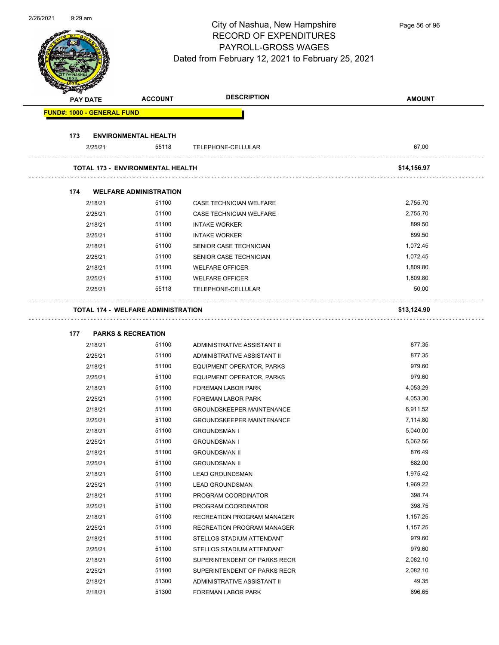Page 56 of 96

| <b>PAY DATE</b>                   | <b>ACCOUNT</b>                            | <b>DESCRIPTION</b>               | <b>AMOUNT</b> |
|-----------------------------------|-------------------------------------------|----------------------------------|---------------|
| <b>FUND#: 1000 - GENERAL FUND</b> |                                           |                                  |               |
| 173                               | <b>ENVIRONMENTAL HEALTH</b>               |                                  |               |
| 2/25/21                           | 55118                                     | TELEPHONE-CELLULAR               | 67.00         |
|                                   | <b>TOTAL 173 - ENVIRONMENTAL HEALTH</b>   |                                  | \$14,156.97   |
| 174                               | <b>WELFARE ADMINISTRATION</b>             |                                  |               |
| 2/18/21                           | 51100                                     | CASE TECHNICIAN WELFARE          | 2,755.70      |
| 2/25/21                           | 51100                                     | CASE TECHNICIAN WELFARE          | 2,755.70      |
| 2/18/21                           | 51100                                     | <b>INTAKE WORKER</b>             | 899.50        |
| 2/25/21                           | 51100                                     | <b>INTAKE WORKER</b>             | 899.50        |
| 2/18/21                           | 51100                                     | SENIOR CASE TECHNICIAN           | 1,072.45      |
| 2/25/21                           | 51100                                     | SENIOR CASE TECHNICIAN           | 1,072.45      |
| 2/18/21                           | 51100                                     | <b>WELFARE OFFICER</b>           | 1,809.80      |
| 2/25/21                           | 51100                                     | <b>WELFARE OFFICER</b>           | 1,809.80      |
| 2/25/21                           | 55118                                     | TELEPHONE-CELLULAR               | 50.00         |
|                                   | <b>TOTAL 174 - WELFARE ADMINISTRATION</b> |                                  | \$13,124.90   |
| 177                               | <b>PARKS &amp; RECREATION</b>             |                                  |               |
| 2/18/21                           | 51100                                     | ADMINISTRATIVE ASSISTANT II      | 877.35        |
| 2/25/21                           | 51100                                     | ADMINISTRATIVE ASSISTANT II      | 877.35        |
| 2/18/21                           | 51100                                     | EQUIPMENT OPERATOR, PARKS        | 979.60        |
| 2/25/21                           | 51100                                     | EQUIPMENT OPERATOR, PARKS        | 979.60        |
| 2/18/21                           | 51100                                     | <b>FOREMAN LABOR PARK</b>        | 4,053.29      |
| 2/25/21                           | 51100                                     | <b>FOREMAN LABOR PARK</b>        | 4,053.30      |
| 2/18/21                           | 51100                                     | <b>GROUNDSKEEPER MAINTENANCE</b> | 6,911.52      |
| 2/25/21                           | 51100                                     | <b>GROUNDSKEEPER MAINTENANCE</b> | 7,114.80      |
| 2/18/21                           | 51100                                     | <b>GROUNDSMAN I</b>              | 5,040.00      |
| 2/25/21                           | 51100                                     | <b>GROUNDSMAN I</b>              | 5,062.56      |
| 2/18/21                           | 51100                                     | <b>GROUNDSMAN II</b>             | 876.49        |
| 2/25/21                           | 51100                                     | <b>GROUNDSMAN II</b>             | 882.00        |
| 2/18/21                           | 51100                                     | <b>LEAD GROUNDSMAN</b>           | 1,975.42      |
| 2/25/21                           | 51100                                     | <b>LEAD GROUNDSMAN</b>           | 1,969.22      |
| 2/18/21                           | 51100                                     | PROGRAM COORDINATOR              | 398.74        |
| 2/25/21                           | 51100                                     | PROGRAM COORDINATOR              | 398.75        |
| 2/18/21                           | 51100                                     | RECREATION PROGRAM MANAGER       | 1,157.25      |
| 2/25/21                           | 51100                                     | RECREATION PROGRAM MANAGER       | 1,157.25      |
| 2/18/21                           | 51100                                     | STELLOS STADIUM ATTENDANT        | 979.60        |
| 2/25/21                           | 51100                                     | STELLOS STADIUM ATTENDANT        | 979.60        |
| 2/18/21                           | 51100                                     | SUPERINTENDENT OF PARKS RECR     | 2,082.10      |
| 2/25/21                           | 51100                                     | SUPERINTENDENT OF PARKS RECR     | 2,082.10      |
|                                   |                                           |                                  |               |
| 2/18/21                           | 51300                                     | ADMINISTRATIVE ASSISTANT II      | 49.35         |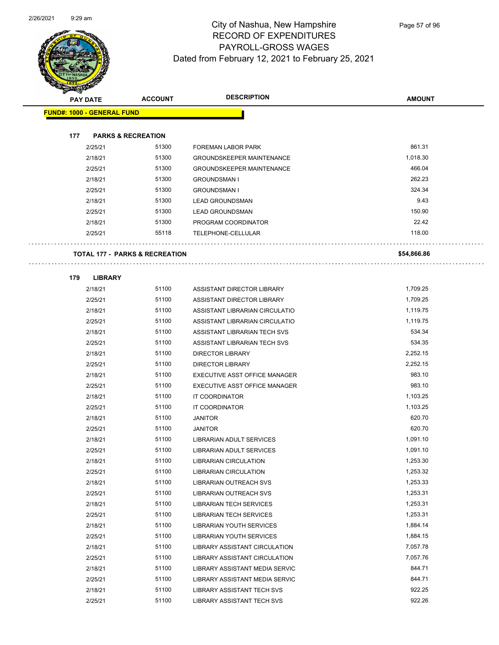

Page 57 of 96

| <b>Allen</b>                      |                 |                                           |                                  |               |
|-----------------------------------|-----------------|-------------------------------------------|----------------------------------|---------------|
|                                   | <b>PAY DATE</b> | <b>ACCOUNT</b>                            | <b>DESCRIPTION</b>               | <b>AMOUNT</b> |
| <b>FUND#: 1000 - GENERAL FUND</b> |                 |                                           |                                  |               |
|                                   |                 |                                           |                                  |               |
| 177                               |                 | <b>PARKS &amp; RECREATION</b>             |                                  |               |
|                                   | 2/25/21         | 51300                                     | <b>FOREMAN LABOR PARK</b>        | 861.31        |
|                                   | 2/18/21         | 51300                                     | <b>GROUNDSKEEPER MAINTENANCE</b> | 1,018.30      |
|                                   | 2/25/21         | 51300                                     | <b>GROUNDSKEEPER MAINTENANCE</b> | 466.04        |
|                                   | 2/18/21         | 51300                                     | <b>GROUNDSMAN I</b>              | 262.23        |
|                                   | 2/25/21         | 51300                                     | <b>GROUNDSMAN I</b>              | 324.34        |
|                                   | 2/18/21         | 51300                                     | <b>LEAD GROUNDSMAN</b>           | 9.43          |
|                                   | 2/25/21         | 51300                                     | <b>LEAD GROUNDSMAN</b>           | 150.90        |
|                                   | 2/18/21         | 51300                                     | PROGRAM COORDINATOR              | 22.42         |
|                                   | 2/25/21         | 55118                                     | TELEPHONE-CELLULAR               | 118.00        |
|                                   |                 |                                           |                                  |               |
|                                   |                 | <b>TOTAL 177 - PARKS &amp; RECREATION</b> |                                  | \$54,866.86   |
|                                   |                 |                                           |                                  |               |
| 179                               | <b>LIBRARY</b>  |                                           |                                  |               |
|                                   | 2/18/21         | 51100                                     | ASSISTANT DIRECTOR LIBRARY       | 1,709.25      |
|                                   | 2/25/21         | 51100                                     | ASSISTANT DIRECTOR LIBRARY       | 1,709.25      |
|                                   | 2/18/21         | 51100                                     | ASSISTANT LIBRARIAN CIRCULATIO   | 1,119.75      |
|                                   | 2/25/21         | 51100                                     | ASSISTANT LIBRARIAN CIRCULATIO   | 1,119.75      |
|                                   | 2/18/21         | 51100                                     | ASSISTANT LIBRARIAN TECH SVS     | 534.34        |
|                                   | 2/25/21         | 51100                                     | ASSISTANT LIBRARIAN TECH SVS     | 534.35        |
|                                   | 2/18/21         | 51100                                     | <b>DIRECTOR LIBRARY</b>          | 2,252.15      |
|                                   | 2/25/21         | 51100                                     | <b>DIRECTOR LIBRARY</b>          | 2,252.15      |
|                                   | 2/18/21         | 51100                                     | EXECUTIVE ASST OFFICE MANAGER    | 983.10        |
|                                   | 2/25/21         | 51100                                     | EXECUTIVE ASST OFFICE MANAGER    | 983.10        |
|                                   | 2/18/21         | 51100                                     | IT COORDINATOR                   | 1,103.25      |
|                                   | 2/25/21         | 51100                                     | IT COORDINATOR                   | 1,103.25      |
|                                   | 2/18/21         | 51100                                     | <b>JANITOR</b>                   | 620.70        |
|                                   | 2/25/21         | 51100                                     | <b>JANITOR</b>                   | 620.70        |
|                                   | 2/18/21         | 51100                                     | LIBRARIAN ADULT SERVICES         | 1,091.10      |
|                                   | 2/25/21         | 51100                                     | LIBRARIAN ADULT SERVICES         | 1,091.10      |
|                                   | 2/18/21         | 51100                                     | <b>LIBRARIAN CIRCULATION</b>     | 1,253.30      |
|                                   | 2/25/21         | 51100                                     | <b>LIBRARIAN CIRCULATION</b>     | 1,253.32      |
|                                   | 2/18/21         | 51100                                     | LIBRARIAN OUTREACH SVS           | 1,253.33      |
|                                   | 2/25/21         | 51100                                     | <b>LIBRARIAN OUTREACH SVS</b>    | 1,253.31      |
|                                   | 2/18/21         | 51100                                     | <b>LIBRARIAN TECH SERVICES</b>   | 1,253.31      |
|                                   | 2/25/21         | 51100                                     | <b>LIBRARIAN TECH SERVICES</b>   | 1,253.31      |
|                                   | 2/18/21         | 51100                                     | <b>LIBRARIAN YOUTH SERVICES</b>  | 1,884.14      |
|                                   | 2/25/21         | 51100                                     | <b>LIBRARIAN YOUTH SERVICES</b>  | 1,884.15      |
|                                   | 2/18/21         | 51100                                     | LIBRARY ASSISTANT CIRCULATION    | 7,057.78      |
|                                   | 2/25/21         | 51100                                     | LIBRARY ASSISTANT CIRCULATION    | 7,057.76      |
|                                   | 2/18/21         | 51100                                     | LIBRARY ASSISTANT MEDIA SERVIC   | 844.71        |
|                                   | 2/25/21         | 51100                                     | LIBRARY ASSISTANT MEDIA SERVIC   | 844.71        |
|                                   | 2/18/21         | 51100                                     | LIBRARY ASSISTANT TECH SVS       | 922.25        |
|                                   | 2/25/21         | 51100                                     | LIBRARY ASSISTANT TECH SVS       | 922.26        |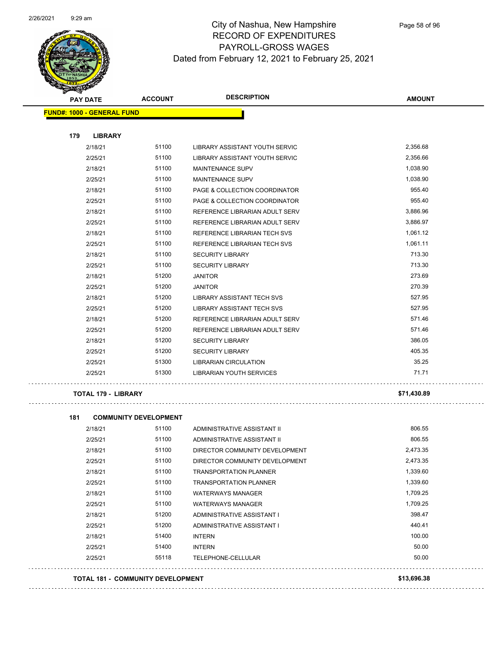

| <b>PAY DATE</b>                   | <b>ACCOUNT</b> | <b>DESCRIPTION</b>                    | <b>AMOUNT</b> |
|-----------------------------------|----------------|---------------------------------------|---------------|
| <b>FUND#: 1000 - GENERAL FUND</b> |                |                                       |               |
| 179<br><b>LIBRARY</b>             |                |                                       |               |
| 2/18/21                           | 51100          | LIBRARY ASSISTANT YOUTH SERVIC        | 2,356.68      |
| 2/25/21                           | 51100          | <b>LIBRARY ASSISTANT YOUTH SERVIC</b> | 2,356.66      |
| 2/18/21                           | 51100          | <b>MAINTENANCE SUPV</b>               | 1,038.90      |
|                                   |                |                                       |               |
| 2/25/21                           | 51100          | <b>MAINTENANCE SUPV</b>               | 1,038.90      |
| 2/18/21                           | 51100          | PAGE & COLLECTION COORDINATOR         | 955.40        |
| 2/25/21                           | 51100          | PAGE & COLLECTION COORDINATOR         | 955.40        |
| 2/18/21                           | 51100          | REFERENCE LIBRARIAN ADULT SERV        | 3,886.96      |
| 2/25/21                           | 51100          | REFERENCE LIBRARIAN ADULT SERV        | 3,886.97      |
| 2/18/21                           | 51100          | REFERENCE LIBRARIAN TECH SVS          | 1,061.12      |
| 2/25/21                           | 51100          | REFERENCE LIBRARIAN TECH SVS          | 1,061.11      |
| 2/18/21                           | 51100          | <b>SECURITY LIBRARY</b>               | 713.30        |
| 2/25/21                           | 51100          | <b>SECURITY LIBRARY</b>               | 713.30        |
| 2/18/21                           | 51200          | <b>JANITOR</b>                        | 273.69        |
| 2/25/21                           | 51200          | <b>JANITOR</b>                        | 270.39        |
| 2/18/21                           | 51200          | LIBRARY ASSISTANT TECH SVS            | 527.95        |
| 2/25/21                           | 51200          | <b>LIBRARY ASSISTANT TECH SVS</b>     | 527.95        |
| 2/18/21                           | 51200          | REFERENCE LIBRARIAN ADULT SERV        | 571.46        |
| 2/25/21                           | 51200          | REFERENCE LIBRARIAN ADULT SERV        | 571.46        |
| 2/18/21                           | 51200          | <b>SECURITY LIBRARY</b>               | 386.05        |
| 2/25/21                           | 51200          | <b>SECURITY LIBRARY</b>               | 405.35        |
| 2/25/21                           | 51300          | <b>LIBRARIAN CIRCULATION</b>          | 35.25         |
| 2/25/21                           | 51300          | <b>LIBRARIAN YOUTH SERVICES</b>       | 71.71         |
| <b>TOTAL 179 - LIBRARY</b>        |                |                                       | \$71.430.89   |

 $\sim 100$ 

. . . . . . . . . . . . . . . .

| 181     | <b>COMMUNITY DEVELOPMENT</b>             |                                |             |  |
|---------|------------------------------------------|--------------------------------|-------------|--|
| 2/18/21 | 51100                                    | ADMINISTRATIVE ASSISTANT II    | 806.55      |  |
| 2/25/21 | 51100                                    | ADMINISTRATIVE ASSISTANT II    | 806.55      |  |
| 2/18/21 | 51100                                    | DIRECTOR COMMUNITY DEVELOPMENT | 2,473.35    |  |
| 2/25/21 | 51100                                    | DIRECTOR COMMUNITY DEVELOPMENT | 2,473.35    |  |
| 2/18/21 | 51100                                    | <b>TRANSPORTATION PLANNER</b>  | 1,339.60    |  |
| 2/25/21 | 51100                                    | <b>TRANSPORTATION PLANNER</b>  | 1,339.60    |  |
| 2/18/21 | 51100                                    | <b>WATERWAYS MANAGER</b>       | 1,709.25    |  |
| 2/25/21 | 51100                                    | <b>WATERWAYS MANAGER</b>       | 1,709.25    |  |
| 2/18/21 | 51200                                    | ADMINISTRATIVE ASSISTANT I     | 398.47      |  |
| 2/25/21 | 51200                                    | ADMINISTRATIVE ASSISTANT I     | 440.41      |  |
| 2/18/21 | 51400                                    | <b>INTERN</b>                  | 100.00      |  |
| 2/25/21 | 51400                                    | <b>INTERN</b>                  | 50.00       |  |
| 2/25/21 | 55118                                    | TELEPHONE-CELLULAR             | 50.00       |  |
|         | <b>TOTAL 181 - COMMUNITY DEVELOPMENT</b> |                                | \$13,696.38 |  |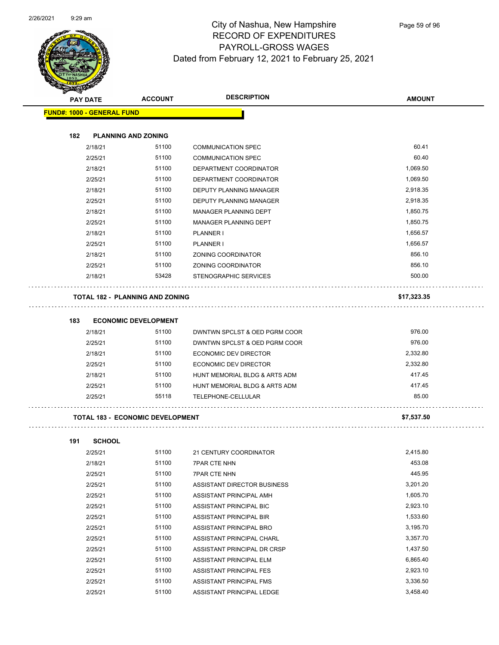

| ទ<br>$\mathcal{A}$ .                    |                             |                               |               |
|-----------------------------------------|-----------------------------|-------------------------------|---------------|
| <b>PAY DATE</b>                         | <b>ACCOUNT</b>              | <b>DESCRIPTION</b>            | <b>AMOUNT</b> |
| <b>FUND#: 1000 - GENERAL FUND</b>       |                             |                               |               |
|                                         |                             |                               |               |
| 182                                     | <b>PLANNING AND ZONING</b>  |                               |               |
| 2/18/21                                 | 51100                       | <b>COMMUNICATION SPEC</b>     | 60.41         |
| 2/25/21                                 | 51100                       | <b>COMMUNICATION SPEC</b>     | 60.40         |
| 2/18/21                                 | 51100                       | DEPARTMENT COORDINATOR        | 1,069.50      |
| 2/25/21                                 | 51100                       | DEPARTMENT COORDINATOR        | 1,069.50      |
| 2/18/21                                 | 51100                       | DEPUTY PLANNING MANAGER       | 2,918.35      |
| 2/25/21                                 | 51100                       | DEPUTY PLANNING MANAGER       | 2,918.35      |
| 2/18/21                                 | 51100                       | MANAGER PLANNING DEPT         | 1,850.75      |
| 2/25/21                                 | 51100                       | <b>MANAGER PLANNING DEPT</b>  | 1,850.75      |
| 2/18/21                                 | 51100                       | <b>PLANNER I</b>              | 1,656.57      |
| 2/25/21                                 | 51100                       | <b>PLANNER I</b>              | 1,656.57      |
| 2/18/21                                 | 51100                       | <b>ZONING COORDINATOR</b>     | 856.10        |
| 2/25/21                                 | 51100                       | ZONING COORDINATOR            | 856.10        |
| 2/18/21                                 | 53428                       | STENOGRAPHIC SERVICES         | 500.00        |
| <b>TOTAL 182 - PLANNING AND ZONING</b>  |                             |                               | \$17,323.35   |
|                                         |                             |                               |               |
| 183                                     | <b>ECONOMIC DEVELOPMENT</b> |                               | 976.00        |
| 2/18/21                                 | 51100                       | DWNTWN SPCLST & OED PGRM COOR |               |
| 2/25/21                                 | 51100                       | DWNTWN SPCLST & OED PGRM COOR | 976.00        |
| 2/18/21                                 | 51100                       | <b>ECONOMIC DEV DIRECTOR</b>  | 2,332.80      |
| 2/25/21                                 | 51100                       | ECONOMIC DEV DIRECTOR         | 2,332.80      |
| 2/18/21                                 | 51100                       | HUNT MEMORIAL BLDG & ARTS ADM | 417.45        |
| 2/25/21                                 | 51100                       | HUNT MEMORIAL BLDG & ARTS ADM | 417.45        |
| 2/25/21                                 | 55118                       | TELEPHONE-CELLULAR            | 85.00         |
| <b>TOTAL 183 - ECONOMIC DEVELOPMENT</b> |                             |                               | \$7,537.50    |
| <b>SCHOOL</b><br>191                    |                             |                               |               |
| 2/25/21                                 | 51100                       | 21 CENTURY COORDINATOR        | 2,415.80      |
| 2/18/21                                 | 51100                       | <b>7PAR CTE NHN</b>           | 453.08        |
| 2/25/21                                 | 51100                       | <b>7PAR CTE NHN</b>           | 445.95        |
| 2/25/21                                 | 51100                       | ASSISTANT DIRECTOR BUSINESS   | 3,201.20      |
| 2/25/21                                 | 51100                       | ASSISTANT PRINCIPAL AMH       | 1,605.70      |
| 2/25/21                                 | 51100                       | ASSISTANT PRINCIPAL BIC       | 2,923.10      |
| 2/25/21                                 | 51100                       | ASSISTANT PRINCIPAL BIR       | 1,533.60      |

2/25/21 51100 ASSISTANT PRINCIPAL BRO 3,195.70 2/25/21 51100 ASSISTANT PRINCIPAL CHARL 3,357.70 2/25/21 51100 ASSISTANT PRINCIPAL DR CRSP 1,437.50 2/25/21 51100 ASSISTANT PRINCIPAL ELM 6,865.40 2/25/21 51100 ASSISTANT PRINCIPAL FES 2,923.10 2/25/21 51100 ASSISTANT PRINCIPAL FMS 3,336.50 2/25/21 51100 ASSISTANT PRINCIPAL LEDGE 3,458.40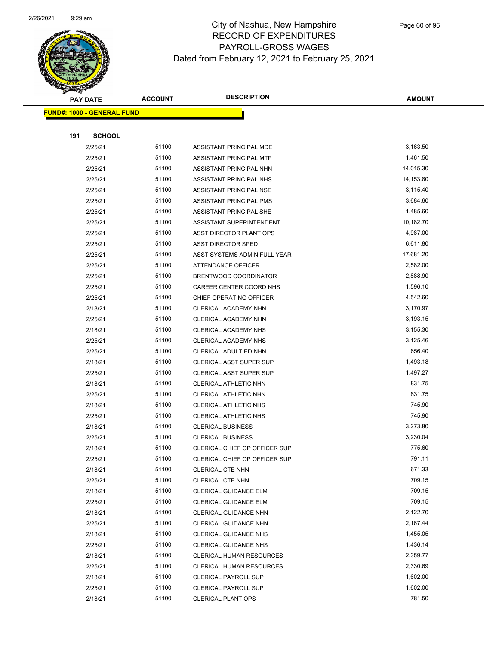

Page 60 of 96

|     | <b>PAY DATE</b>                   | <b>ACCOUNT</b> | <b>DESCRIPTION</b>                                      | <b>AMOUNT</b>        |
|-----|-----------------------------------|----------------|---------------------------------------------------------|----------------------|
|     | <b>FUND#: 1000 - GENERAL FUND</b> |                |                                                         |                      |
|     |                                   |                |                                                         |                      |
| 191 | <b>SCHOOL</b>                     |                |                                                         |                      |
|     | 2/25/21                           | 51100          | ASSISTANT PRINCIPAL MDE                                 | 3,163.50             |
|     | 2/25/21                           | 51100          | ASSISTANT PRINCIPAL MTP                                 | 1,461.50             |
|     | 2/25/21                           | 51100          | ASSISTANT PRINCIPAL NHN                                 | 14,015.30            |
|     | 2/25/21                           | 51100          | ASSISTANT PRINCIPAL NHS                                 | 14,153.80            |
|     | 2/25/21                           | 51100          | ASSISTANT PRINCIPAL NSE                                 | 3,115.40             |
|     | 2/25/21                           | 51100          | ASSISTANT PRINCIPAL PMS                                 | 3,684.60             |
|     | 2/25/21                           | 51100          | ASSISTANT PRINCIPAL SHE                                 | 1,485.60             |
|     | 2/25/21                           | 51100          | ASSISTANT SUPERINTENDENT                                | 10,182.70            |
|     | 2/25/21                           | 51100          | ASST DIRECTOR PLANT OPS                                 | 4,987.00             |
|     | 2/25/21                           | 51100          | <b>ASST DIRECTOR SPED</b>                               | 6,611.80             |
|     | 2/25/21                           | 51100          | ASST SYSTEMS ADMIN FULL YEAR                            | 17,681.20            |
|     | 2/25/21                           | 51100          | <b>ATTENDANCE OFFICER</b>                               | 2,582.00             |
|     | 2/25/21                           | 51100          | BRENTWOOD COORDINATOR                                   | 2,888.90             |
|     | 2/25/21                           | 51100          | CAREER CENTER COORD NHS                                 | 1,596.10             |
|     | 2/25/21                           | 51100          | CHIEF OPERATING OFFICER                                 | 4,542.60             |
|     | 2/18/21                           | 51100          | CLERICAL ACADEMY NHN                                    | 3,170.97             |
|     | 2/25/21                           | 51100          | CLERICAL ACADEMY NHN                                    | 3,193.15             |
|     | 2/18/21                           | 51100          | CLERICAL ACADEMY NHS                                    | 3,155.30             |
|     | 2/25/21                           | 51100          | CLERICAL ACADEMY NHS                                    | 3,125.46             |
|     | 2/25/21                           | 51100          | CLERICAL ADULT ED NHN                                   | 656.40               |
|     | 2/18/21                           | 51100<br>51100 | <b>CLERICAL ASST SUPER SUP</b>                          | 1,493.18<br>1,497.27 |
|     | 2/25/21<br>2/18/21                | 51100          | <b>CLERICAL ASST SUPER SUP</b><br>CLERICAL ATHLETIC NHN | 831.75               |
|     | 2/25/21                           | 51100          | CLERICAL ATHLETIC NHN                                   | 831.75               |
|     | 2/18/21                           | 51100          | <b>CLERICAL ATHLETIC NHS</b>                            | 745.90               |
|     | 2/25/21                           | 51100          | CLERICAL ATHLETIC NHS                                   | 745.90               |
|     | 2/18/21                           | 51100          | <b>CLERICAL BUSINESS</b>                                | 3,273.80             |
|     | 2/25/21                           | 51100          | <b>CLERICAL BUSINESS</b>                                | 3,230.04             |
|     | 2/18/21                           | 51100          | CLERICAL CHIEF OP OFFICER SUP                           | 775.60               |
|     | 2/25/21                           | 51100          | CLERICAL CHIEF OP OFFICER SUP                           | 791.11               |
|     | 2/18/21                           | 51100          | CLERICAL CTE NHN                                        | 671.33               |
|     | 2/25/21                           | 51100          | <b>CLERICAL CTE NHN</b>                                 | 709.15               |
|     | 2/18/21                           | 51100          | CLERICAL GUIDANCE ELM                                   | 709.15               |
|     | 2/25/21                           | 51100          | CLERICAL GUIDANCE ELM                                   | 709.15               |
|     | 2/18/21                           | 51100          | CLERICAL GUIDANCE NHN                                   | 2,122.70             |
|     | 2/25/21                           | 51100          | CLERICAL GUIDANCE NHN                                   | 2,167.44             |
|     | 2/18/21                           | 51100          | <b>CLERICAL GUIDANCE NHS</b>                            | 1,455.05             |
|     | 2/25/21                           | 51100          | CLERICAL GUIDANCE NHS                                   | 1,436.14             |
|     | 2/18/21                           | 51100          | CLERICAL HUMAN RESOURCES                                | 2,359.77             |
|     | 2/25/21                           | 51100          | <b>CLERICAL HUMAN RESOURCES</b>                         | 2,330.69             |
|     | 2/18/21                           | 51100          | <b>CLERICAL PAYROLL SUP</b>                             | 1,602.00             |
|     | 2/25/21                           | 51100          | <b>CLERICAL PAYROLL SUP</b>                             | 1,602.00             |
|     | 2/18/21                           | 51100          | <b>CLERICAL PLANT OPS</b>                               | 781.50               |
|     |                                   |                |                                                         |                      |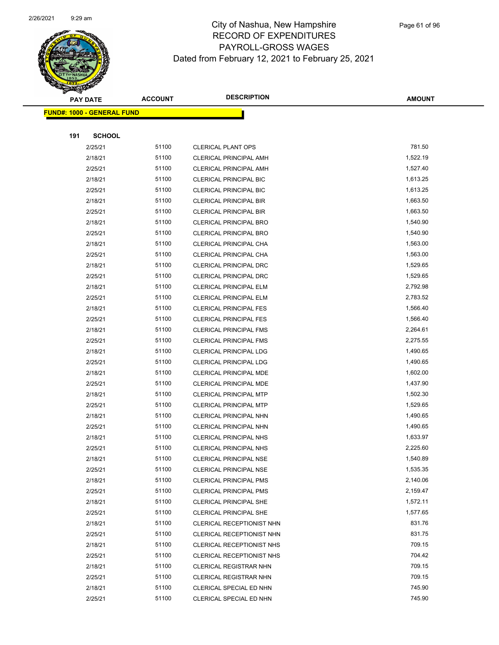

Page 61 of 96

|     | <b>PAY DATE</b>                   | <b>ACCOUNT</b> | <b>DESCRIPTION</b>                                             | <b>AMOUNT</b>        |
|-----|-----------------------------------|----------------|----------------------------------------------------------------|----------------------|
|     | <b>FUND#: 1000 - GENERAL FUND</b> |                |                                                                |                      |
|     |                                   |                |                                                                |                      |
| 191 | <b>SCHOOL</b>                     |                |                                                                |                      |
|     | 2/25/21                           | 51100          | <b>CLERICAL PLANT OPS</b>                                      | 781.50               |
|     | 2/18/21                           | 51100          | <b>CLERICAL PRINCIPAL AMH</b>                                  | 1,522.19             |
|     | 2/25/21                           | 51100          | <b>CLERICAL PRINCIPAL AMH</b>                                  | 1,527.40             |
|     | 2/18/21                           | 51100          | <b>CLERICAL PRINCIPAL BIC</b>                                  | 1,613.25             |
|     | 2/25/21                           | 51100          | <b>CLERICAL PRINCIPAL BIC</b>                                  | 1,613.25             |
|     | 2/18/21                           | 51100          | <b>CLERICAL PRINCIPAL BIR</b>                                  | 1,663.50             |
|     | 2/25/21                           | 51100          | <b>CLERICAL PRINCIPAL BIR</b>                                  | 1,663.50             |
|     | 2/18/21                           | 51100          | <b>CLERICAL PRINCIPAL BRO</b>                                  | 1,540.90             |
|     | 2/25/21                           | 51100          | CLERICAL PRINCIPAL BRO                                         | 1,540.90             |
|     | 2/18/21                           | 51100          | CLERICAL PRINCIPAL CHA                                         | 1,563.00             |
|     | 2/25/21                           | 51100          | CLERICAL PRINCIPAL CHA                                         | 1,563.00             |
|     | 2/18/21                           | 51100          | <b>CLERICAL PRINCIPAL DRC</b>                                  | 1,529.65             |
|     | 2/25/21                           | 51100          | <b>CLERICAL PRINCIPAL DRC</b>                                  | 1,529.65             |
|     | 2/18/21                           | 51100          | <b>CLERICAL PRINCIPAL ELM</b>                                  | 2,792.98             |
|     | 2/25/21                           | 51100          | <b>CLERICAL PRINCIPAL ELM</b>                                  | 2,783.52             |
|     | 2/18/21                           | 51100          | <b>CLERICAL PRINCIPAL FES</b>                                  | 1,566.40             |
|     | 2/25/21                           | 51100          | <b>CLERICAL PRINCIPAL FES</b>                                  | 1,566.40             |
|     | 2/18/21                           | 51100          | <b>CLERICAL PRINCIPAL FMS</b>                                  | 2,264.61             |
|     | 2/25/21                           | 51100          | CLERICAL PRINCIPAL FMS                                         | 2,275.55             |
|     | 2/18/21                           | 51100          | <b>CLERICAL PRINCIPAL LDG</b>                                  | 1,490.65             |
|     | 2/25/21                           | 51100          | CLERICAL PRINCIPAL LDG                                         | 1,490.65             |
|     | 2/18/21                           | 51100          | CLERICAL PRINCIPAL MDE                                         | 1,602.00             |
|     | 2/25/21                           | 51100          | CLERICAL PRINCIPAL MDE                                         | 1,437.90             |
|     | 2/18/21                           | 51100          | <b>CLERICAL PRINCIPAL MTP</b>                                  | 1,502.30             |
|     | 2/25/21                           | 51100          | <b>CLERICAL PRINCIPAL MTP</b>                                  | 1,529.65             |
|     | 2/18/21                           | 51100<br>51100 | <b>CLERICAL PRINCIPAL NHN</b>                                  | 1,490.65<br>1,490.65 |
|     | 2/25/21                           | 51100          | CLERICAL PRINCIPAL NHN                                         | 1,633.97             |
|     | 2/18/21<br>2/25/21                | 51100          | <b>CLERICAL PRINCIPAL NHS</b><br><b>CLERICAL PRINCIPAL NHS</b> | 2,225.60             |
|     | 2/18/21                           | 51100          | <b>CLERICAL PRINCIPAL NSE</b>                                  | 1,540.89             |
|     | 2/25/21                           | 51100          | <b>CLERICAL PRINCIPAL NSE</b>                                  | 1,535.35             |
|     | 2/18/21                           | 51100          | <b>CLERICAL PRINCIPAL PMS</b>                                  | 2,140.06             |
|     | 2/25/21                           | 51100          | <b>CLERICAL PRINCIPAL PMS</b>                                  | 2,159.47             |
|     | 2/18/21                           | 51100          | CLERICAL PRINCIPAL SHE                                         | 1,572.11             |
|     | 2/25/21                           | 51100          | <b>CLERICAL PRINCIPAL SHE</b>                                  | 1,577.65             |
|     | 2/18/21                           | 51100          | CLERICAL RECEPTIONIST NHN                                      | 831.76               |
|     | 2/25/21                           | 51100          | CLERICAL RECEPTIONIST NHN                                      | 831.75               |
|     | 2/18/21                           | 51100          | CLERICAL RECEPTIONIST NHS                                      | 709.15               |
|     | 2/25/21                           | 51100          | CLERICAL RECEPTIONIST NHS                                      | 704.42               |
|     | 2/18/21                           | 51100          | <b>CLERICAL REGISTRAR NHN</b>                                  | 709.15               |
|     | 2/25/21                           | 51100          | <b>CLERICAL REGISTRAR NHN</b>                                  | 709.15               |
|     | 2/18/21                           | 51100          | CLERICAL SPECIAL ED NHN                                        | 745.90               |
|     | 2/25/21                           | 51100          | CLERICAL SPECIAL ED NHN                                        | 745.90               |
|     |                                   |                |                                                                |                      |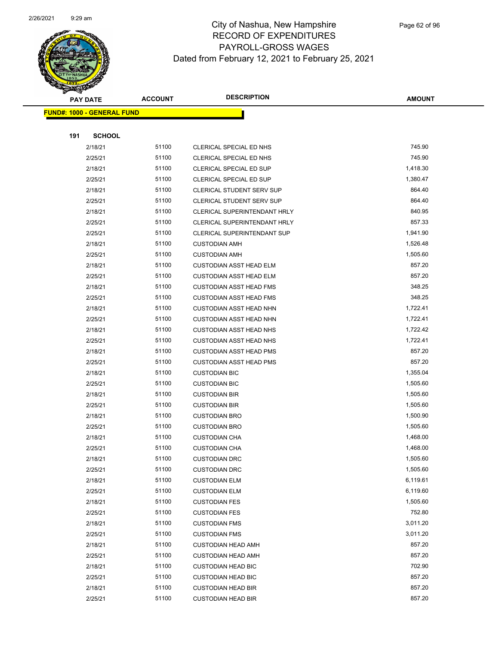

|     | <b>PAY DATE</b>                   | <b>ACCOUNT</b> | <b>DESCRIPTION</b>                 | <b>AMOUNT</b> |
|-----|-----------------------------------|----------------|------------------------------------|---------------|
|     | <b>FUND#: 1000 - GENERAL FUND</b> |                |                                    |               |
|     |                                   |                |                                    |               |
| 191 | <b>SCHOOL</b>                     |                |                                    |               |
|     | 2/18/21                           | 51100          | CLERICAL SPECIAL ED NHS            | 745.90        |
|     | 2/25/21                           | 51100          | CLERICAL SPECIAL ED NHS            | 745.90        |
|     | 2/18/21                           | 51100          | CLERICAL SPECIAL ED SUP            | 1,418.30      |
|     | 2/25/21                           | 51100          | CLERICAL SPECIAL ED SUP            | 1,380.47      |
|     | 2/18/21                           | 51100          | <b>CLERICAL STUDENT SERV SUP</b>   | 864.40        |
|     | 2/25/21                           | 51100          | <b>CLERICAL STUDENT SERV SUP</b>   | 864.40        |
|     | 2/18/21                           | 51100          | CLERICAL SUPERINTENDANT HRLY       | 840.95        |
|     | 2/25/21                           | 51100          | CLERICAL SUPERINTENDANT HRLY       | 857.33        |
|     | 2/25/21                           | 51100          | <b>CLERICAL SUPERINTENDANT SUP</b> | 1,941.90      |
|     | 2/18/21                           | 51100          | <b>CUSTODIAN AMH</b>               | 1,526.48      |
|     | 2/25/21                           | 51100          | <b>CUSTODIAN AMH</b>               | 1,505.60      |
|     | 2/18/21                           | 51100          | <b>CUSTODIAN ASST HEAD ELM</b>     | 857.20        |
|     | 2/25/21                           | 51100          | <b>CUSTODIAN ASST HEAD ELM</b>     | 857.20        |
|     | 2/18/21                           | 51100          | <b>CUSTODIAN ASST HEAD FMS</b>     | 348.25        |
|     | 2/25/21                           | 51100          | <b>CUSTODIAN ASST HEAD FMS</b>     | 348.25        |
|     | 2/18/21                           | 51100          | <b>CUSTODIAN ASST HEAD NHN</b>     | 1,722.41      |
|     | 2/25/21                           | 51100          | <b>CUSTODIAN ASST HEAD NHN</b>     | 1,722.41      |
|     | 2/18/21                           | 51100          | <b>CUSTODIAN ASST HEAD NHS</b>     | 1,722.42      |
|     | 2/25/21                           | 51100          | <b>CUSTODIAN ASST HEAD NHS</b>     | 1,722.41      |
|     | 2/18/21                           | 51100          | <b>CUSTODIAN ASST HEAD PMS</b>     | 857.20        |
|     | 2/25/21                           | 51100          | <b>CUSTODIAN ASST HEAD PMS</b>     | 857.20        |
|     | 2/18/21                           | 51100          | <b>CUSTODIAN BIC</b>               | 1,355.04      |
|     | 2/25/21                           | 51100          | <b>CUSTODIAN BIC</b>               | 1,505.60      |
|     | 2/18/21                           | 51100          | <b>CUSTODIAN BIR</b>               | 1,505.60      |
|     | 2/25/21                           | 51100          | <b>CUSTODIAN BIR</b>               | 1,505.60      |
|     | 2/18/21                           | 51100          | <b>CUSTODIAN BRO</b>               | 1,500.90      |
|     | 2/25/21                           | 51100          | <b>CUSTODIAN BRO</b>               | 1,505.60      |
|     | 2/18/21                           | 51100          | <b>CUSTODIAN CHA</b>               | 1,468.00      |
|     | 2/25/21                           | 51100          | <b>CUSTODIAN CHA</b>               | 1,468.00      |
|     | 2/18/21                           | 51100          | <b>CUSTODIAN DRC</b>               | 1,505.60      |
|     | 2/25/21                           | 51100          | <b>CUSTODIAN DRC</b>               | 1,505.60      |
|     | 2/18/21                           | 51100          | <b>CUSTODIAN ELM</b>               | 6,119.61      |
|     | 2/25/21                           | 51100          | <b>CUSTODIAN ELM</b>               | 6,119.60      |
|     | 2/18/21                           | 51100          | <b>CUSTODIAN FES</b>               | 1,505.60      |
|     | 2/25/21                           | 51100          | <b>CUSTODIAN FES</b>               | 752.80        |
|     | 2/18/21                           | 51100          | <b>CUSTODIAN FMS</b>               | 3,011.20      |
|     | 2/25/21                           | 51100          | <b>CUSTODIAN FMS</b>               | 3,011.20      |
|     | 2/18/21                           | 51100          | <b>CUSTODIAN HEAD AMH</b>          | 857.20        |
|     | 2/25/21                           | 51100          | <b>CUSTODIAN HEAD AMH</b>          | 857.20        |
|     | 2/18/21                           | 51100          | <b>CUSTODIAN HEAD BIC</b>          | 702.90        |
|     | 2/25/21                           | 51100          | <b>CUSTODIAN HEAD BIC</b>          | 857.20        |
|     | 2/18/21                           | 51100          | <b>CUSTODIAN HEAD BIR</b>          | 857.20        |
|     | 2/25/21                           | 51100          | <b>CUSTODIAN HEAD BIR</b>          | 857.20        |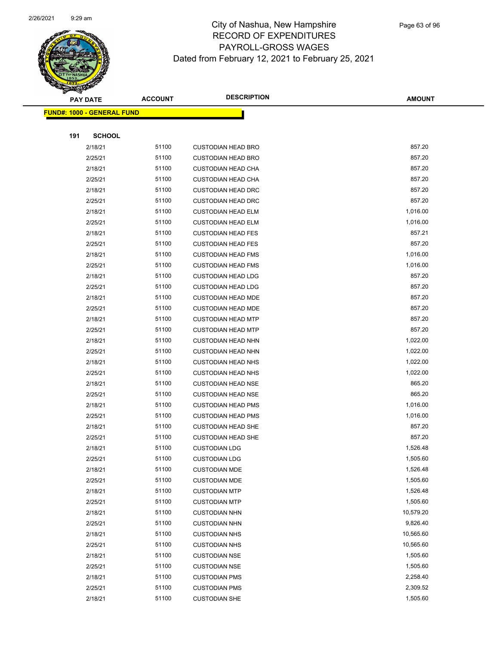

|     | <b>PAY DATE</b>                   | <b>ACCOUNT</b> | <b>DESCRIPTION</b>                           | <b>AMOUNT</b>        |
|-----|-----------------------------------|----------------|----------------------------------------------|----------------------|
|     | <b>FUND#: 1000 - GENERAL FUND</b> |                |                                              |                      |
|     |                                   |                |                                              |                      |
| 191 | <b>SCHOOL</b>                     |                |                                              |                      |
|     | 2/18/21                           | 51100          | <b>CUSTODIAN HEAD BRO</b>                    | 857.20               |
|     | 2/25/21                           | 51100          | <b>CUSTODIAN HEAD BRO</b>                    | 857.20               |
|     | 2/18/21                           | 51100          | <b>CUSTODIAN HEAD CHA</b>                    | 857.20               |
|     | 2/25/21                           | 51100          | <b>CUSTODIAN HEAD CHA</b>                    | 857.20               |
|     | 2/18/21                           | 51100          | <b>CUSTODIAN HEAD DRC</b>                    | 857.20               |
|     | 2/25/21                           | 51100          | <b>CUSTODIAN HEAD DRC</b>                    | 857.20               |
|     | 2/18/21                           | 51100          | <b>CUSTODIAN HEAD ELM</b>                    | 1,016.00             |
|     | 2/25/21                           | 51100          | <b>CUSTODIAN HEAD ELM</b>                    | 1,016.00             |
|     | 2/18/21                           | 51100          | <b>CUSTODIAN HEAD FES</b>                    | 857.21               |
|     | 2/25/21                           | 51100          | <b>CUSTODIAN HEAD FES</b>                    | 857.20               |
|     | 2/18/21                           | 51100          | <b>CUSTODIAN HEAD FMS</b>                    | 1,016.00             |
|     | 2/25/21                           | 51100          | <b>CUSTODIAN HEAD FMS</b>                    | 1,016.00             |
|     | 2/18/21                           | 51100          | <b>CUSTODIAN HEAD LDG</b>                    | 857.20               |
|     | 2/25/21                           | 51100          | <b>CUSTODIAN HEAD LDG</b>                    | 857.20               |
|     | 2/18/21                           | 51100          | <b>CUSTODIAN HEAD MDE</b>                    | 857.20               |
|     | 2/25/21                           | 51100          | <b>CUSTODIAN HEAD MDE</b>                    | 857.20               |
|     | 2/18/21                           | 51100          | <b>CUSTODIAN HEAD MTP</b>                    | 857.20               |
|     | 2/25/21                           | 51100          | <b>CUSTODIAN HEAD MTP</b>                    | 857.20               |
|     | 2/18/21                           | 51100          | <b>CUSTODIAN HEAD NHN</b>                    | 1,022.00             |
|     | 2/25/21                           | 51100          | <b>CUSTODIAN HEAD NHN</b>                    | 1,022.00             |
|     | 2/18/21                           | 51100          | <b>CUSTODIAN HEAD NHS</b>                    | 1,022.00             |
|     | 2/25/21                           | 51100          | <b>CUSTODIAN HEAD NHS</b>                    | 1,022.00             |
|     | 2/18/21                           | 51100          | <b>CUSTODIAN HEAD NSE</b>                    | 865.20               |
|     | 2/25/21                           | 51100          | <b>CUSTODIAN HEAD NSE</b>                    | 865.20               |
|     | 2/18/21                           | 51100          | <b>CUSTODIAN HEAD PMS</b>                    | 1,016.00             |
|     | 2/25/21                           | 51100          | <b>CUSTODIAN HEAD PMS</b>                    | 1,016.00             |
|     | 2/18/21                           | 51100          | <b>CUSTODIAN HEAD SHE</b>                    | 857.20               |
|     | 2/25/21                           | 51100          | <b>CUSTODIAN HEAD SHE</b>                    | 857.20               |
|     | 2/18/21<br>2/25/21                | 51100<br>51100 | <b>CUSTODIAN LDG</b>                         | 1,526.48<br>1,505.60 |
|     | 2/18/21                           | 51100          | <b>CUSTODIAN LDG</b><br><b>CUSTODIAN MDE</b> | 1,526.48             |
|     | 2/25/21                           | 51100          | <b>CUSTODIAN MDE</b>                         | 1,505.60             |
|     | 2/18/21                           | 51100          | <b>CUSTODIAN MTP</b>                         | 1,526.48             |
|     | 2/25/21                           | 51100          | <b>CUSTODIAN MTP</b>                         | 1,505.60             |
|     | 2/18/21                           | 51100          | <b>CUSTODIAN NHN</b>                         | 10,579.20            |
|     | 2/25/21                           | 51100          | <b>CUSTODIAN NHN</b>                         | 9,826.40             |
|     | 2/18/21                           | 51100          | <b>CUSTODIAN NHS</b>                         | 10,565.60            |
|     | 2/25/21                           | 51100          | <b>CUSTODIAN NHS</b>                         | 10,565.60            |
|     | 2/18/21                           | 51100          | <b>CUSTODIAN NSE</b>                         | 1,505.60             |
|     | 2/25/21                           | 51100          | <b>CUSTODIAN NSE</b>                         | 1,505.60             |
|     | 2/18/21                           | 51100          | <b>CUSTODIAN PMS</b>                         | 2,258.40             |
|     | 2/25/21                           | 51100          | <b>CUSTODIAN PMS</b>                         | 2,309.52             |
|     | 2/18/21                           | 51100          | <b>CUSTODIAN SHE</b>                         | 1,505.60             |
|     |                                   |                |                                              |                      |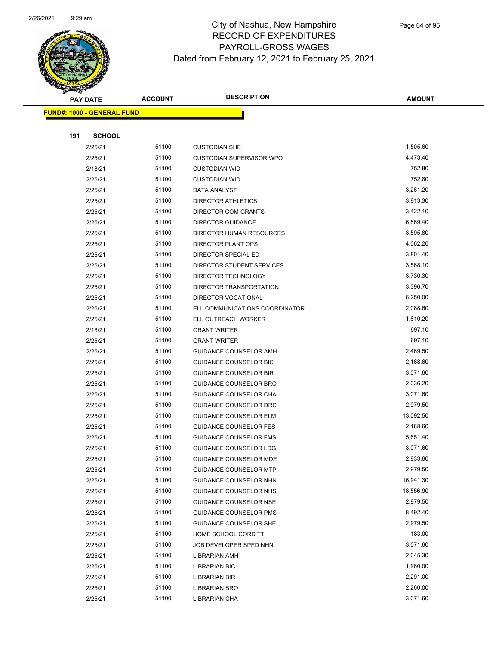

|     | <b>PAY DATE</b>                   | <b>ACCOUNT</b> | <b>DESCRIPTION</b>                                      | <b>AMOUNT</b>        |
|-----|-----------------------------------|----------------|---------------------------------------------------------|----------------------|
|     | <b>FUND#: 1000 - GENERAL FUND</b> |                |                                                         |                      |
|     |                                   |                |                                                         |                      |
| 191 | <b>SCHOOL</b>                     |                |                                                         |                      |
|     | 2/25/21                           | 51100          | <b>CUSTODIAN SHE</b>                                    | 1,505.60             |
|     | 2/25/21                           | 51100          | <b>CUSTODIAN SUPERVISOR WPO</b>                         | 4,473.40             |
|     | 2/18/21                           | 51100          | <b>CUSTODIAN WID</b>                                    | 752.80               |
|     | 2/25/21                           | 51100          | <b>CUSTODIAN WID</b>                                    | 752.80               |
|     | 2/25/21                           | 51100          | DATA ANALYST                                            | 3,261.20             |
|     | 2/25/21                           | 51100          | <b>DIRECTOR ATHLETICS</b>                               | 3,913.30             |
|     | 2/25/21                           | 51100          | <b>DIRECTOR COM GRANTS</b>                              | 3,422.10             |
|     | 2/25/21                           | 51100          | <b>DIRECTOR GUIDANCE</b>                                | 6,869.40             |
|     | 2/25/21                           | 51100          | DIRECTOR HUMAN RESOURCES                                | 3,595.80             |
|     | 2/25/21                           | 51100          | DIRECTOR PLANT OPS                                      | 4,062.20             |
|     | 2/25/21                           | 51100          | DIRECTOR SPECIAL ED                                     | 3,801.40             |
|     | 2/25/21                           | 51100          | DIRECTOR STUDENT SERVICES                               | 3,568.10             |
|     | 2/25/21                           | 51100          | DIRECTOR TECHNOLOGY                                     | 3,730.30             |
|     | 2/25/21                           | 51100          | DIRECTOR TRANSPORTATION                                 | 3,396.70             |
|     | 2/25/21                           | 51100          | DIRECTOR VOCATIONAL                                     | 6,250.00             |
|     | 2/25/21                           | 51100          | ELL COMMUNICATIONS COORDINATOR                          | 2,088.60             |
|     | 2/25/21                           | 51100          | ELL OUTREACH WORKER                                     | 1,810.20             |
|     | 2/18/21                           | 51100          | <b>GRANT WRITER</b>                                     | 697.10               |
|     | 2/25/21                           | 51100          | <b>GRANT WRITER</b>                                     | 697.10               |
|     | 2/25/21                           | 51100          | GUIDANCE COUNSELOR AMH                                  | 2,469.50             |
|     | 2/25/21                           | 51100          | GUIDANCE COUNSELOR BIC                                  | 2,168.60             |
|     | 2/25/21                           | 51100          | <b>GUIDANCE COUNSELOR BIR</b>                           | 3,071.60             |
|     | 2/25/21                           | 51100          | GUIDANCE COUNSELOR BRO                                  | 2,036.20             |
|     | 2/25/21                           | 51100          | GUIDANCE COUNSELOR CHA                                  | 3,071.60             |
|     | 2/25/21                           | 51100          | GUIDANCE COUNSELOR DRC                                  | 2,979.50             |
|     | 2/25/21                           | 51100          | <b>GUIDANCE COUNSELOR ELM</b>                           | 13,092.50            |
|     | 2/25/21                           | 51100          | <b>GUIDANCE COUNSELOR FES</b>                           | 2,168.60             |
|     | 2/25/21                           | 51100          | GUIDANCE COUNSELOR FMS                                  | 5,651.40             |
|     | 2/25/21<br>2/25/21                | 51100<br>51100 | GUIDANCE COUNSELOR LDG<br><b>GUIDANCE COUNSELOR MDE</b> | 3,071.60<br>2,933.60 |
|     |                                   | 51100          | <b>GUIDANCE COUNSELOR MTP</b>                           | 2,979.50             |
|     | 2/25/21<br>2/25/21                | 51100          | GUIDANCE COUNSELOR NHN                                  | 16,941.30            |
|     | 2/25/21                           | 51100          | <b>GUIDANCE COUNSELOR NHS</b>                           | 18,556.90            |
|     | 2/25/21                           | 51100          | GUIDANCE COUNSELOR NSE                                  | 2,979.50             |
|     | 2/25/21                           | 51100          | <b>GUIDANCE COUNSELOR PMS</b>                           | 8,492.40             |
|     | 2/25/21                           | 51100          | <b>GUIDANCE COUNSELOR SHE</b>                           | 2,979.50             |
|     | 2/25/21                           | 51100          | HOME SCHOOL CORD TTI                                    | 183.00               |
|     | 2/25/21                           | 51100          | JOB DEVELOPER SPED NHN                                  | 3,071.60             |
|     | 2/25/21                           | 51100          | LIBRARIAN AMH                                           | 2,045.30             |
|     | 2/25/21                           | 51100          | <b>LIBRARIAN BIC</b>                                    | 1,960.00             |
|     | 2/25/21                           | 51100          | LIBRARIAN BIR                                           | 2,291.00             |
|     | 2/25/21                           | 51100          | <b>LIBRARIAN BRO</b>                                    | 2,260.00             |
|     | 2/25/21                           | 51100          | LIBRARIAN CHA                                           | 3,071.60             |
|     |                                   |                |                                                         |                      |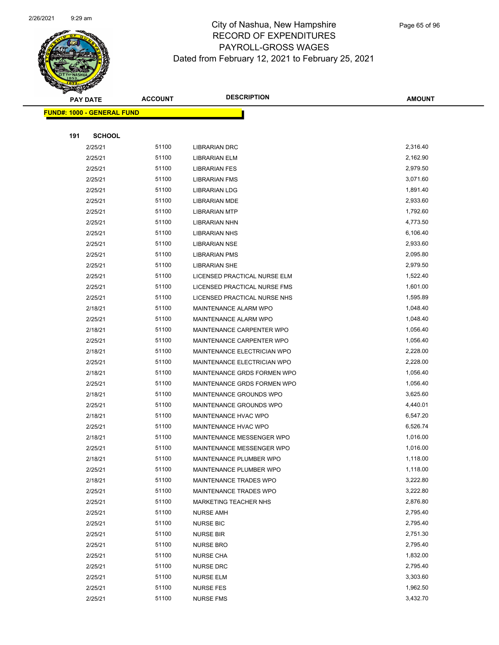

|     | <b>PAY DATE</b>                    | <b>ACCOUNT</b> | <b>DESCRIPTION</b>                   | AMOUNT               |
|-----|------------------------------------|----------------|--------------------------------------|----------------------|
|     | <u> FUND#: 1000 - GENERAL FUND</u> |                |                                      |                      |
|     |                                    |                |                                      |                      |
| 191 | <b>SCHOOL</b>                      |                |                                      |                      |
|     | 2/25/21                            | 51100          | <b>LIBRARIAN DRC</b>                 | 2,316.40             |
|     | 2/25/21                            | 51100          | LIBRARIAN ELM                        | 2,162.90             |
|     | 2/25/21                            | 51100          | <b>LIBRARIAN FES</b>                 | 2,979.50             |
|     | 2/25/21                            | 51100          | <b>LIBRARIAN FMS</b>                 | 3,071.60             |
|     | 2/25/21                            | 51100          | <b>LIBRARIAN LDG</b>                 | 1,891.40             |
|     | 2/25/21                            | 51100          | <b>LIBRARIAN MDE</b>                 | 2,933.60             |
|     | 2/25/21                            | 51100          | <b>LIBRARIAN MTP</b>                 | 1,792.60             |
|     | 2/25/21                            | 51100          | LIBRARIAN NHN                        | 4,773.50             |
|     | 2/25/21                            | 51100          | <b>LIBRARIAN NHS</b>                 | 6,106.40             |
|     | 2/25/21                            | 51100          | <b>LIBRARIAN NSE</b>                 | 2,933.60             |
|     | 2/25/21                            | 51100          | <b>LIBRARIAN PMS</b>                 | 2,095.80             |
|     | 2/25/21                            | 51100          | <b>LIBRARIAN SHE</b>                 | 2,979.50             |
|     | 2/25/21                            | 51100          | LICENSED PRACTICAL NURSE ELM         | 1,522.40             |
|     | 2/25/21                            | 51100          | LICENSED PRACTICAL NURSE FMS         | 1,601.00             |
|     | 2/25/21                            | 51100          | LICENSED PRACTICAL NURSE NHS         | 1,595.89             |
|     | 2/18/21                            | 51100          | MAINTENANCE ALARM WPO                | 1,048.40             |
|     | 2/25/21                            | 51100          | MAINTENANCE ALARM WPO                | 1,048.40             |
|     | 2/18/21                            | 51100          | MAINTENANCE CARPENTER WPO            | 1,056.40             |
|     | 2/25/21                            | 51100          | MAINTENANCE CARPENTER WPO            | 1,056.40             |
|     | 2/18/21                            | 51100          | MAINTENANCE ELECTRICIAN WPO          | 2,228.00             |
|     | 2/25/21                            | 51100          | MAINTENANCE ELECTRICIAN WPO          | 2,228.00             |
|     | 2/18/21                            | 51100          | MAINTENANCE GRDS FORMEN WPO          | 1,056.40             |
|     | 2/25/21                            | 51100          | MAINTENANCE GRDS FORMEN WPO          | 1,056.40             |
|     | 2/18/21                            | 51100          | MAINTENANCE GROUNDS WPO              | 3,625.60             |
|     | 2/25/21                            | 51100          | MAINTENANCE GROUNDS WPO              | 4,440.01             |
|     | 2/18/21                            | 51100          | MAINTENANCE HVAC WPO                 | 6,547.20             |
|     | 2/25/21                            | 51100          | MAINTENANCE HVAC WPO                 | 6,526.74             |
|     | 2/18/21                            | 51100          | <b>MAINTENANCE MESSENGER WPO</b>     | 1,016.00             |
|     | 2/25/21                            | 51100          | MAINTENANCE MESSENGER WPO            | 1,016.00             |
|     | 2/18/21                            | 51100          | MAINTENANCE PLUMBER WPO              | 1,118.00             |
|     | 2/25/21                            | 51100          | MAINTENANCE PLUMBER WPO              | 1,118.00             |
|     | 2/18/21                            | 51100          | MAINTENANCE TRADES WPO               | 3,222.80             |
|     | 2/25/21                            | 51100          | MAINTENANCE TRADES WPO               | 3,222.80             |
|     | 2/25/21                            | 51100          | <b>MARKETING TEACHER NHS</b>         | 2,876.80             |
|     | 2/25/21                            | 51100          | <b>NURSE AMH</b>                     | 2,795.40<br>2,795.40 |
|     | 2/25/21                            | 51100<br>51100 | <b>NURSE BIC</b>                     | 2,751.30             |
|     | 2/25/21<br>2/25/21                 | 51100          | <b>NURSE BIR</b><br><b>NURSE BRO</b> | 2,795.40             |
|     | 2/25/21                            | 51100          |                                      | 1,832.00             |
|     |                                    | 51100          | <b>NURSE CHA</b>                     | 2,795.40             |
|     | 2/25/21<br>2/25/21                 | 51100          | <b>NURSE DRC</b>                     | 3,303.60             |
|     | 2/25/21                            | 51100          | <b>NURSE ELM</b><br><b>NURSE FES</b> | 1,962.50             |
|     | 2/25/21                            | 51100          | <b>NURSE FMS</b>                     | 3,432.70             |
|     |                                    |                |                                      |                      |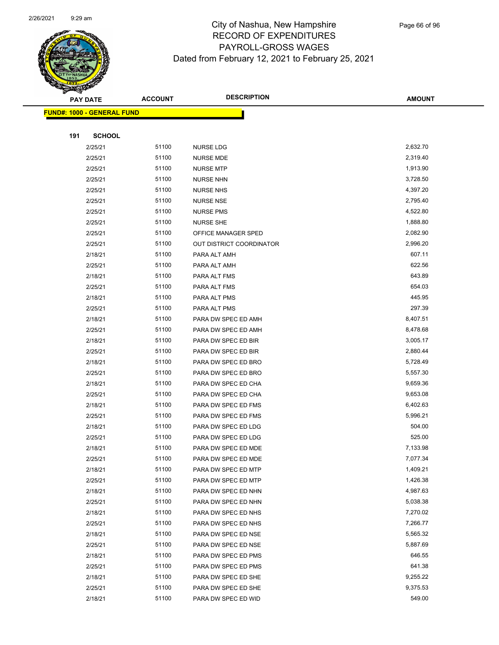

|     | <b>PAY DATE</b>                   | <b>ACCOUNT</b> | <b>DESCRIPTION</b>                         | <b>AMOUNT</b>      |
|-----|-----------------------------------|----------------|--------------------------------------------|--------------------|
|     | <b>FUND#: 1000 - GENERAL FUND</b> |                |                                            |                    |
|     |                                   |                |                                            |                    |
| 191 | <b>SCHOOL</b>                     |                |                                            |                    |
|     | 2/25/21                           | 51100          | <b>NURSE LDG</b>                           | 2,632.70           |
|     | 2/25/21                           | 51100          | <b>NURSE MDE</b>                           | 2,319.40           |
|     | 2/25/21                           | 51100          | <b>NURSE MTP</b>                           | 1,913.90           |
|     | 2/25/21                           | 51100          | <b>NURSE NHN</b>                           | 3,728.50           |
|     | 2/25/21                           | 51100          | <b>NURSE NHS</b>                           | 4,397.20           |
|     | 2/25/21                           | 51100          | <b>NURSE NSE</b>                           | 2,795.40           |
|     | 2/25/21                           | 51100          | <b>NURSE PMS</b>                           | 4,522.80           |
|     | 2/25/21                           | 51100          | <b>NURSE SHE</b>                           | 1,888.80           |
|     | 2/25/21                           | 51100          | OFFICE MANAGER SPED                        | 2,082.90           |
|     | 2/25/21                           | 51100          | OUT DISTRICT COORDINATOR                   | 2,996.20           |
|     | 2/18/21                           | 51100          | PARA ALT AMH                               | 607.11             |
|     | 2/25/21                           | 51100          | PARA ALT AMH                               | 622.56             |
|     | 2/18/21                           | 51100          | PARA ALT FMS                               | 643.89             |
|     | 2/25/21                           | 51100          | PARA ALT FMS                               | 654.03             |
|     | 2/18/21                           | 51100          | PARA ALT PMS                               | 445.95             |
|     | 2/25/21                           | 51100          | PARA ALT PMS                               | 297.39             |
|     | 2/18/21                           | 51100          | PARA DW SPEC ED AMH                        | 8,407.51           |
|     | 2/25/21                           | 51100          | PARA DW SPEC ED AMH                        | 8,478.68           |
|     | 2/18/21                           | 51100          | PARA DW SPEC ED BIR                        | 3,005.17           |
|     | 2/25/21                           | 51100          | PARA DW SPEC ED BIR                        | 2,880.44           |
|     | 2/18/21                           | 51100          | PARA DW SPEC ED BRO                        | 5,728.49           |
|     | 2/25/21                           | 51100          | PARA DW SPEC ED BRO                        | 5,557.30           |
|     | 2/18/21                           | 51100          | PARA DW SPEC ED CHA                        | 9,659.36           |
|     | 2/25/21                           | 51100          | PARA DW SPEC ED CHA                        | 9,653.08           |
|     | 2/18/21                           | 51100          | PARA DW SPEC ED FMS                        | 6,402.63           |
|     | 2/25/21                           | 51100<br>51100 | PARA DW SPEC ED FMS                        | 5,996.21<br>504.00 |
|     | 2/18/21<br>2/25/21                | 51100          | PARA DW SPEC ED LDG<br>PARA DW SPEC ED LDG | 525.00             |
|     | 2/18/21                           | 51100          | PARA DW SPEC ED MDE                        | 7,133.98           |
|     | 2/25/21                           | 51100          | PARA DW SPEC ED MDE                        | 7,077.34           |
|     | 2/18/21                           | 51100          | PARA DW SPEC ED MTP                        | 1,409.21           |
|     | 2/25/21                           | 51100          | PARA DW SPEC ED MTP                        | 1,426.38           |
|     | 2/18/21                           | 51100          | PARA DW SPEC ED NHN                        | 4,987.63           |
|     | 2/25/21                           | 51100          | PARA DW SPEC ED NHN                        | 5,038.38           |
|     | 2/18/21                           | 51100          | PARA DW SPEC ED NHS                        | 7,270.02           |
|     | 2/25/21                           | 51100          | PARA DW SPEC ED NHS                        | 7,266.77           |
|     | 2/18/21                           | 51100          | PARA DW SPEC ED NSE                        | 5,565.32           |
|     | 2/25/21                           | 51100          | PARA DW SPEC ED NSE                        | 5,887.69           |
|     | 2/18/21                           | 51100          | PARA DW SPEC ED PMS                        | 646.55             |
|     | 2/25/21                           | 51100          | PARA DW SPEC ED PMS                        | 641.38             |
|     | 2/18/21                           | 51100          | PARA DW SPEC ED SHE                        | 9,255.22           |
|     | 2/25/21                           | 51100          | PARA DW SPEC ED SHE                        | 9,375.53           |
|     | 2/18/21                           | 51100          | PARA DW SPEC ED WID                        | 549.00             |
|     |                                   |                |                                            |                    |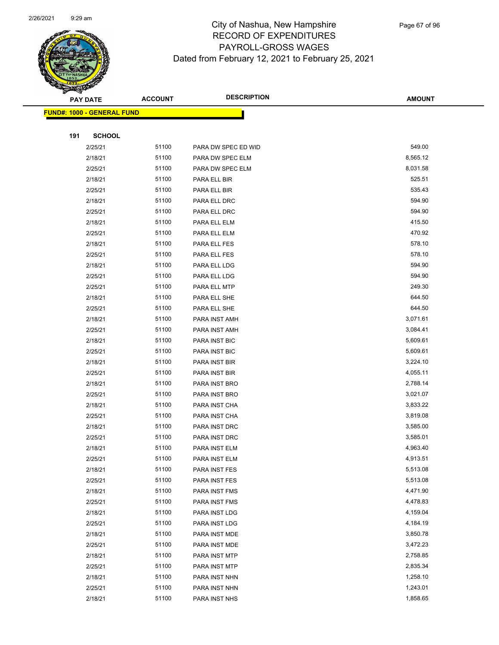

|     | <b>PAY DATE</b>                   | <b>ACCOUNT</b> | <b>DESCRIPTION</b>             | <b>AMOUNT</b>        |
|-----|-----------------------------------|----------------|--------------------------------|----------------------|
|     | <b>FUND#: 1000 - GENERAL FUND</b> |                |                                |                      |
|     |                                   |                |                                |                      |
| 191 | <b>SCHOOL</b>                     |                |                                |                      |
|     | 2/25/21                           | 51100          | PARA DW SPEC ED WID            | 549.00               |
|     | 2/18/21                           | 51100          | PARA DW SPEC ELM               | 8,565.12             |
|     | 2/25/21                           | 51100          | PARA DW SPEC ELM               | 8,031.58             |
|     | 2/18/21                           | 51100          | PARA ELL BIR                   | 525.51               |
|     | 2/25/21                           | 51100          | PARA ELL BIR                   | 535.43               |
|     | 2/18/21                           | 51100          | PARA ELL DRC                   | 594.90               |
|     | 2/25/21                           | 51100          | PARA ELL DRC                   | 594.90               |
|     | 2/18/21                           | 51100          | PARA ELL ELM                   | 415.50               |
|     | 2/25/21                           | 51100          | PARA ELL ELM                   | 470.92               |
|     | 2/18/21                           | 51100          | PARA ELL FES                   | 578.10               |
|     | 2/25/21                           | 51100          | PARA ELL FES                   | 578.10               |
|     | 2/18/21                           | 51100          | PARA ELL LDG                   | 594.90               |
|     | 2/25/21                           | 51100          | PARA ELL LDG                   | 594.90               |
|     | 2/25/21                           | 51100          | PARA ELL MTP                   | 249.30               |
|     | 2/18/21                           | 51100          | PARA ELL SHE                   | 644.50               |
|     | 2/25/21                           | 51100          | PARA ELL SHE                   | 644.50               |
|     | 2/18/21                           | 51100          | PARA INST AMH                  | 3,071.61             |
|     | 2/25/21                           | 51100          | PARA INST AMH                  | 3,084.41             |
|     | 2/18/21                           | 51100          | PARA INST BIC                  | 5,609.61             |
|     | 2/25/21                           | 51100          | PARA INST BIC                  | 5,609.61             |
|     | 2/18/21                           | 51100          | PARA INST BIR                  | 3,224.10             |
|     | 2/25/21                           | 51100          | PARA INST BIR                  | 4,055.11             |
|     | 2/18/21                           | 51100          | PARA INST BRO                  | 2,788.14             |
|     | 2/25/21                           | 51100          | PARA INST BRO                  | 3,021.07             |
|     | 2/18/21                           | 51100          | PARA INST CHA                  | 3,833.22             |
|     | 2/25/21                           | 51100          | PARA INST CHA                  | 3,819.08             |
|     | 2/18/21                           | 51100          | PARA INST DRC                  | 3,585.00             |
|     | 2/25/21                           | 51100          | PARA INST DRC                  | 3,585.01             |
|     | 2/18/21                           | 51100          | PARA INST ELM                  | 4,963.40             |
|     | 2/25/21                           | 51100          | PARA INST ELM                  | 4,913.51             |
|     | 2/18/21                           | 51100          | PARA INST FES                  | 5,513.08             |
|     | 2/25/21                           | 51100          | PARA INST FES                  | 5,513.08             |
|     | 2/18/21                           | 51100          | PARA INST FMS                  | 4,471.90             |
|     | 2/25/21                           | 51100<br>51100 | PARA INST FMS                  | 4,478.83<br>4,159.04 |
|     | 2/18/21                           | 51100          | PARA INST LDG                  |                      |
|     | 2/25/21                           |                | PARA INST LDG                  | 4,184.19             |
|     | 2/18/21<br>2/25/21                | 51100<br>51100 | PARA INST MDE                  | 3,850.78<br>3,472.23 |
|     | 2/18/21                           | 51100          | PARA INST MDE<br>PARA INST MTP | 2,758.85             |
|     | 2/25/21                           | 51100          | PARA INST MTP                  | 2,835.34             |
|     | 2/18/21                           | 51100          | PARA INST NHN                  | 1,258.10             |
|     | 2/25/21                           | 51100          | PARA INST NHN                  | 1,243.01             |
|     | 2/18/21                           | 51100          | PARA INST NHS                  | 1,858.65             |
|     |                                   |                |                                |                      |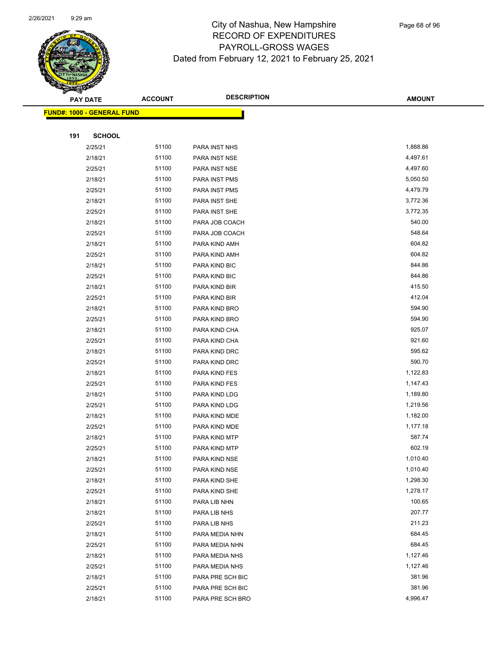

Page 68 of 96

|     | <b>PAY DATE</b>                   | <b>ACCOUNT</b> | <b>DESCRIPTION</b>   | <b>AMOUNT</b> |
|-----|-----------------------------------|----------------|----------------------|---------------|
|     | <b>FUND#: 1000 - GENERAL FUND</b> |                |                      |               |
|     |                                   |                |                      |               |
| 191 | <b>SCHOOL</b>                     |                |                      |               |
|     | 2/25/21                           | 51100          | PARA INST NHS        | 1,888.86      |
|     | 2/18/21                           | 51100          | <b>PARA INST NSE</b> | 4,497.61      |
|     | 2/25/21                           | 51100          | <b>PARA INST NSE</b> | 4,497.60      |
|     | 2/18/21                           | 51100          | PARA INST PMS        | 5,050.50      |
|     | 2/25/21                           | 51100          | PARA INST PMS        | 4,479.79      |
|     | 2/18/21                           | 51100          | PARA INST SHE        | 3,772.36      |
|     | 2/25/21                           | 51100          | PARA INST SHE        | 3,772.35      |
|     | 2/18/21                           | 51100          | PARA JOB COACH       | 540.00        |
|     | 2/25/21                           | 51100          | PARA JOB COACH       | 548.64        |
|     | 2/18/21                           | 51100          | PARA KIND AMH        | 604.82        |
|     | 2/25/21                           | 51100          | PARA KIND AMH        | 604.82        |
|     | 2/18/21                           | 51100          | PARA KIND BIC        | 844.86        |
|     | 2/25/21                           | 51100          | PARA KIND BIC        | 844.86        |
|     | 2/18/21                           | 51100          | PARA KIND BIR        | 415.50        |
|     | 2/25/21                           | 51100          | PARA KIND BIR        | 412.04        |
|     | 2/18/21                           | 51100          | PARA KIND BRO        | 594.90        |
|     | 2/25/21                           | 51100          | PARA KIND BRO        | 594.90        |
|     | 2/18/21                           | 51100          | PARA KIND CHA        | 925.07        |
|     | 2/25/21                           | 51100          | PARA KIND CHA        | 921.60        |
|     | 2/18/21                           | 51100          | PARA KIND DRC        | 595.62        |
|     | 2/25/21                           | 51100          | PARA KIND DRC        | 590.70        |
|     | 2/18/21                           | 51100          | PARA KIND FES        | 1,122.83      |
|     | 2/25/21                           | 51100          | PARA KIND FES        | 1,147.43      |
|     | 2/18/21                           | 51100          | PARA KIND LDG        | 1,189.80      |
|     | 2/25/21                           | 51100          | PARA KIND LDG        | 1,219.56      |
|     | 2/18/21                           | 51100          | PARA KIND MDE        | 1,182.00      |
|     | 2/25/21                           | 51100          | PARA KIND MDE        | 1,177.18      |
|     | 2/18/21                           | 51100          | PARA KIND MTP        | 587.74        |
|     | 2/25/21                           | 51100          | PARA KIND MTP        | 602.19        |
|     | 2/18/21                           | 51100          | PARA KIND NSE        | 1,010.40      |
|     | 2/25/21                           | 51100          | PARA KIND NSE        | 1,010.40      |
|     | 2/18/21                           | 51100          | PARA KIND SHE        | 1,298.30      |
|     | 2/25/21                           | 51100          | PARA KIND SHE        | 1,278.17      |
|     | 2/18/21                           | 51100          | PARA LIB NHN         | 100.65        |
|     | 2/18/21                           | 51100          | PARA LIB NHS         | 207.77        |
|     | 2/25/21                           | 51100          | PARA LIB NHS         | 211.23        |
|     | 2/18/21                           | 51100          | PARA MEDIA NHN       | 684.45        |
|     | 2/25/21                           | 51100          | PARA MEDIA NHN       | 684.45        |
|     | 2/18/21                           | 51100          | PARA MEDIA NHS       | 1,127.46      |
|     | 2/25/21                           | 51100          | PARA MEDIA NHS       | 1,127.46      |
|     | 2/18/21                           | 51100          | PARA PRE SCH BIC     | 381.96        |
|     | 2/25/21                           | 51100          | PARA PRE SCH BIC     | 381.96        |
|     | 2/18/21                           | 51100          | PARA PRE SCH BRO     | 4,996.47      |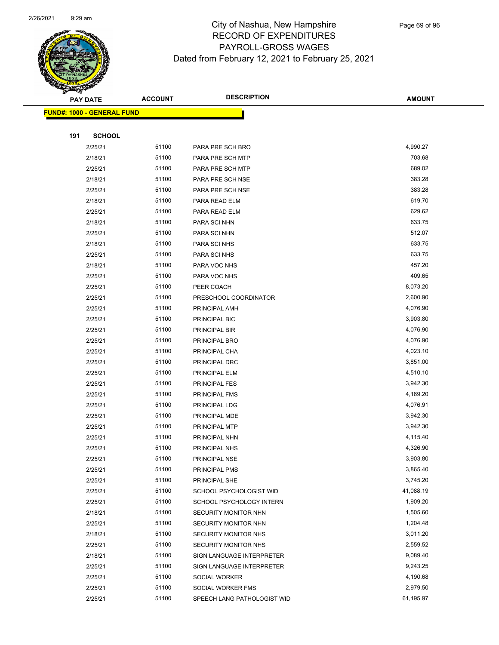

|     | <b>PAY DATE</b>                   | <b>ACCOUNT</b> | <b>DESCRIPTION</b>             | <b>AMOUNT</b>        |
|-----|-----------------------------------|----------------|--------------------------------|----------------------|
|     | <b>FUND#: 1000 - GENERAL FUND</b> |                |                                |                      |
|     |                                   |                |                                |                      |
| 191 | <b>SCHOOL</b>                     |                |                                |                      |
|     | 2/25/21                           | 51100          | PARA PRE SCH BRO               | 4,990.27             |
|     | 2/18/21                           | 51100          | PARA PRE SCH MTP               | 703.68               |
|     | 2/25/21                           | 51100          | PARA PRE SCH MTP               | 689.02               |
|     | 2/18/21                           | 51100          | PARA PRE SCH NSE               | 383.28               |
|     | 2/25/21                           | 51100          | PARA PRE SCH NSE               | 383.28               |
|     | 2/18/21                           | 51100          | PARA READ ELM                  | 619.70               |
|     | 2/25/21                           | 51100          | PARA READ ELM                  | 629.62               |
|     | 2/18/21                           | 51100          | PARA SCI NHN                   | 633.75               |
|     | 2/25/21                           | 51100          | PARA SCI NHN                   | 512.07               |
|     | 2/18/21                           | 51100          | PARA SCI NHS                   | 633.75               |
|     | 2/25/21                           | 51100          | PARA SCI NHS                   | 633.75               |
|     | 2/18/21                           | 51100          | PARA VOC NHS                   | 457.20               |
|     | 2/25/21                           | 51100          | PARA VOC NHS                   | 409.65               |
|     | 2/25/21                           | 51100          | PEER COACH                     | 8,073.20             |
|     | 2/25/21                           | 51100          | PRESCHOOL COORDINATOR          | 2,600.90             |
|     | 2/25/21                           | 51100          | PRINCIPAL AMH                  | 4,076.90             |
|     | 2/25/21                           | 51100          | PRINCIPAL BIC                  | 3,903.80             |
|     | 2/25/21                           | 51100          | PRINCIPAL BIR                  | 4,076.90             |
|     | 2/25/21                           | 51100          | PRINCIPAL BRO                  | 4,076.90             |
|     | 2/25/21                           | 51100          | PRINCIPAL CHA                  | 4,023.10             |
|     | 2/25/21                           | 51100          | PRINCIPAL DRC                  | 3,851.00             |
|     | 2/25/21                           | 51100          | PRINCIPAL ELM                  | 4,510.10             |
|     | 2/25/21                           | 51100          | <b>PRINCIPAL FES</b>           | 3,942.30             |
|     | 2/25/21                           | 51100          | PRINCIPAL FMS                  | 4,169.20             |
|     | 2/25/21                           | 51100          | PRINCIPAL LDG                  | 4,076.91             |
|     | 2/25/21                           | 51100          | PRINCIPAL MDE                  | 3,942.30<br>3,942.30 |
|     | 2/25/21                           | 51100<br>51100 | PRINCIPAL MTP                  | 4,115.40             |
|     | 2/25/21<br>2/25/21                | 51100          | PRINCIPAL NHN<br>PRINCIPAL NHS | 4,326.90             |
|     | 2/25/21                           | 51100          | <b>PRINCIPAL NSE</b>           | 3,903.80             |
|     | 2/25/21                           | 51100          | PRINCIPAL PMS                  | 3,865.40             |
|     | 2/25/21                           | 51100          | PRINCIPAL SHE                  | 3,745.20             |
|     | 2/25/21                           | 51100          | SCHOOL PSYCHOLOGIST WID        | 41,088.19            |
|     | 2/25/21                           | 51100          | SCHOOL PSYCHOLOGY INTERN       | 1,909.20             |
|     | 2/18/21                           | 51100          | SECURITY MONITOR NHN           | 1,505.60             |
|     | 2/25/21                           | 51100          | SECURITY MONITOR NHN           | 1,204.48             |
|     | 2/18/21                           | 51100          | SECURITY MONITOR NHS           | 3,011.20             |
|     | 2/25/21                           | 51100          | SECURITY MONITOR NHS           | 2,559.52             |
|     | 2/18/21                           | 51100          | SIGN LANGUAGE INTERPRETER      | 9,089.40             |
|     | 2/25/21                           | 51100          | SIGN LANGUAGE INTERPRETER      | 9,243.25             |
|     | 2/25/21                           | 51100          | SOCIAL WORKER                  | 4,190.68             |
|     | 2/25/21                           | 51100          | SOCIAL WORKER FMS              | 2,979.50             |
|     | 2/25/21                           | 51100          | SPEECH LANG PATHOLOGIST WID    | 61,195.97            |
|     |                                   |                |                                |                      |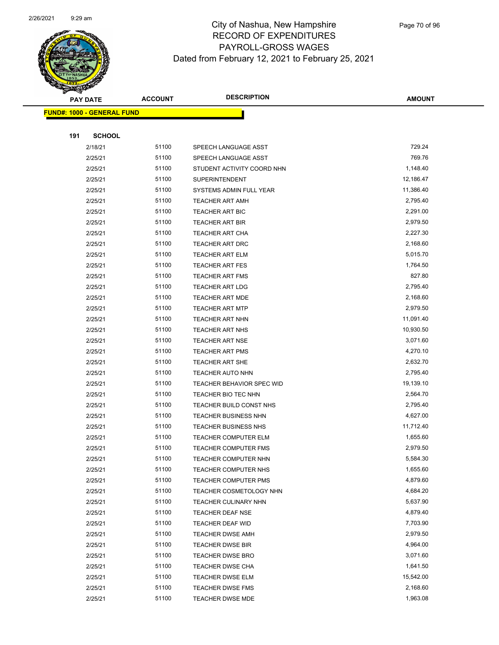

|     | <b>PAY DATE</b>                   | <b>ACCOUNT</b> | <b>DESCRIPTION</b>                                         | <b>AMOUNT</b>        |
|-----|-----------------------------------|----------------|------------------------------------------------------------|----------------------|
|     | <b>FUND#: 1000 - GENERAL FUND</b> |                |                                                            |                      |
|     |                                   |                |                                                            |                      |
| 191 | <b>SCHOOL</b>                     |                |                                                            |                      |
|     | 2/18/21                           | 51100          | SPEECH LANGUAGE ASST                                       | 729.24               |
|     | 2/25/21                           | 51100          | SPEECH LANGUAGE ASST                                       | 769.76               |
|     | 2/25/21                           | 51100          | STUDENT ACTIVITY COORD NHN                                 | 1,148.40             |
|     | 2/25/21                           | 51100          | <b>SUPERINTENDENT</b>                                      | 12,186.47            |
|     | 2/25/21                           | 51100          | SYSTEMS ADMIN FULL YEAR                                    | 11,386.40            |
|     | 2/25/21                           | 51100          | <b>TEACHER ART AMH</b>                                     | 2,795.40             |
|     | 2/25/21                           | 51100          | <b>TEACHER ART BIC</b>                                     | 2,291.00             |
|     | 2/25/21                           | 51100          | <b>TEACHER ART BIR</b>                                     | 2,979.50             |
|     | 2/25/21                           | 51100          | <b>TEACHER ART CHA</b>                                     | 2,227.30             |
|     | 2/25/21                           | 51100          | TEACHER ART DRC                                            | 2,168.60             |
|     | 2/25/21                           | 51100          | <b>TEACHER ART ELM</b>                                     | 5,015.70             |
|     | 2/25/21                           | 51100          | <b>TEACHER ART FES</b>                                     | 1,764.50             |
|     | 2/25/21                           | 51100          | <b>TEACHER ART FMS</b>                                     | 827.80               |
|     | 2/25/21                           | 51100          | <b>TEACHER ART LDG</b>                                     | 2,795.40             |
|     | 2/25/21                           | 51100          | <b>TEACHER ART MDE</b>                                     | 2,168.60             |
|     | 2/25/21                           | 51100          | <b>TEACHER ART MTP</b>                                     | 2,979.50             |
|     | 2/25/21                           | 51100          | <b>TEACHER ART NHN</b>                                     | 11,091.40            |
|     | 2/25/21                           | 51100          | <b>TEACHER ART NHS</b>                                     | 10,930.50            |
|     | 2/25/21                           | 51100          | <b>TEACHER ART NSE</b>                                     | 3,071.60             |
|     | 2/25/21                           | 51100          | <b>TEACHER ART PMS</b>                                     | 4,270.10             |
|     | 2/25/21                           | 51100          | <b>TEACHER ART SHE</b>                                     | 2,632.70             |
|     | 2/25/21                           | 51100          | TEACHER AUTO NHN                                           | 2,795.40             |
|     | 2/25/21                           | 51100          | TEACHER BEHAVIOR SPEC WID                                  | 19,139.10            |
|     | 2/25/21                           | 51100          | TEACHER BIO TEC NHN                                        | 2,564.70             |
|     | 2/25/21                           | 51100          | TEACHER BUILD CONST NHS                                    | 2,795.40             |
|     | 2/25/21                           | 51100          | <b>TEACHER BUSINESS NHN</b>                                | 4,627.00             |
|     | 2/25/21                           | 51100          | <b>TEACHER BUSINESS NHS</b>                                | 11,712.40            |
|     | 2/25/21                           | 51100<br>51100 | <b>TEACHER COMPUTER ELM</b><br><b>TEACHER COMPUTER FMS</b> | 1,655.60<br>2,979.50 |
|     | 2/25/21<br>2/25/21                | 51100          | <b>TEACHER COMPUTER NHN</b>                                | 5,584.30             |
|     |                                   | 51100          | <b>TEACHER COMPUTER NHS</b>                                | 1,655.60             |
|     | 2/25/21<br>2/25/21                | 51100          | <b>TEACHER COMPUTER PMS</b>                                | 4,879.60             |
|     | 2/25/21                           | 51100          | TEACHER COSMETOLOGY NHN                                    | 4,684.20             |
|     | 2/25/21                           | 51100          | TEACHER CULINARY NHN                                       | 5,637.90             |
|     | 2/25/21                           | 51100          | TEACHER DEAF NSE                                           | 4,879.40             |
|     | 2/25/21                           | 51100          | <b>TEACHER DEAF WID</b>                                    | 7,703.90             |
|     | 2/25/21                           | 51100          | <b>TEACHER DWSE AMH</b>                                    | 2,979.50             |
|     | 2/25/21                           | 51100          | <b>TEACHER DWSE BIR</b>                                    | 4,964.00             |
|     | 2/25/21                           | 51100          | <b>TEACHER DWSE BRO</b>                                    | 3,071.60             |
|     | 2/25/21                           | 51100          | <b>TEACHER DWSE CHA</b>                                    | 1,641.50             |
|     | 2/25/21                           | 51100          | <b>TEACHER DWSE ELM</b>                                    | 15,542.00            |
|     | 2/25/21                           | 51100          | <b>TEACHER DWSE FMS</b>                                    | 2,168.60             |
|     | 2/25/21                           | 51100          | <b>TEACHER DWSE MDE</b>                                    | 1,963.08             |
|     |                                   |                |                                                            |                      |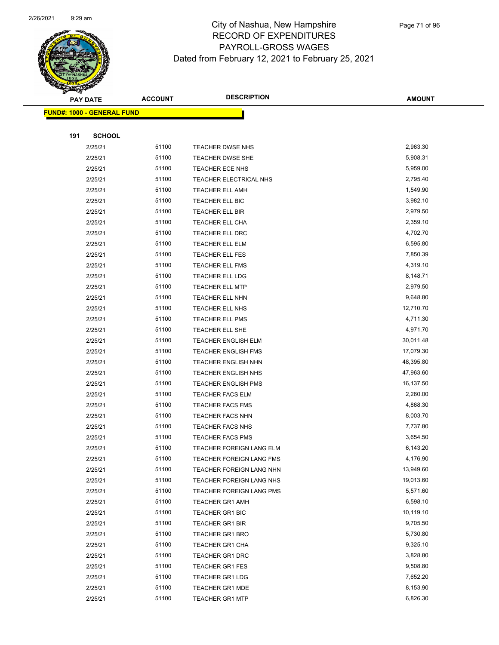

|     | <b>PAY DATE</b>                   | <b>ACCOUNT</b> | <b>DESCRIPTION</b>                                   | <b>AMOUNT</b>          |
|-----|-----------------------------------|----------------|------------------------------------------------------|------------------------|
|     | <b>FUND#: 1000 - GENERAL FUND</b> |                |                                                      |                        |
|     |                                   |                |                                                      |                        |
| 191 | <b>SCHOOL</b>                     |                |                                                      |                        |
|     | 2/25/21                           | 51100          | TEACHER DWSE NHS                                     | 2,963.30               |
|     | 2/25/21                           | 51100          | <b>TEACHER DWSE SHE</b>                              | 5,908.31               |
|     | 2/25/21                           | 51100          | <b>TEACHER ECE NHS</b>                               | 5,959.00               |
|     | 2/25/21                           | 51100          | TEACHER ELECTRICAL NHS                               | 2,795.40               |
|     | 2/25/21                           | 51100          | <b>TEACHER ELL AMH</b>                               | 1,549.90               |
|     | 2/25/21                           | 51100          | TEACHER ELL BIC                                      | 3,982.10               |
|     | 2/25/21                           | 51100          | TEACHER ELL BIR                                      | 2,979.50               |
|     | 2/25/21                           | 51100          | <b>TEACHER ELL CHA</b>                               | 2,359.10               |
|     | 2/25/21                           | 51100          | TEACHER ELL DRC                                      | 4,702.70               |
|     | 2/25/21                           | 51100          | TEACHER ELL ELM                                      | 6,595.80               |
|     | 2/25/21                           | 51100          | TEACHER ELL FES                                      | 7,850.39               |
|     | 2/25/21                           | 51100          | TEACHER ELL FMS                                      | 4,319.10               |
|     | 2/25/21                           | 51100          | <b>TEACHER ELL LDG</b>                               | 8,148.71               |
|     | 2/25/21                           | 51100          | <b>TEACHER ELL MTP</b>                               | 2,979.50               |
|     | 2/25/21                           | 51100          | <b>TEACHER ELL NHN</b>                               | 9,648.80               |
|     | 2/25/21                           | 51100          | TEACHER ELL NHS                                      | 12,710.70              |
|     | 2/25/21                           | 51100          | <b>TEACHER ELL PMS</b>                               | 4,711.30               |
|     | 2/25/21                           | 51100          | TEACHER ELL SHE                                      | 4,971.70               |
|     | 2/25/21                           | 51100          | <b>TEACHER ENGLISH ELM</b>                           | 30,011.48              |
|     | 2/25/21                           | 51100          | <b>TEACHER ENGLISH FMS</b>                           | 17,079.30              |
|     | 2/25/21                           | 51100          | TEACHER ENGLISH NHN                                  | 48,395.80              |
|     | 2/25/21                           | 51100          | <b>TEACHER ENGLISH NHS</b>                           | 47,963.60              |
|     | 2/25/21                           | 51100          | <b>TEACHER ENGLISH PMS</b>                           | 16,137.50              |
|     | 2/25/21                           | 51100          | <b>TEACHER FACS ELM</b>                              | 2,260.00               |
|     | 2/25/21                           | 51100          | <b>TEACHER FACS FMS</b>                              | 4,868.30               |
|     | 2/25/21                           | 51100          | <b>TEACHER FACS NHN</b>                              | 8,003.70               |
|     | 2/25/21                           | 51100          | <b>TEACHER FACS NHS</b>                              | 7,737.80               |
|     | 2/25/21                           | 51100          | <b>TEACHER FACS PMS</b>                              | 3,654.50               |
|     | 2/25/21                           | 51100          | TEACHER FOREIGN LANG ELM                             | 6,143.20               |
|     | 2/25/21                           | 51100<br>51100 | <b>TEACHER FOREIGN LANG FMS</b>                      | 4,176.90               |
|     | 2/25/21                           | 51100          | TEACHER FOREIGN LANG NHN                             | 13,949.60<br>19,013.60 |
|     | 2/25/21<br>2/25/21                | 51100          | TEACHER FOREIGN LANG NHS<br>TEACHER FOREIGN LANG PMS | 5,571.60               |
|     | 2/25/21                           | 51100          | <b>TEACHER GR1 AMH</b>                               | 6,598.10               |
|     | 2/25/21                           | 51100          |                                                      | 10,119.10              |
|     | 2/25/21                           | 51100          | <b>TEACHER GR1 BIC</b><br>TEACHER GR1 BIR            | 9,705.50               |
|     | 2/25/21                           | 51100          | <b>TEACHER GR1 BRO</b>                               | 5,730.80               |
|     | 2/25/21                           | 51100          | TEACHER GR1 CHA                                      | 9,325.10               |
|     | 2/25/21                           | 51100          | <b>TEACHER GR1 DRC</b>                               | 3,828.80               |
|     | 2/25/21                           | 51100          | <b>TEACHER GR1 FES</b>                               | 9,508.80               |
|     | 2/25/21                           | 51100          | <b>TEACHER GR1 LDG</b>                               | 7,652.20               |
|     | 2/25/21                           | 51100          | <b>TEACHER GR1 MDE</b>                               | 8,153.90               |
|     | 2/25/21                           | 51100          | <b>TEACHER GR1 MTP</b>                               | 6,826.30               |
|     |                                   |                |                                                      |                        |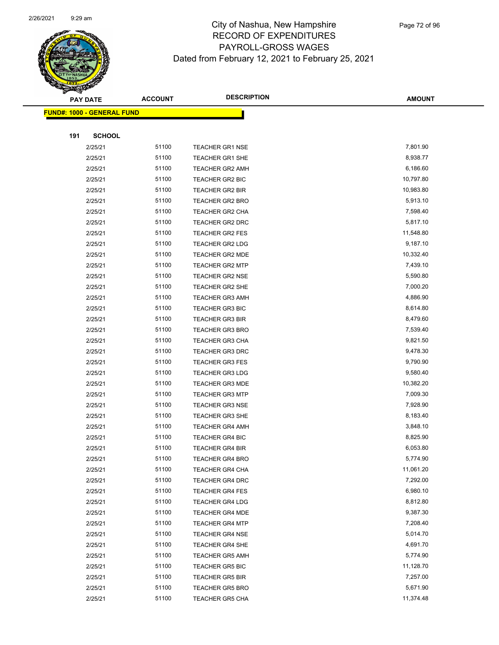

| <b>PAY DATE</b>                   | <b>ACCOUNT</b> | <b>DESCRIPTION</b>     | <b>AMOUNT</b> |
|-----------------------------------|----------------|------------------------|---------------|
| <b>FUND#: 1000 - GENERAL FUND</b> |                |                        |               |
|                                   |                |                        |               |
| 191<br><b>SCHOOL</b>              |                |                        |               |
| 2/25/21                           | 51100          | <b>TEACHER GR1 NSE</b> | 7,801.90      |
| 2/25/21                           | 51100          | <b>TEACHER GR1 SHE</b> | 8,938.77      |
| 2/25/21                           | 51100          | <b>TEACHER GR2 AMH</b> | 6,186.60      |
| 2/25/21                           | 51100          | TEACHER GR2 BIC        | 10,797.80     |
| 2/25/21                           | 51100          | <b>TEACHER GR2 BIR</b> | 10,983.80     |
| 2/25/21                           | 51100          | <b>TEACHER GR2 BRO</b> | 5,913.10      |
| 2/25/21                           | 51100          | <b>TEACHER GR2 CHA</b> | 7,598.40      |
| 2/25/21                           | 51100          | <b>TEACHER GR2 DRC</b> | 5,817.10      |
| 2/25/21                           | 51100          | <b>TEACHER GR2 FES</b> | 11,548.80     |
| 2/25/21                           | 51100          | <b>TEACHER GR2 LDG</b> | 9,187.10      |
| 2/25/21                           | 51100          | <b>TEACHER GR2 MDE</b> | 10,332.40     |
| 2/25/21                           | 51100          | <b>TEACHER GR2 MTP</b> | 7,439.10      |
| 2/25/21                           | 51100          | <b>TEACHER GR2 NSE</b> | 5,590.80      |
| 2/25/21                           | 51100          | TEACHER GR2 SHE        | 7,000.20      |
| 2/25/21                           | 51100          | <b>TEACHER GR3 AMH</b> | 4,886.90      |
| 2/25/21                           | 51100          | <b>TEACHER GR3 BIC</b> | 8,614.80      |
| 2/25/21                           | 51100          | <b>TEACHER GR3 BIR</b> | 8,479.60      |
| 2/25/21                           | 51100          | <b>TEACHER GR3 BRO</b> | 7,539.40      |
| 2/25/21                           | 51100          | <b>TEACHER GR3 CHA</b> | 9,821.50      |
| 2/25/21                           | 51100          | <b>TEACHER GR3 DRC</b> | 9,478.30      |
| 2/25/21                           | 51100          | <b>TEACHER GR3 FES</b> | 9,790.90      |
| 2/25/21                           | 51100          | <b>TEACHER GR3 LDG</b> | 9,580.40      |
| 2/25/21                           | 51100          | TEACHER GR3 MDE        | 10,382.20     |
| 2/25/21                           | 51100          | <b>TEACHER GR3 MTP</b> | 7,009.30      |
| 2/25/21                           | 51100          | <b>TEACHER GR3 NSE</b> | 7,928.90      |
| 2/25/21                           | 51100          | <b>TEACHER GR3 SHE</b> | 8,183.40      |
| 2/25/21                           | 51100          | <b>TEACHER GR4 AMH</b> | 3,848.10      |
| 2/25/21                           | 51100          | <b>TEACHER GR4 BIC</b> | 8,825.90      |
| 2/25/21                           | 51100          | <b>TEACHER GR4 BIR</b> | 6,053.80      |
| 2/25/21                           | 51100          | TEACHER GR4 BRO        | 5,774.90      |
| 2/25/21                           | 51100          | <b>TEACHER GR4 CHA</b> | 11,061.20     |
| 2/25/21                           | 51100          | <b>TEACHER GR4 DRC</b> | 7,292.00      |
| 2/25/21                           | 51100          | <b>TEACHER GR4 FES</b> | 6,980.10      |
| 2/25/21                           | 51100          | <b>TEACHER GR4 LDG</b> | 8,812.80      |
| 2/25/21                           | 51100          | TEACHER GR4 MDE        | 9,387.30      |
| 2/25/21                           | 51100          | TEACHER GR4 MTP        | 7,208.40      |
| 2/25/21                           | 51100          | <b>TEACHER GR4 NSE</b> | 5,014.70      |
| 2/25/21                           | 51100          | <b>TEACHER GR4 SHE</b> | 4,691.70      |
| 2/25/21                           | 51100          | <b>TEACHER GR5 AMH</b> | 5,774.90      |
| 2/25/21                           | 51100          | <b>TEACHER GR5 BIC</b> | 11,128.70     |
| 2/25/21                           | 51100          | <b>TEACHER GR5 BIR</b> | 7,257.00      |
| 2/25/21                           | 51100          | <b>TEACHER GR5 BRO</b> | 5,671.90      |
| 2/25/21                           | 51100          | <b>TEACHER GR5 CHA</b> | 11,374.48     |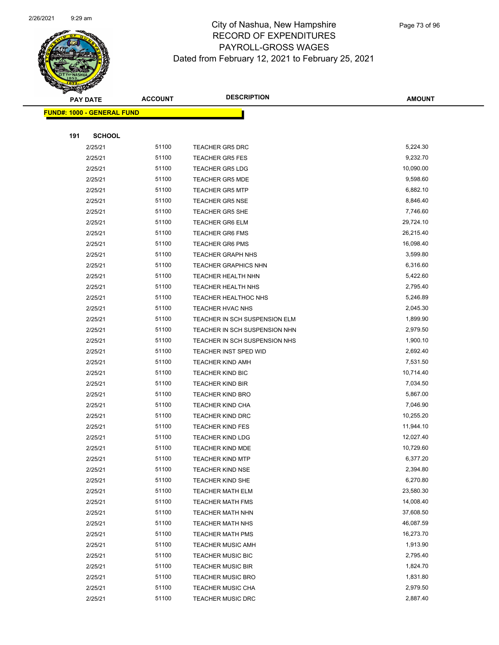

|     | <b>PAY DATE</b>                   | <b>ACCOUNT</b> | <b>DESCRIPTION</b>                                 | <b>AMOUNT</b>         |
|-----|-----------------------------------|----------------|----------------------------------------------------|-----------------------|
|     | <b>FUND#: 1000 - GENERAL FUND</b> |                |                                                    |                       |
|     |                                   |                |                                                    |                       |
| 191 | <b>SCHOOL</b>                     |                |                                                    |                       |
|     | 2/25/21                           | 51100          | <b>TEACHER GR5 DRC</b>                             | 5,224.30              |
|     | 2/25/21                           | 51100          | <b>TEACHER GR5 FES</b>                             | 9,232.70              |
|     | 2/25/21                           | 51100          | <b>TEACHER GR5 LDG</b>                             | 10,090.00             |
|     | 2/25/21                           | 51100          | <b>TEACHER GR5 MDE</b>                             | 9,598.60              |
|     | 2/25/21                           | 51100          | <b>TEACHER GR5 MTP</b>                             | 6,882.10              |
|     | 2/25/21                           | 51100          | <b>TEACHER GR5 NSE</b>                             | 8,846.40              |
|     | 2/25/21                           | 51100          | <b>TEACHER GR5 SHE</b>                             | 7,746.60              |
|     | 2/25/21                           | 51100          | <b>TEACHER GR6 ELM</b>                             | 29,724.10             |
|     | 2/25/21                           | 51100          | <b>TEACHER GR6 FMS</b>                             | 26,215.40             |
|     | 2/25/21                           | 51100          | <b>TEACHER GR6 PMS</b>                             | 16,098.40             |
|     | 2/25/21                           | 51100          | TEACHER GRAPH NHS                                  | 3,599.80              |
|     | 2/25/21                           | 51100          | <b>TEACHER GRAPHICS NHN</b>                        | 6,316.60              |
|     | 2/25/21                           | 51100          | <b>TEACHER HEALTH NHN</b>                          | 5,422.60              |
|     | 2/25/21                           | 51100          | <b>TEACHER HEALTH NHS</b>                          | 2,795.40              |
|     | 2/25/21                           | 51100          | TEACHER HEALTHOC NHS                               | 5,246.89              |
|     | 2/25/21                           | 51100          | TEACHER HVAC NHS                                   | 2,045.30              |
|     | 2/25/21                           | 51100          | TEACHER IN SCH SUSPENSION ELM                      | 1,899.90              |
|     | 2/25/21                           | 51100          | TEACHER IN SCH SUSPENSION NHN                      | 2,979.50              |
|     | 2/25/21                           | 51100          | TEACHER IN SCH SUSPENSION NHS                      | 1,900.10              |
|     | 2/25/21                           | 51100          | TEACHER INST SPED WID                              | 2,692.40              |
|     | 2/25/21                           | 51100          | <b>TEACHER KIND AMH</b>                            | 7,531.50              |
|     | 2/25/21                           | 51100          | <b>TEACHER KIND BIC</b>                            | 10,714.40             |
|     | 2/25/21                           | 51100          | <b>TEACHER KIND BIR</b>                            | 7,034.50              |
|     | 2/25/21                           | 51100          | <b>TEACHER KIND BRO</b>                            | 5,867.00              |
|     | 2/25/21                           | 51100          | TEACHER KIND CHA                                   | 7,046.90              |
|     | 2/25/21                           | 51100          | <b>TEACHER KIND DRC</b>                            | 10,255.20             |
|     | 2/25/21                           | 51100          | <b>TEACHER KIND FES</b>                            | 11,944.10             |
|     | 2/25/21                           | 51100          | <b>TEACHER KIND LDG</b>                            | 12,027.40             |
|     | 2/25/21<br>2/25/21                | 51100<br>51100 | <b>TEACHER KIND MDE</b><br><b>TEACHER KIND MTP</b> | 10,729.60<br>6,377.20 |
|     |                                   | 51100          |                                                    | 2,394.80              |
|     | 2/25/21<br>2/25/21                | 51100          | <b>TEACHER KIND NSE</b><br><b>TEACHER KIND SHE</b> | 6,270.80              |
|     | 2/25/21                           | 51100          | <b>TEACHER MATH ELM</b>                            | 23,580.30             |
|     | 2/25/21                           | 51100          | <b>TEACHER MATH FMS</b>                            | 14,008.40             |
|     | 2/25/21                           | 51100          | <b>TEACHER MATH NHN</b>                            | 37,608.50             |
|     | 2/25/21                           | 51100          | <b>TEACHER MATH NHS</b>                            | 46,087.59             |
|     | 2/25/21                           | 51100          | <b>TEACHER MATH PMS</b>                            | 16,273.70             |
|     | 2/25/21                           | 51100          | <b>TEACHER MUSIC AMH</b>                           | 1,913.90              |
|     | 2/25/21                           | 51100          | <b>TEACHER MUSIC BIC</b>                           | 2,795.40              |
|     | 2/25/21                           | 51100          | <b>TEACHER MUSIC BIR</b>                           | 1,824.70              |
|     | 2/25/21                           | 51100          | <b>TEACHER MUSIC BRO</b>                           | 1,831.80              |
|     | 2/25/21                           | 51100          | <b>TEACHER MUSIC CHA</b>                           | 2,979.50              |
|     | 2/25/21                           | 51100          | <b>TEACHER MUSIC DRC</b>                           | 2,887.40              |
|     |                                   |                |                                                    |                       |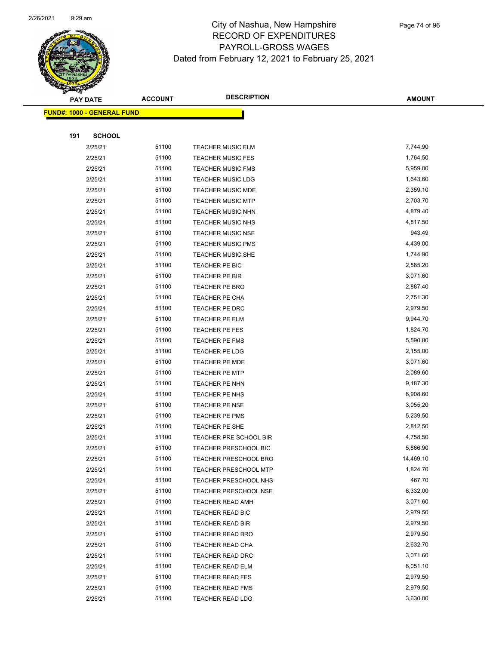

|     | <b>PAY DATE</b>                   | <b>ACCOUNT</b> | <b>DESCRIPTION</b>                       | <b>AMOUNT</b>        |
|-----|-----------------------------------|----------------|------------------------------------------|----------------------|
|     | <b>FUND#: 1000 - GENERAL FUND</b> |                |                                          |                      |
|     |                                   |                |                                          |                      |
| 191 | <b>SCHOOL</b>                     |                |                                          |                      |
|     | 2/25/21                           | 51100          | <b>TEACHER MUSIC ELM</b>                 | 7,744.90             |
|     | 2/25/21                           | 51100          | <b>TEACHER MUSIC FES</b>                 | 1,764.50             |
|     | 2/25/21                           | 51100          | <b>TEACHER MUSIC FMS</b>                 | 5,959.00             |
|     | 2/25/21                           | 51100          | <b>TEACHER MUSIC LDG</b>                 | 1,643.60             |
|     | 2/25/21                           | 51100          | <b>TEACHER MUSIC MDE</b>                 | 2,359.10             |
|     | 2/25/21                           | 51100          | <b>TEACHER MUSIC MTP</b>                 | 2,703.70             |
|     | 2/25/21                           | 51100          | <b>TEACHER MUSIC NHN</b>                 | 4,879.40             |
|     | 2/25/21                           | 51100          | <b>TEACHER MUSIC NHS</b>                 | 4,817.50             |
|     | 2/25/21                           | 51100          | <b>TEACHER MUSIC NSE</b>                 | 943.49               |
|     | 2/25/21                           | 51100          | <b>TEACHER MUSIC PMS</b>                 | 4,439.00             |
|     | 2/25/21                           | 51100          | TEACHER MUSIC SHE                        | 1,744.90             |
|     | 2/25/21                           | 51100          | TEACHER PE BIC                           | 2,585.20             |
|     | 2/25/21                           | 51100          | TEACHER PE BIR                           | 3,071.60             |
|     | 2/25/21                           | 51100          | TEACHER PE BRO                           | 2,887.40             |
|     | 2/25/21                           | 51100          | TEACHER PE CHA                           | 2,751.30             |
|     | 2/25/21                           | 51100          | TEACHER PE DRC                           | 2,979.50             |
|     | 2/25/21                           | 51100          | TEACHER PE ELM                           | 9,944.70             |
|     | 2/25/21                           | 51100          | TEACHER PE FES                           | 1,824.70             |
|     | 2/25/21                           | 51100          | TEACHER PE FMS                           | 5,590.80             |
|     | 2/25/21                           | 51100          | TEACHER PE LDG                           | 2,155.00             |
|     | 2/25/21                           | 51100          | TEACHER PE MDE                           | 3,071.60             |
|     | 2/25/21                           | 51100          | TEACHER PE MTP                           | 2,089.60             |
|     | 2/25/21                           | 51100          | TEACHER PE NHN                           | 9,187.30             |
|     | 2/25/21                           | 51100          | TEACHER PE NHS                           | 6,908.60             |
|     | 2/25/21                           | 51100          | TEACHER PE NSE                           | 3,055.20             |
|     | 2/25/21                           | 51100          | TEACHER PE PMS                           | 5,239.50             |
|     | 2/25/21                           | 51100<br>51100 | TEACHER PE SHE<br>TEACHER PRE SCHOOL BIR | 2,812.50<br>4,758.50 |
|     | 2/25/21<br>2/25/21                | 51100          | TEACHER PRESCHOOL BIC                    | 5,866.90             |
|     | 2/25/21                           | 51100          | <b>TEACHER PRESCHOOL BRO</b>             | 14,469.10            |
|     | 2/25/21                           | 51100          | <b>TEACHER PRESCHOOL MTP</b>             | 1,824.70             |
|     | 2/25/21                           | 51100          | TEACHER PRESCHOOL NHS                    | 467.70               |
|     | 2/25/21                           | 51100          | <b>TEACHER PRESCHOOL NSE</b>             | 6,332.00             |
|     | 2/25/21                           | 51100          | <b>TEACHER READ AMH</b>                  | 3,071.60             |
|     | 2/25/21                           | 51100          | TEACHER READ BIC                         | 2,979.50             |
|     | 2/25/21                           | 51100          | <b>TEACHER READ BIR</b>                  | 2,979.50             |
|     | 2/25/21                           | 51100          | <b>TEACHER READ BRO</b>                  | 2,979.50             |
|     | 2/25/21                           | 51100          | TEACHER READ CHA                         | 2,632.70             |
|     | 2/25/21                           | 51100          | TEACHER READ DRC                         | 3,071.60             |
|     | 2/25/21                           | 51100          | <b>TEACHER READ ELM</b>                  | 6,051.10             |
|     | 2/25/21                           | 51100          | <b>TEACHER READ FES</b>                  | 2,979.50             |
|     | 2/25/21                           | 51100          | <b>TEACHER READ FMS</b>                  | 2,979.50             |
|     | 2/25/21                           | 51100          | <b>TEACHER READ LDG</b>                  | 3,630.00             |
|     |                                   |                |                                          |                      |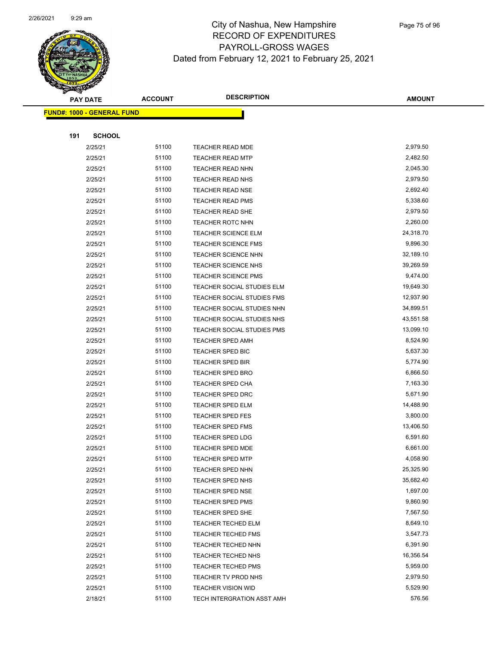

|     | <b>PAY DATE</b>                   | <b>ACCOUNT</b> | <b>DESCRIPTION</b>                                 | <b>AMOUNT</b>         |  |
|-----|-----------------------------------|----------------|----------------------------------------------------|-----------------------|--|
|     | <b>FUND#: 1000 - GENERAL FUND</b> |                |                                                    |                       |  |
|     |                                   |                |                                                    |                       |  |
| 191 | <b>SCHOOL</b>                     |                |                                                    |                       |  |
|     | 2/25/21                           | 51100          | TEACHER READ MDE                                   | 2,979.50              |  |
|     | 2/25/21                           | 51100          | <b>TEACHER READ MTP</b>                            | 2,482.50              |  |
|     | 2/25/21                           | 51100          | <b>TEACHER READ NHN</b>                            | 2,045.30              |  |
|     | 2/25/21                           | 51100          | <b>TEACHER READ NHS</b>                            | 2,979.50              |  |
|     | 2/25/21                           | 51100          | <b>TEACHER READ NSE</b>                            | 2,692.40              |  |
|     | 2/25/21                           | 51100          | <b>TEACHER READ PMS</b>                            | 5,338.60              |  |
|     | 2/25/21                           | 51100          | TEACHER READ SHE                                   | 2,979.50              |  |
|     | 2/25/21                           | 51100          | <b>TEACHER ROTC NHN</b>                            | 2,260.00              |  |
|     | 2/25/21                           | 51100          | <b>TEACHER SCIENCE ELM</b>                         | 24,318.70             |  |
|     | 2/25/21                           | 51100          | <b>TEACHER SCIENCE FMS</b>                         | 9,896.30              |  |
|     | 2/25/21                           | 51100          | <b>TEACHER SCIENCE NHN</b>                         | 32,189.10             |  |
|     | 2/25/21                           | 51100          | <b>TEACHER SCIENCE NHS</b>                         | 39,269.59             |  |
|     | 2/25/21                           | 51100          | <b>TEACHER SCIENCE PMS</b>                         | 9,474.00              |  |
|     | 2/25/21                           | 51100          | TEACHER SOCIAL STUDIES ELM                         | 19,649.30             |  |
|     | 2/25/21                           | 51100          | TEACHER SOCIAL STUDIES FMS                         | 12,937.90             |  |
|     | 2/25/21                           | 51100          | TEACHER SOCIAL STUDIES NHN                         | 34,899.51             |  |
|     | 2/25/21                           | 51100          | TEACHER SOCIAL STUDIES NHS                         | 43,551.58             |  |
|     | 2/25/21                           | 51100          | TEACHER SOCIAL STUDIES PMS                         | 13,099.10             |  |
|     | 2/25/21                           | 51100          | <b>TEACHER SPED AMH</b>                            | 8,524.90              |  |
|     | 2/25/21                           | 51100          | TEACHER SPED BIC                                   | 5,637.30              |  |
|     | 2/25/21                           | 51100          | <b>TEACHER SPED BIR</b>                            | 5,774.90              |  |
|     | 2/25/21                           | 51100          | <b>TEACHER SPED BRO</b>                            | 6,866.50              |  |
|     | 2/25/21                           | 51100          | <b>TEACHER SPED CHA</b>                            | 7,163.30              |  |
|     | 2/25/21                           | 51100          | <b>TEACHER SPED DRC</b>                            | 5,671.90              |  |
|     | 2/25/21                           | 51100          | <b>TEACHER SPED ELM</b>                            | 14,488.90             |  |
|     | 2/25/21                           | 51100<br>51100 | TEACHER SPED FES                                   | 3,800.00<br>13,406.50 |  |
|     | 2/25/21<br>2/25/21                | 51100          | <b>TEACHER SPED FMS</b><br><b>TEACHER SPED LDG</b> | 6,591.60              |  |
|     | 2/25/21                           | 51100          | <b>TEACHER SPED MDE</b>                            | 6,661.00              |  |
|     | 2/25/21                           | 51100          | <b>TEACHER SPED MTP</b>                            | 4,058.90              |  |
|     | 2/25/21                           | 51100          | TEACHER SPED NHN                                   | 25,325.90             |  |
|     | 2/25/21                           | 51100          | <b>TEACHER SPED NHS</b>                            | 35,682.40             |  |
|     | 2/25/21                           | 51100          | TEACHER SPED NSE                                   | 1,697.00              |  |
|     | 2/25/21                           | 51100          | TEACHER SPED PMS                                   | 9,860.90              |  |
|     | 2/25/21                           | 51100          | <b>TEACHER SPED SHE</b>                            | 7,567.50              |  |
|     | 2/25/21                           | 51100          | TEACHER TECHED ELM                                 | 8,649.10              |  |
|     | 2/25/21                           | 51100          | <b>TEACHER TECHED FMS</b>                          | 3,547.73              |  |
|     | 2/25/21                           | 51100          | TEACHER TECHED NHN                                 | 6,391.90              |  |
|     | 2/25/21                           | 51100          | TEACHER TECHED NHS                                 | 16,356.54             |  |
|     | 2/25/21                           | 51100          | <b>TEACHER TECHED PMS</b>                          | 5,959.00              |  |
|     | 2/25/21                           | 51100          | TEACHER TV PROD NHS                                | 2,979.50              |  |
|     | 2/25/21                           | 51100          | <b>TEACHER VISION WID</b>                          | 5,529.90              |  |
|     | 2/18/21                           | 51100          | TECH INTERGRATION ASST AMH                         | 576.56                |  |
|     |                                   |                |                                                    |                       |  |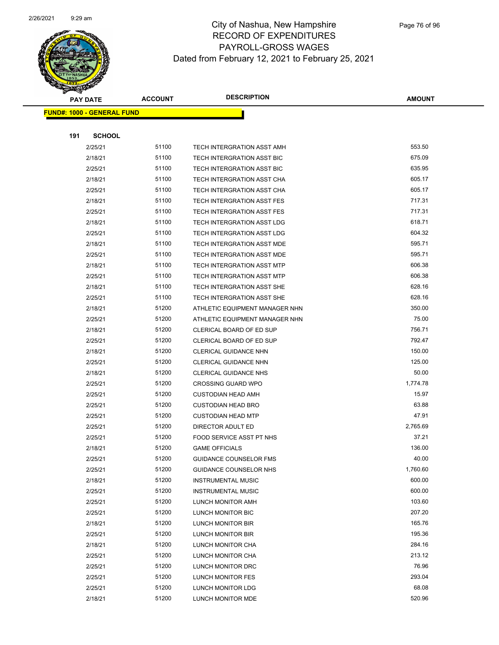

|     | <b>PAY DATE</b>                   | <b>ACCOUNT</b> | <b>DESCRIPTION</b>                                | <b>AMOUNT</b>     |
|-----|-----------------------------------|----------------|---------------------------------------------------|-------------------|
|     | <b>FUND#: 1000 - GENERAL FUND</b> |                |                                                   |                   |
|     |                                   |                |                                                   |                   |
| 191 | <b>SCHOOL</b>                     |                |                                                   |                   |
|     | 2/25/21                           | 51100          | TECH INTERGRATION ASST AMH                        | 553.50            |
|     | 2/18/21                           | 51100          | TECH INTERGRATION ASST BIC                        | 675.09            |
|     | 2/25/21                           | 51100          | TECH INTERGRATION ASST BIC                        | 635.95            |
|     | 2/18/21                           | 51100          | TECH INTERGRATION ASST CHA                        | 605.17            |
|     | 2/25/21                           | 51100          | TECH INTERGRATION ASST CHA                        | 605.17            |
|     | 2/18/21                           | 51100          | TECH INTERGRATION ASST FES                        | 717.31            |
|     | 2/25/21                           | 51100          | TECH INTERGRATION ASST FES                        | 717.31            |
|     | 2/18/21                           | 51100          | TECH INTERGRATION ASST LDG                        | 618.71            |
|     | 2/25/21                           | 51100          | TECH INTERGRATION ASST LDG                        | 604.32            |
|     | 2/18/21                           | 51100          | TECH INTERGRATION ASST MDE                        | 595.71            |
|     | 2/25/21                           | 51100          | TECH INTERGRATION ASST MDE                        | 595.71            |
|     | 2/18/21                           | 51100          | <b>TECH INTERGRATION ASST MTP</b>                 | 606.38            |
|     | 2/25/21                           | 51100          | <b>TECH INTERGRATION ASST MTP</b>                 | 606.38            |
|     | 2/18/21                           | 51100          | TECH INTERGRATION ASST SHE                        | 628.16            |
|     | 2/25/21                           | 51100          | TECH INTERGRATION ASST SHE                        | 628.16            |
|     | 2/18/21                           | 51200          | ATHLETIC EQUIPMENT MANAGER NHN                    | 350.00            |
|     | 2/25/21                           | 51200          | ATHLETIC EQUIPMENT MANAGER NHN                    | 75.00             |
|     | 2/18/21                           | 51200          | CLERICAL BOARD OF ED SUP                          | 756.71            |
|     | 2/25/21                           | 51200          | CLERICAL BOARD OF ED SUP                          | 792.47            |
|     | 2/18/21                           | 51200          | <b>CLERICAL GUIDANCE NHN</b>                      | 150.00            |
|     | 2/25/21                           | 51200          | <b>CLERICAL GUIDANCE NHN</b>                      | 125.00            |
|     | 2/18/21                           | 51200          | <b>CLERICAL GUIDANCE NHS</b>                      | 50.00             |
|     | 2/25/21                           | 51200          | <b>CROSSING GUARD WPO</b>                         | 1,774.78          |
|     | 2/25/21                           | 51200          | <b>CUSTODIAN HEAD AMH</b>                         | 15.97             |
|     | 2/25/21                           | 51200          | <b>CUSTODIAN HEAD BRO</b>                         | 63.88             |
|     | 2/25/21                           | 51200<br>51200 | <b>CUSTODIAN HEAD MTP</b>                         | 47.91<br>2,765.69 |
|     | 2/25/21                           | 51200          | DIRECTOR ADULT ED                                 | 37.21             |
|     | 2/25/21<br>2/18/21                | 51200          | FOOD SERVICE ASST PT NHS<br><b>GAME OFFICIALS</b> | 136.00            |
|     | 2/25/21                           | 51200          | <b>GUIDANCE COUNSELOR FMS</b>                     | 40.00             |
|     | 2/25/21                           | 51200          | GUIDANCE COUNSELOR NHS                            | 1,760.60          |
|     | 2/18/21                           | 51200          | <b>INSTRUMENTAL MUSIC</b>                         | 600.00            |
|     | 2/25/21                           | 51200          | <b>INSTRUMENTAL MUSIC</b>                         | 600.00            |
|     | 2/25/21                           | 51200          | LUNCH MONITOR AMH                                 | 103.60            |
|     | 2/25/21                           | 51200          | LUNCH MONITOR BIC                                 | 207.20            |
|     | 2/18/21                           | 51200          | LUNCH MONITOR BIR                                 | 165.76            |
|     | 2/25/21                           | 51200          | LUNCH MONITOR BIR                                 | 195.36            |
|     | 2/18/21                           | 51200          | LUNCH MONITOR CHA                                 | 284.16            |
|     | 2/25/21                           | 51200          | LUNCH MONITOR CHA                                 | 213.12            |
|     | 2/25/21                           | 51200          | LUNCH MONITOR DRC                                 | 76.96             |
|     | 2/25/21                           | 51200          | LUNCH MONITOR FES                                 | 293.04            |
|     | 2/25/21                           | 51200          | LUNCH MONITOR LDG                                 | 68.08             |
|     | 2/18/21                           | 51200          | LUNCH MONITOR MDE                                 | 520.96            |
|     |                                   |                |                                                   |                   |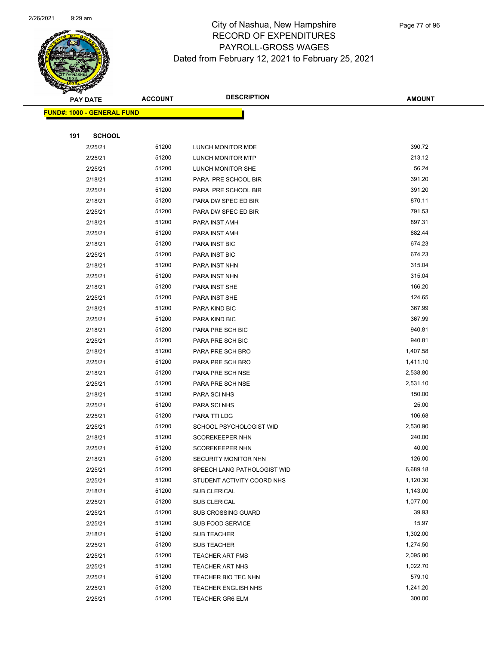

|     | <b>PAY DATE</b>                   | <b>ACCOUNT</b> | <b>DESCRIPTION</b>          | <b>AMOUNT</b> |
|-----|-----------------------------------|----------------|-----------------------------|---------------|
|     | <b>FUND#: 1000 - GENERAL FUND</b> |                |                             |               |
|     |                                   |                |                             |               |
| 191 | <b>SCHOOL</b>                     |                |                             |               |
|     | 2/25/21                           | 51200          | LUNCH MONITOR MDE           | 390.72        |
|     | 2/25/21                           | 51200          | LUNCH MONITOR MTP           | 213.12        |
|     | 2/25/21                           | 51200          | LUNCH MONITOR SHE           | 56.24         |
|     | 2/18/21                           | 51200          | PARA PRE SCHOOL BIR         | 391.20        |
|     | 2/25/21                           | 51200          | PARA PRE SCHOOL BIR         | 391.20        |
|     | 2/18/21                           | 51200          | PARA DW SPEC ED BIR         | 870.11        |
|     | 2/25/21                           | 51200          | PARA DW SPEC ED BIR         | 791.53        |
|     | 2/18/21                           | 51200          | PARA INST AMH               | 897.31        |
|     | 2/25/21                           | 51200          | PARA INST AMH               | 882.44        |
|     | 2/18/21                           | 51200          | PARA INST BIC               | 674.23        |
|     | 2/25/21                           | 51200          | PARA INST BIC               | 674.23        |
|     | 2/18/21                           | 51200          | PARA INST NHN               | 315.04        |
|     | 2/25/21                           | 51200          | PARA INST NHN               | 315.04        |
|     | 2/18/21                           | 51200          | PARA INST SHE               | 166.20        |
|     | 2/25/21                           | 51200          | PARA INST SHE               | 124.65        |
|     | 2/18/21                           | 51200          | PARA KIND BIC               | 367.99        |
|     | 2/25/21                           | 51200          | PARA KIND BIC               | 367.99        |
|     | 2/18/21                           | 51200          | PARA PRE SCH BIC            | 940.81        |
|     | 2/25/21                           | 51200          | PARA PRE SCH BIC            | 940.81        |
|     | 2/18/21                           | 51200          | PARA PRE SCH BRO            | 1,407.58      |
|     | 2/25/21                           | 51200          | PARA PRE SCH BRO            | 1,411.10      |
|     | 2/18/21                           | 51200          | PARA PRE SCH NSE            | 2,538.80      |
|     | 2/25/21                           | 51200          | PARA PRE SCH NSE            | 2,531.10      |
|     | 2/18/21                           | 51200          | PARA SCI NHS                | 150.00        |
|     | 2/25/21                           | 51200          | PARA SCI NHS                | 25.00         |
|     | 2/25/21                           | 51200          | PARA TTI LDG                | 106.68        |
|     | 2/25/21                           | 51200          | SCHOOL PSYCHOLOGIST WID     | 2,530.90      |
|     | 2/18/21                           | 51200          | <b>SCOREKEEPER NHN</b>      | 240.00        |
|     | 2/25/21                           | 51200          | <b>SCOREKEEPER NHN</b>      | 40.00         |
|     | 2/18/21                           | 51200          | SECURITY MONITOR NHN        | 126.00        |
|     | 2/25/21                           | 51200          | SPEECH LANG PATHOLOGIST WID | 6,689.18      |
|     | 2/25/21                           | 51200          | STUDENT ACTIVITY COORD NHS  | 1,120.30      |
|     | 2/18/21                           | 51200          | <b>SUB CLERICAL</b>         | 1,143.00      |
|     | 2/25/21                           | 51200          | SUB CLERICAL                | 1,077.00      |
|     | 2/25/21                           | 51200          | SUB CROSSING GUARD          | 39.93         |
|     | 2/25/21                           | 51200          | SUB FOOD SERVICE            | 15.97         |
|     | 2/18/21                           | 51200          | <b>SUB TEACHER</b>          | 1,302.00      |
|     | 2/25/21                           | 51200          | <b>SUB TEACHER</b>          | 1,274.50      |
|     | 2/25/21                           | 51200          | <b>TEACHER ART FMS</b>      | 2,095.80      |
|     | 2/25/21                           | 51200          | <b>TEACHER ART NHS</b>      | 1,022.70      |
|     | 2/25/21                           | 51200          | TEACHER BIO TEC NHN         | 579.10        |
|     | 2/25/21                           | 51200          | <b>TEACHER ENGLISH NHS</b>  | 1,241.20      |
|     | 2/25/21                           | 51200          | <b>TEACHER GR6 ELM</b>      | 300.00        |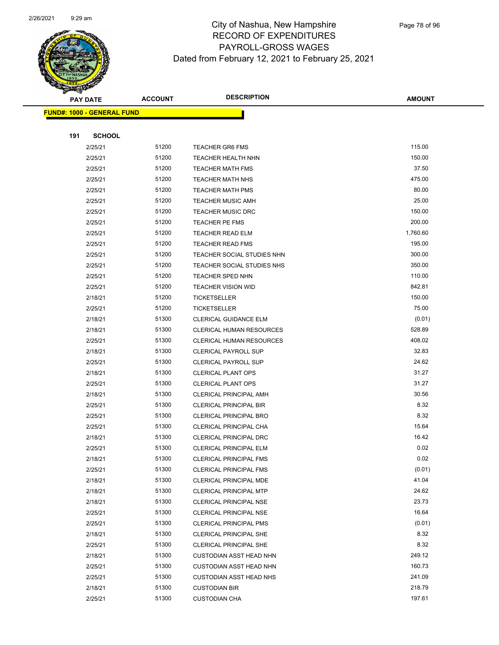

Page 78 of 96

|     | <b>PAY DATE</b>                   | <b>ACCOUNT</b> | <b>DESCRIPTION</b>                                             | <b>AMOUNT</b>  |
|-----|-----------------------------------|----------------|----------------------------------------------------------------|----------------|
|     | <b>FUND#: 1000 - GENERAL FUND</b> |                |                                                                |                |
|     |                                   |                |                                                                |                |
| 191 | <b>SCHOOL</b>                     |                |                                                                |                |
|     | 2/25/21                           | 51200          | <b>TEACHER GR6 FMS</b>                                         | 115.00         |
|     | 2/25/21                           | 51200          | TEACHER HEALTH NHN                                             | 150.00         |
|     | 2/25/21                           | 51200          | <b>TEACHER MATH FMS</b>                                        | 37.50          |
|     | 2/25/21                           | 51200          | <b>TEACHER MATH NHS</b>                                        | 475.00         |
|     | 2/25/21                           | 51200          | <b>TEACHER MATH PMS</b>                                        | 80.00          |
|     | 2/25/21                           | 51200          | <b>TEACHER MUSIC AMH</b>                                       | 25.00          |
|     | 2/25/21                           | 51200          | <b>TEACHER MUSIC DRC</b>                                       | 150.00         |
|     | 2/25/21                           | 51200          | TEACHER PE FMS                                                 | 200.00         |
|     | 2/25/21                           | 51200          | <b>TEACHER READ ELM</b>                                        | 1,760.60       |
|     | 2/25/21                           | 51200          | <b>TEACHER READ FMS</b>                                        | 195.00         |
|     | 2/25/21                           | 51200          | TEACHER SOCIAL STUDIES NHN                                     | 300.00         |
|     | 2/25/21                           | 51200          | TEACHER SOCIAL STUDIES NHS                                     | 350.00         |
|     | 2/25/21                           | 51200          | <b>TEACHER SPED NHN</b>                                        | 110.00         |
|     | 2/25/21                           | 51200          | <b>TEACHER VISION WID</b>                                      | 842.81         |
|     | 2/18/21                           | 51200          | <b>TICKETSELLER</b>                                            | 150.00         |
|     | 2/25/21                           | 51200          | <b>TICKETSELLER</b>                                            | 75.00          |
|     | 2/18/21                           | 51300          | CLERICAL GUIDANCE ELM                                          | (0.01)         |
|     | 2/18/21                           | 51300          | CLERICAL HUMAN RESOURCES                                       | 528.89         |
|     | 2/25/21                           | 51300          | CLERICAL HUMAN RESOURCES                                       | 408.02         |
|     | 2/18/21                           | 51300          | <b>CLERICAL PAYROLL SUP</b>                                    | 32.83          |
|     | 2/25/21                           | 51300          | <b>CLERICAL PAYROLL SUP</b>                                    | 24.62          |
|     | 2/18/21                           | 51300          | <b>CLERICAL PLANT OPS</b>                                      | 31.27          |
|     | 2/25/21                           | 51300          | <b>CLERICAL PLANT OPS</b>                                      | 31.27          |
|     | 2/18/21                           | 51300          | CLERICAL PRINCIPAL AMH                                         | 30.56          |
|     | 2/25/21                           | 51300          | <b>CLERICAL PRINCIPAL BIR</b>                                  | 8.32           |
|     | 2/25/21                           | 51300          | <b>CLERICAL PRINCIPAL BRO</b>                                  | 8.32           |
|     | 2/25/21                           | 51300          | CLERICAL PRINCIPAL CHA                                         | 15.64          |
|     | 2/18/21                           | 51300          | CLERICAL PRINCIPAL DRC                                         | 16.42          |
|     | 2/25/21                           | 51300          | <b>CLERICAL PRINCIPAL ELM</b>                                  | 0.02           |
|     | 2/18/21                           | 51300          | <b>CLERICAL PRINCIPAL FMS</b>                                  | 0.02           |
|     | 2/25/21                           | 51300          | <b>CLERICAL PRINCIPAL FMS</b>                                  | (0.01)         |
|     | 2/18/21                           | 51300          | CLERICAL PRINCIPAL MDE                                         | 41.04          |
|     | 2/18/21                           | 51300          | <b>CLERICAL PRINCIPAL MTP</b>                                  | 24.62<br>23.73 |
|     | 2/18/21                           | 51300<br>51300 | CLERICAL PRINCIPAL NSE                                         | 16.64          |
|     | 2/25/21<br>2/25/21                | 51300          | <b>CLERICAL PRINCIPAL NSE</b><br><b>CLERICAL PRINCIPAL PMS</b> | (0.01)         |
|     | 2/18/21                           | 51300          | <b>CLERICAL PRINCIPAL SHE</b>                                  | 8.32           |
|     | 2/25/21                           | 51300          | <b>CLERICAL PRINCIPAL SHE</b>                                  | 8.32           |
|     | 2/18/21                           | 51300          | <b>CUSTODIAN ASST HEAD NHN</b>                                 | 249.12         |
|     | 2/25/21                           | 51300          | <b>CUSTODIAN ASST HEAD NHN</b>                                 | 160.73         |
|     | 2/25/21                           | 51300          | <b>CUSTODIAN ASST HEAD NHS</b>                                 | 241.09         |
|     | 2/18/21                           | 51300          | <b>CUSTODIAN BIR</b>                                           | 218.79         |
|     | 2/25/21                           | 51300          | <b>CUSTODIAN CHA</b>                                           | 197.61         |
|     |                                   |                |                                                                |                |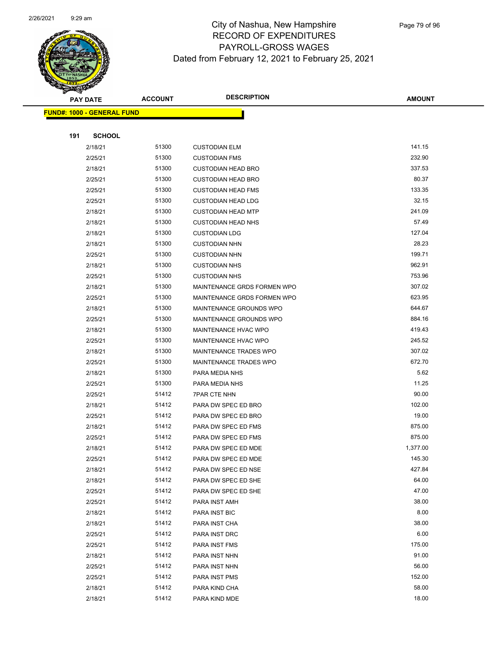

|     | <b>PAY DATE</b>                   | <b>ACCOUNT</b> | <b>DESCRIPTION</b>          | <b>AMOUNT</b> |
|-----|-----------------------------------|----------------|-----------------------------|---------------|
|     | <b>FUND#: 1000 - GENERAL FUND</b> |                |                             |               |
|     |                                   |                |                             |               |
| 191 | <b>SCHOOL</b>                     |                |                             |               |
|     | 2/18/21                           | 51300          | <b>CUSTODIAN ELM</b>        | 141.15        |
|     | 2/25/21                           | 51300          | <b>CUSTODIAN FMS</b>        | 232.90        |
|     | 2/18/21                           | 51300          | <b>CUSTODIAN HEAD BRO</b>   | 337.53        |
|     | 2/25/21                           | 51300          | <b>CUSTODIAN HEAD BRO</b>   | 80.37         |
|     | 2/25/21                           | 51300          | <b>CUSTODIAN HEAD FMS</b>   | 133.35        |
|     | 2/25/21                           | 51300          | <b>CUSTODIAN HEAD LDG</b>   | 32.15         |
|     | 2/18/21                           | 51300          | <b>CUSTODIAN HEAD MTP</b>   | 241.09        |
|     | 2/18/21                           | 51300          | <b>CUSTODIAN HEAD NHS</b>   | 57.49         |
|     | 2/18/21                           | 51300          | <b>CUSTODIAN LDG</b>        | 127.04        |
|     | 2/18/21                           | 51300          | <b>CUSTODIAN NHN</b>        | 28.23         |
|     | 2/25/21                           | 51300          | <b>CUSTODIAN NHN</b>        | 199.71        |
|     | 2/18/21                           | 51300          | <b>CUSTODIAN NHS</b>        | 962.91        |
|     | 2/25/21                           | 51300          | <b>CUSTODIAN NHS</b>        | 753.96        |
|     | 2/18/21                           | 51300          | MAINTENANCE GRDS FORMEN WPO | 307.02        |
|     | 2/25/21                           | 51300          | MAINTENANCE GRDS FORMEN WPO | 623.95        |
|     | 2/18/21                           | 51300          | MAINTENANCE GROUNDS WPO     | 644.67        |
|     | 2/25/21                           | 51300          | MAINTENANCE GROUNDS WPO     | 884.16        |
|     | 2/18/21                           | 51300          | MAINTENANCE HVAC WPO        | 419.43        |
|     | 2/25/21                           | 51300          | MAINTENANCE HVAC WPO        | 245.52        |
|     | 2/18/21                           | 51300          | MAINTENANCE TRADES WPO      | 307.02        |
|     | 2/25/21                           | 51300          | MAINTENANCE TRADES WPO      | 672.70        |
|     | 2/18/21                           | 51300          | PARA MEDIA NHS              | 5.62          |
|     | 2/25/21                           | 51300          | PARA MEDIA NHS              | 11.25         |
|     | 2/25/21                           | 51412          | <b>7PAR CTE NHN</b>         | 90.00         |
|     | 2/18/21                           | 51412          | PARA DW SPEC ED BRO         | 102.00        |
|     | 2/25/21                           | 51412          | PARA DW SPEC ED BRO         | 19.00         |
|     | 2/18/21                           | 51412          | PARA DW SPEC ED FMS         | 875.00        |
|     | 2/25/21                           | 51412          | PARA DW SPEC ED FMS         | 875.00        |
|     | 2/18/21                           | 51412          | PARA DW SPEC ED MDE         | 1,377.00      |
|     | 2/25/21                           | 51412          | PARA DW SPEC ED MDE         | 145.30        |
|     | 2/18/21                           | 51412          | PARA DW SPEC ED NSE         | 427.84        |
|     | 2/18/21                           | 51412          | PARA DW SPEC ED SHE         | 64.00         |
|     | 2/25/21                           | 51412          | PARA DW SPEC ED SHE         | 47.00         |
|     | 2/25/21                           | 51412          | PARA INST AMH               | 38.00         |
|     | 2/18/21                           | 51412          | PARA INST BIC               | 8.00          |
|     | 2/18/21                           | 51412          | PARA INST CHA               | 38.00         |
|     | 2/25/21                           | 51412          | PARA INST DRC               | 6.00          |
|     | 2/25/21                           | 51412          | PARA INST FMS               | 175.00        |
|     | 2/18/21                           | 51412          | PARA INST NHN               | 91.00         |
|     | 2/25/21                           | 51412          | PARA INST NHN               | 56.00         |
|     | 2/25/21                           | 51412          | PARA INST PMS               | 152.00        |
|     | 2/18/21                           | 51412          | PARA KIND CHA               | 58.00         |
|     | 2/18/21                           | 51412          | PARA KIND MDE               | 18.00         |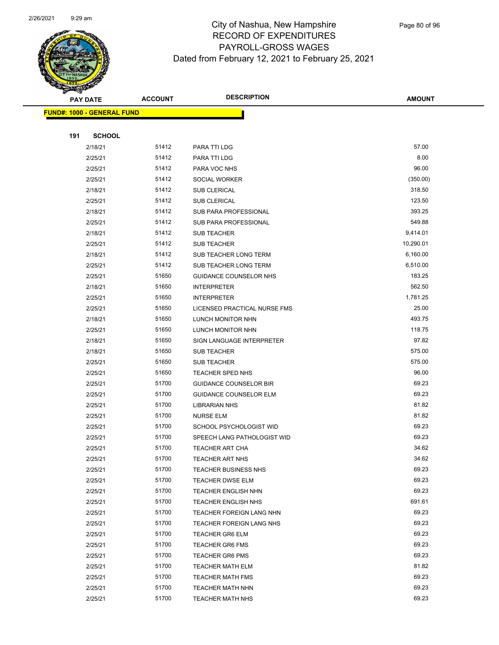

|     | <b>PAY DATE</b>                   | <b>ACCOUNT</b> | <b>DESCRIPTION</b>            | <b>AMOUNT</b> |
|-----|-----------------------------------|----------------|-------------------------------|---------------|
|     | <b>FUND#: 1000 - GENERAL FUND</b> |                |                               |               |
|     |                                   |                |                               |               |
| 191 | <b>SCHOOL</b>                     |                |                               |               |
|     | 2/18/21                           | 51412          | PARA TTI LDG                  | 57.00         |
|     | 2/25/21                           | 51412          | PARA TTI LDG                  | 8.00          |
|     | 2/25/21                           | 51412          | PARA VOC NHS                  | 96.00         |
|     | 2/25/21                           | 51412          | SOCIAL WORKER                 | (350.00)      |
|     | 2/18/21                           | 51412          | <b>SUB CLERICAL</b>           | 318.50        |
|     | 2/25/21                           | 51412          | <b>SUB CLERICAL</b>           | 123.50        |
|     | 2/18/21                           | 51412          | SUB PARA PROFESSIONAL         | 393.25        |
|     | 2/25/21                           | 51412          | <b>SUB PARA PROFESSIONAL</b>  | 549.88        |
|     | 2/18/21                           | 51412          | <b>SUB TEACHER</b>            | 9,414.01      |
|     | 2/25/21                           | 51412          | <b>SUB TEACHER</b>            | 10,290.01     |
|     | 2/18/21                           | 51412          | SUB TEACHER LONG TERM         | 6,160.00      |
|     | 2/25/21                           | 51412          | SUB TEACHER LONG TERM         | 6,510.00      |
|     | 2/25/21                           | 51650          | <b>GUIDANCE COUNSELOR NHS</b> | 183.25        |
|     | 2/18/21                           | 51650          | <b>INTERPRETER</b>            | 562.50        |
|     | 2/25/21                           | 51650          | <b>INTERPRETER</b>            | 1,781.25      |
|     | 2/25/21                           | 51650          | LICENSED PRACTICAL NURSE FMS  | 25.00         |
|     | 2/18/21                           | 51650          | LUNCH MONITOR NHN             | 493.75        |
|     | 2/25/21                           | 51650          | LUNCH MONITOR NHN             | 118.75        |
|     | 2/18/21                           | 51650          | SIGN LANGUAGE INTERPRETER     | 97.82         |
|     | 2/18/21                           | 51650          | <b>SUB TEACHER</b>            | 575.00        |
|     | 2/25/21                           | 51650          | <b>SUB TEACHER</b>            | 575.00        |
|     | 2/25/21                           | 51650          | TEACHER SPED NHS              | 96.00         |
|     | 2/25/21                           | 51700          | <b>GUIDANCE COUNSELOR BIR</b> | 69.23         |
|     | 2/25/21                           | 51700          | <b>GUIDANCE COUNSELOR ELM</b> | 69.23         |
|     | 2/25/21                           | 51700          | <b>LIBRARIAN NHS</b>          | 81.82         |
|     | 2/25/21                           | 51700          | <b>NURSE ELM</b>              | 81.82         |
|     | 2/25/21                           | 51700          | SCHOOL PSYCHOLOGIST WID       | 69.23         |
|     | 2/25/21                           | 51700          | SPEECH LANG PATHOLOGIST WID   | 69.23         |
|     | 2/25/21                           | 51700          | <b>TEACHER ART CHA</b>        | 34.62         |
|     | 2/25/21                           | 51700          | <b>TEACHER ART NHS</b>        | 34.62         |
|     | 2/25/21                           | 51700          | <b>TEACHER BUSINESS NHS</b>   | 69.23         |
|     | 2/25/21                           | 51700          | <b>TEACHER DWSE ELM</b>       | 69.23         |
|     | 2/25/21                           | 51700          | TEACHER ENGLISH NHN           | 69.23         |
|     | 2/25/21                           | 51700          | <b>TEACHER ENGLISH NHS</b>    | 691.61        |
|     | 2/25/21                           | 51700          | TEACHER FOREIGN LANG NHN      | 69.23         |
|     | 2/25/21                           | 51700          | TEACHER FOREIGN LANG NHS      | 69.23         |
|     | 2/25/21                           | 51700          | <b>TEACHER GR6 ELM</b>        | 69.23         |
|     | 2/25/21                           | 51700          | <b>TEACHER GR6 FMS</b>        | 69.23         |
|     | 2/25/21                           | 51700          | <b>TEACHER GR6 PMS</b>        | 69.23         |
|     | 2/25/21                           | 51700          | <b>TEACHER MATH ELM</b>       | 81.82         |
|     | 2/25/21                           | 51700          | <b>TEACHER MATH FMS</b>       | 69.23         |
|     | 2/25/21                           | 51700          | <b>TEACHER MATH NHN</b>       | 69.23         |
|     | 2/25/21                           | 51700          | <b>TEACHER MATH NHS</b>       | 69.23         |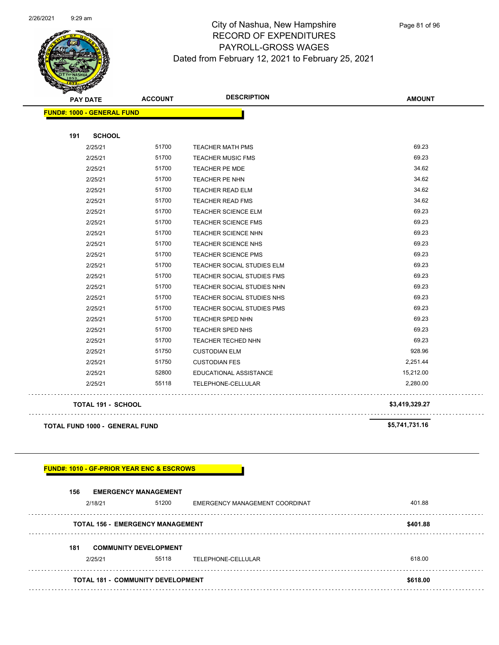

**AMOUNT PAY DATE ACCOUNT DESCRIPTION**

|                                       | <b>FUND#: 1000 - GENERAL FUND</b> |                            |                |
|---------------------------------------|-----------------------------------|----------------------------|----------------|
| 191<br><b>SCHOOL</b>                  |                                   |                            |                |
| 2/25/21                               | 51700                             | <b>TEACHER MATH PMS</b>    | 69.23          |
| 2/25/21                               | 51700                             | <b>TEACHER MUSIC FMS</b>   | 69.23          |
| 2/25/21                               | 51700                             | <b>TEACHER PE MDE</b>      | 34.62          |
| 2/25/21                               | 51700                             | TEACHER PE NHN             | 34.62          |
| 2/25/21                               | 51700                             | <b>TEACHER READ ELM</b>    | 34.62          |
| 2/25/21                               | 51700                             | <b>TEACHER READ FMS</b>    | 34.62          |
| 2/25/21                               | 51700                             | <b>TEACHER SCIENCE ELM</b> | 69.23          |
| 2/25/21                               | 51700                             | TEACHER SCIENCE FMS        | 69.23          |
| 2/25/21                               | 51700                             | <b>TEACHER SCIENCE NHN</b> | 69.23          |
| 2/25/21                               | 51700                             | TEACHER SCIENCE NHS        | 69.23          |
| 2/25/21                               | 51700                             | <b>TEACHER SCIENCE PMS</b> | 69.23          |
| 2/25/21                               | 51700                             | TEACHER SOCIAL STUDIES ELM | 69.23          |
| 2/25/21                               | 51700                             | TEACHER SOCIAL STUDIES FMS | 69.23          |
| 2/25/21                               | 51700                             | TEACHER SOCIAL STUDIES NHN | 69.23          |
| 2/25/21                               | 51700                             | TEACHER SOCIAL STUDIES NHS | 69.23          |
| 2/25/21                               | 51700                             | TEACHER SOCIAL STUDIES PMS | 69.23          |
| 2/25/21                               | 51700                             | TEACHER SPED NHN           | 69.23          |
| 2/25/21                               | 51700                             | TEACHER SPED NHS           | 69.23          |
| 2/25/21                               | 51700                             | <b>TEACHER TECHED NHN</b>  | 69.23          |
| 2/25/21                               | 51750                             | <b>CUSTODIAN ELM</b>       | 928.96         |
| 2/25/21                               | 51750                             | <b>CUSTODIAN FES</b>       | 2,251.44       |
| 2/25/21                               | 52800                             | EDUCATIONAL ASSISTANCE     | 15,212.00      |
| 2/25/21                               | 55118                             | TELEPHONE-CELLULAR         | 2,280.00       |
| <b>TOTAL 191 - SCHOOL</b>             |                                   |                            | \$3,419,329.27 |
| <b>TOTAL FUND 1000 - GENERAL FUND</b> |                                   |                            | \$5,741,731.16 |

# **FUND#: 1010 - GF-PRIOR YEAR ENC & ESCROWS**

#### **156 EMERGENCY MANAGEMENT**

| 2/18/21                                  | 51200                                 | EMERGENCY MANAGEMENT COORDINAT | 401.88   |
|------------------------------------------|---------------------------------------|--------------------------------|----------|
| <b>TOTAL 156 - EMERGENCY MANAGEMENT</b>  |                                       |                                | \$401.88 |
| 181<br>2/25/21                           | <b>COMMUNITY DEVELOPMENT</b><br>55118 | TELEPHONE-CELLULAR             | 618.00   |
| <b>TOTAL 181 - COMMUNITY DEVELOPMENT</b> |                                       |                                | \$618.00 |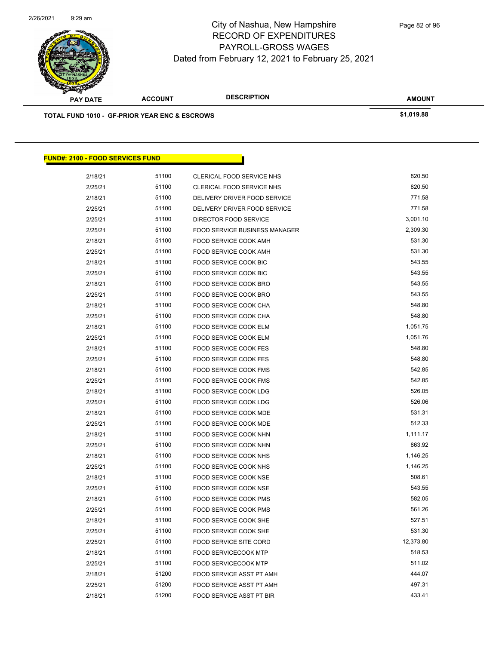

| <b>STATERS</b>                                           |                |                                      |               |
|----------------------------------------------------------|----------------|--------------------------------------|---------------|
| <b>PAY DATE</b>                                          | <b>ACCOUNT</b> | <b>DESCRIPTION</b>                   | <b>AMOUNT</b> |
| <b>TOTAL FUND 1010 - GF-PRIOR YEAR ENC &amp; ESCROWS</b> |                |                                      | \$1,019.88    |
|                                                          |                |                                      |               |
|                                                          |                |                                      |               |
|                                                          |                |                                      |               |
| <b>FUND#: 2100 - FOOD SERVICES FUND</b>                  |                |                                      |               |
| 2/18/21                                                  | 51100          | CLERICAL FOOD SERVICE NHS            | 820.50        |
| 2/25/21                                                  | 51100          | CLERICAL FOOD SERVICE NHS            | 820.50        |
| 2/18/21                                                  | 51100          | DELIVERY DRIVER FOOD SERVICE         | 771.58        |
| 2/25/21                                                  | 51100          | DELIVERY DRIVER FOOD SERVICE         | 771.58        |
| 2/25/21                                                  | 51100          | DIRECTOR FOOD SERVICE                | 3,001.10      |
| 2/25/21                                                  | 51100          | <b>FOOD SERVICE BUSINESS MANAGER</b> | 2,309.30      |
| 2/18/21                                                  | 51100          | FOOD SERVICE COOK AMH                | 531.30        |
| 2/25/21                                                  | 51100          | FOOD SERVICE COOK AMH                | 531.30        |
| 2/18/21                                                  | 51100          | FOOD SERVICE COOK BIC                | 543.55        |
| 2/25/21                                                  | 51100          | FOOD SERVICE COOK BIC                | 543.55        |
| 2/18/21                                                  | 51100          | FOOD SERVICE COOK BRO                | 543.55        |
| 2/25/21                                                  | 51100          | FOOD SERVICE COOK BRO                | 543.55        |
| 2/18/21                                                  | 51100          | FOOD SERVICE COOK CHA                | 548.80        |
| 2/25/21                                                  | 51100          | FOOD SERVICE COOK CHA                | 548.80        |
| 2/18/21                                                  | 51100          | FOOD SERVICE COOK ELM                | 1,051.75      |
| 2/25/21                                                  | 51100          | FOOD SERVICE COOK ELM                | 1,051.76      |
| 2/18/21                                                  | 51100          | FOOD SERVICE COOK FES                | 548.80        |
| 2/25/21                                                  | 51100          | FOOD SERVICE COOK FES                | 548.80        |
| 2/18/21                                                  | 51100          | FOOD SERVICE COOK FMS                | 542.85        |
| 2/25/21                                                  | 51100          | FOOD SERVICE COOK FMS                | 542.85        |
| 2/18/21                                                  | 51100          | FOOD SERVICE COOK LDG                | 526.05        |
| 2/25/21                                                  | 51100          | FOOD SERVICE COOK LDG                | 526.06        |
| 2/18/21                                                  | 51100          | FOOD SERVICE COOK MDE                | 531.31        |
| 2/25/21                                                  | 51100          | FOOD SERVICE COOK MDE                | 512.33        |
| 2/18/21                                                  | 51100          | FOOD SERVICE COOK NHN                | 1,111.17      |
| 2/25/21                                                  | 51100          | FOOD SERVICE COOK NHN                | 863.92        |
| 2/18/21                                                  | 51100          | FOOD SERVICE COOK NHS                | 1,146.25      |
| 2/25/21                                                  | 51100          | FOOD SERVICE COOK NHS                | 1,146.25      |
| 2/18/21                                                  | 51100          | FOOD SERVICE COOK NSE                | 508.61        |
| 2/25/21                                                  | 51100          | FOOD SERVICE COOK NSE                | 543.55        |
| 2/18/21                                                  | 51100          | FOOD SERVICE COOK PMS                | 582.05        |
| 2/25/21                                                  | 51100          | FOOD SERVICE COOK PMS                | 561.26        |
| 2/18/21                                                  | 51100          | FOOD SERVICE COOK SHE                | 527.51        |
| 2/25/21                                                  | 51100          | FOOD SERVICE COOK SHE                | 531.30        |
| 2/25/21                                                  | 51100          | FOOD SERVICE SITE CORD               | 12,373.80     |

2/18/21 51100 FOOD SERVICECOOK MTP 518.53 2/25/21 51100 FOOD SERVICECOOK MTP 511.02 2/18/21 51200 FOOD SERVICE ASST PT AMH 444.07 2/25/21 51200 FOOD SERVICE ASST PT AMH 497.31 2/18/21 51200 FOOD SERVICE ASST PT BIR 433.41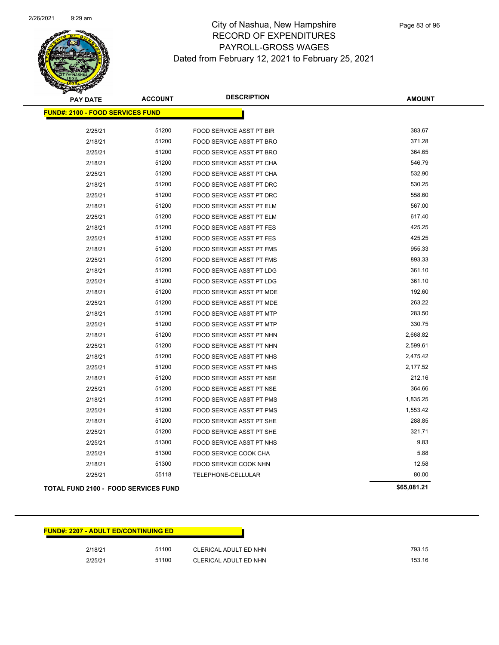

| <b>PAY DATE</b>                             | <b>ACCOUNT</b> | <b>DESCRIPTION</b>              | <b>AMOUNT</b> |
|---------------------------------------------|----------------|---------------------------------|---------------|
| <b>FUND#: 2100 - FOOD SERVICES FUND</b>     |                |                                 |               |
|                                             |                |                                 |               |
| 2/25/21                                     | 51200          | FOOD SERVICE ASST PT BIR        | 383.67        |
| 2/18/21                                     | 51200          | FOOD SERVICE ASST PT BRO        | 371.28        |
| 2/25/21                                     | 51200          | <b>FOOD SERVICE ASST PT BRO</b> | 364.65        |
| 2/18/21                                     | 51200          | <b>FOOD SERVICE ASST PT CHA</b> | 546.79        |
| 2/25/21                                     | 51200          | FOOD SERVICE ASST PT CHA        | 532.90        |
| 2/18/21                                     | 51200          | FOOD SERVICE ASST PT DRC        | 530.25        |
| 2/25/21                                     | 51200          | FOOD SERVICE ASST PT DRC        | 558.60        |
| 2/18/21                                     | 51200          | FOOD SERVICE ASST PT ELM        | 567.00        |
| 2/25/21                                     | 51200          | FOOD SERVICE ASST PT ELM        | 617.40        |
| 2/18/21                                     | 51200          | FOOD SERVICE ASST PT FES        | 425.25        |
| 2/25/21                                     | 51200          | FOOD SERVICE ASST PT FES        | 425.25        |
| 2/18/21                                     | 51200          | FOOD SERVICE ASST PT FMS        | 955.33        |
| 2/25/21                                     | 51200          | <b>FOOD SERVICE ASST PT FMS</b> | 893.33        |
| 2/18/21                                     | 51200          | <b>FOOD SERVICE ASST PT LDG</b> | 361.10        |
| 2/25/21                                     | 51200          | <b>FOOD SERVICE ASST PT LDG</b> | 361.10        |
| 2/18/21                                     | 51200          | FOOD SERVICE ASST PT MDE        | 192.60        |
| 2/25/21                                     | 51200          | FOOD SERVICE ASST PT MDE        | 263.22        |
| 2/18/21                                     | 51200          | FOOD SERVICE ASST PT MTP        | 283.50        |
| 2/25/21                                     | 51200          | FOOD SERVICE ASST PT MTP        | 330.75        |
| 2/18/21                                     | 51200          | FOOD SERVICE ASST PT NHN        | 2,668.82      |
| 2/25/21                                     | 51200          | FOOD SERVICE ASST PT NHN        | 2,599.61      |
| 2/18/21                                     | 51200          | FOOD SERVICE ASST PT NHS        | 2,475.42      |
| 2/25/21                                     | 51200          | FOOD SERVICE ASST PT NHS        | 2,177.52      |
| 2/18/21                                     | 51200          | FOOD SERVICE ASST PT NSE        | 212.16        |
| 2/25/21                                     | 51200          | FOOD SERVICE ASST PT NSE        | 364.66        |
| 2/18/21                                     | 51200          | FOOD SERVICE ASST PT PMS        | 1,835.25      |
| 2/25/21                                     | 51200          | FOOD SERVICE ASST PT PMS        | 1,553.42      |
| 2/18/21                                     | 51200          | FOOD SERVICE ASST PT SHE        | 288.85        |
| 2/25/21                                     | 51200          | FOOD SERVICE ASST PT SHE        | 321.71        |
| 2/25/21                                     | 51300          | FOOD SERVICE ASST PT NHS        | 9.83          |
| 2/25/21                                     | 51300          | FOOD SERVICE COOK CHA           | 5.88          |
| 2/18/21                                     | 51300          | FOOD SERVICE COOK NHN           | 12.58         |
| 2/25/21                                     | 55118          | TELEPHONE-CELLULAR              | 80.00         |
| <b>TOTAL FUND 2100 - FOOD SERVICES FUND</b> |                |                                 | \$65,081.21   |

| <b>FUND#: 2207 - ADULT ED/CONTINUING ED</b> |       |                       |  |  |
|---------------------------------------------|-------|-----------------------|--|--|
| 2/18/21                                     | 51100 | CLERICAL ADULT ED NHN |  |  |
| 2/25/21                                     | 51100 | CLERICAL ADULT ED NHN |  |  |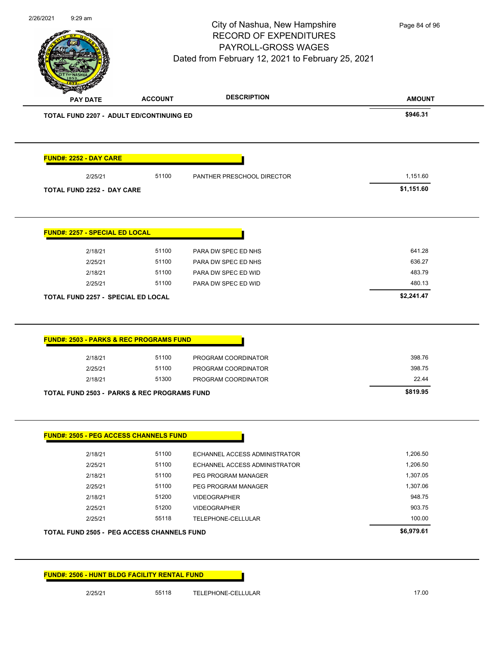|                                                        |                | City of Nashua, New Hampshire<br><b>RECORD OF EXPENDITURES</b><br>PAYROLL-GROSS WAGES<br>Dated from February 12, 2021 to February 25, 2021 | Page 84 of 96        |
|--------------------------------------------------------|----------------|--------------------------------------------------------------------------------------------------------------------------------------------|----------------------|
| <b>PAY DATE</b>                                        | <b>ACCOUNT</b> | <b>DESCRIPTION</b>                                                                                                                         | <b>AMOUNT</b>        |
| <b>TOTAL FUND 2207 - ADULT ED/CONTINUING ED</b>        |                |                                                                                                                                            | \$946.31             |
| <b>FUND#: 2252 - DAY CARE</b>                          |                |                                                                                                                                            |                      |
| 2/25/21                                                | 51100          | PANTHER PRESCHOOL DIRECTOR                                                                                                                 | 1,151.60             |
| TOTAL FUND 2252 - DAY CARE                             |                |                                                                                                                                            | \$1,151.60           |
| FUND#: 2257 - SPECIAL ED LOCAL                         |                |                                                                                                                                            |                      |
| 2/18/21                                                | 51100          | PARA DW SPEC ED NHS                                                                                                                        | 641.28               |
| 2/25/21                                                | 51100          | PARA DW SPEC ED NHS                                                                                                                        | 636.27               |
| 2/18/21                                                | 51100          | PARA DW SPEC ED WID                                                                                                                        | 483.79               |
|                                                        |                |                                                                                                                                            |                      |
| 2/25/21<br><b>TOTAL FUND 2257 - SPECIAL ED LOCAL</b>   | 51100          | PARA DW SPEC ED WID                                                                                                                        | 480.13<br>\$2,241.47 |
|                                                        |                |                                                                                                                                            |                      |
| <b>FUND#: 2503 - PARKS &amp; REC PROGRAMS FUND</b>     |                |                                                                                                                                            |                      |
| 2/18/21                                                | 51100<br>51100 | PROGRAM COORDINATOR                                                                                                                        | 398.76<br>398.75     |
| 2/25/21<br>2/18/21                                     | 51300          | PROGRAM COORDINATOR<br>PROGRAM COORDINATOR                                                                                                 | 22.44                |
| <b>TOTAL FUND 2503 - PARKS &amp; REC PROGRAMS FUND</b> |                |                                                                                                                                            | \$819.95             |
| FUND#: 2505 - PEG ACCESS CHANNELS FUND                 |                |                                                                                                                                            |                      |
| 2/18/21                                                | 51100          | ECHANNEL ACCESS ADMINISTRATOR                                                                                                              | 1,206.50             |
| 2/25/21                                                | 51100          | ECHANNEL ACCESS ADMINISTRATOR                                                                                                              | 1,206.50             |
| 2/18/21                                                | 51100          | PEG PROGRAM MANAGER                                                                                                                        | 1,307.05             |
| 2/25/21                                                | 51100          | PEG PROGRAM MANAGER                                                                                                                        | 1,307.06             |
| 2/18/21                                                | 51200          | <b>VIDEOGRAPHER</b>                                                                                                                        | 948.75               |
| 2/25/21                                                | 51200          | <b>VIDEOGRAPHER</b>                                                                                                                        | 903.75               |
| 2/25/21                                                | 55118          | TELEPHONE-CELLULAR                                                                                                                         | 100.00               |
| <b>TOTAL FUND 2505 - PEG ACCESS CHANNELS FUND</b>      |                |                                                                                                                                            | \$6,979.61           |

2/25/21 55118 TELEPHONE-CELLULAR 17.00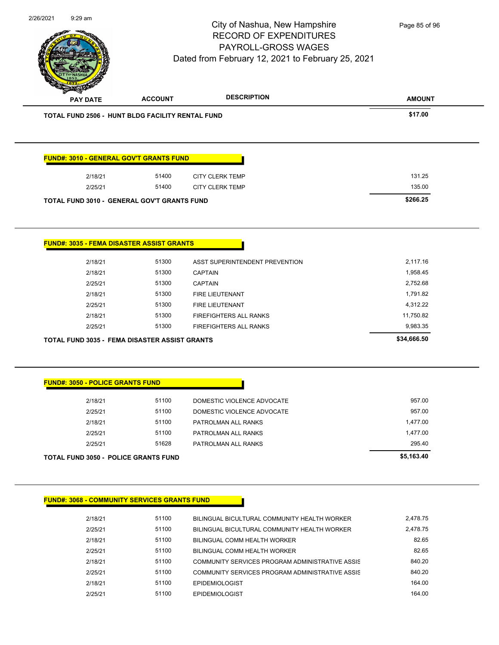|                                         |                                                      | City of Nashua, New Hampshire<br><b>RECORD OF EXPENDITURES</b><br>PAYROLL-GROSS WAGES<br>Dated from February 12, 2021 to February 25, 2021 | Page 85 of 96 |
|-----------------------------------------|------------------------------------------------------|--------------------------------------------------------------------------------------------------------------------------------------------|---------------|
| <b>PAY DATE</b>                         | <b>ACCOUNT</b>                                       | <b>DESCRIPTION</b>                                                                                                                         | <b>AMOUNT</b> |
|                                         | TOTAL FUND 2506 - HUNT BLDG FACILITY RENTAL FUND     |                                                                                                                                            | \$17.00       |
|                                         | <b>FUND#: 3010 - GENERAL GOV'T GRANTS FUND</b>       |                                                                                                                                            |               |
| 2/18/21                                 | 51400                                                | <b>CITY CLERK TEMP</b>                                                                                                                     | 131.25        |
| 2/25/21                                 | 51400                                                | <b>CITY CLERK TEMP</b>                                                                                                                     | 135.00        |
|                                         | TOTAL FUND 3010 - GENERAL GOV'T GRANTS FUND          |                                                                                                                                            | \$266.25      |
|                                         | <b>FUND#: 3035 - FEMA DISASTER ASSIST GRANTS</b>     |                                                                                                                                            |               |
| 2/18/21                                 | 51300                                                | ASST SUPERINTENDENT PREVENTION                                                                                                             | 2,117.16      |
| 2/18/21                                 | 51300                                                | <b>CAPTAIN</b>                                                                                                                             | 1,958.45      |
| 2/25/21                                 | 51300                                                | <b>CAPTAIN</b>                                                                                                                             | 2,752.68      |
| 2/18/21                                 | 51300                                                | FIRE LIEUTENANT                                                                                                                            | 1,791.82      |
| 2/25/21                                 | 51300                                                | FIRE LIEUTENANT                                                                                                                            | 4,312.22      |
| 2/18/21                                 | 51300                                                | FIREFIGHTERS ALL RANKS                                                                                                                     | 11,750.82     |
| 2/25/21                                 | 51300                                                | FIREFIGHTERS ALL RANKS                                                                                                                     | 9,983.35      |
|                                         | <b>TOTAL FUND 3035 - FEMA DISASTER ASSIST GRANTS</b> |                                                                                                                                            | \$34,666.50   |
|                                         |                                                      |                                                                                                                                            |               |
| <b>FUND#: 3050 - POLICE GRANTS FUND</b> |                                                      |                                                                                                                                            |               |
| 2/18/21                                 | 51100                                                | DOMESTIC VIOLENCE ADVOCATE                                                                                                                 | 957.00        |
| 2/25/21                                 | 51100                                                | DOMESTIC VIOLENCE ADVOCATE                                                                                                                 | 957.00        |
| 2/18/21                                 | 51100                                                | PATROLMAN ALL RANKS                                                                                                                        | 1,477.00      |
| 2/25/21                                 | 51100                                                | PATROLMAN ALL RANKS                                                                                                                        | 1,477.00      |
| 2/25/21                                 | 51628                                                | PATROLMAN ALL RANKS                                                                                                                        | 295.40        |
|                                         | <b>TOTAL FUND 3050 - POLICE GRANTS FUND</b>          |                                                                                                                                            | \$5,163.40    |
|                                         | <b>FUND#: 3068 - COMMUNITY SERVICES GRANTS FUND</b>  |                                                                                                                                            |               |
| 2/18/21                                 | 51100                                                | BILINGUAL BICULTURAL COMMUNITY HEALTH WORKER                                                                                               | 2,478.75      |
| 2/25/21                                 | 51100                                                | BILINGUAL BICULTURAL COMMUNITY HEALTH WORKER                                                                                               | 2,478.75      |
| 2/18/21                                 | 51100                                                | BILINGUAL COMM HEALTH WORKER                                                                                                               | 82.65         |

2/18/21 51100 COMMUNITY SERVICES PROGRAM ADMINISTRATIVE ASSIS 640.20 2/25/21 51100 COMMUNITY SERVICES PROGRAM ADMINISTRATIVE ASSIS 2/18/21 51100 EPIDEMIOLOGIST 164.00 2/25/21 51100 EPIDEMIOLOGIST 164.00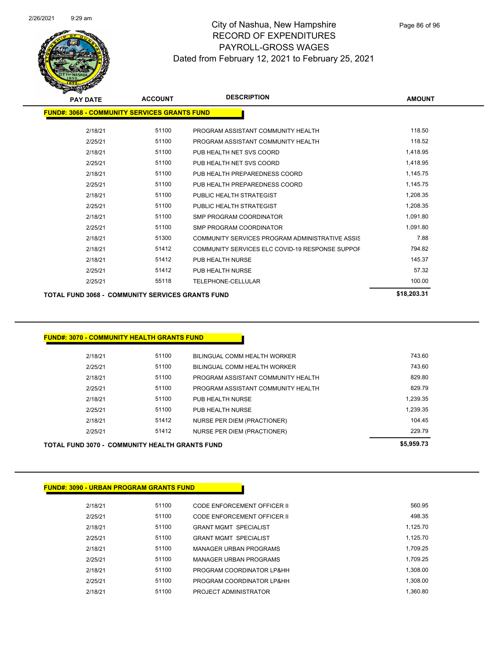

Page 86 of 96

| <b>PAY DATE</b>                                         | <b>ACCOUNT</b> | <b>DESCRIPTION</b>                              | <b>AMOUNT</b> |  |  |  |  |
|---------------------------------------------------------|----------------|-------------------------------------------------|---------------|--|--|--|--|
| <b>FUND#: 3068 - COMMUNITY SERVICES GRANTS FUND</b>     |                |                                                 |               |  |  |  |  |
|                                                         |                |                                                 |               |  |  |  |  |
| 2/18/21                                                 | 51100          | PROGRAM ASSISTANT COMMUNITY HEALTH              | 118.50        |  |  |  |  |
| 2/25/21                                                 | 51100          | PROGRAM ASSISTANT COMMUNITY HEALTH              | 118.52        |  |  |  |  |
| 2/18/21                                                 | 51100          | PUB HEALTH NET SVS COORD                        | 1,418.95      |  |  |  |  |
| 2/25/21                                                 | 51100          | PUB HEALTH NET SVS COORD                        | 1,418.95      |  |  |  |  |
| 2/18/21                                                 | 51100          | PUB HEALTH PREPAREDNESS COORD                   | 1,145.75      |  |  |  |  |
| 2/25/21                                                 | 51100          | PUB HEALTH PREPAREDNESS COORD                   | 1,145.75      |  |  |  |  |
| 2/18/21                                                 | 51100          | PUBLIC HEALTH STRATEGIST                        | 1,208.35      |  |  |  |  |
| 2/25/21                                                 | 51100          | PUBLIC HEALTH STRATEGIST                        | 1,208.35      |  |  |  |  |
| 2/18/21                                                 | 51100          | <b>SMP PROGRAM COORDINATOR</b>                  | 1,091.80      |  |  |  |  |
| 2/25/21                                                 | 51100          | SMP PROGRAM COORDINATOR                         | 1,091.80      |  |  |  |  |
| 2/18/21                                                 | 51300          | COMMUNITY SERVICES PROGRAM ADMINISTRATIVE ASSIS | 7.88          |  |  |  |  |
| 2/18/21                                                 | 51412          | COMMUNITY SERVICES ELC COVID-19 RESPONSE SUPPOF | 794.82        |  |  |  |  |
| 2/18/21                                                 | 51412          | PUB HEALTH NURSE                                | 145.37        |  |  |  |  |
| 2/25/21                                                 | 51412          | PUB HEALTH NURSE                                | 57.32         |  |  |  |  |
| 2/25/21                                                 | 55118          | TELEPHONE-CELLULAR                              | 100.00        |  |  |  |  |
| <b>TOTAL FUND 3068 - COMMUNITY SERVICES GRANTS FUND</b> | \$18,203.31    |                                                 |               |  |  |  |  |

### **FUND#: 3070 - COMMUNITY HEALTH GRANTS FUND**

| IND 2070 COMMINITY UEALTH CRAITS END | \$5,959.73 |                                    |          |
|--------------------------------------|------------|------------------------------------|----------|
| 2/25/21                              | 51412      | <b>NURSE PER DIEM (PRACTIONER)</b> | 229.79   |
| 2/18/21                              | 51412      | NURSE PER DIEM (PRACTIONER)        | 104.45   |
| 2/25/21                              | 51100      | PUB HEALTH NURSE                   | 1.239.35 |
| 2/18/21                              | 51100      | PUB HEALTH NURSE                   | 1,239.35 |
| 2/25/21                              | 51100      | PROGRAM ASSISTANT COMMUNITY HEALTH | 829.79   |
| 2/18/21                              | 51100      | PROGRAM ASSISTANT COMMUNITY HEALTH | 829.80   |
| 2/25/21                              | 51100      | BILINGUAL COMM HEALTH WORKER       | 743.60   |
| 2/18/21                              | 51100      | BILINGUAL COMM HEALTH WORKER       | 743.60   |
|                                      |            |                                    |          |

| <b>TOTAL FUND 3070 - COMMUNITY HEALTH GRANTS FUND</b> | \$5,959.73 |  |
|-------------------------------------------------------|------------|--|
|                                                       |            |  |
|                                                       |            |  |
| <b>FUND#: 3090 - URBAN PROGRAM GRANTS FUND</b>        |            |  |

| 2/18/21 | 51100 | CODE ENFORCEMENT OFFICER II  | 560.95   |
|---------|-------|------------------------------|----------|
| 2/25/21 | 51100 | CODE ENFORCEMENT OFFICER II  | 498.35   |
| 2/18/21 | 51100 | <b>GRANT MGMT SPECIALIST</b> | 1.125.70 |
| 2/25/21 | 51100 | <b>GRANT MGMT SPECIALIST</b> | 1.125.70 |
| 2/18/21 | 51100 | MANAGER URBAN PROGRAMS       | 1.709.25 |
| 2/25/21 | 51100 | MANAGER URBAN PROGRAMS       | 1.709.25 |
| 2/18/21 | 51100 | PROGRAM COORDINATOR LP&HH    | 1.308.00 |
| 2/25/21 | 51100 | PROGRAM COORDINATOR LP&HH    | 1.308.00 |
| 2/18/21 | 51100 | PROJECT ADMINISTRATOR        | 1.360.80 |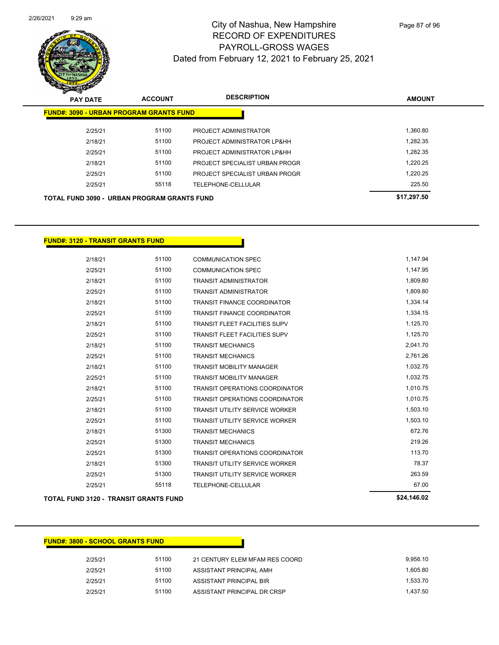

| <b>PAY DATE</b> | <b>ACCOUNT</b>                                     | <b>DESCRIPTION</b>             | <b>AMOUNT</b> |
|-----------------|----------------------------------------------------|--------------------------------|---------------|
|                 | <b>FUND#: 3090 - URBAN PROGRAM GRANTS FUND</b>     |                                |               |
| 2/25/21         | 51100                                              | PROJECT ADMINISTRATOR          | 1.360.80      |
| 2/18/21         | 51100                                              | PROJECT ADMINISTRATOR LP&HH    | 1.282.35      |
| 2/25/21         | 51100                                              | PROJECT ADMINISTRATOR LP&HH    | 1.282.35      |
| 2/18/21         | 51100                                              | PROJECT SPECIALIST URBAN PROGR | 1.220.25      |
| 2/25/21         | 51100                                              | PROJECT SPECIALIST URBAN PROGR | 1.220.25      |
| 2/25/21         | 55118                                              | TELEPHONE-CELLULAR             | 225.50        |
|                 | <b>TOTAL FUND 3090 - URBAN PROGRAM GRANTS FUND</b> |                                | \$17,297.50   |

#### **FUND#: 3120 - TRANSIT GRANTS FUND**

| <b>TOTAL FUND 3120 - TRANSIT GRANTS FUND</b> | \$24,146.02 |                                       |          |
|----------------------------------------------|-------------|---------------------------------------|----------|
| 2/25/21                                      | 55118       | <b>TELEPHONE-CELLULAR</b>             | 67.00    |
| 2/25/21                                      | 51300       | <b>TRANSIT UTILITY SERVICE WORKER</b> | 263.59   |
| 2/18/21                                      | 51300       | <b>TRANSIT UTILITY SERVICE WORKER</b> | 78.37    |
| 2/25/21                                      | 51300       | <b>TRANSIT OPERATIONS COORDINATOR</b> | 113.70   |
| 2/25/21                                      | 51300       | <b>TRANSIT MECHANICS</b>              | 219.26   |
| 2/18/21                                      | 51300       | <b>TRANSIT MECHANICS</b>              | 672.76   |
| 2/25/21                                      | 51100       | <b>TRANSIT UTILITY SERVICE WORKER</b> | 1,503.10 |
| 2/18/21                                      | 51100       | <b>TRANSIT UTILITY SERVICE WORKER</b> | 1,503.10 |
| 2/25/21                                      | 51100       | <b>TRANSIT OPERATIONS COORDINATOR</b> | 1,010.75 |
| 2/18/21                                      | 51100       | <b>TRANSIT OPERATIONS COORDINATOR</b> | 1,010.75 |
| 2/25/21                                      | 51100       | <b>TRANSIT MOBILITY MANAGER</b>       | 1,032.75 |
| 2/18/21                                      | 51100       | <b>TRANSIT MOBILITY MANAGER</b>       | 1,032.75 |
| 2/25/21                                      | 51100       | <b>TRANSIT MECHANICS</b>              | 2,761.26 |
| 2/18/21                                      | 51100       | <b>TRANSIT MECHANICS</b>              | 2,041.70 |
| 2/25/21                                      | 51100       | <b>TRANSIT FLEET FACILITIES SUPV</b>  | 1,125.70 |
| 2/18/21                                      | 51100       | <b>TRANSIT FLEET FACILITIES SUPV</b>  | 1,125.70 |
| 2/25/21                                      | 51100       | <b>TRANSIT FINANCE COORDINATOR</b>    | 1,334.15 |
| 2/18/21                                      | 51100       | <b>TRANSIT FINANCE COORDINATOR</b>    | 1,334.14 |
| 2/25/21                                      | 51100       | <b>TRANSIT ADMINISTRATOR</b>          | 1,809.80 |
| 2/18/21                                      | 51100       | <b>TRANSIT ADMINISTRATOR</b>          | 1,809.80 |
| 2/25/21                                      | 51100       | <b>COMMUNICATION SPEC</b>             | 1,147.95 |
| 2/18/21                                      | 51100       | <b>COMMUNICATION SPEC</b>             | 1,147.94 |

**FUND#: 3800 - SCHOOL GRANTS FUND**

# 2/25/21 51100 21 CENTURY ELEM MFAM RES COORD 9,956.10 2/25/21 51100 ASSISTANT PRINCIPAL AMH 1,605.80 2/25/21 51100 ASSISTANT PRINCIPAL BIR 1,533.70 2/25/21 51100 ASSISTANT PRINCIPAL DR CRSP 1,437.50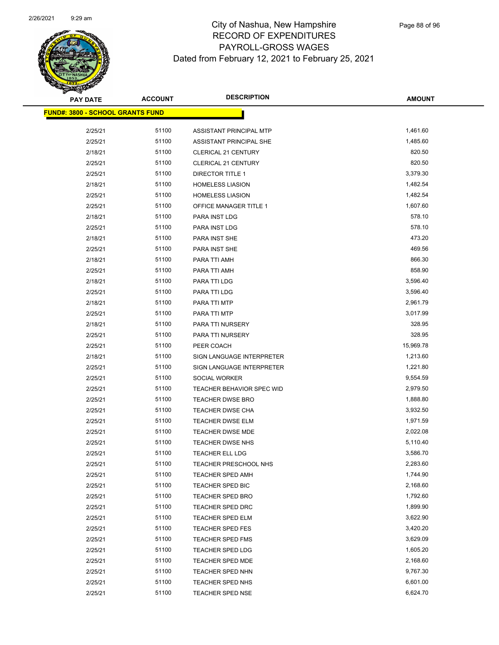

| <b>PAY DATE</b>                         | <b>ACCOUNT</b> | <b>DESCRIPTION</b>             | <b>AMOUNT</b>      |
|-----------------------------------------|----------------|--------------------------------|--------------------|
| <b>FUND#: 3800 - SCHOOL GRANTS FUND</b> |                |                                |                    |
|                                         |                |                                |                    |
| 2/25/21                                 | 51100          | ASSISTANT PRINCIPAL MTP        | 1,461.60           |
| 2/25/21                                 | 51100          | ASSISTANT PRINCIPAL SHE        | 1,485.60<br>820.50 |
| 2/18/21                                 | 51100          | CLERICAL 21 CENTURY            | 820.50             |
| 2/25/21                                 | 51100          | CLERICAL 21 CENTURY            |                    |
| 2/25/21                                 | 51100          | <b>DIRECTOR TITLE 1</b>        | 3,379.30           |
| 2/18/21                                 | 51100          | <b>HOMELESS LIASION</b>        | 1,482.54           |
| 2/25/21                                 | 51100          | <b>HOMELESS LIASION</b>        | 1,482.54           |
| 2/25/21                                 | 51100<br>51100 | OFFICE MANAGER TITLE 1         | 1,607.60<br>578.10 |
| 2/18/21<br>2/25/21                      | 51100          | PARA INST LDG<br>PARA INST LDG | 578.10             |
| 2/18/21                                 | 51100          | PARA INST SHE                  | 473.20             |
| 2/25/21                                 | 51100          | PARA INST SHE                  | 469.56             |
| 2/18/21                                 | 51100          | PARA TTI AMH                   | 866.30             |
| 2/25/21                                 | 51100          | PARA TTI AMH                   | 858.90             |
| 2/18/21                                 | 51100          | PARA TTI LDG                   | 3,596.40           |
| 2/25/21                                 | 51100          | PARA TTI LDG                   | 3,596.40           |
| 2/18/21                                 | 51100          | PARA TTI MTP                   | 2,961.79           |
| 2/25/21                                 | 51100          | PARA TTI MTP                   | 3,017.99           |
| 2/18/21                                 | 51100          | PARA TTI NURSERY               | 328.95             |
| 2/25/21                                 | 51100          | PARA TTI NURSERY               | 328.95             |
| 2/25/21                                 | 51100          | PEER COACH                     | 15,969.78          |
| 2/18/21                                 | 51100          | SIGN LANGUAGE INTERPRETER      | 1,213.60           |
| 2/25/21                                 | 51100          | SIGN LANGUAGE INTERPRETER      | 1,221.80           |
| 2/25/21                                 | 51100          | SOCIAL WORKER                  | 9,554.59           |
| 2/25/21                                 | 51100          | TEACHER BEHAVIOR SPEC WID      | 2,979.50           |
| 2/25/21                                 | 51100          | <b>TEACHER DWSE BRO</b>        | 1,888.80           |
| 2/25/21                                 | 51100          | <b>TEACHER DWSE CHA</b>        | 3,932.50           |
| 2/25/21                                 | 51100          | <b>TEACHER DWSE ELM</b>        | 1,971.59           |
| 2/25/21                                 | 51100          | TEACHER DWSE MDE               | 2,022.08           |
| 2/25/21                                 | 51100          | <b>TEACHER DWSE NHS</b>        | 5,110.40           |
| 2/25/21                                 | 51100          | <b>TEACHER ELL LDG</b>         | 3,586.70           |
| 2/25/21                                 | 51100          | <b>TEACHER PRESCHOOL NHS</b>   | 2,283.60           |
| 2/25/21                                 | 51100          | TEACHER SPED AMH               | 1,744.90           |
| 2/25/21                                 | 51100          | TEACHER SPED BIC               | 2,168.60           |
| 2/25/21                                 | 51100          | TEACHER SPED BRO               | 1,792.60           |
| 2/25/21                                 | 51100          | <b>TEACHER SPED DRC</b>        | 1,899.90           |
| 2/25/21                                 | 51100          | TEACHER SPED ELM               | 3,622.90           |
| 2/25/21                                 | 51100          | <b>TEACHER SPED FES</b>        | 3,420.20           |
| 2/25/21                                 | 51100          | <b>TEACHER SPED FMS</b>        | 3,629.09           |
| 2/25/21                                 | 51100          | TEACHER SPED LDG               | 1,605.20           |
| 2/25/21                                 | 51100          | <b>TEACHER SPED MDE</b>        | 2,168.60           |
| 2/25/21                                 | 51100          | TEACHER SPED NHN               | 9,767.30           |
| 2/25/21                                 | 51100          | <b>TEACHER SPED NHS</b>        | 6,601.00           |
| 2/25/21                                 | 51100          | <b>TEACHER SPED NSE</b>        | 6,624.70           |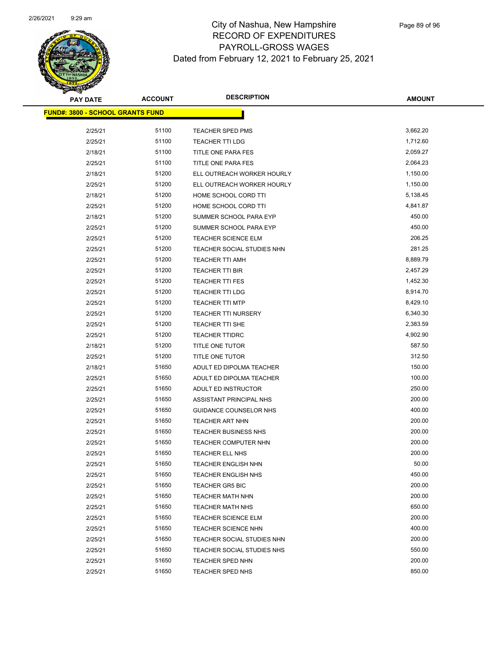

| <b>PAY DATE</b>                         | <b>ACCOUNT</b> | <b>DESCRIPTION</b>         | <b>AMOUNT</b> |
|-----------------------------------------|----------------|----------------------------|---------------|
| <b>FUND#: 3800 - SCHOOL GRANTS FUND</b> |                |                            |               |
| 2/25/21                                 | 51100          | TEACHER SPED PMS           | 3,662.20      |
| 2/25/21                                 | 51100          | <b>TEACHER TTI LDG</b>     | 1,712.60      |
| 2/18/21                                 | 51100          | TITLE ONE PARA FES         | 2,059.27      |
| 2/25/21                                 | 51100          | TITLE ONE PARA FES         | 2,064.23      |
| 2/18/21                                 | 51200          | ELL OUTREACH WORKER HOURLY | 1,150.00      |
| 2/25/21                                 | 51200          | ELL OUTREACH WORKER HOURLY | 1,150.00      |
| 2/18/21                                 | 51200          | HOME SCHOOL CORD TTI       | 5,138.45      |
| 2/25/21                                 | 51200          | HOME SCHOOL CORD TTI       | 4,841.87      |
| 2/18/21                                 | 51200          | SUMMER SCHOOL PARA EYP     | 450.00        |
| 2/25/21                                 | 51200          | SUMMER SCHOOL PARA EYP     | 450.00        |
| 2/25/21                                 | 51200          | <b>TEACHER SCIENCE ELM</b> | 206.25        |
| 2/25/21                                 | 51200          | TEACHER SOCIAL STUDIES NHN | 281.25        |
| 2/25/21                                 | 51200          | <b>TEACHER TTI AMH</b>     | 8,889.79      |
| 2/25/21                                 | 51200          | <b>TEACHER TTI BIR</b>     | 2,457.29      |
| 2/25/21                                 | 51200          | TEACHER TTI FES            | 1,452.30      |
| 2/25/21                                 | 51200          | <b>TEACHER TTI LDG</b>     | 8,914.70      |
| 2/25/21                                 | 51200          | <b>TEACHER TTI MTP</b>     | 8,429.10      |
| 2/25/21                                 | 51200          | <b>TEACHER TTI NURSERY</b> | 6,340.30      |
| 2/25/21                                 | 51200          | TEACHER TTI SHE            | 2,383.59      |
| 2/25/21                                 | 51200          | <b>TEACHER TTIDRC</b>      | 4,902.90      |
| 2/18/21                                 | 51200          | TITLE ONE TUTOR            | 587.50        |
| 2/25/21                                 | 51200          | TITLE ONE TUTOR            | 312.50        |
| 2/18/21                                 | 51650          | ADULT ED DIPOLMA TEACHER   | 150.00        |
| 2/25/21                                 | 51650          | ADULT ED DIPOLMA TEACHER   | 100.00        |
| 2/25/21                                 | 51650          | ADULT ED INSTRUCTOR        | 250.00        |
| 2/25/21                                 | 51650          | ASSISTANT PRINCIPAL NHS    | 200.00        |
| 2/25/21                                 | 51650          | GUIDANCE COUNSELOR NHS     | 400.00        |
| 2/25/21                                 | 51650          | <b>TEACHER ART NHN</b>     | 200.00        |
| 2/25/21                                 | 51650          | TEACHER BUSINESS NHS       | 200.00        |
| 2/25/21                                 | 51650          | TEACHER COMPUTER NHN       | 200.00        |
| 2/25/21                                 | 51650          | <b>TEACHER ELL NHS</b>     | 200.00        |
| 2/25/21                                 | 51650          | <b>TEACHER ENGLISH NHN</b> | 50.00         |
| 2/25/21                                 | 51650          | <b>TEACHER ENGLISH NHS</b> | 450.00        |
| 2/25/21                                 | 51650          | <b>TEACHER GR5 BIC</b>     | 200.00        |
| 2/25/21                                 | 51650          | <b>TEACHER MATH NHN</b>    | 200.00        |
| 2/25/21                                 | 51650          | <b>TEACHER MATH NHS</b>    | 650.00        |
| 2/25/21                                 | 51650          | <b>TEACHER SCIENCE ELM</b> | 200.00        |
| 2/25/21                                 | 51650          | <b>TEACHER SCIENCE NHN</b> | 400.00        |
| 2/25/21                                 | 51650          | TEACHER SOCIAL STUDIES NHN | 200.00        |
| 2/25/21                                 | 51650          | TEACHER SOCIAL STUDIES NHS | 550.00        |
| 2/25/21                                 | 51650          | TEACHER SPED NHN           | 200.00        |
| 2/25/21                                 | 51650          | <b>TEACHER SPED NHS</b>    | 850.00        |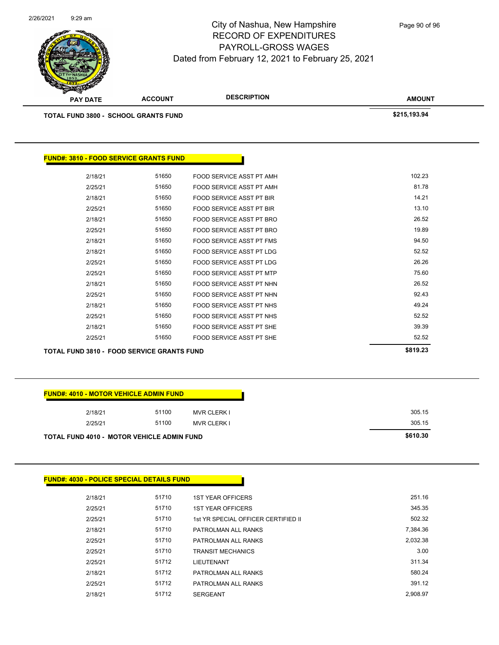**AMOUNT** City of Nashua, New Hampshire RECORD OF EXPENDITURES PAYROLL-GROSS WAGES Dated from February 12, 2021 to February 25, 2021 **PAY DATE ACCOUNT DESCRIPTION** 2/26/2021 9:29 am **TOTAL FUND 3800 - SCHOOL GRANTS FUND \$215,193.94 FUND#: 3810 - FOOD SERVICE GRANTS FUND** Page 90 of 96

| <b>TOTAL FUND 3810 - FOOD SERVICE GRANTS FUND</b> | \$819.23 |                                 |        |
|---------------------------------------------------|----------|---------------------------------|--------|
| 2/25/21                                           | 51650    | FOOD SERVICE ASST PT SHE        | 52.52  |
| 2/18/21                                           | 51650    | FOOD SERVICE ASST PT SHE        | 39.39  |
| 2/25/21                                           | 51650    | FOOD SERVICE ASST PT NHS        | 52.52  |
| 2/18/21                                           | 51650    | FOOD SERVICE ASST PT NHS        | 49.24  |
| 2/25/21                                           | 51650    | FOOD SERVICE ASST PT NHN        | 92.43  |
| 2/18/21                                           | 51650    | FOOD SERVICE ASST PT NHN        | 26.52  |
| 2/25/21                                           | 51650    | FOOD SERVICE ASST PT MTP        | 75.60  |
| 2/25/21                                           | 51650    | FOOD SERVICE ASST PT LDG        | 26.26  |
| 2/18/21                                           | 51650    | FOOD SERVICE ASST PT LDG        | 52.52  |
| 2/18/21                                           | 51650    | FOOD SERVICE ASST PT FMS        | 94.50  |
| 2/25/21                                           | 51650    | FOOD SERVICE ASST PT BRO        | 19.89  |
| 2/18/21                                           | 51650    | FOOD SERVICE ASST PT BRO        | 26.52  |
| 2/25/21                                           | 51650    | <b>FOOD SERVICE ASST PT BIR</b> | 13.10  |
| 2/18/21                                           | 51650    | FOOD SERVICE ASST PT BIR        | 14.21  |
| 2/25/21                                           | 51650    | FOOD SERVICE ASST PT AMH        | 81.78  |
| 2/18/21                                           | 51650    | FOOD SERVICE ASST PT AMH        | 102.23 |
|                                                   |          |                                 |        |

| <b>FUND#: 4010 - MOTOR VEHICLE ADMIN FUND</b>     |       |                    |
|---------------------------------------------------|-------|--------------------|
| 2/18/21                                           | 51100 | <b>MVR CLERK I</b> |
| 2/25/21                                           | 51100 | <b>MVR CLERK I</b> |
| <b>TOTAL FUND 4010 - MOTOR VEHICLE ADMIN FUND</b> |       |                    |

#### **FUND#: 4030 - POLICE SPECIAL DETAILS FUND**

| 2/18/21 | 51710 | <b>1ST YEAR OFFICERS</b>            | 251.16   |
|---------|-------|-------------------------------------|----------|
| 2/25/21 | 51710 | <b>1ST YEAR OFFICERS</b>            | 345.35   |
| 2/25/21 | 51710 | 1st YR SPECIAL OFFICER CERTIFIED II | 502.32   |
| 2/18/21 | 51710 | PATROLMAN ALL RANKS                 | 7.384.36 |
| 2/25/21 | 51710 | PATROLMAN ALL RANKS                 | 2.032.38 |
| 2/25/21 | 51710 | <b>TRANSIT MECHANICS</b>            | 3.00     |
| 2/25/21 | 51712 | LIEUTENANT                          | 311.34   |
| 2/18/21 | 51712 | PATROLMAN ALL RANKS                 | 580.24   |
| 2/25/21 | 51712 | PATROLMAN ALL RANKS                 | 391.12   |
| 2/18/21 | 51712 | <b>SERGEANT</b>                     | 2.908.97 |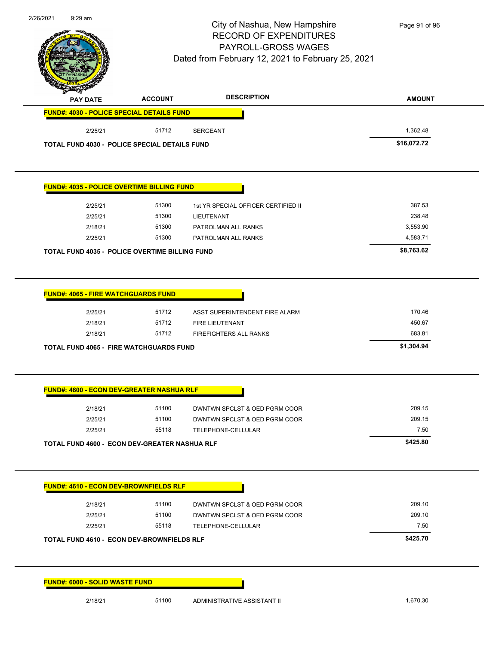

**PAY DATE ACCOUNT DESCRIPTION**

# City of Nashua, New Hampshire RECORD OF EXPENDITURES PAYROLL-GROSS WAGES Dated from February 12, 2021 to February 25, 2021

Page 91 of 96

**AMOUNT**

| 2/25/21                                                                                                  | 51712 | <b>SERGEANT</b>                     | 1,362.48    |
|----------------------------------------------------------------------------------------------------------|-------|-------------------------------------|-------------|
| <b>TOTAL FUND 4030 - POLICE SPECIAL DETAILS FUND</b>                                                     |       |                                     | \$16,072.72 |
| <b>FUND#: 4035 - POLICE OVERTIME BILLING FUND</b>                                                        |       |                                     |             |
|                                                                                                          |       |                                     |             |
| 2/25/21                                                                                                  | 51300 | 1st YR SPECIAL OFFICER CERTIFIED II | 387.53      |
| 2/25/21                                                                                                  | 51300 | LIEUTENANT                          | 238.48      |
| 2/18/21                                                                                                  | 51300 | PATROLMAN ALL RANKS                 | 3,553.90    |
| 2/25/21                                                                                                  | 51300 | PATROLMAN ALL RANKS                 | 4,583.71    |
| <b>TOTAL FUND 4035 - POLICE OVERTIME BILLING FUND</b>                                                    |       |                                     | \$8,763.62  |
|                                                                                                          |       |                                     |             |
| <b>FUND#: 4065 - FIRE WATCHGUARDS FUND</b>                                                               |       |                                     |             |
|                                                                                                          | 51712 |                                     |             |
| 2/25/21                                                                                                  |       | ASST SUPERINTENDENT FIRE ALARM      | 170.46      |
| 2/18/21                                                                                                  | 51712 | FIRE LIEUTENANT                     | 450.67      |
|                                                                                                          |       |                                     |             |
| 2/18/21                                                                                                  | 51712 | FIREFIGHTERS ALL RANKS              | 683.81      |
| <b>TOTAL FUND 4065 - FIRE WATCHGUARDS FUND</b>                                                           |       |                                     | \$1,304.94  |
|                                                                                                          |       |                                     |             |
|                                                                                                          |       |                                     |             |
| 2/18/21                                                                                                  | 51100 | DWNTWN SPCLST & OED PGRM COOR       | 209.15      |
| 2/25/21                                                                                                  | 51100 | DWNTWN SPCLST & OED PGRM COOR       | 209.15      |
| 2/25/21                                                                                                  | 55118 | TELEPHONE-CELLULAR                  | 7.50        |
| <b>FUND#: 4600 - ECON DEV-GREATER NASHUA RLF</b><br><b>TOTAL FUND 4600 - ECON DEV-GREATER NASHUA RLF</b> |       |                                     | \$425.80    |
|                                                                                                          |       |                                     |             |
|                                                                                                          |       |                                     |             |
| 2/18/21                                                                                                  | 51100 | DWNTWN SPCLST & OED PGRM COOR       | 209.10      |
| 2/25/21                                                                                                  | 51100 | DWNTWN SPCLST & OED PGRM COOR       | 209.10      |
| 2/25/21                                                                                                  | 55118 | TELEPHONE-CELLULAR                  | 7.50        |
|                                                                                                          |       |                                     | \$425.70    |
| <b>FUND#: 4610 - ECON DEV-BROWNFIELDS RLF</b><br><b>TOTAL FUND 4610 - ECON DEV-BROWNFIELDS RLF</b>       |       |                                     |             |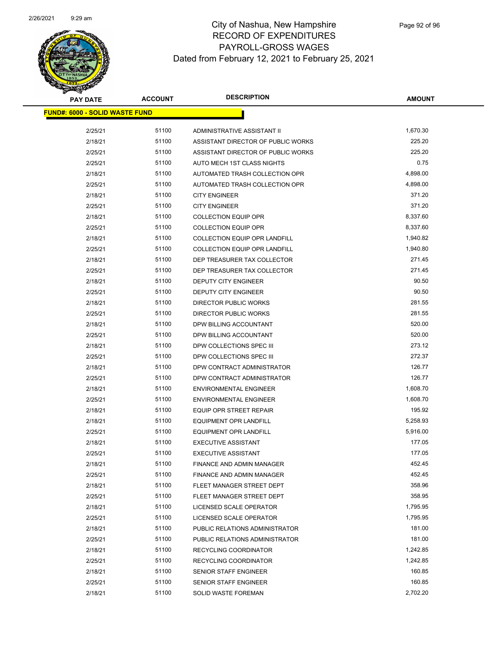

| <b>PAY DATE</b>                       | <b>ACCOUNT</b> | <b>DESCRIPTION</b>                   | <b>AMOUNT</b> |
|---------------------------------------|----------------|--------------------------------------|---------------|
| <b>FUND#: 6000 - SOLID WASTE FUND</b> |                |                                      |               |
| 2/25/21                               | 51100          | ADMINISTRATIVE ASSISTANT II          | 1,670.30      |
| 2/18/21                               | 51100          | ASSISTANT DIRECTOR OF PUBLIC WORKS   | 225.20        |
| 2/25/21                               | 51100          | ASSISTANT DIRECTOR OF PUBLIC WORKS   | 225.20        |
| 2/25/21                               | 51100          | AUTO MECH 1ST CLASS NIGHTS           | 0.75          |
| 2/18/21                               | 51100          | AUTOMATED TRASH COLLECTION OPR       | 4,898.00      |
| 2/25/21                               | 51100          | AUTOMATED TRASH COLLECTION OPR       | 4,898.00      |
| 2/18/21                               | 51100          | <b>CITY ENGINEER</b>                 | 371.20        |
| 2/25/21                               | 51100          | <b>CITY ENGINEER</b>                 | 371.20        |
| 2/18/21                               | 51100          | <b>COLLECTION EQUIP OPR</b>          | 8,337.60      |
| 2/25/21                               | 51100          | <b>COLLECTION EQUIP OPR</b>          | 8,337.60      |
| 2/18/21                               | 51100          | COLLECTION EQUIP OPR LANDFILL        | 1,940.82      |
| 2/25/21                               | 51100          | <b>COLLECTION EQUIP OPR LANDFILL</b> | 1,940.80      |
| 2/18/21                               | 51100          | DEP TREASURER TAX COLLECTOR          | 271.45        |
| 2/25/21                               | 51100          | DEP TREASURER TAX COLLECTOR          | 271.45        |
| 2/18/21                               | 51100          | DEPUTY CITY ENGINEER                 | 90.50         |
| 2/25/21                               | 51100          | DEPUTY CITY ENGINEER                 | 90.50         |
| 2/18/21                               | 51100          | DIRECTOR PUBLIC WORKS                | 281.55        |
| 2/25/21                               | 51100          | <b>DIRECTOR PUBLIC WORKS</b>         | 281.55        |
| 2/18/21                               | 51100          | DPW BILLING ACCOUNTANT               | 520.00        |
| 2/25/21                               | 51100          | DPW BILLING ACCOUNTANT               | 520.00        |
| 2/18/21                               | 51100          | DPW COLLECTIONS SPEC III             | 273.12        |
| 2/25/21                               | 51100          | DPW COLLECTIONS SPEC III             | 272.37        |
| 2/18/21                               | 51100          | DPW CONTRACT ADMINISTRATOR           | 126.77        |
| 2/25/21                               | 51100          | DPW CONTRACT ADMINISTRATOR           | 126.77        |
| 2/18/21                               | 51100          | <b>ENVIRONMENTAL ENGINEER</b>        | 1,608.70      |
| 2/25/21                               | 51100          | <b>ENVIRONMENTAL ENGINEER</b>        | 1,608.70      |
| 2/18/21                               | 51100          | <b>EQUIP OPR STREET REPAIR</b>       | 195.92        |
| 2/18/21                               | 51100          | <b>EQUIPMENT OPR LANDFILL</b>        | 5,258.93      |
| 2/25/21                               | 51100          | <b>EQUIPMENT OPR LANDFILL</b>        | 5,916.00      |
| 2/18/21                               | 51100          | <b>EXECUTIVE ASSISTANT</b>           | 177.05        |
| 2/25/21                               | 51100          | <b>EXECUTIVE ASSISTANT</b>           | 177.05        |
| 2/18/21                               | 51100          | FINANCE AND ADMIN MANAGER            | 452.45        |
| 2/25/21                               | 51100          | <b>FINANCE AND ADMIN MANAGER</b>     | 452.45        |
| 2/18/21                               | 51100          | FLEET MANAGER STREET DEPT            | 358.96        |
| 2/25/21                               | 51100          | FLEET MANAGER STREET DEPT            | 358.95        |
| 2/18/21                               | 51100          | LICENSED SCALE OPERATOR              | 1,795.95      |
| 2/25/21                               | 51100          | LICENSED SCALE OPERATOR              | 1,795.95      |
| 2/18/21                               | 51100          | PUBLIC RELATIONS ADMINISTRATOR       | 181.00        |
| 2/25/21                               | 51100          | PUBLIC RELATIONS ADMINISTRATOR       | 181.00        |
| 2/18/21                               | 51100          | RECYCLING COORDINATOR                | 1,242.85      |
| 2/25/21                               | 51100          | RECYCLING COORDINATOR                | 1,242.85      |
| 2/18/21                               | 51100          | SENIOR STAFF ENGINEER                | 160.85        |
| 2/25/21                               | 51100          | SENIOR STAFF ENGINEER                | 160.85        |
| 2/18/21                               | 51100          | <b>SOLID WASTE FOREMAN</b>           | 2,702.20      |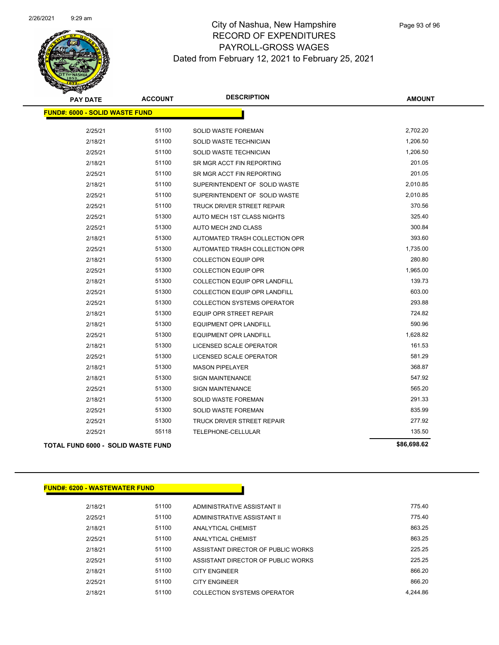

| <b>PAY DATE</b>                           | <b>ACCOUNT</b> | <b>DESCRIPTION</b>                   | <b>AMOUNT</b> |
|-------------------------------------------|----------------|--------------------------------------|---------------|
| <b>FUND#: 6000 - SOLID WASTE FUND</b>     |                |                                      |               |
| 2/25/21                                   | 51100          | SOLID WASTE FOREMAN                  | 2,702.20      |
| 2/18/21                                   | 51100          | SOLID WASTE TECHNICIAN               | 1,206.50      |
| 2/25/21                                   | 51100          | SOLID WASTE TECHNICIAN               | 1,206.50      |
| 2/18/21                                   | 51100          | SR MGR ACCT FIN REPORTING            | 201.05        |
| 2/25/21                                   | 51100          | SR MGR ACCT FIN REPORTING            | 201.05        |
| 2/18/21                                   | 51100          | SUPERINTENDENT OF SOLID WASTE        | 2,010.85      |
| 2/25/21                                   | 51100          | SUPERINTENDENT OF SOLID WASTE        | 2,010.85      |
| 2/25/21                                   | 51100          | TRUCK DRIVER STREET REPAIR           | 370.56        |
| 2/25/21                                   | 51300          | AUTO MECH 1ST CLASS NIGHTS           | 325.40        |
| 2/25/21                                   | 51300          | AUTO MECH 2ND CLASS                  | 300.84        |
| 2/18/21                                   | 51300          | AUTOMATED TRASH COLLECTION OPR       | 393.60        |
| 2/25/21                                   | 51300          | AUTOMATED TRASH COLLECTION OPR       | 1,735.00      |
| 2/18/21                                   | 51300          | <b>COLLECTION EQUIP OPR</b>          | 280.80        |
| 2/25/21                                   | 51300          | <b>COLLECTION EQUIP OPR</b>          | 1,965.00      |
| 2/18/21                                   | 51300          | <b>COLLECTION EQUIP OPR LANDFILL</b> | 139.73        |
| 2/25/21                                   | 51300          | <b>COLLECTION EQUIP OPR LANDFILL</b> | 603.00        |
| 2/25/21                                   | 51300          | <b>COLLECTION SYSTEMS OPERATOR</b>   | 293.88        |
| 2/18/21                                   | 51300          | <b>EQUIP OPR STREET REPAIR</b>       | 724.82        |
| 2/18/21                                   | 51300          | <b>EQUIPMENT OPR LANDFILL</b>        | 590.96        |
| 2/25/21                                   | 51300          | EQUIPMENT OPR LANDFILL               | 1,628.82      |
| 2/18/21                                   | 51300          | LICENSED SCALE OPERATOR              | 161.53        |
| 2/25/21                                   | 51300          | LICENSED SCALE OPERATOR              | 581.29        |
| 2/18/21                                   | 51300          | <b>MASON PIPELAYER</b>               | 368.87        |
| 2/18/21                                   | 51300          | <b>SIGN MAINTENANCE</b>              | 547.92        |
| 2/25/21                                   | 51300          | <b>SIGN MAINTENANCE</b>              | 565.20        |
| 2/18/21                                   | 51300          | <b>SOLID WASTE FOREMAN</b>           | 291.33        |
| 2/25/21                                   | 51300          | SOLID WASTE FOREMAN                  | 835.99        |
| 2/25/21                                   | 51300          | TRUCK DRIVER STREET REPAIR           | 277.92        |
| 2/25/21                                   | 55118          | TELEPHONE-CELLULAR                   | 135.50        |
| <b>TOTAL FUND 6000 - SOLID WASTE FUND</b> |                |                                      | \$86,698.62   |

#### **FUND#: 6200 - WASTEWATER FUND**

| 2/18/21 | 51100 | ADMINISTRATIVE ASSISTANT II        | 775.40   |
|---------|-------|------------------------------------|----------|
| 2/25/21 | 51100 | ADMINISTRATIVE ASSISTANT II        | 775 40   |
| 2/18/21 | 51100 | <b>ANALYTICAL CHEMIST</b>          | 863.25   |
| 2/25/21 | 51100 | <b>ANALYTICAL CHEMIST</b>          | 863 25   |
| 2/18/21 | 51100 | ASSISTANT DIRECTOR OF PUBLIC WORKS | 225 25   |
| 2/25/21 | 51100 | ASSISTANT DIRECTOR OF PUBLIC WORKS | 225 25   |
| 2/18/21 | 51100 | <b>CITY ENGINEER</b>               | 866.20   |
| 2/25/21 | 51100 | <b>CITY ENGINEER</b>               | 866.20   |
| 2/18/21 | 51100 | COLLECTION SYSTEMS OPERATOR        | 4.244.86 |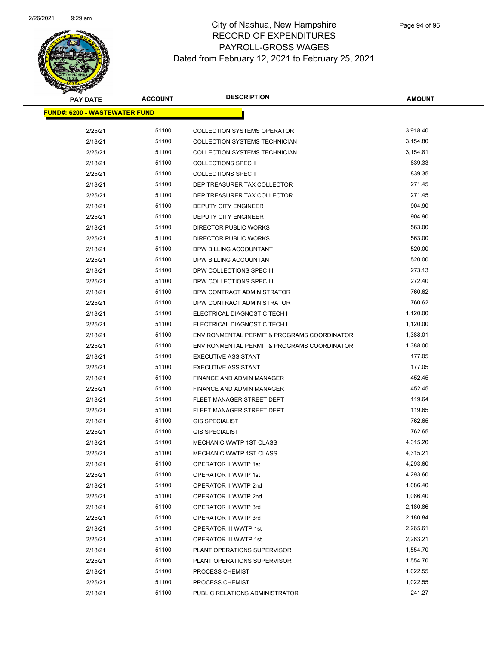

| <b>PAY DATE</b>                      | <b>ACCOUNT</b> | <b>DESCRIPTION</b>                          | <b>AMOUNT</b> |
|--------------------------------------|----------------|---------------------------------------------|---------------|
| <b>FUND#: 6200 - WASTEWATER FUND</b> |                |                                             |               |
| 2/25/21                              | 51100          | <b>COLLECTION SYSTEMS OPERATOR</b>          | 3,918.40      |
| 2/18/21                              | 51100          | <b>COLLECTION SYSTEMS TECHNICIAN</b>        | 3,154.80      |
| 2/25/21                              | 51100          | COLLECTION SYSTEMS TECHNICIAN               | 3,154.81      |
| 2/18/21                              | 51100          | <b>COLLECTIONS SPEC II</b>                  | 839.33        |
| 2/25/21                              | 51100          | <b>COLLECTIONS SPEC II</b>                  | 839.35        |
| 2/18/21                              | 51100          | DEP TREASURER TAX COLLECTOR                 | 271.45        |
| 2/25/21                              | 51100          | DEP TREASURER TAX COLLECTOR                 | 271.45        |
| 2/18/21                              | 51100          | <b>DEPUTY CITY ENGINEER</b>                 | 904.90        |
| 2/25/21                              | 51100          | DEPUTY CITY ENGINEER                        | 904.90        |
| 2/18/21                              | 51100          | DIRECTOR PUBLIC WORKS                       | 563.00        |
| 2/25/21                              | 51100          | DIRECTOR PUBLIC WORKS                       | 563.00        |
| 2/18/21                              | 51100          | DPW BILLING ACCOUNTANT                      | 520.00        |
| 2/25/21                              | 51100          | DPW BILLING ACCOUNTANT                      | 520.00        |
| 2/18/21                              | 51100          | DPW COLLECTIONS SPEC III                    | 273.13        |
| 2/25/21                              | 51100          | DPW COLLECTIONS SPEC III                    | 272.40        |
| 2/18/21                              | 51100          | DPW CONTRACT ADMINISTRATOR                  | 760.62        |
| 2/25/21                              | 51100          | DPW CONTRACT ADMINISTRATOR                  | 760.62        |
| 2/18/21                              | 51100          | ELECTRICAL DIAGNOSTIC TECH I                | 1,120.00      |
| 2/25/21                              | 51100          | ELECTRICAL DIAGNOSTIC TECH I                | 1,120.00      |
| 2/18/21                              | 51100          | ENVIRONMENTAL PERMIT & PROGRAMS COORDINATOR | 1,388.01      |
| 2/25/21                              | 51100          | ENVIRONMENTAL PERMIT & PROGRAMS COORDINATOR | 1,388.00      |
| 2/18/21                              | 51100          | <b>EXECUTIVE ASSISTANT</b>                  | 177.05        |
| 2/25/21                              | 51100          | <b>EXECUTIVE ASSISTANT</b>                  | 177.05        |
| 2/18/21                              | 51100          | FINANCE AND ADMIN MANAGER                   | 452.45        |
| 2/25/21                              | 51100          | FINANCE AND ADMIN MANAGER                   | 452.45        |
| 2/18/21                              | 51100          | FLEET MANAGER STREET DEPT                   | 119.64        |
| 2/25/21                              | 51100          | FLEET MANAGER STREET DEPT                   | 119.65        |
| 2/18/21                              | 51100          | <b>GIS SPECIALIST</b>                       | 762.65        |
| 2/25/21                              | 51100          | <b>GIS SPECIALIST</b>                       | 762.65        |
| 2/18/21                              | 51100          | <b>MECHANIC WWTP 1ST CLASS</b>              | 4,315.20      |
| 2/25/21                              | 51100          | MECHANIC WWTP 1ST CLASS                     | 4,315.21      |
| 2/18/21                              | 51100          | OPERATOR II WWTP 1st                        | 4,293.60      |
| 2/25/21                              | 51100          | OPERATOR II WWTP 1st                        | 4,293.60      |
| 2/18/21                              | 51100          | OPERATOR II WWTP 2nd                        | 1,086.40      |
| 2/25/21                              | 51100          | OPERATOR II WWTP 2nd                        | 1,086.40      |
| 2/18/21                              | 51100          | OPERATOR II WWTP 3rd                        | 2,180.86      |
| 2/25/21                              | 51100          | OPERATOR II WWTP 3rd                        | 2,180.84      |
| 2/18/21                              | 51100          | OPERATOR III WWTP 1st                       | 2,265.61      |
| 2/25/21                              | 51100          | OPERATOR III WWTP 1st                       | 2,263.21      |
| 2/18/21                              | 51100          | PLANT OPERATIONS SUPERVISOR                 | 1,554.70      |
| 2/25/21                              | 51100          | PLANT OPERATIONS SUPERVISOR                 | 1,554.70      |
| 2/18/21                              | 51100          | PROCESS CHEMIST                             | 1,022.55      |
| 2/25/21                              | 51100          | PROCESS CHEMIST                             | 1,022.55      |
| 2/18/21                              | 51100          | PUBLIC RELATIONS ADMINISTRATOR              | 241.27        |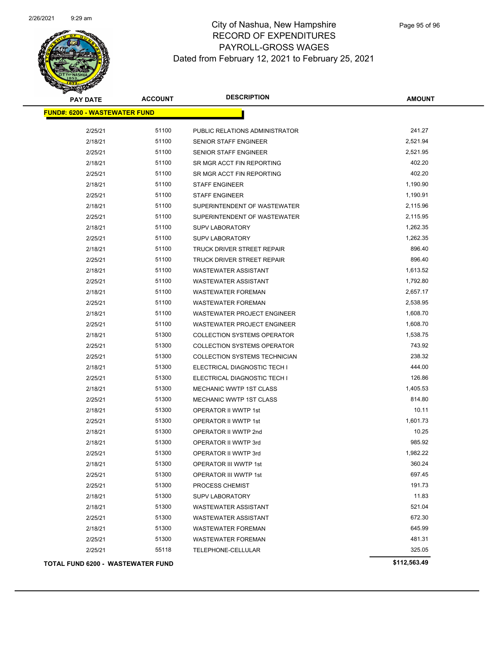

| <b>PAY DATE</b>                      | <b>ACCOUNT</b> | <b>DESCRIPTION</b>                 | <b>AMOUNT</b> |
|--------------------------------------|----------------|------------------------------------|---------------|
| <b>FUND#: 6200 - WASTEWATER FUND</b> |                |                                    |               |
| 2/25/21                              | 51100          | PUBLIC RELATIONS ADMINISTRATOR     | 241.27        |
| 2/18/21                              | 51100          | SENIOR STAFF ENGINEER              | 2,521.94      |
| 2/25/21                              | 51100          | SENIOR STAFF ENGINEER              | 2,521.95      |
| 2/18/21                              | 51100          | SR MGR ACCT FIN REPORTING          | 402.20        |
| 2/25/21                              | 51100          | SR MGR ACCT FIN REPORTING          | 402.20        |
| 2/18/21                              | 51100          | <b>STAFF ENGINEER</b>              | 1,190.90      |
| 2/25/21                              | 51100          | <b>STAFF ENGINEER</b>              | 1,190.91      |
| 2/18/21                              | 51100          | SUPERINTENDENT OF WASTEWATER       | 2,115.96      |
| 2/25/21                              | 51100          | SUPERINTENDENT OF WASTEWATER       | 2,115.95      |
| 2/18/21                              | 51100          | <b>SUPV LABORATORY</b>             | 1,262.35      |
| 2/25/21                              | 51100          | <b>SUPV LABORATORY</b>             | 1,262.35      |
| 2/18/21                              | 51100          | TRUCK DRIVER STREET REPAIR         | 896.40        |
| 2/25/21                              | 51100          | TRUCK DRIVER STREET REPAIR         | 896.40        |
| 2/18/21                              | 51100          | <b>WASTEWATER ASSISTANT</b>        | 1,613.52      |
| 2/25/21                              | 51100          | <b>WASTEWATER ASSISTANT</b>        | 1,792.80      |
| 2/18/21                              | 51100          | <b>WASTEWATER FOREMAN</b>          | 2,657.17      |
| 2/25/21                              | 51100          | <b>WASTEWATER FOREMAN</b>          | 2,538.95      |
| 2/18/21                              | 51100          | WASTEWATER PROJECT ENGINEER        | 1,608.70      |
| 2/25/21                              | 51100          | WASTEWATER PROJECT ENGINEER        | 1,608.70      |
| 2/18/21                              | 51300          | <b>COLLECTION SYSTEMS OPERATOR</b> | 1,538.75      |
| 2/25/21                              | 51300          | <b>COLLECTION SYSTEMS OPERATOR</b> | 743.92        |
| 2/25/21                              | 51300          | COLLECTION SYSTEMS TECHNICIAN      | 238.32        |
| 2/18/21                              | 51300          | ELECTRICAL DIAGNOSTIC TECH I       | 444.00        |
| 2/25/21                              | 51300          | ELECTRICAL DIAGNOSTIC TECH I       | 126.86        |
| 2/18/21                              | 51300          | <b>MECHANIC WWTP 1ST CLASS</b>     | 1,405.53      |
| 2/25/21                              | 51300          | MECHANIC WWTP 1ST CLASS            | 814.80        |
| 2/18/21                              | 51300          | OPERATOR II WWTP 1st               | 10.11         |
| 2/25/21                              | 51300          | OPERATOR II WWTP 1st               | 1,601.73      |
| 2/18/21                              | 51300          | OPERATOR II WWTP 2nd               | 10.25         |
| 2/18/21                              | 51300          | OPERATOR II WWTP 3rd               | 985.92        |
| 2/25/21                              | 51300          | OPERATOR II WWTP 3rd               | 1,982.22      |
| 2/18/21                              | 51300          | OPERATOR III WWTP 1st              | 360.24        |
| 2/25/21                              | 51300          | OPERATOR III WWTP 1st              | 697.45        |
| 2/25/21                              | 51300          | PROCESS CHEMIST                    | 191.73        |
| 2/18/21                              | 51300          | <b>SUPV LABORATORY</b>             | 11.83         |
| 2/18/21                              | 51300          | <b>WASTEWATER ASSISTANT</b>        | 521.04        |
| 2/25/21                              | 51300          | <b>WASTEWATER ASSISTANT</b>        | 672.30        |
| 2/18/21                              | 51300          | <b>WASTEWATER FOREMAN</b>          | 645.99        |
| 2/25/21                              | 51300          | <b>WASTEWATER FOREMAN</b>          | 481.31        |
| 2/25/21                              | 55118          | TELEPHONE-CELLULAR                 | 325.05        |
| TOTAL FUND 6200 - WASTEWATER FUND    |                |                                    | \$112,563.49  |